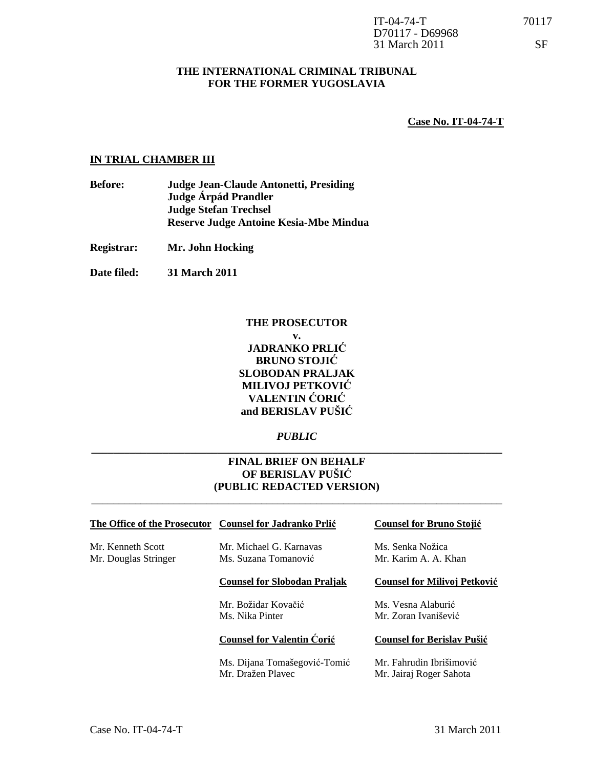#### **THE INTERNATIONAL CRIMINAL TRIBUNAL FOR THE FORMER YUGOSLAVIA**

**Case No. IT-04-74-T**

#### **IN TRIAL CHAMBER III**

- **Before: Judge Jean-Claude Antonetti, Presiding Judge Árpád Prandler Judge Stefan Trechsel Reserve Judge Antoine Kesia-Mbe Mindua**
- **Registrar: Mr. John Hocking**
- **Date filed: 31 March 2011**

#### **THE PROSECUTOR v.**

## **JADRANKO PRLI**Ć **BRUNO STOJI**Ć **SLOBODAN PRALJAK MILIVOJ PETKOVI**Ć **VALENTIN** Ć**ORI**Ć **and BERISLAV PUŠI**Ć

## *PUBLIC*  **\_\_\_\_\_\_\_\_\_\_\_\_\_\_\_\_\_\_\_\_\_\_\_\_\_\_\_\_\_\_\_\_\_\_\_\_\_\_\_\_\_\_\_\_\_\_\_\_\_\_\_\_\_\_\_\_\_\_\_\_\_\_\_\_\_\_\_\_\_\_\_\_\_\_\_**

### **FINAL BRIEF ON BEHALF OF BERISLAV PUŠI**Ć **(PUBLIC REDACTED VERSION)**

\_\_\_\_\_\_\_\_\_\_\_\_\_\_\_\_\_\_\_\_\_\_\_\_\_\_\_\_\_\_\_\_\_\_\_\_\_\_\_\_\_\_\_\_\_\_\_\_\_\_\_\_\_\_\_\_\_\_\_\_\_\_\_\_\_\_\_\_\_\_\_\_\_\_\_

#### **The Office of the Prosecutor Counsel for Jadranko Prli**ć **Counsel for Bruno Stoji**ć

Mr. Kenneth Scott Mr. Michael G. Karnavas Ms. Senka Nožica Mr. Douglas Stringer Ms. Suzana Tomanović Mr. Karim A. A. Khan

#### **Counsel for Slobodan Praljak Counsel for Milivoj Petkovi**ć

#### **Counsel for Valentin** Ć**ori**ć **Counsel for Berislav Puši**ć

 Ms. Dijana Tomašegović-Tomić Mr. Fahrudin Ibrišimović Mr. Dražen Plavec Mr. Jairaj Roger Sahota

Mr. Božidar Kovačić Ms. Vesna Alaburić Ms. Nika Pinter Mr. Zoran Ivanišević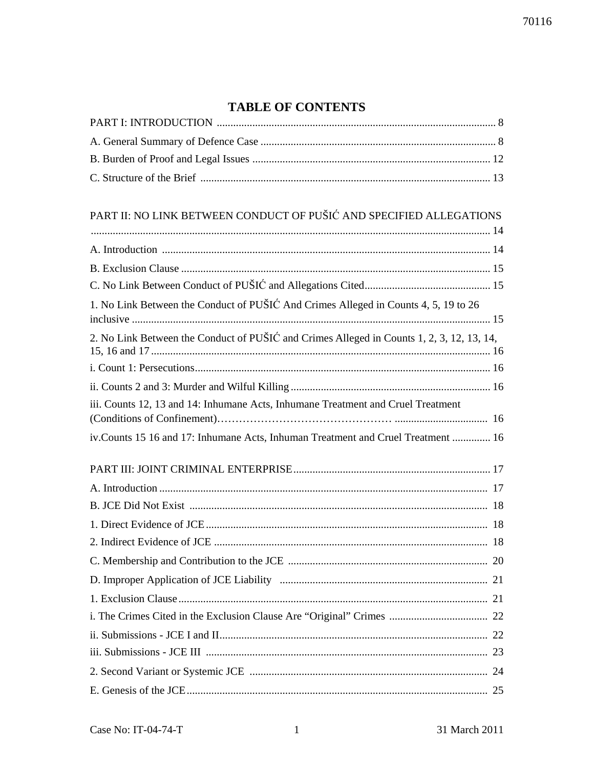# **TABLE OF CONTENTS**

| PART II: NO LINK BETWEEN CONDUCT OF PUŠIĆ AND SPECIFIED ALLEGATIONS                       |  |
|-------------------------------------------------------------------------------------------|--|
|                                                                                           |  |
|                                                                                           |  |
|                                                                                           |  |
|                                                                                           |  |
| 1. No Link Between the Conduct of PUŠIĆ And Crimes Alleged in Counts 4, 5, 19 to 26       |  |
| 2. No Link Between the Conduct of PUŠIĆ and Crimes Alleged in Counts 1, 2, 3, 12, 13, 14, |  |
|                                                                                           |  |
|                                                                                           |  |
| iii. Counts 12, 13 and 14: Inhumane Acts, Inhumane Treatment and Cruel Treatment          |  |
| iv.Counts 15 16 and 17: Inhumane Acts, Inhuman Treatment and Cruel Treatment  16          |  |
|                                                                                           |  |
|                                                                                           |  |
|                                                                                           |  |
|                                                                                           |  |
|                                                                                           |  |
|                                                                                           |  |
|                                                                                           |  |
|                                                                                           |  |
|                                                                                           |  |
|                                                                                           |  |
|                                                                                           |  |
|                                                                                           |  |
|                                                                                           |  |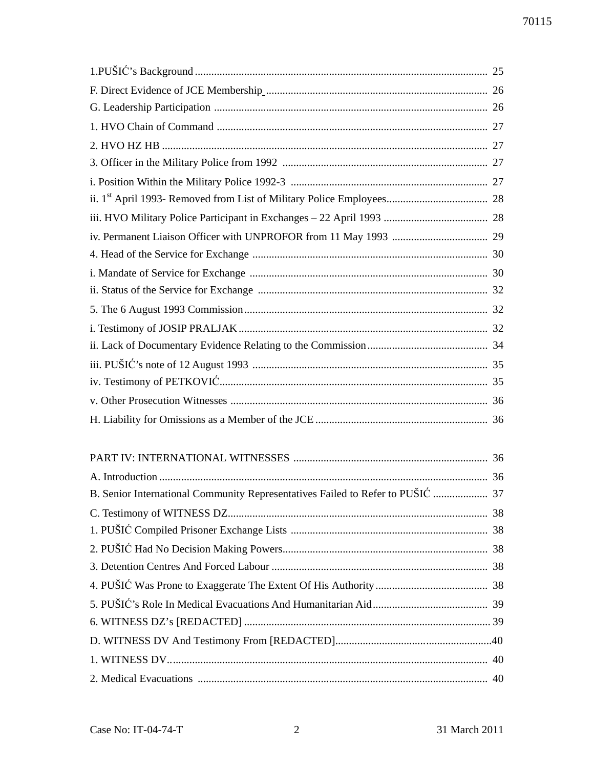| F. Direct Evidence of JCE Membership manufactured and the contract of 100 Membership manufactured and the 26 |  |
|--------------------------------------------------------------------------------------------------------------|--|
|                                                                                                              |  |
|                                                                                                              |  |
|                                                                                                              |  |
|                                                                                                              |  |
|                                                                                                              |  |
|                                                                                                              |  |
|                                                                                                              |  |
|                                                                                                              |  |
|                                                                                                              |  |
|                                                                                                              |  |
|                                                                                                              |  |
|                                                                                                              |  |
|                                                                                                              |  |
|                                                                                                              |  |
|                                                                                                              |  |
|                                                                                                              |  |
|                                                                                                              |  |
|                                                                                                              |  |
|                                                                                                              |  |
|                                                                                                              |  |
| B. Senior International Community Representatives Failed to Refer to PUŠIĆ  37                               |  |
|                                                                                                              |  |
|                                                                                                              |  |
|                                                                                                              |  |
|                                                                                                              |  |
|                                                                                                              |  |
|                                                                                                              |  |
|                                                                                                              |  |
|                                                                                                              |  |
|                                                                                                              |  |
|                                                                                                              |  |
|                                                                                                              |  |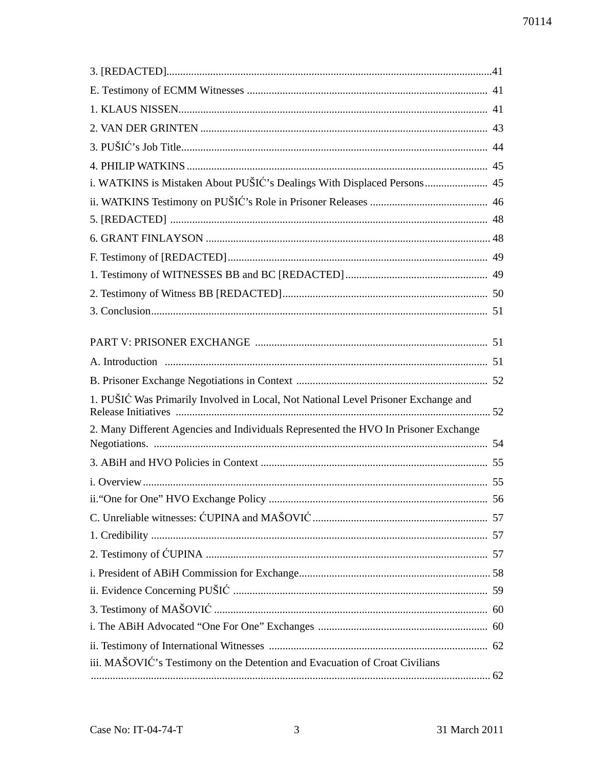| i. WATKINS is Mistaken About PUŠIĆ's Dealings With Displaced Persons 45             |    |
|-------------------------------------------------------------------------------------|----|
|                                                                                     |    |
|                                                                                     |    |
|                                                                                     |    |
|                                                                                     |    |
|                                                                                     |    |
|                                                                                     |    |
|                                                                                     |    |
|                                                                                     |    |
|                                                                                     |    |
|                                                                                     |    |
|                                                                                     |    |
| 1. PUŠIĆ Was Primarily Involved in Local, Not National Level Prisoner Exchange and  |    |
| 2. Many Different Agencies and Individuals Represented the HVO In Prisoner Exchange |    |
|                                                                                     |    |
|                                                                                     |    |
|                                                                                     | 56 |
|                                                                                     |    |
|                                                                                     |    |
|                                                                                     |    |
|                                                                                     |    |
|                                                                                     |    |
|                                                                                     |    |
|                                                                                     |    |
|                                                                                     |    |
| iii. MAŠOVIĆ's Testimony on the Detention and Evacuation of Croat Civilians         |    |
|                                                                                     |    |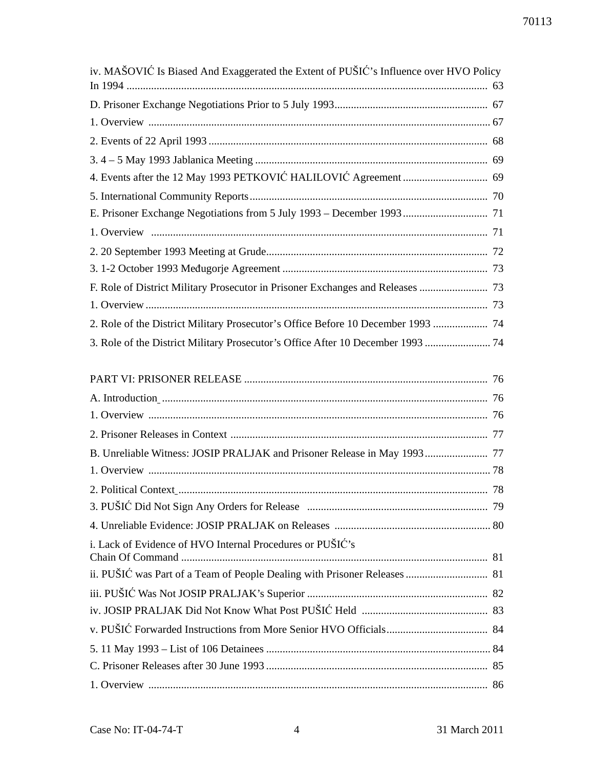| iv. MAŠOVIĆ Is Biased And Exaggerated the Extent of PUŠIĆ's Influence over HVO Policy |
|---------------------------------------------------------------------------------------|
|                                                                                       |
|                                                                                       |
|                                                                                       |
|                                                                                       |
|                                                                                       |
|                                                                                       |
|                                                                                       |
|                                                                                       |
|                                                                                       |
|                                                                                       |
|                                                                                       |
|                                                                                       |
|                                                                                       |
| 2. Role of the District Military Prosecutor's Office Before 10 December 1993  74      |
| 3. Role of the District Military Prosecutor's Office After 10 December 1993  74       |
|                                                                                       |
|                                                                                       |
|                                                                                       |
|                                                                                       |
|                                                                                       |
|                                                                                       |
|                                                                                       |
|                                                                                       |
|                                                                                       |
|                                                                                       |
|                                                                                       |
|                                                                                       |
|                                                                                       |
|                                                                                       |
|                                                                                       |
|                                                                                       |
|                                                                                       |
|                                                                                       |
|                                                                                       |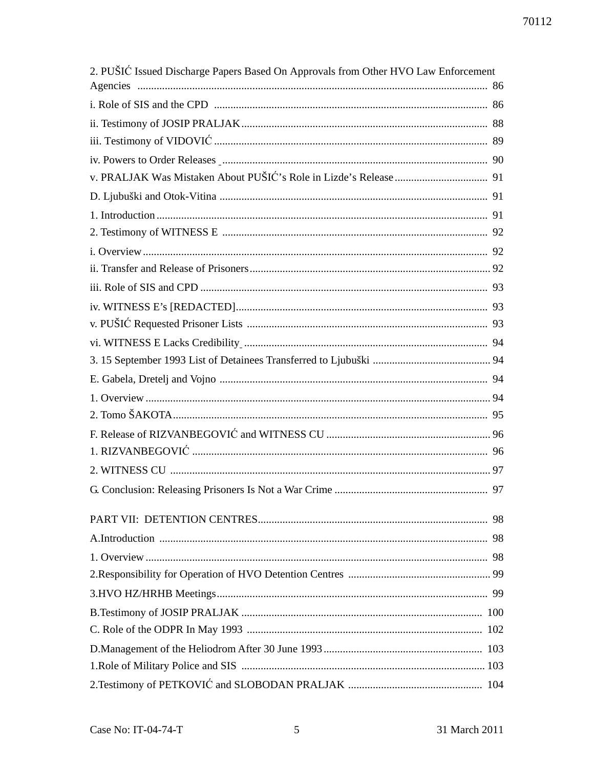| 2. PUŠIĆ Issued Discharge Papers Based On Approvals from Other HVO Law Enforcement |     |
|------------------------------------------------------------------------------------|-----|
|                                                                                    |     |
|                                                                                    |     |
|                                                                                    |     |
|                                                                                    |     |
| iv. Powers to Order Releases Manuscrittismus and the contract of the 90            |     |
|                                                                                    |     |
|                                                                                    |     |
|                                                                                    |     |
|                                                                                    |     |
|                                                                                    |     |
|                                                                                    |     |
|                                                                                    |     |
|                                                                                    |     |
|                                                                                    |     |
|                                                                                    |     |
|                                                                                    |     |
|                                                                                    |     |
|                                                                                    |     |
|                                                                                    |     |
|                                                                                    |     |
|                                                                                    |     |
|                                                                                    |     |
|                                                                                    |     |
|                                                                                    | -98 |
|                                                                                    |     |
|                                                                                    |     |
|                                                                                    |     |
|                                                                                    |     |
|                                                                                    |     |
|                                                                                    |     |
|                                                                                    |     |
|                                                                                    |     |
|                                                                                    |     |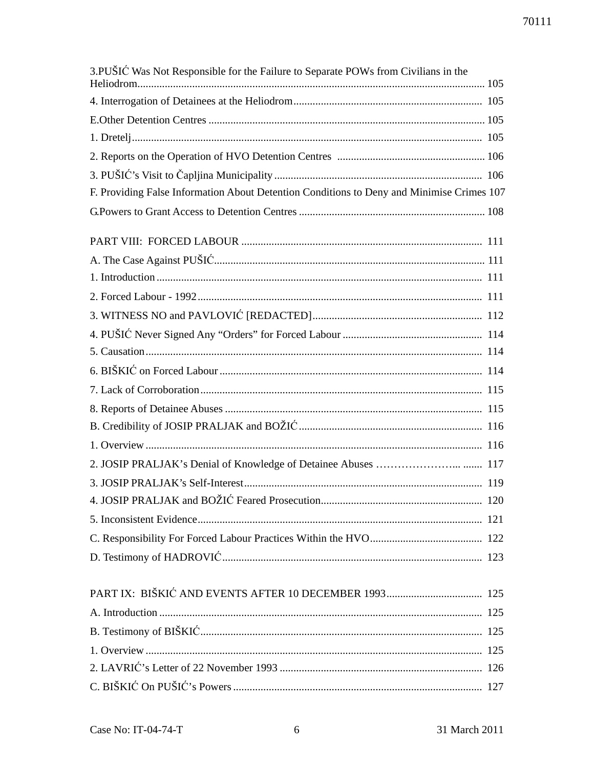| 3. PUŠIĆ Was Not Responsible for the Failure to Separate POWs from Civilians in the       |  |
|-------------------------------------------------------------------------------------------|--|
|                                                                                           |  |
|                                                                                           |  |
|                                                                                           |  |
|                                                                                           |  |
|                                                                                           |  |
| F. Providing False Information About Detention Conditions to Deny and Minimise Crimes 107 |  |
|                                                                                           |  |
|                                                                                           |  |
|                                                                                           |  |
|                                                                                           |  |
|                                                                                           |  |
|                                                                                           |  |
|                                                                                           |  |
|                                                                                           |  |
|                                                                                           |  |
|                                                                                           |  |
|                                                                                           |  |
|                                                                                           |  |
|                                                                                           |  |
|                                                                                           |  |
|                                                                                           |  |
|                                                                                           |  |
|                                                                                           |  |
|                                                                                           |  |
|                                                                                           |  |
|                                                                                           |  |
|                                                                                           |  |
|                                                                                           |  |
|                                                                                           |  |
|                                                                                           |  |
|                                                                                           |  |
|                                                                                           |  |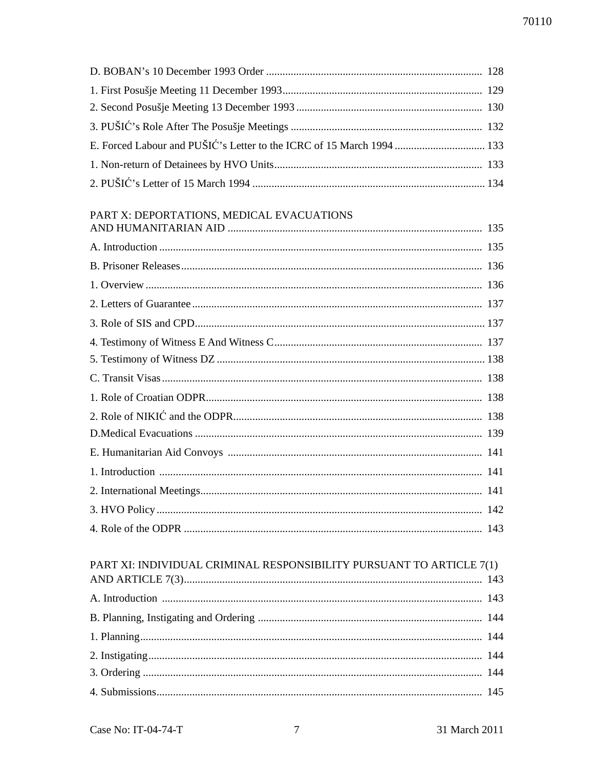# PART X: DEPORTATIONS, MEDICAL EVACUATIONS

| PART XI: INDIVIDUAL CRIMINAL RESPONSIBILITY PURSUANT TO ARTICLE 7(1) |  |
|----------------------------------------------------------------------|--|

| FANT AL INDIVIDUAL CNIMINAL RESPONSIBILITI FUNSUANT TU ANTICLE /(1) |  |
|---------------------------------------------------------------------|--|
|                                                                     |  |
|                                                                     |  |
|                                                                     |  |
|                                                                     |  |
|                                                                     |  |
|                                                                     |  |
|                                                                     |  |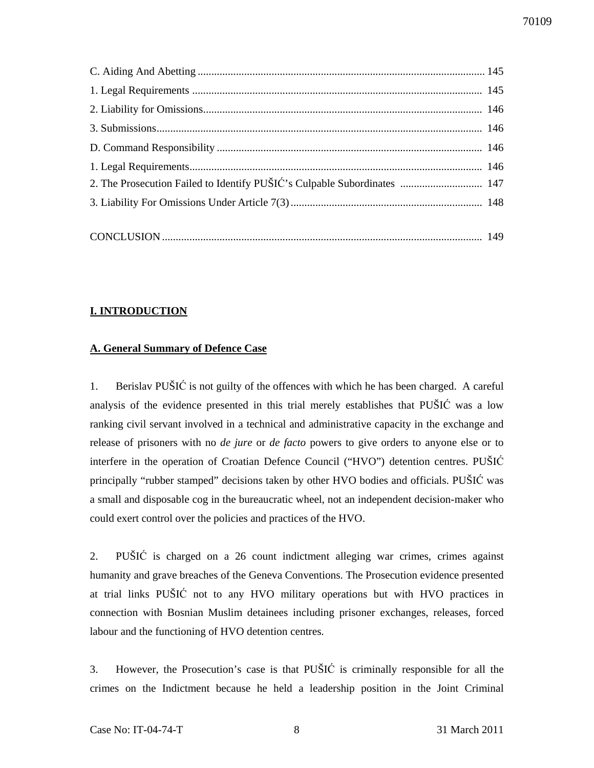| 2. The Prosecution Failed to Identify PUŠIĆ's Culpable Subordinates  147 |  |
|--------------------------------------------------------------------------|--|
|                                                                          |  |
|                                                                          |  |
|                                                                          |  |

### **I. INTRODUCTION**

### **A. General Summary of Defence Case**

1. Berislav PUŠIĆ is not guilty of the offences with which he has been charged. A careful analysis of the evidence presented in this trial merely establishes that PUŠIĆ was a low ranking civil servant involved in a technical and administrative capacity in the exchange and release of prisoners with no *de jure* or *de facto* powers to give orders to anyone else or to interfere in the operation of Croatian Defence Council ("HVO") detention centres. PUŠIĆ principally "rubber stamped" decisions taken by other HVO bodies and officials. PUŠIĆ was a small and disposable cog in the bureaucratic wheel, not an independent decision-maker who could exert control over the policies and practices of the HVO.

2. PUŠIĆ is charged on a 26 count indictment alleging war crimes, crimes against humanity and grave breaches of the Geneva Conventions. The Prosecution evidence presented at trial links PUŠIĆ not to any HVO military operations but with HVO practices in connection with Bosnian Muslim detainees including prisoner exchanges, releases, forced labour and the functioning of HVO detention centres.

3. However, the Prosecution's case is that PUŠIĆ is criminally responsible for all the crimes on the Indictment because he held a leadership position in the Joint Criminal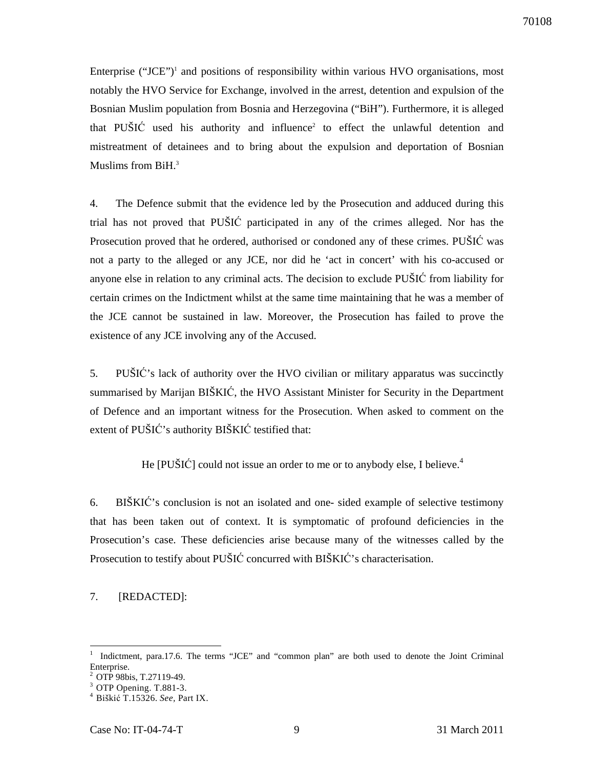Enterprise ("JCE")<sup>1</sup> and positions of responsibility within various HVO organisations, most notably the HVO Service for Exchange, involved in the arrest, detention and expulsion of the Bosnian Muslim population from Bosnia and Herzegovina ("BiH"). Furthermore, it is alleged that PUŠI $\acute{C}$  used his authority and influence<sup>2</sup> to effect the unlawful detention and mistreatment of detainees and to bring about the expulsion and deportation of Bosnian Muslims from BiH.<sup>3</sup>

4. The Defence submit that the evidence led by the Prosecution and adduced during this trial has not proved that PUŠIĆ participated in any of the crimes alleged. Nor has the Prosecution proved that he ordered, authorised or condoned any of these crimes. PUŠIĆ was not a party to the alleged or any JCE, nor did he 'act in concert' with his co-accused or anyone else in relation to any criminal acts. The decision to exclude PUŠIĆ from liability for certain crimes on the Indictment whilst at the same time maintaining that he was a member of the JCE cannot be sustained in law. Moreover, the Prosecution has failed to prove the existence of any JCE involving any of the Accused.

5. PUŠIĆ's lack of authority over the HVO civilian or military apparatus was succinctly summarised by Marijan BIŠKIĆ, the HVO Assistant Minister for Security in the Department of Defence and an important witness for the Prosecution. When asked to comment on the extent of PUŠIĆ's authority BIŠKIĆ testified that:

He [PUŠIĆ] could not issue an order to me or to anybody else, I believe.<sup>4</sup>

6. BIŠKIĆ's conclusion is not an isolated and one- sided example of selective testimony that has been taken out of context. It is symptomatic of profound deficiencies in the Prosecution's case. These deficiencies arise because many of the witnesses called by the Prosecution to testify about PUŠIĆ concurred with BIŠKIĆ's characterisation.

## 7. [REDACTED]:

<sup>1</sup>Indictment, para.17.6. The terms "JCE" and "common plan" are both used to denote the Joint Criminal Enterprise.

<sup>&</sup>lt;sup>2</sup> OTP 98bis, T.27119-49.

 $3$  OTP Opening. T.881-3.

<sup>4</sup>Biškić T.15326. *See,* Part IX.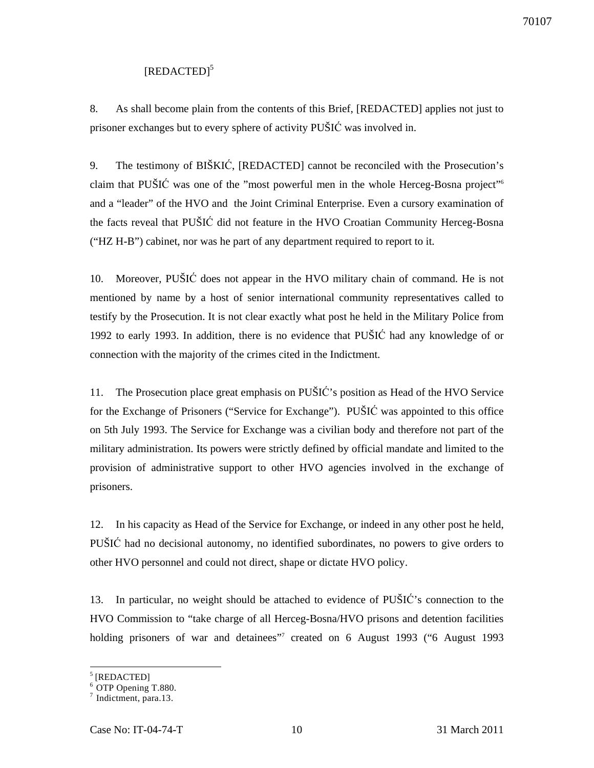## [REDACTED]<sup>5</sup>

8. As shall become plain from the contents of this Brief, [REDACTED] applies not just to prisoner exchanges but to every sphere of activity PUŠIĆ was involved in.

9. The testimony of BIŠKIĆ, [REDACTED] cannot be reconciled with the Prosecution's claim that PUŠIĆ was one of the "most powerful men in the whole Herceg-Bosna project"<sup>6</sup> and a "leader" of the HVO and the Joint Criminal Enterprise. Even a cursory examination of the facts reveal that PUŠIĆ did not feature in the HVO Croatian Community Herceg-Bosna ("HZ H-B") cabinet, nor was he part of any department required to report to it.

10. Moreover, PUŠIĆ does not appear in the HVO military chain of command. He is not mentioned by name by a host of senior international community representatives called to testify by the Prosecution. It is not clear exactly what post he held in the Military Police from 1992 to early 1993. In addition, there is no evidence that PUŠIĆ had any knowledge of or connection with the majority of the crimes cited in the Indictment.

11. The Prosecution place great emphasis on PUŠIĆ's position as Head of the HVO Service for the Exchange of Prisoners ("Service for Exchange"). PUŠIĆ was appointed to this office on 5th July 1993. The Service for Exchange was a civilian body and therefore not part of the military administration. Its powers were strictly defined by official mandate and limited to the provision of administrative support to other HVO agencies involved in the exchange of prisoners.

12. In his capacity as Head of the Service for Exchange, or indeed in any other post he held, PUŠIĆ had no decisional autonomy, no identified subordinates, no powers to give orders to other HVO personnel and could not direct, shape or dictate HVO policy.

13. In particular, no weight should be attached to evidence of PUŠIĆ's connection to the HVO Commission to "take charge of all Herceg-Bosna/HVO prisons and detention facilities holding prisoners of war and detainees"<sup>7</sup> created on 6 August 1993 ("6 August 1993

<sup>5</sup> [REDACTED]

<sup>&</sup>lt;sup>6</sup> OTP Opening T.880.

 $^7$  Indictment, para.13.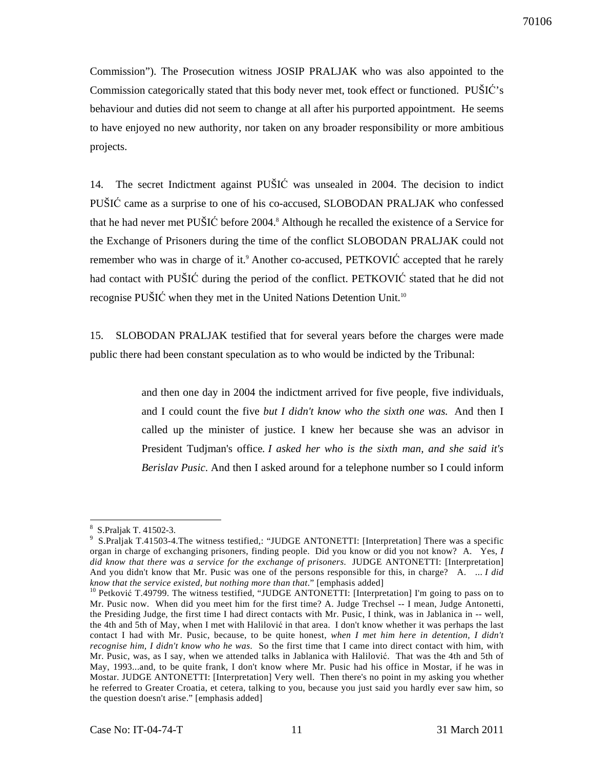Commission"). The Prosecution witness JOSIP PRALJAK who was also appointed to the Commission categorically stated that this body never met, took effect or functioned. PUŠIĆ's behaviour and duties did not seem to change at all after his purported appointment. He seems to have enjoyed no new authority, nor taken on any broader responsibility or more ambitious projects.

14. The secret Indictment against PUŠIĆ was unsealed in 2004. The decision to indict PUŠIĆ came as a surprise to one of his co-accused, SLOBODAN PRALJAK who confessed that he had never met PUŠIĆ before 2004.<sup>8</sup> Although he recalled the existence of a Service for the Exchange of Prisoners during the time of the conflict SLOBODAN PRALJAK could not remember who was in charge of it.<sup>9</sup> Another co-accused, PETKOVIC accepted that he rarely had contact with PUŠIĆ during the period of the conflict. PETKOVIĆ stated that he did not recognise PUŠIĆ when they met in the United Nations Detention Unit.<sup>10</sup>

15. SLOBODAN PRALJAK testified that for several years before the charges were made public there had been constant speculation as to who would be indicted by the Tribunal:

> and then one day in 2004 the indictment arrived for five people, five individuals, and I could count the five *but I didn't know who the sixth one was.* And then I called up the minister of justice. I knew her because she was an advisor in President Tudjman's office*. I asked her who is the sixth man, and she said it's Berislav Pusic*. And then I asked around for a telephone number so I could inform

 $\overline{a}$ 8 S.Praljak T. 41502-3.

<sup>&</sup>lt;sup>9</sup> S.Praljak T.41503-4.The witness testified,: "JUDGE ANTONETTI: [Interpretation] There was a specific organ in charge of exchanging prisoners, finding people. Did you know or did you not know? A. Yes, *I did know that there was a service for the exchange of prisoners*. JUDGE ANTONETTI: [Interpretation] And you didn't know that Mr. Pusic was one of the persons responsible for this, in charge? A. ... *I did know that the service existed, but nothing more than that*." [emphasis added]

<sup>&</sup>lt;sup>10</sup> Petković T.49799. The witness testified, "JUDGE ANTONETTI: [Interpretation] I'm going to pass on to Mr. Pusic now. When did you meet him for the first time? A. Judge Trechsel -- I mean, Judge Antonetti, the Presiding Judge, the first time I had direct contacts with Mr. Pusic, I think, was in Jablanica in -- well, the 4th and 5th of May, when I met with Halilović in that area. I don't know whether it was perhaps the last contact I had with Mr. Pusic, because, to be quite honest, *when I met him here in detention, I didn't recognise him, I didn't know who he was*. So the first time that I came into direct contact with him, with Mr. Pusic, was, as I say, when we attended talks in Jablanica with Halilović. That was the 4th and 5th of May, 1993...and, to be quite frank, I don't know where Mr. Pusic had his office in Mostar, if he was in Mostar. JUDGE ANTONETTI: [Interpretation] Very well. Then there's no point in my asking you whether he referred to Greater Croatia, et cetera, talking to you, because you just said you hardly ever saw him, so the question doesn't arise." [emphasis added]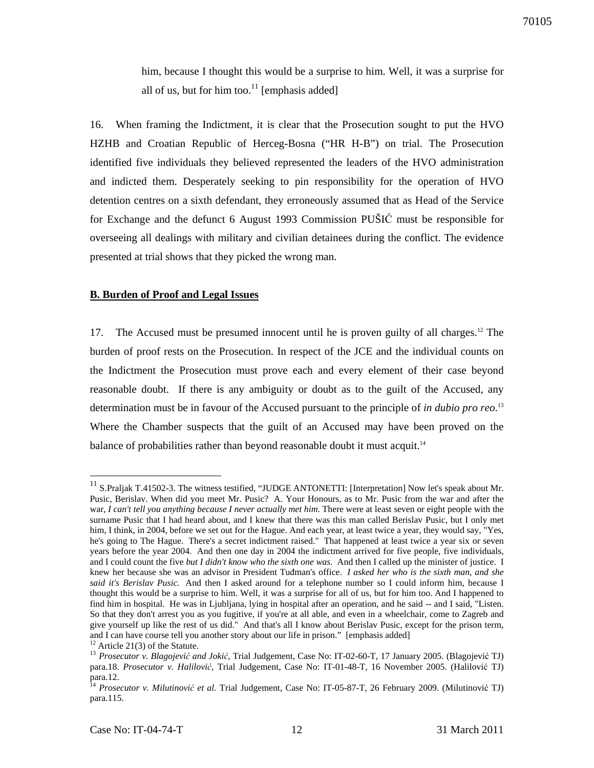him, because I thought this would be a surprise to him. Well, it was a surprise for all of us, but for him too.<sup>11</sup> [emphasis added]

16. When framing the Indictment, it is clear that the Prosecution sought to put the HVO HZHB and Croatian Republic of Herceg-Bosna ("HR H-B") on trial. The Prosecution identified five individuals they believed represented the leaders of the HVO administration and indicted them. Desperately seeking to pin responsibility for the operation of HVO detention centres on a sixth defendant, they erroneously assumed that as Head of the Service for Exchange and the defunct 6 August 1993 Commission PUŠIĆ must be responsible for overseeing all dealings with military and civilian detainees during the conflict. The evidence presented at trial shows that they picked the wrong man.

#### **B. Burden of Proof and Legal Issues**

17. The Accused must be presumed innocent until he is proven guilty of all charges.<sup>12</sup> The burden of proof rests on the Prosecution. In respect of the JCE and the individual counts on the Indictment the Prosecution must prove each and every element of their case beyond reasonable doubt. If there is any ambiguity or doubt as to the guilt of the Accused, any determination must be in favour of the Accused pursuant to the principle of *in dubio pro reo*. 13 Where the Chamber suspects that the guilt of an Accused may have been proved on the balance of probabilities rather than beyond reasonable doubt it must acquit.<sup>14</sup>

 $11$  S.Praljak T.41502-3. The witness testified, "JUDGE ANTONETTI: [Interpretation] Now let's speak about Mr. Pusic, Berislav. When did you meet Mr. Pusic? A. Your Honours, as to Mr. Pusic from the war and after the war, *I can't tell you anything because I never actually met him*. There were at least seven or eight people with the surname Pusic that I had heard about, and I knew that there was this man called Berislav Pusic, but I only met him, I think, in 2004, before we set out for the Hague. And each year, at least twice a year, they would say, "Yes, he's going to The Hague. There's a secret indictment raised." That happened at least twice a year six or seven years before the year 2004. And then one day in 2004 the indictment arrived for five people, five individuals, and I could count the five *but I didn't know who the sixth one was.* And then I called up the minister of justice. I knew her because she was an advisor in President Tuđman's office. *I asked her who is the sixth man, and she said it's Berislav Pusic.* And then I asked around for a telephone number so I could inform him, because I thought this would be a surprise to him. Well, it was a surprise for all of us, but for him too. And I happened to find him in hospital. He was in Ljubljana, lying in hospital after an operation, and he said -- and I said, "Listen. So that they don't arrest you as you fugitive, if you're at all able, and even in a wheelchair, come to Zagreb and give yourself up like the rest of us did." And that's all I know about Berislav Pusic, except for the prison term, and I can have course tell you another story about our life in prison." [emphasis added]

 $12$  Article 21(3) of the Statute.

<sup>13</sup> *Prosecutor v. Blagojevi*ć *and Joki*ć*,* Trial Judgement, Case No: IT-02-60-T, 17 January 2005. (Blagojević TJ) para.18. *Prosecutor v. Halilovi*ć*,* Trial Judgement, Case No: IT-01-48-T, 16 November 2005. (Halilović TJ) para.12.

<sup>&</sup>lt;sup>14</sup> *Prosecutor v. Milutinović et al.* Trial Judgement, Case No: IT-05-87-T, 26 February 2009. (Milutinović TJ) para.115.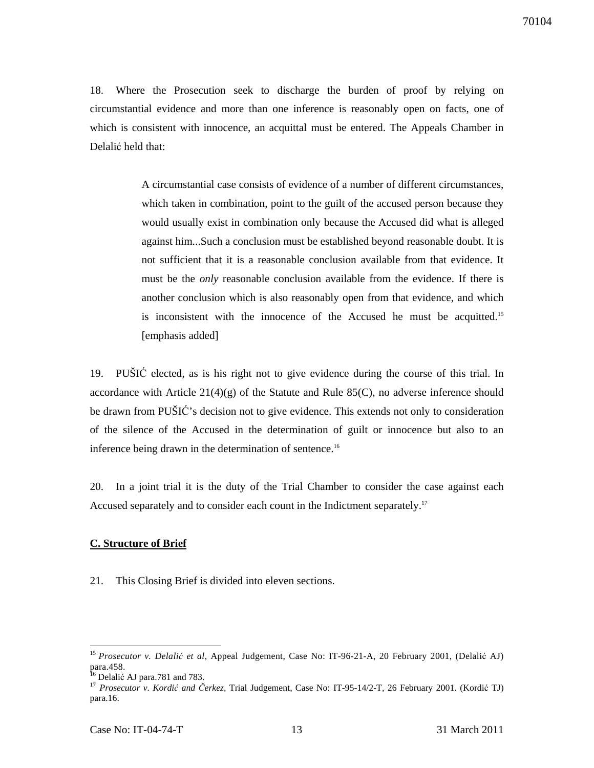18. Where the Prosecution seek to discharge the burden of proof by relying on circumstantial evidence and more than one inference is reasonably open on facts, one of which is consistent with innocence, an acquittal must be entered. The Appeals Chamber in Delalić held that:

> A circumstantial case consists of evidence of a number of different circumstances, which taken in combination, point to the guilt of the accused person because they would usually exist in combination only because the Accused did what is alleged against him...Such a conclusion must be established beyond reasonable doubt. It is not sufficient that it is a reasonable conclusion available from that evidence. It must be the *only* reasonable conclusion available from the evidence. If there is another conclusion which is also reasonably open from that evidence, and which is inconsistent with the innocence of the Accused he must be acquitted.<sup>15</sup> [emphasis added]

19. PUŠIĆ elected, as is his right not to give evidence during the course of this trial. In accordance with Article  $21(4)(g)$  of the Statute and Rule 85(C), no adverse inference should be drawn from PUŠIĆ's decision not to give evidence. This extends not only to consideration of the silence of the Accused in the determination of guilt or innocence but also to an inference being drawn in the determination of sentence.<sup>16</sup>

20. In a joint trial it is the duty of the Trial Chamber to consider the case against each Accused separately and to consider each count in the Indictment separately.<sup>17</sup>

## **C. Structure of Brief**

21. This Closing Brief is divided into eleven sections.

<sup>15</sup>*Prosecutor v. Delali*ć *et al*, Appeal Judgement, Case No: IT-96-21-A, 20 February 2001, (Delalić AJ) para.458.

 $16$  Delalić AJ para.781 and 783.

<sup>&</sup>lt;sup>17</sup> Prosecutor v. Kordić and Čerkez, Trial Judgement, Case No: IT-95-14/2-T, 26 February 2001. (Kordić TJ) para.16.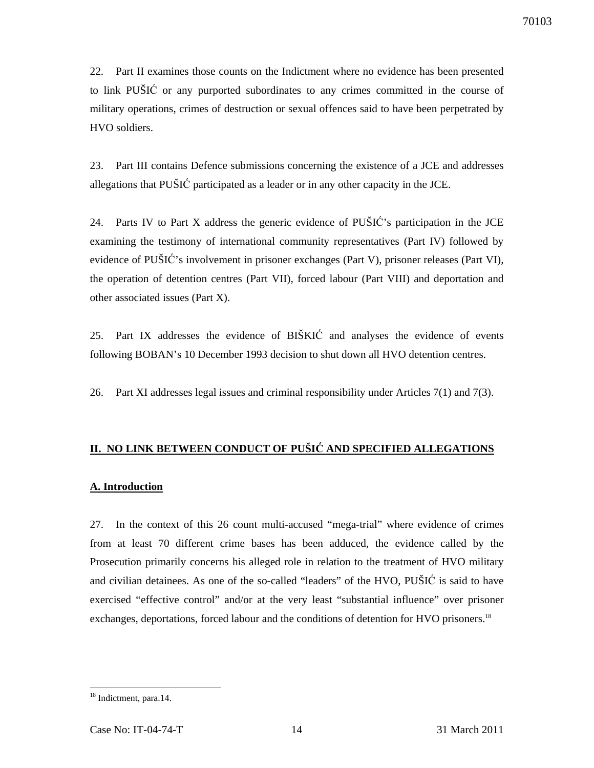22. Part II examines those counts on the Indictment where no evidence has been presented to link PUŠIĆ or any purported subordinates to any crimes committed in the course of military operations, crimes of destruction or sexual offences said to have been perpetrated by HVO soldiers.

23. Part III contains Defence submissions concerning the existence of a JCE and addresses allegations that PUŠIĆ participated as a leader or in any other capacity in the JCE.

24. Parts IV to Part X address the generic evidence of PUŠIĆ's participation in the JCE examining the testimony of international community representatives (Part IV) followed by evidence of PUŠIĆ's involvement in prisoner exchanges (Part V), prisoner releases (Part VI), the operation of detention centres (Part VII), forced labour (Part VIII) and deportation and other associated issues (Part X).

25. Part IX addresses the evidence of BIŠKIĆ and analyses the evidence of events following BOBAN's 10 December 1993 decision to shut down all HVO detention centres.

26. Part XI addresses legal issues and criminal responsibility under Articles 7(1) and 7(3).

## **II. NO LINK BETWEEN CONDUCT OF PUŠI**Ć **AND SPECIFIED ALLEGATIONS**

### **A. Introduction**

27. In the context of this 26 count multi-accused "mega-trial" where evidence of crimes from at least 70 different crime bases has been adduced, the evidence called by the Prosecution primarily concerns his alleged role in relation to the treatment of HVO military and civilian detainees. As one of the so-called "leaders" of the HVO, PUŠIĆ is said to have exercised "effective control" and/or at the very least "substantial influence" over prisoner exchanges, deportations, forced labour and the conditions of detention for HVO prisoners.<sup>18</sup>

 $\overline{a}$ <sup>18</sup> Indictment, para.14.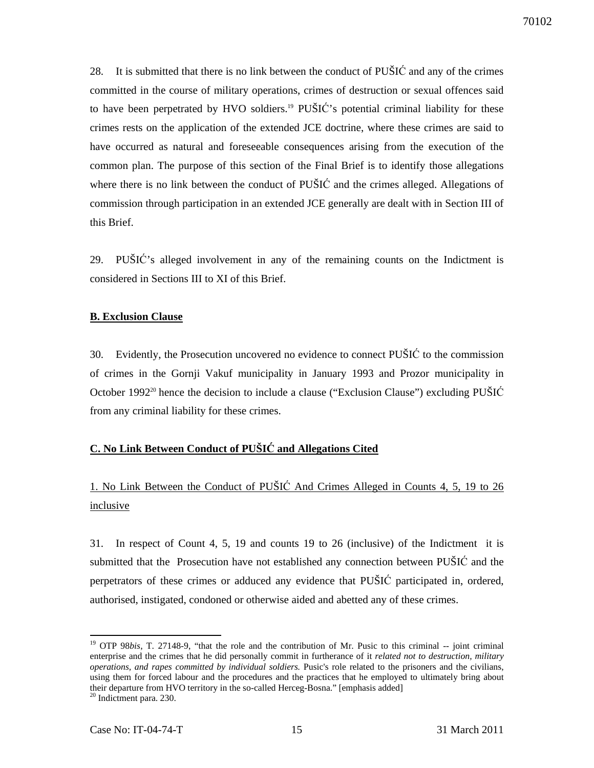28. It is submitted that there is no link between the conduct of PUŠIĆ and any of the crimes committed in the course of military operations, crimes of destruction or sexual offences said to have been perpetrated by HVO soldiers.<sup>19</sup> PUŠIĆ's potential criminal liability for these crimes rests on the application of the extended JCE doctrine, where these crimes are said to have occurred as natural and foreseeable consequences arising from the execution of the common plan. The purpose of this section of the Final Brief is to identify those allegations where there is no link between the conduct of PUŠIĆ and the crimes alleged. Allegations of commission through participation in an extended JCE generally are dealt with in Section III of this Brief.

29. PUŠIĆ's alleged involvement in any of the remaining counts on the Indictment is considered in Sections III to XI of this Brief.

#### **B. Exclusion Clause**

30. Evidently, the Prosecution uncovered no evidence to connect PUŠIĆ to the commission of crimes in the Gornji Vakuf municipality in January 1993 and Prozor municipality in October 1992<sup>20</sup> hence the decision to include a clause ("Exclusion Clause") excluding PUSIC from any criminal liability for these crimes.

## **C. No Link Between Conduct of PUŠI**Ć **and Allegations Cited**

# 1. No Link Between the Conduct of PUŠIĆ And Crimes Alleged in Counts 4, 5, 19 to 26 inclusive

31. In respect of Count 4, 5, 19 and counts 19 to 26 (inclusive) of the Indictment it is submitted that the Prosecution have not established any connection between PUŠIĆ and the perpetrators of these crimes or adduced any evidence that PUŠIĆ participated in, ordered, authorised, instigated, condoned or otherwise aided and abetted any of these crimes.

<sup>&</sup>lt;sup>19</sup> OTP 98*bis*, T. 27148-9, "that the role and the contribution of Mr. Pusic to this criminal -- joint criminal enterprise and the crimes that he did personally commit in furtherance of it *related not to destruction, military operations, and rapes committed by individual soldiers.* Pusic's role related to the prisoners and the civilians, using them for forced labour and the procedures and the practices that he employed to ultimately bring about their departure from HVO territory in the so-called Herceg-Bosna." [emphasis added]

<sup>&</sup>lt;sup>20</sup> Indictment para. 230.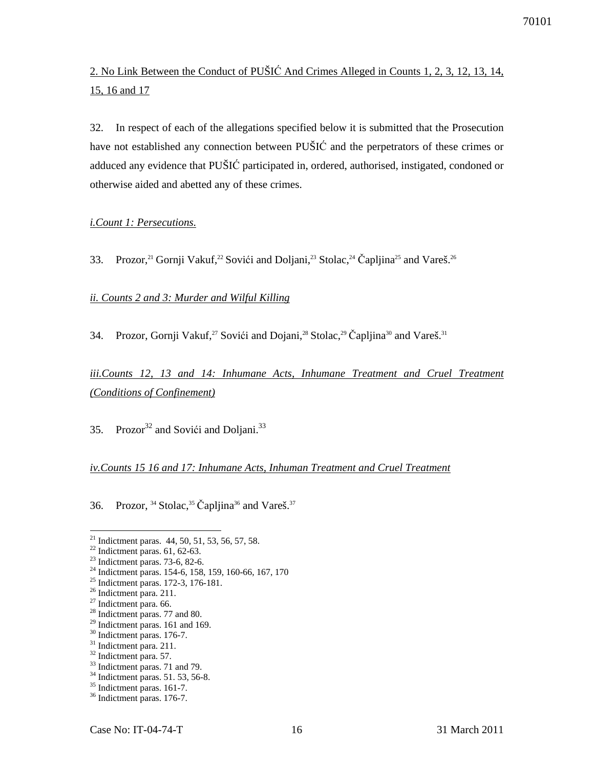2. No Link Between the Conduct of PUŠIĆ And Crimes Alleged in Counts 1, 2, 3, 12, 13, 14, 15, 16 and 17

32. In respect of each of the allegations specified below it is submitted that the Prosecution have not established any connection between PUŠIĆ and the perpetrators of these crimes or adduced any evidence that PUŠIĆ participated in, ordered, authorised, instigated, condoned or otherwise aided and abetted any of these crimes.

#### *i.Count 1: Persecutions.*

33. Prozor,<sup>21</sup> Gornji Vakuf,<sup>22</sup> Sovići and Doljani,<sup>23</sup> Stolac,<sup>24</sup> Čapljina<sup>25</sup> and Vareš.<sup>26</sup>

#### *ii. Counts 2 and 3: Murder and Wilful Killing*

34. Prozor, Gornji Vakuf,<sup>27</sup> Sovići and Dojani,<sup>28</sup> Stolac,<sup>29</sup> Čapljina<sup>30</sup> and Vareš.<sup>31</sup>

*iii.Counts 12, 13 and 14: Inhumane Acts, Inhumane Treatment and Cruel Treatment (Conditions of Confinement)*

35. Prozor $^{32}$  and Sovići and Doljani. $^{33}$ 

## *iv.Counts 15 16 and 17: Inhumane Acts, Inhuman Treatment and Cruel Treatment*

36. Prozor,  $34$  Stolac,  $35$  Čapljina<sup>36</sup> and Vareš.<sup>37</sup>

 $\overline{a}$ 

<sup>28</sup> Indictment paras. 77 and 80.

<sup>&</sup>lt;sup>21</sup> Indictment paras. 44, 50, 51, 53, 56, 57, 58.

 $22$  Indictment paras. 61, 62-63.

<sup>23</sup> Indictment paras. 73-6, 82-6.

<sup>24</sup> Indictment paras. 154-6, 158, 159, 160-66, 167, 170

<sup>25</sup> Indictment paras. 172-3, 176-181.

<sup>&</sup>lt;sup>26</sup> Indictment para. 211.

<sup>&</sup>lt;sup>27</sup> Indictment para. 66.

 $^{29}$  Indictment paras. 161 and 169.

<sup>&</sup>lt;sup>30</sup> Indictment paras. 176-7.

<sup>&</sup>lt;sup>31</sup> Indictment para. 211.

<sup>32</sup> Indictment para. 57.

<sup>&</sup>lt;sup>33</sup> Indictment paras. 71 and 79.

<sup>34</sup> Indictment paras. 51. 53, 56-8.

<sup>&</sup>lt;sup>35</sup> Indictment paras. 161-7.

<sup>36</sup> Indictment paras. 176-7.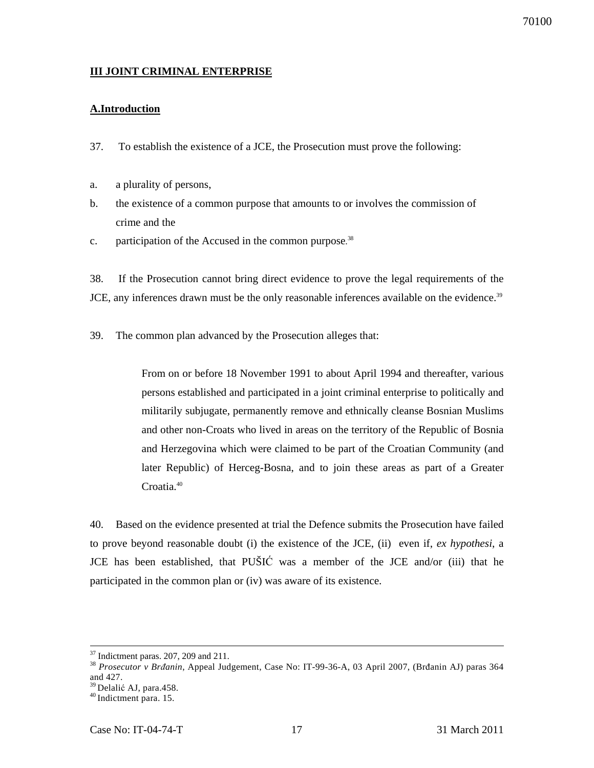## **III JOINT CRIMINAL ENTERPRISE**

## **A.Introduction**

- 37. To establish the existence of a JCE, the Prosecution must prove the following:
- a. a plurality of persons,
- b. the existence of a common purpose that amounts to or involves the commission of crime and the
- c. participation of the Accused in the common purpose.<sup>38</sup>

38. If the Prosecution cannot bring direct evidence to prove the legal requirements of the JCE, any inferences drawn must be the only reasonable inferences available on the evidence.<sup>39</sup>

39. The common plan advanced by the Prosecution alleges that:

From on or before 18 November 1991 to about April 1994 and thereafter, various persons established and participated in a joint criminal enterprise to politically and militarily subjugate, permanently remove and ethnically cleanse Bosnian Muslims and other non-Croats who lived in areas on the territory of the Republic of Bosnia and Herzegovina which were claimed to be part of the Croatian Community (and later Republic) of Herceg-Bosna, and to join these areas as part of a Greater Croatia.<sup>40</sup>

40. Based on the evidence presented at trial the Defence submits the Prosecution have failed to prove beyond reasonable doubt (i) the existence of the JCE, (ii) even if, *ex hypothesi*, a JCE has been established, that PUŠIĆ was a member of the JCE and/or (iii) that he participated in the common plan or (iv) was aware of its existence.

 $37$  Indictment paras. 207, 209 and 211.

<sup>38</sup> *Prosecutor v Br*đ*anin*, Appeal Judgement, Case No: IT-99-36-A, 03 April 2007, (Brđanin AJ) paras 364 and 427.

<sup>&</sup>lt;sup>39</sup> Delalić AJ, para.458.

 $40$  Indictment para. 15.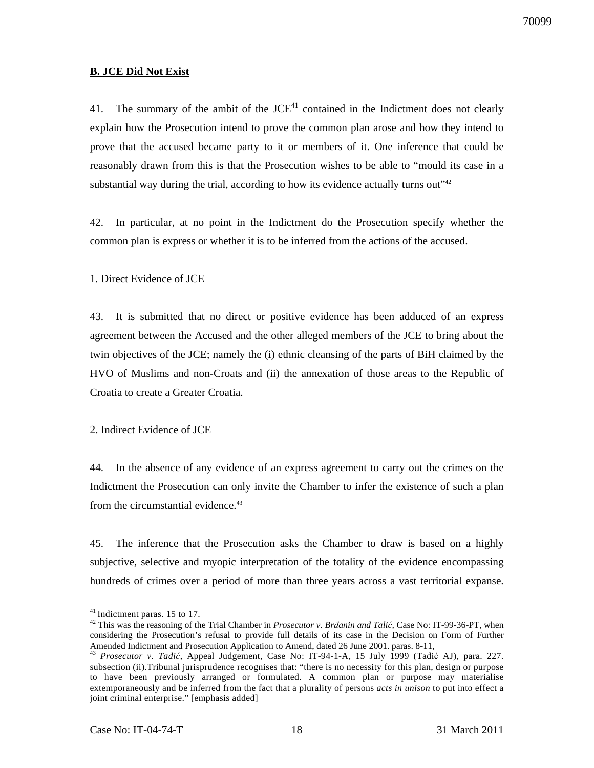#### **B. JCE Did Not Exist**

41. The summary of the ambit of the  $JCE<sup>41</sup>$  contained in the Indictment does not clearly explain how the Prosecution intend to prove the common plan arose and how they intend to prove that the accused became party to it or members of it. One inference that could be reasonably drawn from this is that the Prosecution wishes to be able to "mould its case in a substantial way during the trial, according to how its evidence actually turns out" $42$ 

42. In particular, at no point in the Indictment do the Prosecution specify whether the common plan is express or whether it is to be inferred from the actions of the accused.

#### 1. Direct Evidence of JCE

43. It is submitted that no direct or positive evidence has been adduced of an express agreement between the Accused and the other alleged members of the JCE to bring about the twin objectives of the JCE; namely the (i) ethnic cleansing of the parts of BiH claimed by the HVO of Muslims and non-Croats and (ii) the annexation of those areas to the Republic of Croatia to create a Greater Croatia.

### 2. Indirect Evidence of JCE

44. In the absence of any evidence of an express agreement to carry out the crimes on the Indictment the Prosecution can only invite the Chamber to infer the existence of such a plan from the circumstantial evidence.<sup>43</sup>

45. The inference that the Prosecution asks the Chamber to draw is based on a highly subjective, selective and myopic interpretation of the totality of the evidence encompassing hundreds of crimes over a period of more than three years across a vast territorial expanse.

 $41$ Indictment paras. 15 to 17.

<sup>&</sup>lt;sup>42</sup> This was the reasoning of the Trial Chamber in *Prosecutor v. Brđanin and Talić*, Case No: IT-99-36-PT, when considering the Prosecution's refusal to provide full details of its case in the Decision on Form of Further Amended Indictment and Prosecution Application to Amend, dated 26 June 2001. paras. 8-11,

<sup>&</sup>lt;sup>43</sup> Prosecutor v. Tadić, Appeal Judgement, Case No: IT-94-1-A, 15 July 1999 (Tadić AJ), para. 227. subsection (ii).Tribunal jurisprudence recognises that: "there is no necessity for this plan, design or purpose to have been previously arranged or formulated. A common plan or purpose may materialise extemporaneously and be inferred from the fact that a plurality of persons *acts in unison* to put into effect a joint criminal enterprise." [emphasis added]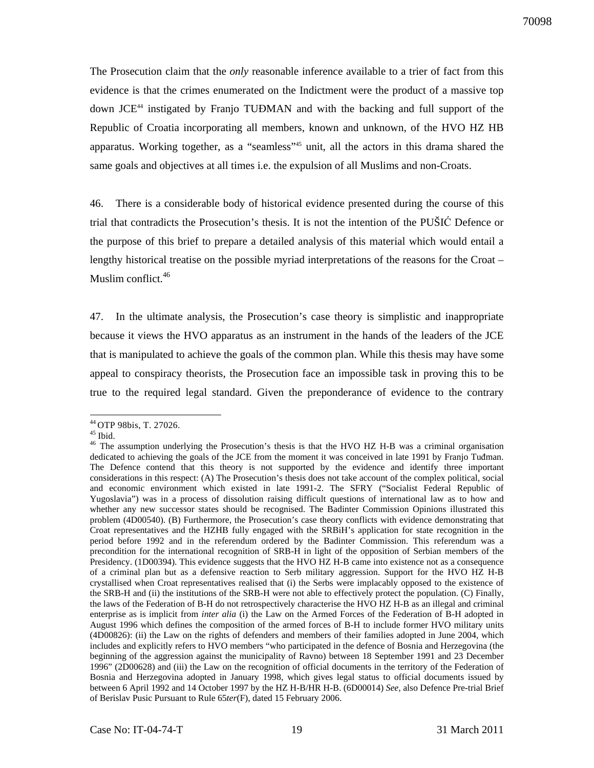The Prosecution claim that the *only* reasonable inference available to a trier of fact from this evidence is that the crimes enumerated on the Indictment were the product of a massive top down JCE<sup>44</sup> instigated by Franjo TUĐMAN and with the backing and full support of the Republic of Croatia incorporating all members, known and unknown, of the HVO HZ HB apparatus. Working together, as a "seamless"<sup>45</sup> unit, all the actors in this drama shared the same goals and objectives at all times i.e. the expulsion of all Muslims and non-Croats.

46. There is a considerable body of historical evidence presented during the course of this trial that contradicts the Prosecution's thesis. It is not the intention of the PUŠIĆ Defence or the purpose of this brief to prepare a detailed analysis of this material which would entail a lengthy historical treatise on the possible myriad interpretations of the reasons for the Croat – Muslim conflict.<sup>46</sup>

47. In the ultimate analysis, the Prosecution's case theory is simplistic and inappropriate because it views the HVO apparatus as an instrument in the hands of the leaders of the JCE that is manipulated to achieve the goals of the common plan. While this thesis may have some appeal to conspiracy theorists, the Prosecution face an impossible task in proving this to be true to the required legal standard. Given the preponderance of evidence to the contrary

 $\overline{a}$ <sup>44</sup>OTP 98bis, T. 27026.

 $45$  Ibid.

<sup>&</sup>lt;sup>46</sup> The assumption underlying the Prosecution's thesis is that the HVO HZ H-B was a criminal organisation dedicated to achieving the goals of the JCE from the moment it was conceived in late 1991 by Franjo Tuđman. The Defence contend that this theory is not supported by the evidence and identify three important considerations in this respect: (A) The Prosecution's thesis does not take account of the complex political, social and economic environment which existed in late 1991-2. The SFRY ("Socialist Federal Republic of Yugoslavia") was in a process of dissolution raising difficult questions of international law as to how and whether any new successor states should be recognised. The Badinter Commission Opinions illustrated this problem (4D00540). (B) Furthermore, the Prosecution's case theory conflicts with evidence demonstrating that Croat representatives and the HZHB fully engaged with the SRBiH's application for state recognition in the period before 1992 and in the referendum ordered by the Badinter Commission. This referendum was a precondition for the international recognition of SRB-H in light of the opposition of Serbian members of the Presidency. (1D00394). This evidence suggests that the HVO HZ H-B came into existence not as a consequence of a criminal plan but as a defensive reaction to Serb military aggression. Support for the HVO HZ H-B crystallised when Croat representatives realised that (i) the Serbs were implacably opposed to the existence of the SRB-H and (ii) the institutions of the SRB-H were not able to effectively protect the population. (C) Finally, the laws of the Federation of B-H do not retrospectively characterise the HVO HZ H-B as an illegal and criminal enterprise as is implicit from *inter alia* (i) the Law on the Armed Forces of the Federation of B-H adopted in August 1996 which defines the composition of the armed forces of B-H to include former HVO military units (4D00826): (ii) the Law on the rights of defenders and members of their families adopted in June 2004, which includes and explicitly refers to HVO members "who participated in the defence of Bosnia and Herzegovina (the beginning of the aggression against the municipality of Ravno) between 18 September 1991 and 23 December 1996" (2D00628) and (iii) the Law on the recognition of official documents in the territory of the Federation of Bosnia and Herzegovina adopted in January 1998, which gives legal status to official documents issued by between 6 April 1992 and 14 October 1997 by the HZ H-B/HR H-B. (6D00014) *See,* also Defence Pre-trial Brief of Berislav Pusic Pursuant to Rule 65*ter*(F), dated 15 February 2006.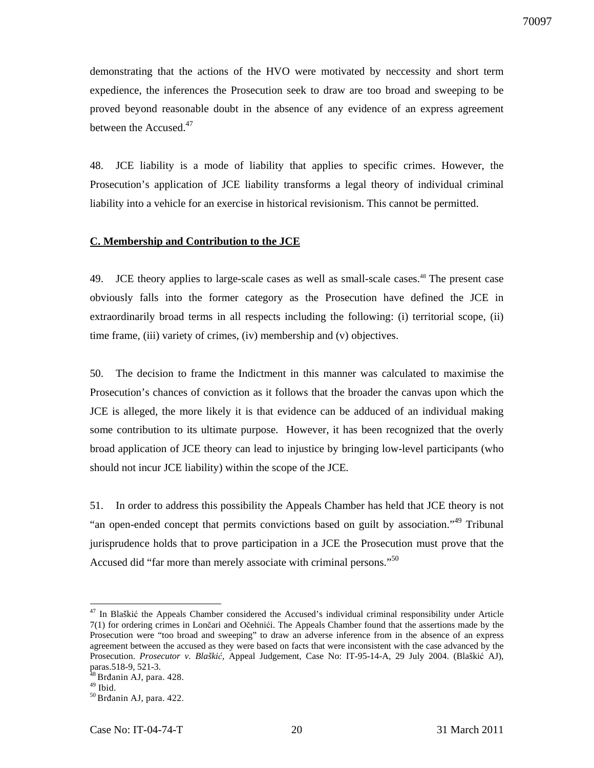demonstrating that the actions of the HVO were motivated by neccessity and short term expedience, the inferences the Prosecution seek to draw are too broad and sweeping to be proved beyond reasonable doubt in the absence of any evidence of an express agreement between the Accused.<sup>47</sup>

48. JCE liability is a mode of liability that applies to specific crimes. However, the Prosecution's application of JCE liability transforms a legal theory of individual criminal liability into a vehicle for an exercise in historical revisionism. This cannot be permitted.

#### **C. Membership and Contribution to the JCE**

49. JCE theory applies to large-scale cases as well as small-scale cases.<sup>48</sup> The present case obviously falls into the former category as the Prosecution have defined the JCE in extraordinarily broad terms in all respects including the following: (i) territorial scope, (ii) time frame, (iii) variety of crimes, (iv) membership and (v) objectives.

50. The decision to frame the Indictment in this manner was calculated to maximise the Prosecution's chances of conviction as it follows that the broader the canvas upon which the JCE is alleged, the more likely it is that evidence can be adduced of an individual making some contribution to its ultimate purpose. However, it has been recognized that the overly broad application of JCE theory can lead to injustice by bringing low-level participants (who should not incur JCE liability) within the scope of the JCE.

51. In order to address this possibility the Appeals Chamber has held that JCE theory is not "an open-ended concept that permits convictions based on guilt by association."<sup>49</sup> Tribunal jurisprudence holds that to prove participation in a JCE the Prosecution must prove that the Accused did "far more than merely associate with criminal persons."<sup>50</sup>

<sup>&</sup>lt;sup>47</sup> In Blaškić the Appeals Chamber considered the Accused's individual criminal responsibility under Article 7(1) for ordering crimes in Lončari and Očehnići. The Appeals Chamber found that the assertions made by the Prosecution were "too broad and sweeping" to draw an adverse inference from in the absence of an express agreement between the accused as they were based on facts that were inconsistent with the case advanced by the Prosecution. *Prosecutor v. Blaški*ć*,* Appeal Judgement, Case No: IT-95-14-A, 29 July 2004. (Blaškić AJ), paras.518-9, 521-3.

<sup>&</sup>lt;sup>48</sup> Brđanin AJ, para. 428.

 $49$  Ibid.

 $50$  Brđanin AJ, para. 422.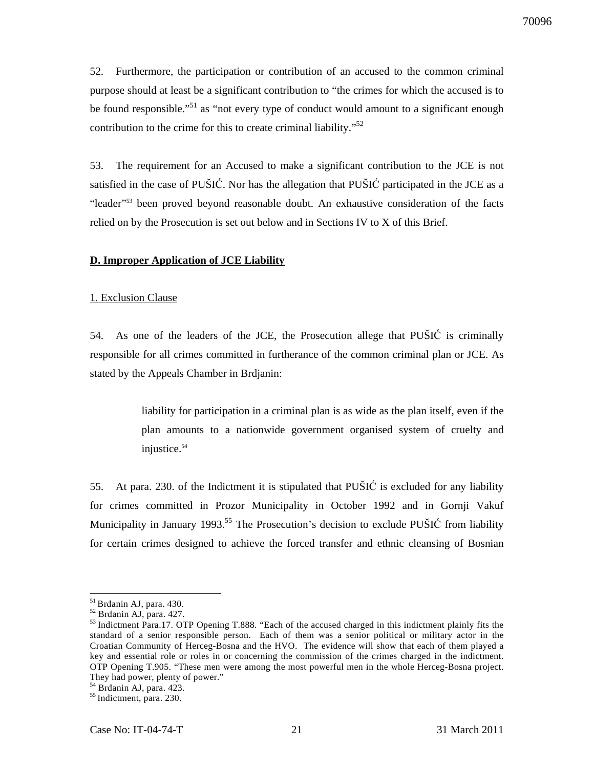52. Furthermore, the participation or contribution of an accused to the common criminal purpose should at least be a significant contribution to "the crimes for which the accused is to be found responsible."<sup>51</sup> as "not every type of conduct would amount to a significant enough contribution to the crime for this to create criminal liability."<sup>52</sup>

53. The requirement for an Accused to make a significant contribution to the JCE is not satisfied in the case of PUŠIĆ. Nor has the allegation that PUŠIĆ participated in the JCE as a "leader"<sup>53</sup> been proved beyond reasonable doubt. An exhaustive consideration of the facts relied on by the Prosecution is set out below and in Sections IV to X of this Brief.

#### **D. Improper Application of JCE Liability**

#### 1. Exclusion Clause

54. As one of the leaders of the JCE, the Prosecution allege that PUŠIĆ is criminally responsible for all crimes committed in furtherance of the common criminal plan or JCE. As stated by the Appeals Chamber in Brdjanin:

> liability for participation in a criminal plan is as wide as the plan itself, even if the plan amounts to a nationwide government organised system of cruelty and injustice.<sup>54</sup>

55. At para. 230. of the Indictment it is stipulated that PUŠIĆ is excluded for any liability for crimes committed in Prozor Municipality in October 1992 and in Gornji Vakuf Municipality in January 1993.<sup>55</sup> The Prosecution's decision to exclude PUŠIĆ from liability for certain crimes designed to achieve the forced transfer and ethnic cleansing of Bosnian

<sup>&</sup>lt;sup>51</sup> Brđanin AJ, para. 430.

<sup>52</sup> Brđanin AJ, para. 427.

<sup>&</sup>lt;sup>53</sup>Indictment Para.17. OTP Opening T.888. "Each of the accused charged in this indictment plainly fits the standard of a senior responsible person. Each of them was a senior political or military actor in the Croatian Community of Herceg-Bosna and the HVO. The evidence will show that each of them played a key and essential role or roles in or concerning the commission of the crimes charged in the indictment. OTP Opening T.905. "These men were among the most powerful men in the whole Herceg-Bosna project. They had power, plenty of power."

<sup>54</sup> Brđanin AJ, para. 423.

<sup>&</sup>lt;sup>55</sup> Indictment, para. 230.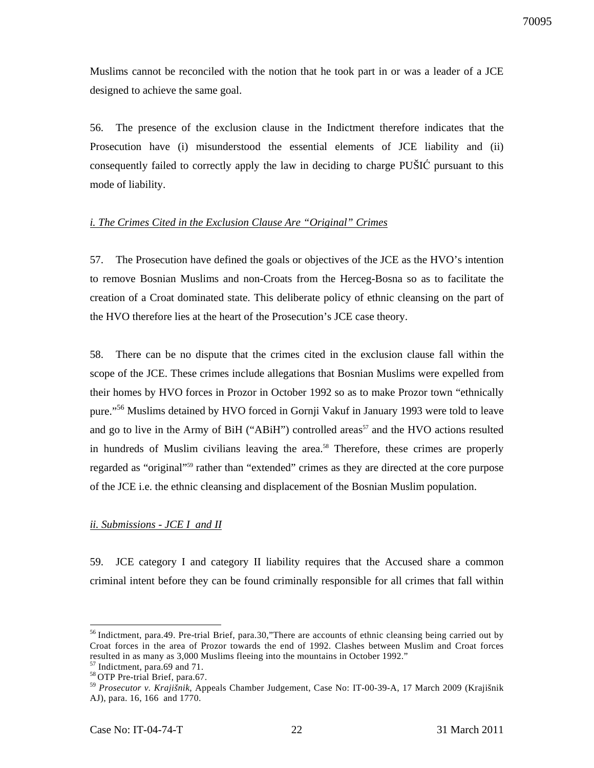Muslims cannot be reconciled with the notion that he took part in or was a leader of a JCE designed to achieve the same goal.

56. The presence of the exclusion clause in the Indictment therefore indicates that the Prosecution have (i) misunderstood the essential elements of JCE liability and (ii) consequently failed to correctly apply the law in deciding to charge PUŠIĆ pursuant to this mode of liability.

### *i. The Crimes Cited in the Exclusion Clause Are "Original" Crimes*

57. The Prosecution have defined the goals or objectives of the JCE as the HVO's intention to remove Bosnian Muslims and non-Croats from the Herceg-Bosna so as to facilitate the creation of a Croat dominated state. This deliberate policy of ethnic cleansing on the part of the HVO therefore lies at the heart of the Prosecution's JCE case theory.

58. There can be no dispute that the crimes cited in the exclusion clause fall within the scope of the JCE. These crimes include allegations that Bosnian Muslims were expelled from their homes by HVO forces in Prozor in October 1992 so as to make Prozor town "ethnically pure."<sup>56</sup> Muslims detained by HVO forced in Gornji Vakuf in January 1993 were told to leave and go to live in the Army of BiH ("ABiH") controlled areas<sup>57</sup> and the HVO actions resulted in hundreds of Muslim civilians leaving the area.<sup>58</sup> Therefore, these crimes are properly regarded as "original"<sup>59</sup> rather than "extended" crimes as they are directed at the core purpose of the JCE i.e. the ethnic cleansing and displacement of the Bosnian Muslim population.

#### *ii. Submissions - JCE I and II*

59. JCE category I and category II liability requires that the Accused share a common criminal intent before they can be found criminally responsible for all crimes that fall within

<sup>&</sup>lt;sup>56</sup> Indictment, para.49. Pre-trial Brief, para.30,"There are accounts of ethnic cleansing being carried out by Croat forces in the area of Prozor towards the end of 1992. Clashes between Muslim and Croat forces resulted in as many as 3,000 Muslims fleeing into the mountains in October 1992."<br>
<sup>57</sup> Indictment asses Co. 151

Indictment, para.69 and 71.

<sup>&</sup>lt;sup>58</sup> OTP Pre-trial Brief, para.67.

<sup>59</sup> *Prosecutor v. Krajišnik*, Appeals Chamber Judgement, Case No: IT-00-39-A, 17 March 2009 (Krajišnik AJ), para. 16, 166 and 1770.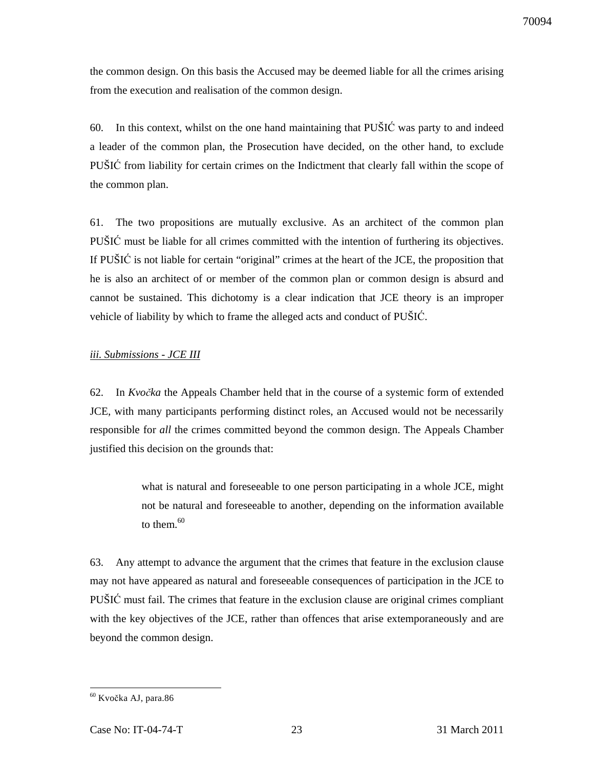the common design. On this basis the Accused may be deemed liable for all the crimes arising from the execution and realisation of the common design.

60. In this context, whilst on the one hand maintaining that PUŠIĆ was party to and indeed a leader of the common plan, the Prosecution have decided, on the other hand, to exclude PUŠIĆ from liability for certain crimes on the Indictment that clearly fall within the scope of the common plan.

61. The two propositions are mutually exclusive. As an architect of the common plan PUŠIĆ must be liable for all crimes committed with the intention of furthering its objectives. If PUŠIĆ is not liable for certain "original" crimes at the heart of the JCE, the proposition that he is also an architect of or member of the common plan or common design is absurd and cannot be sustained. This dichotomy is a clear indication that JCE theory is an improper vehicle of liability by which to frame the alleged acts and conduct of PUŠIĆ.

## *iii. Submissions - JCE III*

62. In *Kvo*č*ka* the Appeals Chamber held that in the course of a systemic form of extended JCE, with many participants performing distinct roles, an Accused would not be necessarily responsible for *all* the crimes committed beyond the common design. The Appeals Chamber justified this decision on the grounds that:

> what is natural and foreseeable to one person participating in a whole JCE, might not be natural and foreseeable to another, depending on the information available to them. $^{60}$

63. Any attempt to advance the argument that the crimes that feature in the exclusion clause may not have appeared as natural and foreseeable consequences of participation in the JCE to PUŠIĆ must fail. The crimes that feature in the exclusion clause are original crimes compliant with the key objectives of the JCE, rather than offences that arise extemporaneously and are beyond the common design.

 $\overline{a}$ <sup>60</sup> Kvočka AJ, para.86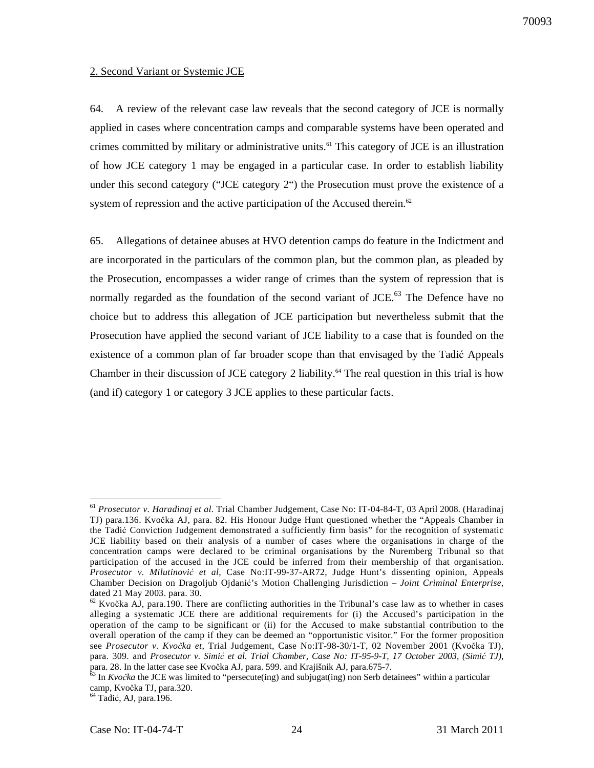#### 2. Second Variant or Systemic JCE

64. A review of the relevant case law reveals that the second category of JCE is normally applied in cases where concentration camps and comparable systems have been operated and crimes committed by military or administrative units.<sup>61</sup> This category of JCE is an illustration of how JCE category 1 may be engaged in a particular case. In order to establish liability under this second category ("JCE category 2") the Prosecution must prove the existence of a system of repression and the active participation of the Accused therein.<sup>62</sup>

65. Allegations of detainee abuses at HVO detention camps do feature in the Indictment and are incorporated in the particulars of the common plan, but the common plan, as pleaded by the Prosecution, encompasses a wider range of crimes than the system of repression that is normally regarded as the foundation of the second variant of  $JCE<sup>63</sup>$ . The Defence have no choice but to address this allegation of JCE participation but nevertheless submit that the Prosecution have applied the second variant of JCE liability to a case that is founded on the existence of a common plan of far broader scope than that envisaged by the Tadić Appeals Chamber in their discussion of JCE category 2 liability.<sup>64</sup> The real question in this trial is how (and if) category 1 or category 3 JCE applies to these particular facts.

 $64$  Tadić, AJ, para.196.

 $\overline{a}$ <sup>61</sup> *Prosecutor v. Haradinaj et al.* Trial Chamber Judgement, Case No: IT-04-84-T, 03 April 2008. (Haradinaj TJ) para.136. Kvočka AJ, para. 82. His Honour Judge Hunt questioned whether the "Appeals Chamber in the Tadić Conviction Judgement demonstrated a sufficiently firm basis" for the recognition of systematic JCE liability based on their analysis of a number of cases where the organisations in charge of the concentration camps were declared to be criminal organisations by the Nuremberg Tribunal so that participation of the accused in the JCE could be inferred from their membership of that organisation. *Prosecutor v. Milutinovi*ć *et al,* Case No:IT-99-37-AR72, Judge Hunt's dissenting opinion, Appeals Chamber Decision on Dragoljub Ojdanić's Motion Challenging Jurisdiction – *Joint Criminal Enterprise,*  dated 21 May 2003. para. 30.

 $62$  Kvočka AJ, para.190. There are conflicting authorities in the Tribunal's case law as to whether in cases alleging a systematic JCE there are additional requirements for (i) the Accused's participation in the operation of the camp to be significant or (ii) for the Accused to make substantial contribution to the overall operation of the camp if they can be deemed an "opportunistic visitor." For the former proposition see *Prosecutor v. Kvo*č*ka et,* Trial Judgement, Case No:IT-98-30/1-T, 02 November 2001 (Kvočka TJ), para. 309. and *Prosecutor v. Simi*ć *et al. Trial Chamber, Case No: IT-95-9-T, 17 October 2003, (Simi*ć *TJ),* para. 28. In the latter case see Kvočka AJ, para. 599. and Krajišnik AJ, para.675-7.

<sup>63</sup> In *Kvo*č*ka* the JCE was limited to "persecute(ing) and subjugat(ing) non Serb detainees" within a particular camp, Kvočka TJ, para.320.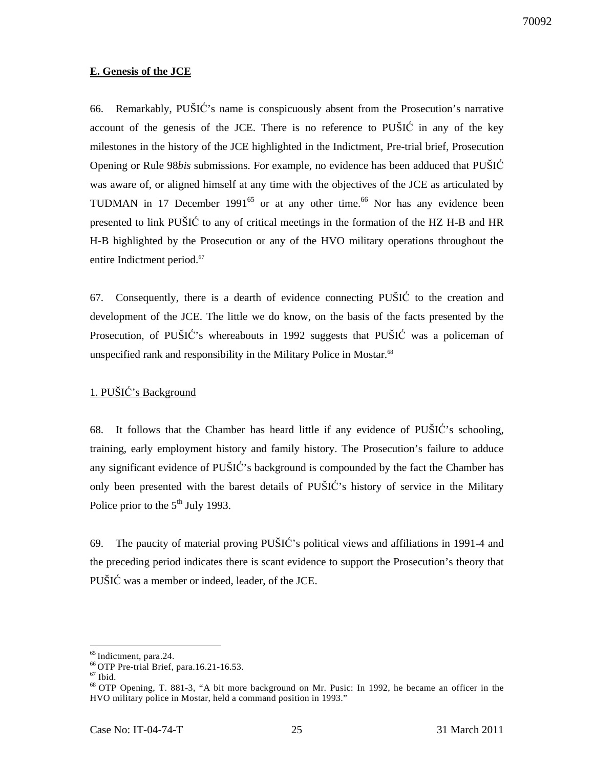### **E. Genesis of the JCE**

66. Remarkably, PUŠIĆ's name is conspicuously absent from the Prosecution's narrative account of the genesis of the JCE. There is no reference to PUŠIĆ in any of the key milestones in the history of the JCE highlighted in the Indictment, Pre-trial brief, Prosecution Opening or Rule 98*bis* submissions. For example, no evidence has been adduced that PUŠIĆ was aware of, or aligned himself at any time with the objectives of the JCE as articulated by TUĐMAN in 17 December 1991 $^{65}$  or at any other time.<sup>66</sup> Nor has any evidence been presented to link PUŠIĆ to any of critical meetings in the formation of the HZ H-B and HR H-B highlighted by the Prosecution or any of the HVO military operations throughout the entire Indictment period.<sup>67</sup>

67. Consequently, there is a dearth of evidence connecting  $PU\breve{\mathrm{SIC}}$  to the creation and development of the JCE. The little we do know, on the basis of the facts presented by the Prosecution, of PUŠIĆ's whereabouts in 1992 suggests that PUŠIĆ was a policeman of unspecified rank and responsibility in the Military Police in Mostar.<sup>68</sup>

# 1. PUŠIĆ's Background

68. It follows that the Chamber has heard little if any evidence of PUŠIĆ's schooling, training, early employment history and family history. The Prosecution's failure to adduce any significant evidence of PUŠIĆ's background is compounded by the fact the Chamber has only been presented with the barest details of PUŠIĆ's history of service in the Military Police prior to the  $5<sup>th</sup>$  July 1993.

69. The paucity of material proving PUŠIĆ's political views and affiliations in 1991-4 and the preceding period indicates there is scant evidence to support the Prosecution's theory that PUŠIĆ was a member or indeed, leader, of the JCE.

<sup>&</sup>lt;sup>65</sup> Indictment, para.24.

<sup>&</sup>lt;sup>66</sup> OTP Pre-trial Brief, para.16.21-16.53.

 $67$  Ibid.

<sup>&</sup>lt;sup>68</sup> OTP Opening, T. 881-3, "A bit more background on Mr. Pusic: In 1992, he became an officer in the HVO military police in Mostar, held a command position in 1993."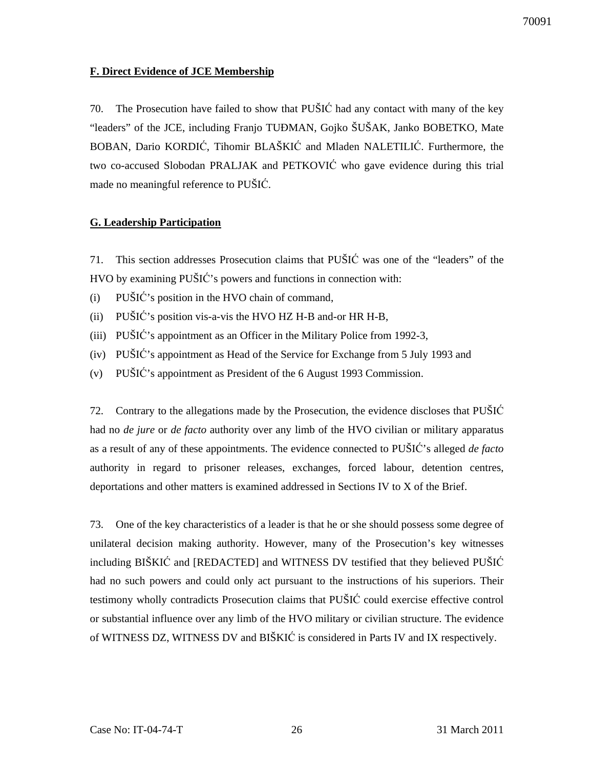## **F. Direct Evidence of JCE Membership**

70. The Prosecution have failed to show that PUŠIĆ had any contact with many of the key "leaders" of the JCE, including Franjo TUĐMAN, Gojko ŠUŠAK, Janko BOBETKO, Mate BOBAN, Dario KORDIĆ, Tihomir BLAŠKIĆ and Mladen NALETILIĆ. Furthermore, the two co-accused Slobodan PRALJAK and PETKOVIĆ who gave evidence during this trial made no meaningful reference to PUŠIĆ.

### **G. Leadership Participation**

71. This section addresses Prosecution claims that PUŠIĆ was one of the "leaders" of the HVO by examining PUŠIĆ's powers and functions in connection with:

- (i) PUŠIĆ's position in the HVO chain of command,
- (ii) PUŠIĆ's position vis-a-vis the HVO HZ H-B and-or HR H-B,
- (iii) PUŠIĆ's appointment as an Officer in the Military Police from 1992-3,
- (iv) PUŠIĆ's appointment as Head of the Service for Exchange from 5 July 1993 and
- (v) PUŠIĆ's appointment as President of the 6 August 1993 Commission.

72. Contrary to the allegations made by the Prosecution, the evidence discloses that PUŠIĆ had no *de jure* or *de facto* authority over any limb of the HVO civilian or military apparatus as a result of any of these appointments. The evidence connected to PUŠIĆ's alleged *de facto* authority in regard to prisoner releases, exchanges, forced labour, detention centres, deportations and other matters is examined addressed in Sections IV to X of the Brief.

73. One of the key characteristics of a leader is that he or she should possess some degree of unilateral decision making authority. However, many of the Prosecution's key witnesses including BIŠKIĆ and [REDACTED] and WITNESS DV testified that they believed PUŠIĆ had no such powers and could only act pursuant to the instructions of his superiors. Their testimony wholly contradicts Prosecution claims that PUŠIĆ could exercise effective control or substantial influence over any limb of the HVO military or civilian structure. The evidence of WITNESS DZ, WITNESS DV and BIŠKIĆ is considered in Parts IV and IX respectively.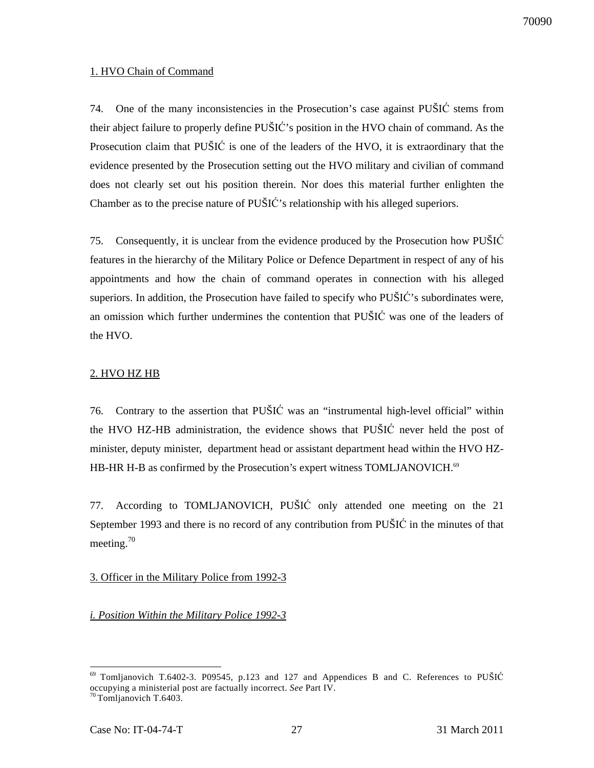### 1. HVO Chain of Command

74. One of the many inconsistencies in the Prosecution's case against PUŠIĆ stems from their abject failure to properly define PUŠIĆ's position in the HVO chain of command. As the Prosecution claim that PUŠIĆ is one of the leaders of the HVO, it is extraordinary that the evidence presented by the Prosecution setting out the HVO military and civilian of command does not clearly set out his position therein. Nor does this material further enlighten the Chamber as to the precise nature of PUŠIĆ's relationship with his alleged superiors.

75. Consequently, it is unclear from the evidence produced by the Prosecution how PUŠIĆ features in the hierarchy of the Military Police or Defence Department in respect of any of his appointments and how the chain of command operates in connection with his alleged superiors. In addition, the Prosecution have failed to specify who PUŠIĆ's subordinates were, an omission which further undermines the contention that PUŠIĆ was one of the leaders of the HVO.

## 2. HVO HZ HB

76. Contrary to the assertion that PUŠIĆ was an "instrumental high-level official" within the HVO HZ-HB administration, the evidence shows that PUŠIĆ never held the post of minister, deputy minister, department head or assistant department head within the HVO HZ-HB-HR H-B as confirmed by the Prosecution's expert witness TOMLJANOVICH.<sup>69</sup>

77. According to TOMLJANOVICH, PUŠIĆ only attended one meeting on the 21 September 1993 and there is no record of any contribution from PUŠIĆ in the minutes of that meeting. $^{70}$ 

## 3. Officer in the Military Police from 1992-3

## *i. Position Within the Military Police 1992-3*

 $\overline{a}$  $^{69}$  Tomljanovich T.6402-3. P09545, p.123 and 127 and Appendices B and C. References to PUŠIĆ occupying a ministerial post are factually incorrect. *See* Part IV. <sup>70</sup>Tomljanovich T.6403.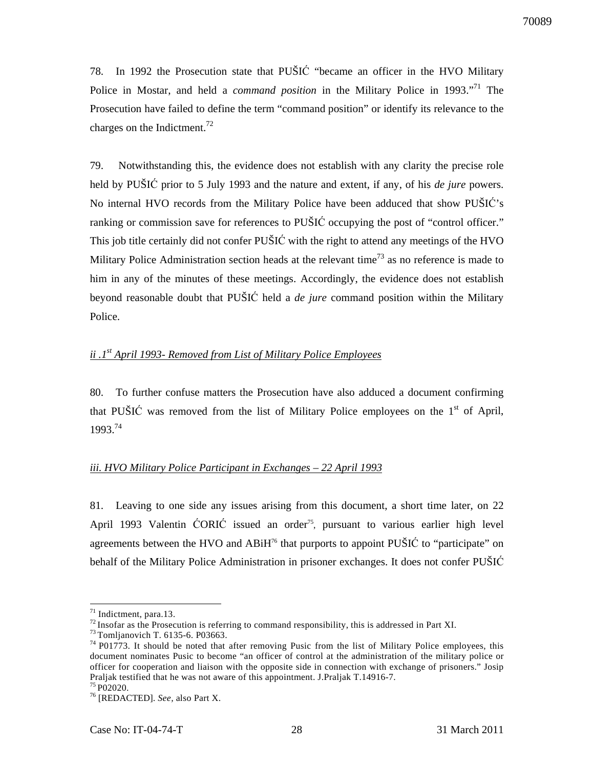78. In 1992 the Prosecution state that PUŠIĆ "became an officer in the HVO Military Police in Mostar, and held a *command position* in the Military Police in 1993.<sup>"71</sup> The Prosecution have failed to define the term "command position" or identify its relevance to the charges on the Indictment.<sup>72</sup>

79. Notwithstanding this, the evidence does not establish with any clarity the precise role held by PUŠIĆ prior to 5 July 1993 and the nature and extent, if any, of his *de jure* powers. No internal HVO records from the Military Police have been adduced that show PUŠIĆ's ranking or commission save for references to PUŠIĆ occupying the post of "control officer." This job title certainly did not confer PUŠIĆ with the right to attend any meetings of the HVO Military Police Administration section heads at the relevant time<sup>73</sup> as no reference is made to him in any of the minutes of these meetings. Accordingly, the evidence does not establish beyond reasonable doubt that PUŠIĆ held a *de jure* command position within the Military Police.

## *ii .1st April 1993- Removed from List of Military Police Employees*

80. To further confuse matters the Prosecution have also adduced a document confirming that PUŠIĆ was removed from the list of Military Police employees on the  $1<sup>st</sup>$  of April, 1993.<sup>74</sup>

### *iii. HVO Military Police Participant in Exchanges – 22 April 1993*

81. Leaving to one side any issues arising from this document, a short time later, on 22 April 1993 Valentin ĆORIĆ issued an order<sup>75</sup>, pursuant to various earlier high level agreements between the HVO and  $ABiH<sup>76</sup>$  that purports to appoint PUŠIĆ to "participate" on behalf of the Military Police Administration in prisoner exchanges. It does not confer PUŠIĆ

 $71$  Indictment, para.13.

 $^{72}$  Insofar as the Prosecution is referring to command responsibility, this is addressed in Part XI.

<sup>73</sup>Tomljanovich T. 6135-6. P03663.

 $74$  P01773. It should be noted that after removing Pusic from the list of Military Police employees, this document nominates Pusic to become "an officer of control at the administration of the military police or officer for cooperation and liaison with the opposite side in connection with exchange of prisoners." Josip Praljak testified that he was not aware of this appointment. J.Praljak T.14916-7.

 $75 \overline{P02020}$ .

<sup>76</sup> [REDACTED]. *See,* also Part X.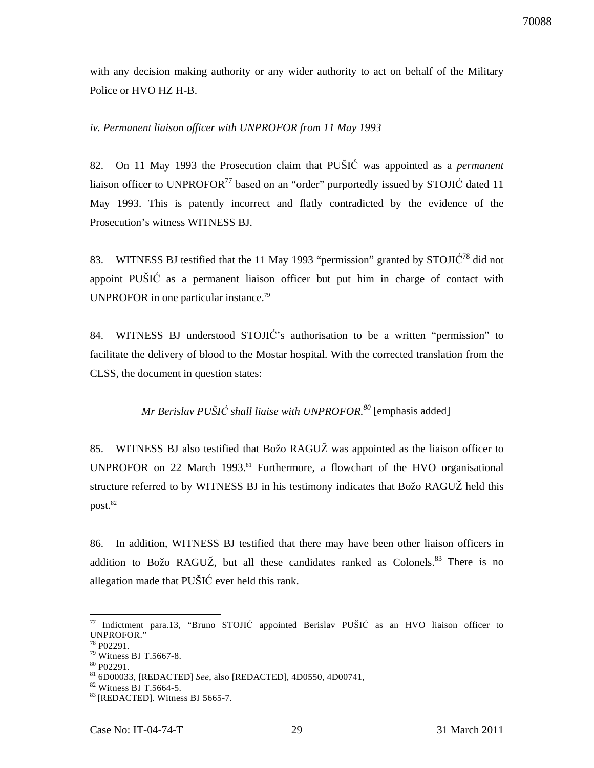70088

with any decision making authority or any wider authority to act on behalf of the Military Police or HVO HZ H-B.

## *iv. Permanent liaison officer with UNPROFOR from 11 May 1993*

82. On 11 May 1993 the Prosecution claim that PUŠIĆ was appointed as a *permanent* liaison officer to UNPROFOR $^{77}$  based on an "order" purportedly issued by STOJI $\acute{C}$  dated 11 May 1993. This is patently incorrect and flatly contradicted by the evidence of the Prosecution's witness WITNESS BJ.

83. WITNESS BJ testified that the 11 May 1993 "permission" granted by  $STOJI\acute{C}^{78}$  did not appoint PUŠIĆ as a permanent liaison officer but put him in charge of contact with UNPROFOR in one particular instance.<sup>79</sup>

84. WITNESS BJ understood STOJIĆ's authorisation to be a written "permission" to facilitate the delivery of blood to the Mostar hospital. With the corrected translation from the CLSS, the document in question states:

# *Mr Berislav PUŠI*Ć *shall liaise with UNPROFOR.<sup>80</sup>* [emphasis added]

85. WITNESS BJ also testified that Božo RAGUŽ was appointed as the liaison officer to UNPROFOR on 22 March 1993.<sup>81</sup> Furthermore, a flowchart of the HVO organisational structure referred to by WITNESS BJ in his testimony indicates that Božo RAGUŽ held this  $\mathsf{post.}^\mathsf{82}$ 

86. In addition, WITNESS BJ testified that there may have been other liaison officers in addition to Božo RAGUŽ, but all these candidates ranked as Colonels. $83$  There is no allegation made that PUŠIĆ ever held this rank.

 $\overline{a}$ <sup>77</sup> Indictment para.13, "Bruno STOJIĆ appointed Berislav PUŠIĆ as an HVO liaison officer to UNPROFOR."

 $8$  P02291.

<sup>79</sup> Witness BJ T.5667-8.

<sup>80</sup> P02291.

<sup>81</sup> 6D00033, [REDACTED] *See*, also [REDACTED], 4D0550, 4D00741,

<sup>82</sup> Witness BJ T.5664-5.

<sup>&</sup>lt;sup>83</sup> [REDACTED]. Witness BJ 5665-7.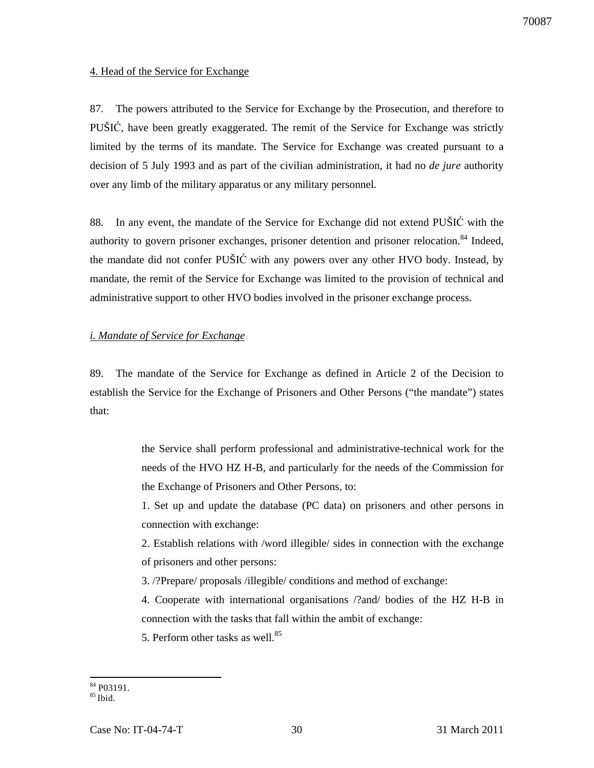## 4. Head of the Service for Exchange

87. The powers attributed to the Service for Exchange by the Prosecution, and therefore to PUŠIĆ, have been greatly exaggerated. The remit of the Service for Exchange was strictly limited by the terms of its mandate. The Service for Exchange was created pursuant to a decision of 5 July 1993 and as part of the civilian administration, it had no *de jure* authority over any limb of the military apparatus or any military personnel.

88. In any event, the mandate of the Service for Exchange did not extend PUŠIĆ with the authority to govern prisoner exchanges, prisoner detention and prisoner relocation.<sup>84</sup> Indeed. the mandate did not confer PUŠIĆ with any powers over any other HVO body. Instead, by mandate, the remit of the Service for Exchange was limited to the provision of technical and administrative support to other HVO bodies involved in the prisoner exchange process.

## *i. Mandate of Service for Exchange*

89. The mandate of the Service for Exchange as defined in Article 2 of the Decision to establish the Service for the Exchange of Prisoners and Other Persons ("the mandate") states that:

> the Service shall perform professional and administrative-technical work for the needs of the HVO HZ H-B, and particularly for the needs of the Commission for the Exchange of Prisoners and Other Persons, to:

> 1. Set up and update the database (PC data) on prisoners and other persons in connection with exchange:

> 2. Establish relations with /word illegible/ sides in connection with the exchange of prisoners and other persons:

3. /?Prepare/ proposals /illegible/ conditions and method of exchange:

4. Cooperate with international organisations /?and/ bodies of the HZ H-B in connection with the tasks that fall within the ambit of exchange:

5. Perform other tasks as well. $85$ 

 $\overline{a}$ <sup>84</sup> P03191.

 $85$  Ibid.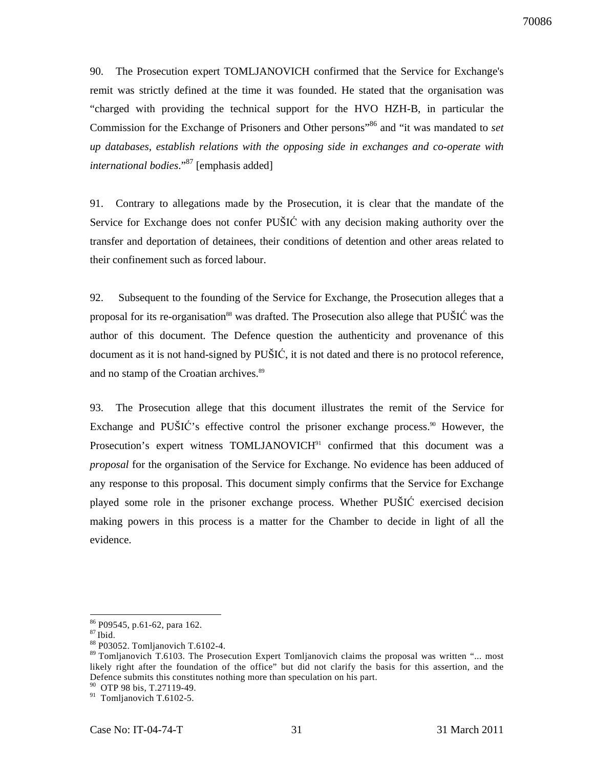90. The Prosecution expert TOMLJANOVICH confirmed that the Service for Exchange's remit was strictly defined at the time it was founded. He stated that the organisation was "charged with providing the technical support for the HVO HZH-B, in particular the Commission for the Exchange of Prisoners and Other persons<sup>366</sup> and "it was mandated to *set up databases, establish relations with the opposing side in exchanges and co-operate with international bodies*."<sup>87</sup> [emphasis added]

91. Contrary to allegations made by the Prosecution, it is clear that the mandate of the Service for Exchange does not confer PUŠIĆ with any decision making authority over the transfer and deportation of detainees, their conditions of detention and other areas related to their confinement such as forced labour.

92. Subsequent to the founding of the Service for Exchange, the Prosecution alleges that a proposal for its re-organisation<sup>88</sup> was drafted. The Prosecution also allege that PUŠIĆ was the author of this document. The Defence question the authenticity and provenance of this document as it is not hand-signed by PUŠIĆ, it is not dated and there is no protocol reference, and no stamp of the Croatian archives.<sup>89</sup>

93. The Prosecution allege that this document illustrates the remit of the Service for Exchange and PUŠIĆ's effective control the prisoner exchange process.<sup>90</sup> However, the Prosecution's expert witness TOMLJANOVICH<sup>91</sup> confirmed that this document was a *proposal* for the organisation of the Service for Exchange. No evidence has been adduced of any response to this proposal. This document simply confirms that the Service for Exchange played some role in the prisoner exchange process. Whether PUŠIĆ exercised decision making powers in this process is a matter for the Chamber to decide in light of all the evidence.

<sup>86</sup> P09545, p.61-62, para 162.

 $\rm ^{87}$  Ibid.

<sup>88</sup> P03052. Tomljanovich T.6102-4.

<sup>&</sup>lt;sup>89</sup> Tomljanovich T.6103. The Prosecution Expert Tomljanovich claims the proposal was written "... most likely right after the foundation of the office" but did not clarify the basis for this assertion, and the Defence submits this constitutes nothing more than speculation on his part.

<sup>&</sup>lt;sup>90</sup> OTP 98 bis, T.27119-49.

 $91$  Tomljanovich T.6102-5.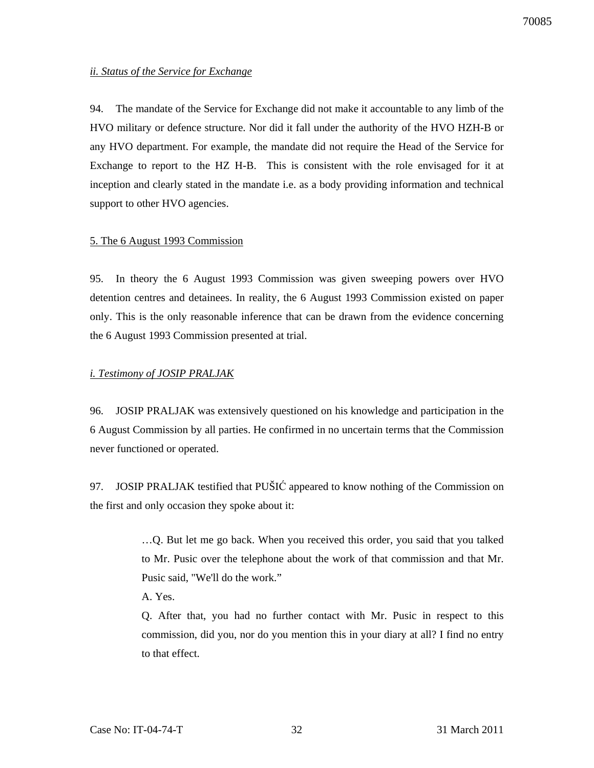#### *ii. Status of the Service for Exchange*

94. The mandate of the Service for Exchange did not make it accountable to any limb of the HVO military or defence structure. Nor did it fall under the authority of the HVO HZH-B or any HVO department. For example, the mandate did not require the Head of the Service for Exchange to report to the HZ H-B. This is consistent with the role envisaged for it at inception and clearly stated in the mandate i.e. as a body providing information and technical support to other HVO agencies.

#### 5. The 6 August 1993 Commission

95. In theory the 6 August 1993 Commission was given sweeping powers over HVO detention centres and detainees. In reality, the 6 August 1993 Commission existed on paper only. This is the only reasonable inference that can be drawn from the evidence concerning the 6 August 1993 Commission presented at trial.

#### *i. Testimony of JOSIP PRALJAK*

96. JOSIP PRALJAK was extensively questioned on his knowledge and participation in the 6 August Commission by all parties. He confirmed in no uncertain terms that the Commission never functioned or operated.

97. JOSIP PRALJAK testified that PUŠIĆ appeared to know nothing of the Commission on the first and only occasion they spoke about it:

> …Q. But let me go back. When you received this order, you said that you talked to Mr. Pusic over the telephone about the work of that commission and that Mr. Pusic said, "We'll do the work."

A. Yes.

Q. After that, you had no further contact with Mr. Pusic in respect to this commission, did you, nor do you mention this in your diary at all? I find no entry to that effect.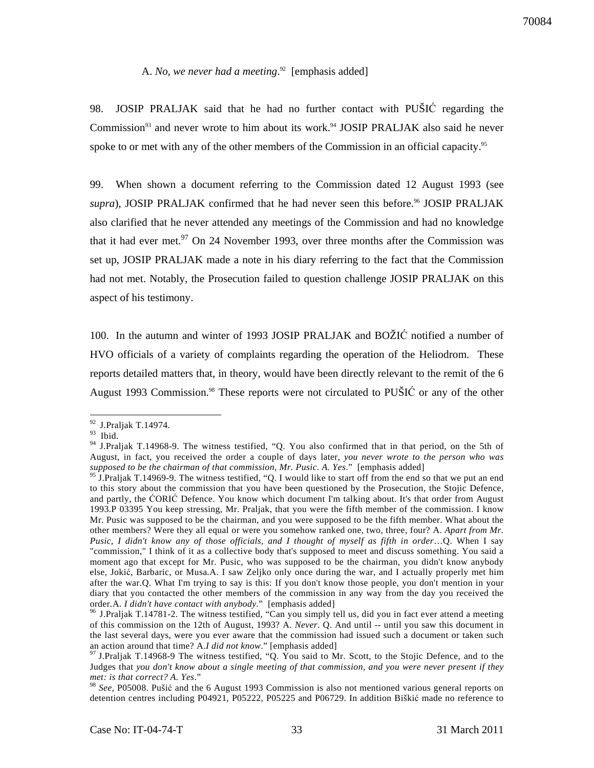#### A. *No, we never had a meeting*. <sup>92</sup> [emphasis added]

98. JOSIP PRALJAK said that he had no further contact with PUŠIĆ regarding the Commission<sup>93</sup> and never wrote to him about its work.<sup>94</sup> JOSIP PRALJAK also said he never spoke to or met with any of the other members of the Commission in an official capacity.<sup>95</sup>

99. When shown a document referring to the Commission dated 12 August 1993 (see *supra*), JOSIP PRALJAK confirmed that he had never seen this before.<sup>96</sup> JOSIP PRALJAK also clarified that he never attended any meetings of the Commission and had no knowledge that it had ever met. $97$  On 24 November 1993, over three months after the Commission was set up, JOSIP PRALJAK made a note in his diary referring to the fact that the Commission had not met. Notably, the Prosecution failed to question challenge JOSIP PRALJAK on this aspect of his testimony.

100. In the autumn and winter of 1993 JOSIP PRALJAK and BOŽIĆ notified a number of HVO officials of a variety of complaints regarding the operation of the Heliodrom. These reports detailed matters that, in theory, would have been directly relevant to the remit of the 6 August 1993 Commission.<sup>98</sup> These reports were not circulated to PUSIC or any of the other

 $\overline{a}$ <sup>92</sup> J.Praljak T.14974.

<sup>93</sup> Ibid.

<sup>&</sup>lt;sup>94</sup> J.Praljak T.14968-9. The witness testified, "Q. You also confirmed that in that period, on the 5th of August, in fact, you received the order a couple of days later, *you never wrote to the person who was supposed to be the chairman of that commission, Mr. Pusic. A. Yes*." [emphasis added]

<sup>&</sup>lt;sup>95</sup> J.Praljak T.14969-9. The witness testified, "Q. I would like to start off from the end so that we put an end to this story about the commission that you have been questioned by the Prosecution, the Stojic Defence, and partly, the ĆORIĆ Defence. You know which document I'm talking about. It's that order from August 1993.P 03395 You keep stressing, Mr. Praljak, that you were the fifth member of the commission. I know Mr. Pusic was supposed to be the chairman, and you were supposed to be the fifth member. What about the other members? Were they all equal or were you somehow ranked one, two, three, four? A. *Apart from Mr. Pusic, I didn't know any of those officials, and I thought of myself as fifth in order*…Q. When I say "commission," I think of it as a collective body that's supposed to meet and discuss something. You said a moment ago that except for Mr. Pusic, who was supposed to be the chairman, you didn't know anybody else, Jokić, Barbaric, or Musa.A. I saw Zeljko only once during the war, and I actually properly met him after the war.Q. What I'm trying to say is this: If you don't know those people, you don't mention in your diary that you contacted the other members of the commission in any way from the day you received the order.A. *I didn't have contact with anybody*." [emphasis added]

 $96$  J.Praljak T.14781-2. The witness testified, "Can you simply tell us, did you in fact ever attend a meeting of this commission on the 12th of August, 1993? A. *Never*. Q. And until -- until you saw this document in the last several days, were you ever aware that the commission had issued such a document or taken such an action around that time? A.*I did not know*." [emphasis added]

 $97$  J.Praljak T.14968-9 The witness testified, "Q. You said to Mr. Scott, to the Stojic Defence, and to the Judges that *you don't know about a single meeting of that commission, and you were never present if they met: is that correct? A. Yes*."

<sup>98</sup> *See*, P05008. Pušić and the 6 August 1993 Commission is also not mentioned various general reports on detention centres including P04921, P05222, P05225 and P06729. In addition Biškić made no reference to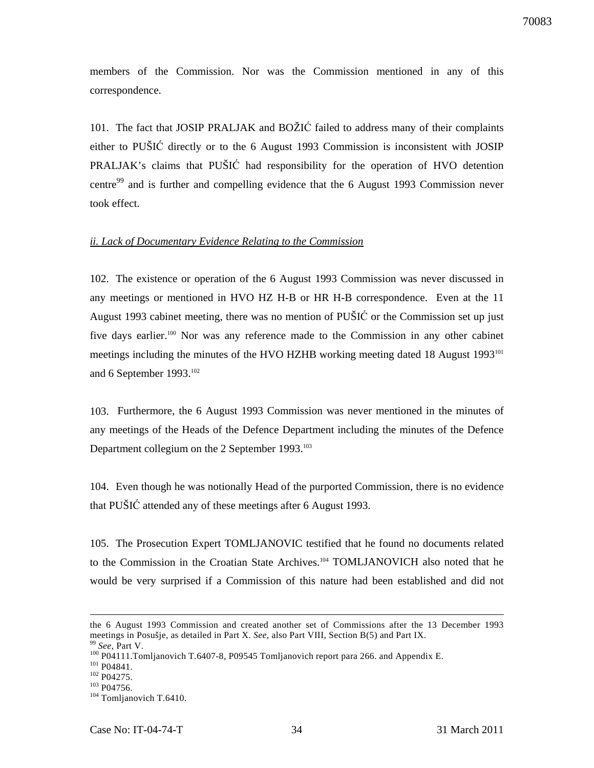members of the Commission. Nor was the Commission mentioned in any of this correspondence.

101. The fact that JOSIP PRALJAK and BOŽIĆ failed to address many of their complaints either to PUŠIĆ directly or to the 6 August 1993 Commission is inconsistent with JOSIP PRALJAK's claims that PUŠIĆ had responsibility for the operation of HVO detention centre<sup>99</sup> and is further and compelling evidence that the 6 August 1993 Commission never took effect.

#### *ii. Lack of Documentary Evidence Relating to the Commission*

102. The existence or operation of the 6 August 1993 Commission was never discussed in any meetings or mentioned in HVO HZ H-B or HR H-B correspondence. Even at the 11 August 1993 cabinet meeting, there was no mention of PUŠIĆ or the Commission set up just five days earlier.<sup>100</sup> Nor was any reference made to the Commission in any other cabinet meetings including the minutes of the HVO HZHB working meeting dated 18 August 1993<sup>101</sup> and 6 September  $1993.^{102}$ 

103. Furthermore, the 6 August 1993 Commission was never mentioned in the minutes of any meetings of the Heads of the Defence Department including the minutes of the Defence Department collegium on the 2 September 1993.<sup>103</sup>

104. Even though he was notionally Head of the purported Commission, there is no evidence that PUŠIĆ attended any of these meetings after 6 August 1993.

105. The Prosecution Expert TOMLJANOVIC testified that he found no documents related to the Commission in the Croatian State Archives.<sup>104</sup> TOMLJANOVICH also noted that he would be very surprised if a Commission of this nature had been established and did not

the 6 August 1993 Commission and created another set of Commissions after the 13 December 1993 meetings in Posušje, as detailed in Part X. *See*, also Part VIII, Section B(5) and Part IX. See, Part V.

<sup>100</sup> P04111.Tomljanovich T.6407-8, P09545 Tomljanovich report para 266. and Appendix E.

<sup>&</sup>lt;sup>101</sup> P04841.

<sup>102</sup> P04275.

<sup>&</sup>lt;sup>103</sup> P04756.

<sup>&</sup>lt;sup>104</sup> Tomljanovich T.6410.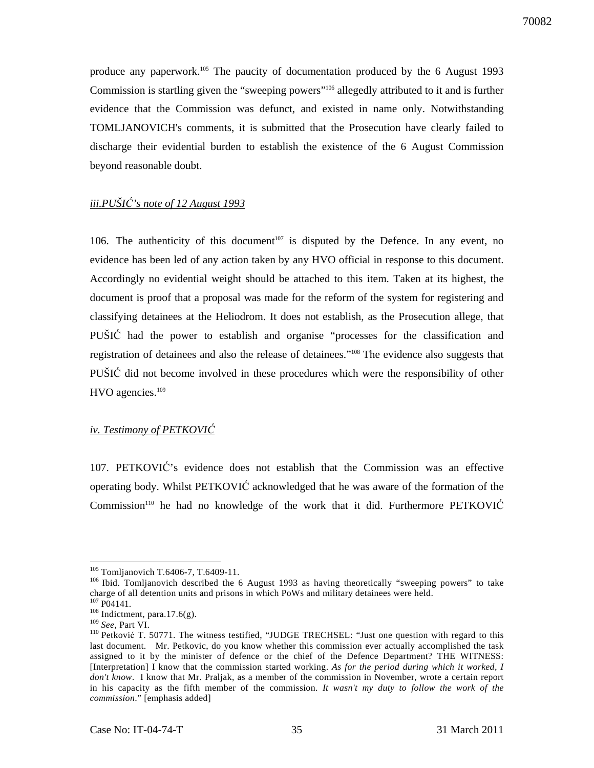produce any paperwork.<sup>105</sup> The paucity of documentation produced by the 6 August 1993 Commission is startling given the "sweeping powers"<sup>106</sup> allegedly attributed to it and is further evidence that the Commission was defunct, and existed in name only. Notwithstanding TOMLJANOVICH's comments, it is submitted that the Prosecution have clearly failed to discharge their evidential burden to establish the existence of the 6 August Commission beyond reasonable doubt.

## *iii.PUŠI*Ć*'s note of 12 August 1993*

106. The authenticity of this document<sup>107</sup> is disputed by the Defence. In any event, no evidence has been led of any action taken by any HVO official in response to this document. Accordingly no evidential weight should be attached to this item. Taken at its highest, the document is proof that a proposal was made for the reform of the system for registering and classifying detainees at the Heliodrom. It does not establish, as the Prosecution allege, that PUŠIĆ had the power to establish and organise "processes for the classification and registration of detainees and also the release of detainees."<sup>108</sup> The evidence also suggests that PUŠIĆ did not become involved in these procedures which were the responsibility of other HVO agencies.<sup>109</sup>

#### *iv. Testimony of PETKOVI*Ć

107. PETKOVIĆ's evidence does not establish that the Commission was an effective operating body. Whilst PETKOVIĆ acknowledged that he was aware of the formation of the Commission<sup>110</sup> he had no knowledge of the work that it did. Furthermore PETKOVIĆ

 $\ddot{\phantom{a}}$ 

<sup>&</sup>lt;sup>105</sup> Tomljanovich T.6406-7, T.6409-11.

 $106$  Ibid. Tomljanovich described the 6 August 1993 as having theoretically "sweeping powers" to take charge of all detention units and prisons in which PoWs and military detainees were held.

 $107 \overline{P04141}$ .

 $108$  Indictment, para.17.6(g).

<sup>109</sup> *See*, Part VI.

<sup>&</sup>lt;sup>110</sup> Petković T. 50771. The witness testified, "JUDGE TRECHSEL: "Just one question with regard to this last document. Mr. Petkovic, do you know whether this commission ever actually accomplished the task assigned to it by the minister of defence or the chief of the Defence Department? THE WITNESS: [Interpretation] I know that the commission started working. *As for the period during which it worked, I don't know*. I know that Mr. Praljak, as a member of the commission in November, wrote a certain report in his capacity as the fifth member of the commission. *It wasn't my duty to follow the work of the commission*." [emphasis added]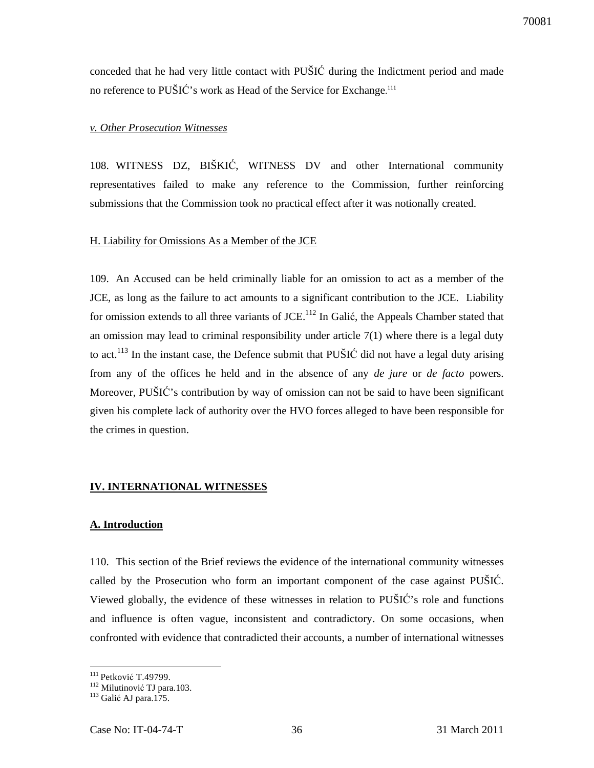conceded that he had very little contact with PUŠIĆ during the Indictment period and made no reference to PUŠIĆ's work as Head of the Service for Exchange.<sup>111</sup>

#### *v. Other Prosecution Witnesses*

108. WITNESS DZ, BIŠKIĆ, WITNESS DV and other International community representatives failed to make any reference to the Commission, further reinforcing submissions that the Commission took no practical effect after it was notionally created.

#### H. Liability for Omissions As a Member of the JCE

109. An Accused can be held criminally liable for an omission to act as a member of the JCE, as long as the failure to act amounts to a significant contribution to the JCE. Liability for omission extends to all three variants of JCE.<sup>112</sup> In Galić, the Appeals Chamber stated that an omission may lead to criminal responsibility under article  $7(1)$  where there is a legal duty to act.<sup>113</sup> In the instant case, the Defence submit that PUSIC did not have a legal duty arising from any of the offices he held and in the absence of any *de jure* or *de facto* powers. Moreover, PUŠIĆ's contribution by way of omission can not be said to have been significant given his complete lack of authority over the HVO forces alleged to have been responsible for the crimes in question.

#### **IV. INTERNATIONAL WITNESSES**

#### **A. Introduction**

110. This section of the Brief reviews the evidence of the international community witnesses called by the Prosecution who form an important component of the case against PUŠIĆ. Viewed globally, the evidence of these witnesses in relation to PUŠIĆ's role and functions and influence is often vague, inconsistent and contradictory. On some occasions, when confronted with evidence that contradicted their accounts, a number of international witnesses

 $\overline{a}$ <sup>111</sup> Petković T.49799.

<sup>&</sup>lt;sup>112</sup> Milutinović TJ para.103.

 $113$  Galić AJ para.175.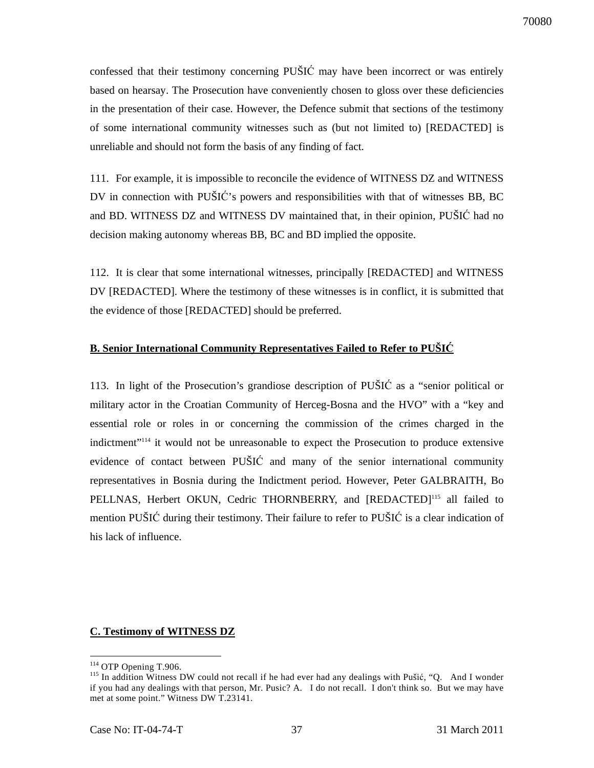confessed that their testimony concerning PUŠIĆ may have been incorrect or was entirely based on hearsay. The Prosecution have conveniently chosen to gloss over these deficiencies in the presentation of their case. However, the Defence submit that sections of the testimony of some international community witnesses such as (but not limited to) [REDACTED] is unreliable and should not form the basis of any finding of fact.

111. For example, it is impossible to reconcile the evidence of WITNESS DZ and WITNESS DV in connection with PUŠIĆ's powers and responsibilities with that of witnesses BB, BC and BD. WITNESS DZ and WITNESS DV maintained that, in their opinion, PUŠIĆ had no decision making autonomy whereas BB, BC and BD implied the opposite.

112. It is clear that some international witnesses, principally [REDACTED] and WITNESS DV [REDACTED]. Where the testimony of these witnesses is in conflict, it is submitted that the evidence of those [REDACTED] should be preferred.

#### **B. Senior International Community Representatives Failed to Refer to PUŠI**Ć

113. In light of the Prosecution's grandiose description of PUŠIĆ as a "senior political or military actor in the Croatian Community of Herceg-Bosna and the HVO" with a "key and essential role or roles in or concerning the commission of the crimes charged in the indictment"<sup>114</sup> it would not be unreasonable to expect the Prosecution to produce extensive evidence of contact between PUŠIĆ and many of the senior international community representatives in Bosnia during the Indictment period. However, Peter GALBRAITH, Bo PELLNAS, Herbert OKUN, Cedric THORNBERRY, and [REDACTED]<sup>115</sup> all failed to mention PUŠIĆ during their testimony. Their failure to refer to PUŠIĆ is a clear indication of his lack of influence.

#### **C. Testimony of WITNESS DZ**

 $\overline{a}$ <sup>114</sup> OTP Opening T.906.

<sup>&</sup>lt;sup>115</sup> In addition Witness DW could not recall if he had ever had any dealings with Pušić, "Q. And I wonder if you had any dealings with that person, Mr. Pusic? A. I do not recall. I don't think so. But we may have met at some point." Witness DW T.23141.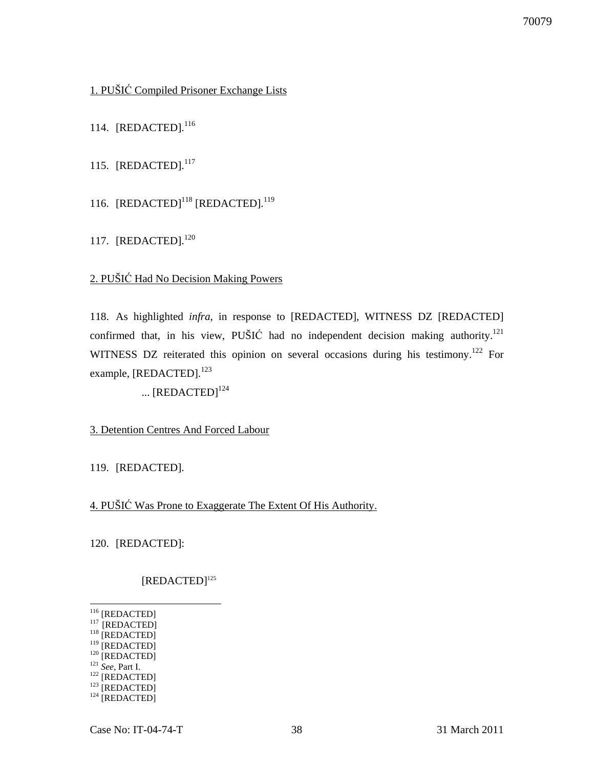## 1. PUŠIĆ Compiled Prisoner Exchange Lists

114. [REDACTED].<sup>116</sup>

115. [REDACTED].<sup>117</sup>

116. [REDACTED]<sup>118</sup> [REDACTED].<sup>119</sup>

117. [REDACTED].<sup>120</sup>

## 2. PUŠIĆ Had No Decision Making Powers

118. As highlighted *infra*, in response to [REDACTED], WITNESS DZ [REDACTED] confirmed that, in his view, PUŠIĆ had no independent decision making authority.<sup>121</sup> WITNESS DZ reiterated this opinion on several occasions during his testimony.<sup>122</sup> For example, [REDACTED].<sup>123</sup>

...  $[REDACTED]^{124}$ 

#### 3. Detention Centres And Forced Labour

119. [REDACTED].

4. PUŠIĆ Was Prone to Exaggerate The Extent Of His Authority.

120. [REDACTED]:

## [REDACTED]<sup>125</sup>

- $\overline{a}$ <sup>116</sup> [REDACTED]
- $^{117}$  [REDACTED] <sup>118</sup> [REDACTED]
- $^{119}$  [REDACTED]
- <sup>120</sup> [REDACTED]
- <sup>121</sup> *See,* Part I.
- $122$  [REDACTED]
- $123$  [REDACTED]
- $124$  [REDACTED]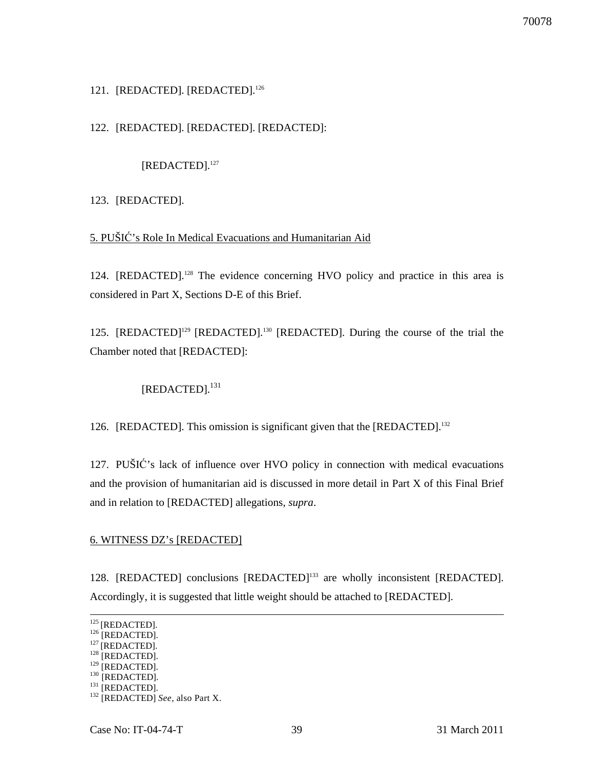## 121. [REDACTED]. [REDACTED].<sup>126</sup>

## 122. [REDACTED]. [REDACTED]. [REDACTED]:

[REDACTED].<sup>127</sup>

123. [REDACTED].

## 5. PUŠIĆ's Role In Medical Evacuations and Humanitarian Aid

124. [REDACTED].<sup>128</sup> The evidence concerning HVO policy and practice in this area is considered in Part X, Sections D-E of this Brief.

125. [REDACTED]<sup>129</sup> [REDACTED].<sup>130</sup> [REDACTED]. During the course of the trial the Chamber noted that [REDACTED]:

[REDACTED].<sup>131</sup>

126. [REDACTED]. This omission is significant given that the [REDACTED].<sup>132</sup>

127. PUŠIĆ's lack of influence over HVO policy in connection with medical evacuations and the provision of humanitarian aid is discussed in more detail in Part X of this Final Brief and in relation to [REDACTED] allegations, *supra*.

#### 6. WITNESS DZ's [REDACTED]

128. [REDACTED] conclusions [REDACTED]<sup>133</sup> are wholly inconsistent [REDACTED]. Accordingly, it is suggested that little weight should be attached to [REDACTED].

 $125$  [REDACTED].

 $126$  [REDACTED].

 $127$  [REDACTED].

 $128$  [REDACTED].

 $129$  [REDACTED].  $130$  [REDACTED].

 $^{131}$  [REDACTED].

<sup>132</sup> [REDACTED] *See*, also Part X.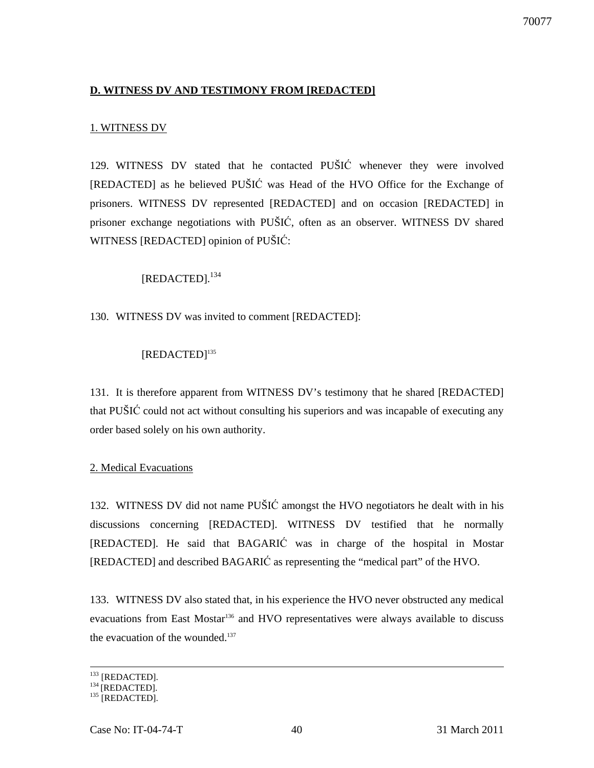## **D. WITNESS DV AND TESTIMONY FROM [REDACTED]**

## 1. WITNESS DV

129. WITNESS DV stated that he contacted PUŠIĆ whenever they were involved [REDACTED] as he believed PUŠIĆ was Head of the HVO Office for the Exchange of prisoners. WITNESS DV represented [REDACTED] and on occasion [REDACTED] in prisoner exchange negotiations with PUŠIĆ, often as an observer. WITNESS DV shared WITNESS [REDACTED] opinion of PUŠIĆ:

[REDACTED].<sup>134</sup>

130. WITNESS DV was invited to comment [REDACTED]:

## [REDACTED]<sup>135</sup>

131. It is therefore apparent from WITNESS DV's testimony that he shared [REDACTED] that PUŠIĆ could not act without consulting his superiors and was incapable of executing any order based solely on his own authority.

#### 2. Medical Evacuations

132. WITNESS DV did not name PUŠIĆ amongst the HVO negotiators he dealt with in his discussions concerning [REDACTED]. WITNESS DV testified that he normally [REDACTED]. He said that BAGARIĆ was in charge of the hospital in Mostar [REDACTED] and described BAGARIĆ as representing the "medical part" of the HVO.

133. WITNESS DV also stated that, in his experience the HVO never obstructed any medical evacuations from East Mostar<sup>136</sup> and HVO representatives were always available to discuss the evacuation of the wounded. $137$ 

 $\overline{a}$  $^{133}$  [REDACTED].

 $134$  [REDACTED].

 $135$  [REDACTED].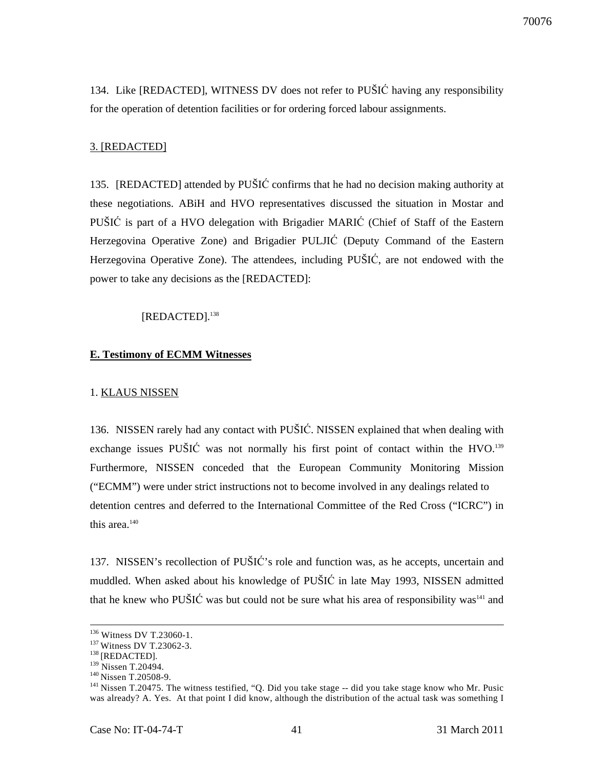134. Like [REDACTED], WITNESS DV does not refer to PUŠIĆ having any responsibility for the operation of detention facilities or for ordering forced labour assignments.

#### 3. [REDACTED]

135. [REDACTED] attended by PUŠIĆ confirms that he had no decision making authority at these negotiations. ABiH and HVO representatives discussed the situation in Mostar and PUŠIĆ is part of a HVO delegation with Brigadier MARIĆ (Chief of Staff of the Eastern Herzegovina Operative Zone) and Brigadier PULJIĆ (Deputy Command of the Eastern Herzegovina Operative Zone). The attendees, including PUŠIĆ, are not endowed with the power to take any decisions as the [REDACTED]:

#### [REDACTED].<sup>138</sup>

#### **E. Testimony of ECMM Witnesses**

#### 1. KLAUS NISSEN

136. NISSEN rarely had any contact with PUŠIĆ. NISSEN explained that when dealing with exchange issues PUŠIĆ was not normally his first point of contact within the HVO.<sup>139</sup> Furthermore, NISSEN conceded that the European Community Monitoring Mission ("ECMM") were under strict instructions not to become involved in any dealings related to detention centres and deferred to the International Committee of the Red Cross ("ICRC") in this area. $140$ 

137. NISSEN's recollection of PUŠIĆ's role and function was, as he accepts, uncertain and muddled. When asked about his knowledge of PUŠIĆ in late May 1993, NISSEN admitted that he knew who PUŠIĆ was but could not be sure what his area of responsibility was<sup>141</sup> and

<sup>&</sup>lt;sup>136</sup> Witness DV T.23060-1.

<sup>&</sup>lt;sup>137</sup> Witness DV T.23062-3.

 $^{138}$  [REDACTED].

<sup>&</sup>lt;sup>139</sup> Nissen T.20494.

<sup>&</sup>lt;sup>140</sup> Nissen T.20508-9.

 $141$  Nissen T.20475. The witness testified, "Q. Did you take stage  $-$  did you take stage know who Mr. Pusic was already? A. Yes. At that point I did know, although the distribution of the actual task was something I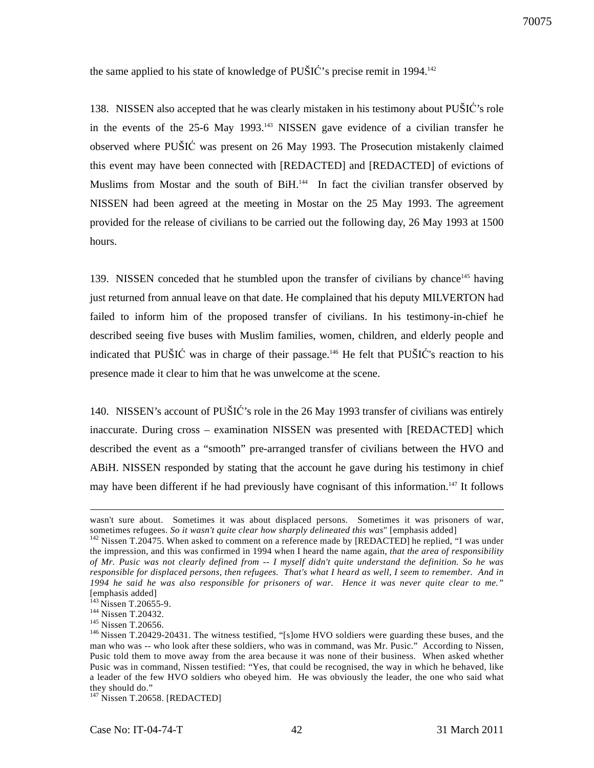the same applied to his state of knowledge of PUŠIĆ's precise remit in 1994.<sup>142</sup>

138. NISSEN also accepted that he was clearly mistaken in his testimony about PUŠIĆ's role in the events of the 25-6 May 1993.<sup>143</sup> NISSEN gave evidence of a civilian transfer he observed where PUŠIĆ was present on 26 May 1993. The Prosecution mistakenly claimed this event may have been connected with [REDACTED] and [REDACTED] of evictions of Muslims from Mostar and the south of BiH.<sup>144</sup> In fact the civilian transfer observed by NISSEN had been agreed at the meeting in Mostar on the 25 May 1993. The agreement provided for the release of civilians to be carried out the following day, 26 May 1993 at 1500 hours.

139. NISSEN conceded that he stumbled upon the transfer of civilians by chance<sup>145</sup> having just returned from annual leave on that date. He complained that his deputy MILVERTON had failed to inform him of the proposed transfer of civilians. In his testimony-in-chief he described seeing five buses with Muslim families, women, children, and elderly people and indicated that PUŠIĆ was in charge of their passage.<sup>146</sup> He felt that PUŠIĆ's reaction to his presence made it clear to him that he was unwelcome at the scene.

140. NISSEN's account of PUŠIĆ's role in the 26 May 1993 transfer of civilians was entirely inaccurate. During cross – examination NISSEN was presented with [REDACTED] which described the event as a "smooth" pre-arranged transfer of civilians between the HVO and ABiH. NISSEN responded by stating that the account he gave during his testimony in chief may have been different if he had previously have cognisant of this information.<sup>147</sup> It follows

wasn't sure about. Sometimes it was about displaced persons. Sometimes it was prisoners of war, sometimes refugees. *So it wasn't quite clear how sharply delineated this was*" [emphasis added]

<sup>&</sup>lt;sup>142</sup> Nissen T.20475. When asked to comment on a reference made by [REDACTED] he replied, "I was under the impression, and this was confirmed in 1994 when I heard the name again, *that the area of responsibility of Mr. Pusic was not clearly defined from -- I myself didn't quite understand the definition. So he was responsible for displaced persons, then refugees. That's what I heard as well, I seem to remember. And in 1994 he said he was also responsible for prisoners of war. Hence it was never quite clear to me."* [emphasis added]

<sup>&</sup>lt;sup>143</sup> Nissen T.20655-9.

<sup>144</sup> Nissen T.20432.

<sup>&</sup>lt;sup>145</sup> Nissen T.20656.

<sup>&</sup>lt;sup>146</sup> Nissen T.20429-20431. The witness testified, "[s]ome HVO soldiers were guarding these buses, and the man who was -- who look after these soldiers, who was in command, was Mr. Pusic." According to Nissen, Pusic told them to move away from the area because it was none of their business. When asked whether Pusic was in command, Nissen testified: "Yes, that could be recognised, the way in which he behaved, like a leader of the few HVO soldiers who obeyed him. He was obviously the leader, the one who said what they should do."

<sup>&</sup>lt;sup>147</sup> Nissen T.20658. [REDACTED]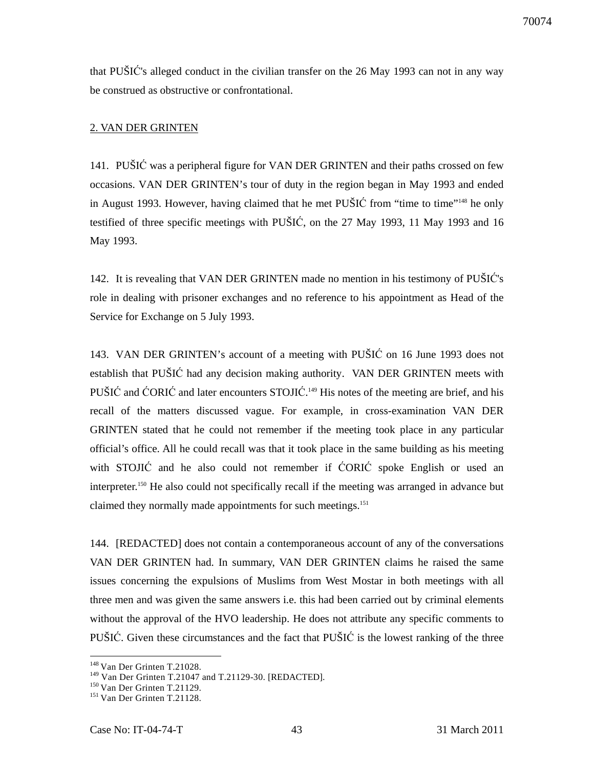that PUŠIĆ's alleged conduct in the civilian transfer on the 26 May 1993 can not in any way be construed as obstructive or confrontational.

#### 2. VAN DER GRINTEN

141. PUŠIĆ was a peripheral figure for VAN DER GRINTEN and their paths crossed on few occasions. VAN DER GRINTEN's tour of duty in the region began in May 1993 and ended in August 1993. However, having claimed that he met PUŠIĆ from "time to time"<sup>148</sup> he only testified of three specific meetings with PUŠIĆ, on the 27 May 1993, 11 May 1993 and 16 May 1993.

142. It is revealing that VAN DER GRINTEN made no mention in his testimony of PUŠIĆ's role in dealing with prisoner exchanges and no reference to his appointment as Head of the Service for Exchange on 5 July 1993.

143. VAN DER GRINTEN's account of a meeting with PUŠIĆ on 16 June 1993 does not establish that PUŠIĆ had any decision making authority. VAN DER GRINTEN meets with PUŠIĆ and ĆORIĆ and later encounters STOJIĆ.<sup>149</sup> His notes of the meeting are brief, and his recall of the matters discussed vague. For example, in cross-examination VAN DER GRINTEN stated that he could not remember if the meeting took place in any particular official's office. All he could recall was that it took place in the same building as his meeting with STOJIĆ and he also could not remember if ĆORIĆ spoke English or used an interpreter.<sup>150</sup> He also could not specifically recall if the meeting was arranged in advance but claimed they normally made appointments for such meetings.<sup>151</sup>

144. [REDACTED] does not contain a contemporaneous account of any of the conversations VAN DER GRINTEN had. In summary, VAN DER GRINTEN claims he raised the same issues concerning the expulsions of Muslims from West Mostar in both meetings with all three men and was given the same answers i.e. this had been carried out by criminal elements without the approval of the HVO leadership. He does not attribute any specific comments to PUŠIĆ. Given these circumstances and the fact that PUŠIĆ is the lowest ranking of the three

<sup>&</sup>lt;sup>148</sup> Van Der Grinten T.21028.

<sup>149</sup> Van Der Grinten T.21047 and T.21129-30. [REDACTED].

<sup>&</sup>lt;sup>150</sup> Van Der Grinten T.21129.

<sup>&</sup>lt;sup>151</sup> Van Der Grinten T.21128.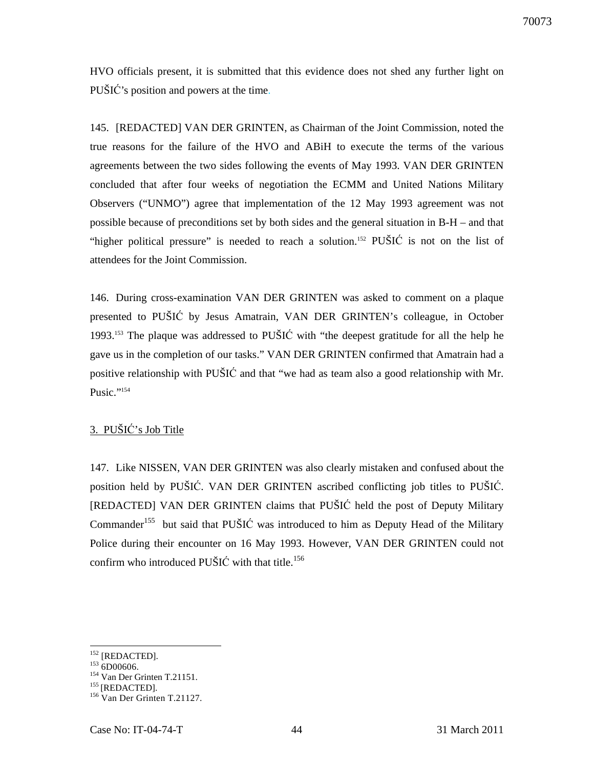HVO officials present, it is submitted that this evidence does not shed any further light on PUŠIĆ's position and powers at the time.

145. [REDACTED] VAN DER GRINTEN, as Chairman of the Joint Commission, noted the true reasons for the failure of the HVO and ABiH to execute the terms of the various agreements between the two sides following the events of May 1993. VAN DER GRINTEN concluded that after four weeks of negotiation the ECMM and United Nations Military Observers ("UNMO") agree that implementation of the 12 May 1993 agreement was not possible because of preconditions set by both sides and the general situation in B-H – and that "higher political pressure" is needed to reach a solution.<sup>152</sup> PUŠIĆ is not on the list of attendees for the Joint Commission.

146. During cross-examination VAN DER GRINTEN was asked to comment on a plaque presented to PUŠIĆ by Jesus Amatrain, VAN DER GRINTEN's colleague, in October 1993.<sup>153</sup> The plaque was addressed to PUŠI $\acute{C}$  with "the deepest gratitude for all the help he gave us in the completion of our tasks." VAN DER GRINTEN confirmed that Amatrain had a positive relationship with PUŠIĆ and that "we had as team also a good relationship with Mr. Pusic."<sup>154</sup>

## 3. PUŠIĆ's Job Title

147. Like NISSEN, VAN DER GRINTEN was also clearly mistaken and confused about the position held by PUŠIĆ. VAN DER GRINTEN ascribed conflicting job titles to PUŠIĆ. [REDACTED] VAN DER GRINTEN claims that PUŠIĆ held the post of Deputy Military Commander<sup>155</sup> but said that PUŠIĆ was introduced to him as Deputy Head of the Military Police during their encounter on 16 May 1993. However, VAN DER GRINTEN could not confirm who introduced PUŠIĆ with that title.<sup>156</sup>

<sup>&</sup>lt;sup>152</sup> [REDACTED].

 $153$  6D00606.

<sup>154</sup> Van Der Grinten T.21151.

 $155$  [REDACTED].

<sup>156</sup> Van Der Grinten T.21127.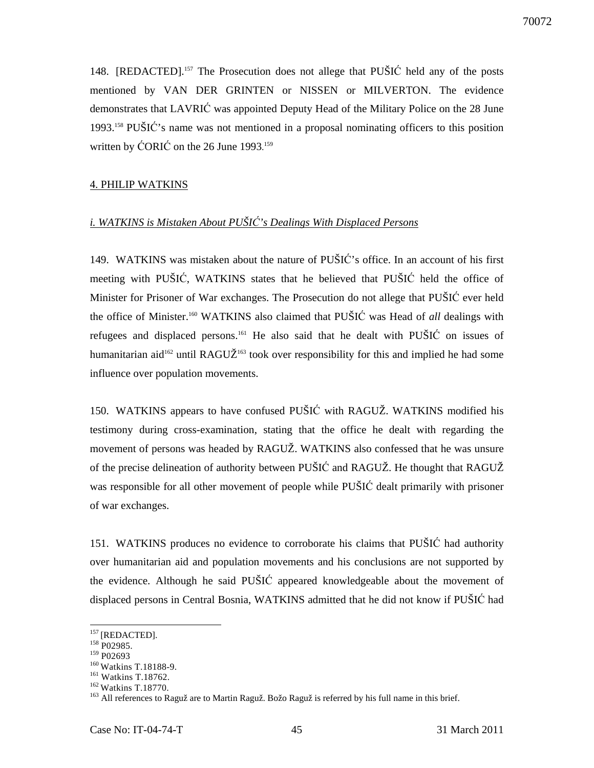148. [REDACTED].<sup>157</sup> The Prosecution does not allege that PUŠIĆ held any of the posts mentioned by VAN DER GRINTEN or NISSEN or MILVERTON. The evidence demonstrates that LAVRIĆ was appointed Deputy Head of the Military Police on the 28 June 1993.<sup>158</sup> PUŠIĆ's name was not mentioned in a proposal nominating officers to this position written by ĆORIĆ on the 26 June 1993.<sup>159</sup>

#### 4. PHILIP WATKINS

## *i. WATKINS is Mistaken About PUŠI*Ć*'s Dealings With Displaced Persons*

149. WATKINS was mistaken about the nature of PUŠIĆ's office. In an account of his first meeting with PUŠIĆ, WATKINS states that he believed that PUŠIĆ held the office of Minister for Prisoner of War exchanges. The Prosecution do not allege that PUŠIĆ ever held the office of Minister.<sup>160</sup> WATKINS also claimed that PUŠIĆ was Head of *all* dealings with refugees and displaced persons.<sup>161</sup> He also said that he dealt with PUSIC on issues of humanitarian aid<sup>162</sup> until RAGUŽ<sup>163</sup> took over responsibility for this and implied he had some influence over population movements.

150. WATKINS appears to have confused PUŠIĆ with RAGUŽ. WATKINS modified his testimony during cross-examination, stating that the office he dealt with regarding the movement of persons was headed by RAGUŽ. WATKINS also confessed that he was unsure of the precise delineation of authority between PUŠIĆ and RAGUŽ. He thought that RAGUŽ was responsible for all other movement of people while PUŠIĆ dealt primarily with prisoner of war exchanges.

151. WATKINS produces no evidence to corroborate his claims that PUŠIĆ had authority over humanitarian aid and population movements and his conclusions are not supported by the evidence. Although he said PUŠIĆ appeared knowledgeable about the movement of displaced persons in Central Bosnia, WATKINS admitted that he did not know if PUŠIĆ had

<sup>&</sup>lt;sup>157</sup> [REDACTED].

 $158$  P02985.

<sup>&</sup>lt;sup>159</sup> P02693

<sup>&</sup>lt;sup>160</sup> Watkins T.18188-9.

<sup>161</sup> Watkins T.18762.

 $162$  Watkins T.18770.

<sup>&</sup>lt;sup>163</sup> All references to Raguž are to Martin Raguž. Božo Raguž is referred by his full name in this brief.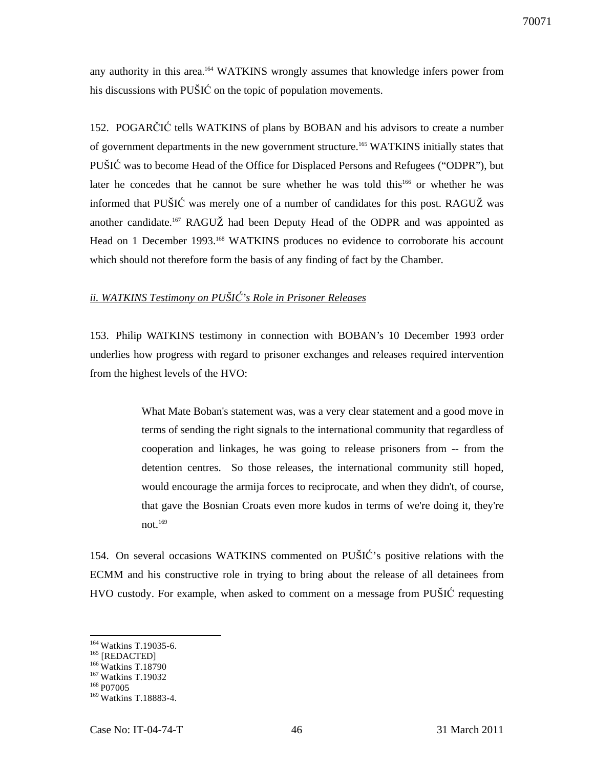any authority in this area. <sup>164</sup> WATKINS wrongly assumes that knowledge infers power from his discussions with PUŠIĆ on the topic of population movements.

152. POGARČIĆ tells WATKINS of plans by BOBAN and his advisors to create a number of government departments in the new government structure.<sup>165</sup> WATKINS initially states that PUŠIĆ was to become Head of the Office for Displaced Persons and Refugees ("ODPR"), but later he concedes that he cannot be sure whether he was told this<sup>166</sup> or whether he was informed that PUŠIĆ was merely one of a number of candidates for this post. RAGUŽ was another candidate.<sup>167</sup> RAGUŽ had been Deputy Head of the ODPR and was appointed as Head on 1 December 1993.<sup>168</sup> WATKINS produces no evidence to corroborate his account which should not therefore form the basis of any finding of fact by the Chamber.

## *ii. WATKINS Testimony on PUŠI*Ć*'s Role in Prisoner Releases*

153. Philip WATKINS testimony in connection with BOBAN's 10 December 1993 order underlies how progress with regard to prisoner exchanges and releases required intervention from the highest levels of the HVO:

> What Mate Boban's statement was, was a very clear statement and a good move in terms of sending the right signals to the international community that regardless of cooperation and linkages, he was going to release prisoners from -- from the detention centres. So those releases, the international community still hoped, would encourage the armija forces to reciprocate, and when they didn't, of course, that gave the Bosnian Croats even more kudos in terms of we're doing it, they're not. $169$

154. On several occasions WATKINS commented on PUŠIĆ's positive relations with the ECMM and his constructive role in trying to bring about the release of all detainees from HVO custody. For example, when asked to comment on a message from PUŠIĆ requesting

<sup>&</sup>lt;sup>164</sup> Watkins T.19035-6.

<sup>&</sup>lt;sup>165</sup> [REDACTED]

<sup>&</sup>lt;sup>166</sup> Watkins T.18790

<sup>&</sup>lt;sup>167</sup> Watkins T.19032

<sup>&</sup>lt;sup>168</sup> P07005

<sup>&</sup>lt;sup>169</sup> Watkins T.18883-4.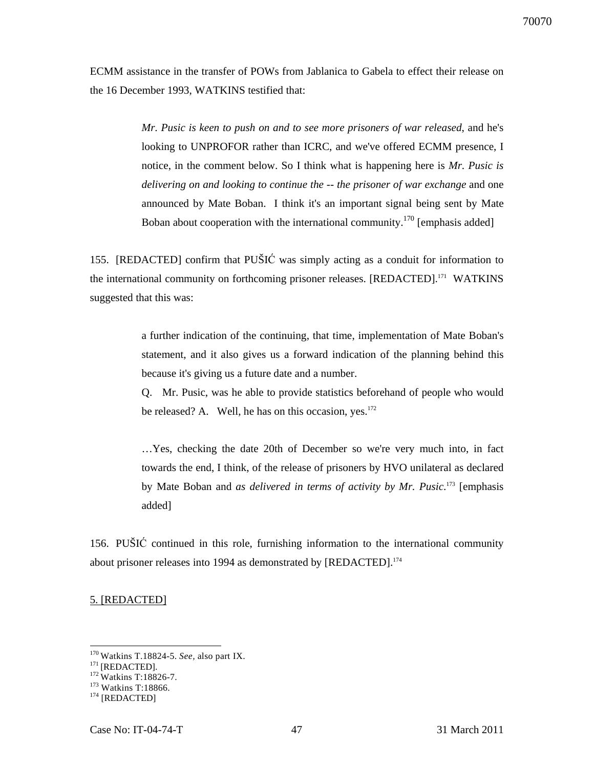ECMM assistance in the transfer of POWs from Jablanica to Gabela to effect their release on the 16 December 1993, WATKINS testified that:

> *Mr. Pusic is keen to push on and to see more prisoners of war released*, and he's looking to UNPROFOR rather than ICRC, and we've offered ECMM presence, I notice, in the comment below. So I think what is happening here is *Mr. Pusic is delivering on and looking to continue the -- the prisoner of war exchange* and one announced by Mate Boban. I think it's an important signal being sent by Mate Boban about cooperation with the international community.<sup>170</sup> [emphasis added]

155. [REDACTED] confirm that PUŠIĆ was simply acting as a conduit for information to the international community on forthcoming prisoner releases. [REDACTED].<sup>171</sup> WATKINS suggested that this was:

> a further indication of the continuing, that time, implementation of Mate Boban's statement, and it also gives us a forward indication of the planning behind this because it's giving us a future date and a number.

> Q. Mr. Pusic, was he able to provide statistics beforehand of people who would be released? A. Well, he has on this occasion, yes. $172$

> …Yes, checking the date 20th of December so we're very much into, in fact towards the end, I think, of the release of prisoners by HVO unilateral as declared by Mate Boban and *as delivered in terms of activity by Mr. Pusic*. <sup>173</sup> [emphasis added]

156. PUŠIĆ continued in this role, furnishing information to the international community about prisoner releases into 1994 as demonstrated by [REDACTED].<sup>174</sup>

#### 5. [REDACTED]

<sup>170</sup>Watkins T.18824-5. *See,* also part IX.

 $^{171}$ [REDACTED].

<sup>&</sup>lt;sup>172</sup> Watkins T:18826-7.

<sup>173</sup> Watkins T:18866.

<sup>&</sup>lt;sup>174</sup> [REDACTED]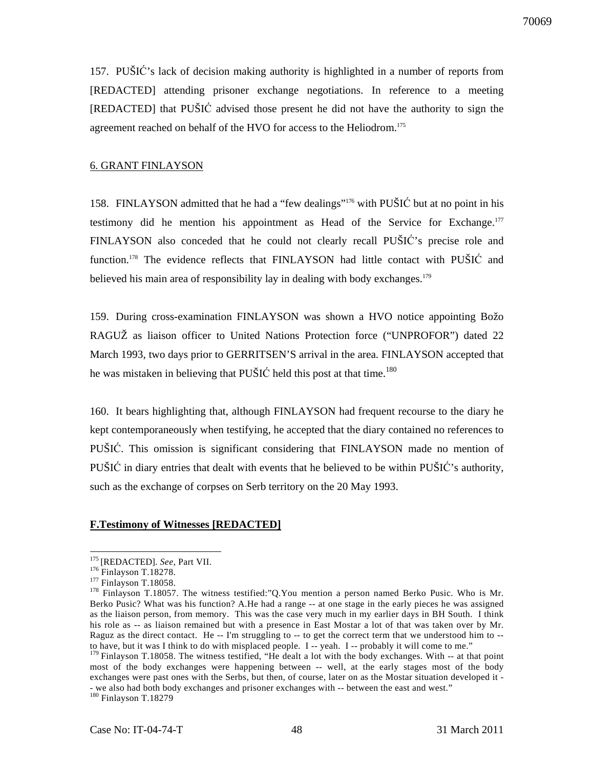157. PUŠIĆ's lack of decision making authority is highlighted in a number of reports from [REDACTED] attending prisoner exchange negotiations. In reference to a meeting [REDACTED] that PUŠIĆ advised those present he did not have the authority to sign the agreement reached on behalf of the HVO for access to the Heliodrom.<sup>175</sup>

#### 6. GRANT FINLAYSON

158. FINLAYSON admitted that he had a "few dealings"<sup>176</sup> with PUŠIĆ but at no point in his testimony did he mention his appointment as Head of the Service for Exchange.<sup>177</sup> FINLAYSON also conceded that he could not clearly recall PUŠIĆ's precise role and function.<sup>178</sup> The evidence reflects that FINLAYSON had little contact with PUŠIĆ and believed his main area of responsibility lay in dealing with body exchanges.<sup>179</sup>

159. During cross-examination FINLAYSON was shown a HVO notice appointing Božo RAGUŽ as liaison officer to United Nations Protection force ("UNPROFOR") dated 22 March 1993, two days prior to GERRITSEN'S arrival in the area. FINLAYSON accepted that he was mistaken in believing that PUŠIĆ held this post at that time.<sup>180</sup>

160. It bears highlighting that, although FINLAYSON had frequent recourse to the diary he kept contemporaneously when testifying, he accepted that the diary contained no references to PUŠIĆ. This omission is significant considering that FINLAYSON made no mention of PUŠIĆ in diary entries that dealt with events that he believed to be within PUŠIĆ's authority, such as the exchange of corpses on Serb territory on the 20 May 1993.

#### **F.Testimony of Witnesses [REDACTED]**

<sup>175</sup>[REDACTED]. *See*, Part VII.

<sup>176</sup> Finlayson T.18278.

<sup>&</sup>lt;sup>177</sup> Finlayson T.18058.

<sup>&</sup>lt;sup>178</sup> Finlayson T.18057. The witness testified:"Q.You mention a person named Berko Pusic. Who is Mr. Berko Pusic? What was his function? A.He had a range -- at one stage in the early pieces he was assigned as the liaison person, from memory. This was the case very much in my earlier days in BH South. I think his role as -- as liaison remained but with a presence in East Mostar a lot of that was taken over by Mr. Raguz as the direct contact. He -- I'm struggling to -- to get the correct term that we understood him to - to have, but it was I think to do with misplaced people. I -- yeah. I -- probably it will come to me."

<sup>&</sup>lt;sup>179</sup> Finlayson T.18058. The witness testified, "He dealt a lot with the body exchanges. With -- at that point most of the body exchanges were happening between -- well, at the early stages most of the body exchanges were past ones with the Serbs, but then, of course, later on as the Mostar situation developed it - - we also had both body exchanges and prisoner exchanges with -- between the east and west." <sup>180</sup> Finlayson T.18279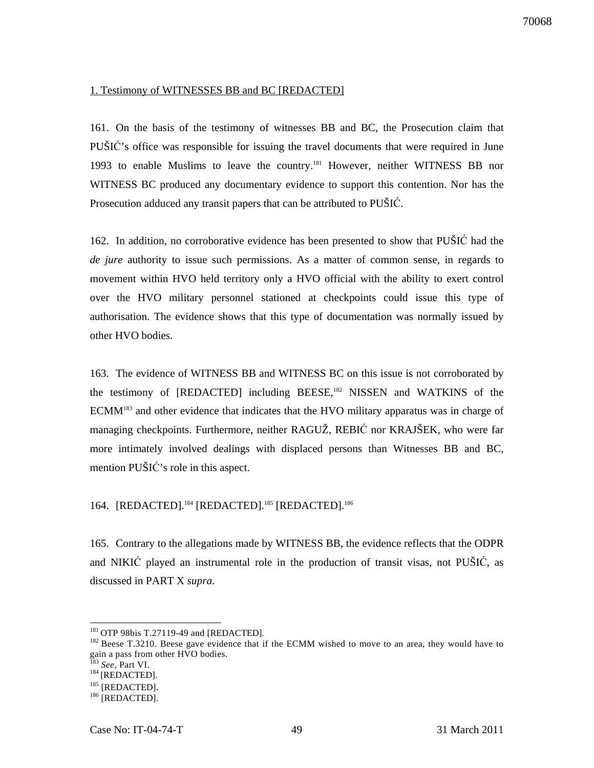#### 1. Testimony of WITNESSES BB and BC [REDACTED]

161. On the basis of the testimony of witnesses BB and BC, the Prosecution claim that PUŠIĆ's office was responsible for issuing the travel documents that were required in June 1993 to enable Muslims to leave the country.<sup>181</sup> However, neither WITNESS BB nor WITNESS BC produced any documentary evidence to support this contention. Nor has the Prosecution adduced any transit papers that can be attributed to PUŠIĆ.

162. In addition, no corroborative evidence has been presented to show that PUŠIĆ had the *de jure* authority to issue such permissions. As a matter of common sense, in regards to movement within HVO held territory only a HVO official with the ability to exert control over the HVO military personnel stationed at checkpoints could issue this type of authorisation. The evidence shows that this type of documentation was normally issued by other HVO bodies.

163. The evidence of WITNESS BB and WITNESS BC on this issue is not corroborated by the testimony of [REDACTED] including BEESE,<sup>182</sup> NISSEN and WATKINS of the ECMM<sup>183</sup> and other evidence that indicates that the HVO military apparatus was in charge of managing checkpoints. Furthermore, neither RAGUŽ, REBIĆ nor KRAJŠEK, who were far more intimately involved dealings with displaced persons than Witnesses BB and BC, mention PUŠIĆ's role in this aspect.

## 164. [REDACTED].<sup>184</sup> [REDACTED].<sup>185</sup> [REDACTED].<sup>186</sup>

165. Contrary to the allegations made by WITNESS BB, the evidence reflects that the ODPR and NIKIĆ played an instrumental role in the production of transit visas, not PUŠIĆ, as discussed in PART X *supra*.

<sup>&</sup>lt;sup>181</sup> OTP 98bis T.27119-49 and [REDACTED].

 $182$  Beese T.3210. Beese gave evidence that if the ECMM wished to move to an area, they would have to gain a pass from other HVO bodies.

See, Part VI.

 $184$  [REDACTED].

<sup>185 [</sup>REDACTED].

<sup>186 [</sup>REDACTED].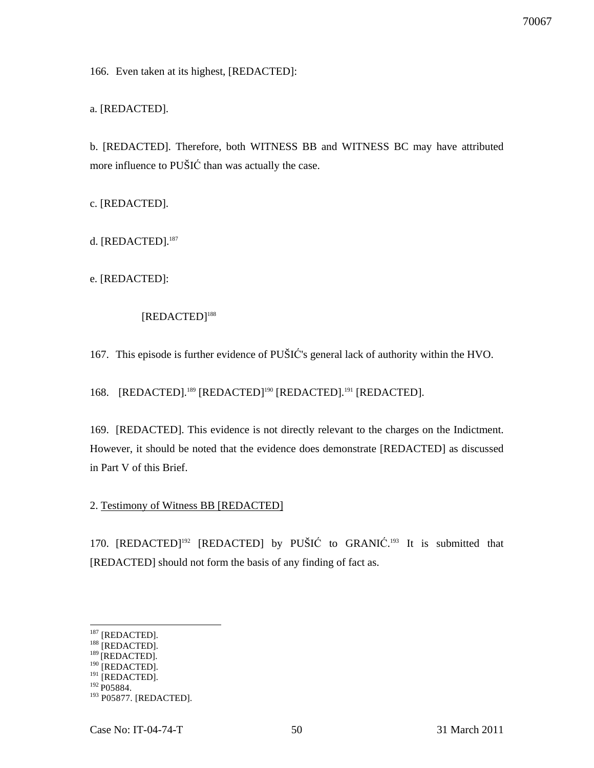166. Even taken at its highest, [REDACTED]:

a. [REDACTED].

b. [REDACTED]. Therefore, both WITNESS BB and WITNESS BC may have attributed more influence to PUŠIĆ than was actually the case.

c. [REDACTED].

d. [REDACTED].<sup>187</sup>

e. [REDACTED]:

## [REDACTED]<sup>188</sup>

167. This episode is further evidence of PUŠIĆ's general lack of authority within the HVO.

168. [REDACTED].<sup>189</sup> [REDACTED]<sup>190</sup> [REDACTED].<sup>191</sup> [REDACTED].

169. [REDACTED]. This evidence is not directly relevant to the charges on the Indictment. However, it should be noted that the evidence does demonstrate [REDACTED] as discussed in Part V of this Brief.

#### 2. Testimony of Witness BB [REDACTED]

170. [REDACTED]<sup>192</sup> [REDACTED] by PUŠIĆ to GRANIĆ.<sup>193</sup> It is submitted that [REDACTED] should not form the basis of any finding of fact as.

 $187$  [REDACTED].

<sup>188 [</sup>REDACTED].

 $189$  [REDACTED].

 $190$  [REDACTED].  $191$  [REDACTED].

 $192$  P05884.

<sup>&</sup>lt;sup>193</sup> P05877. [REDACTED].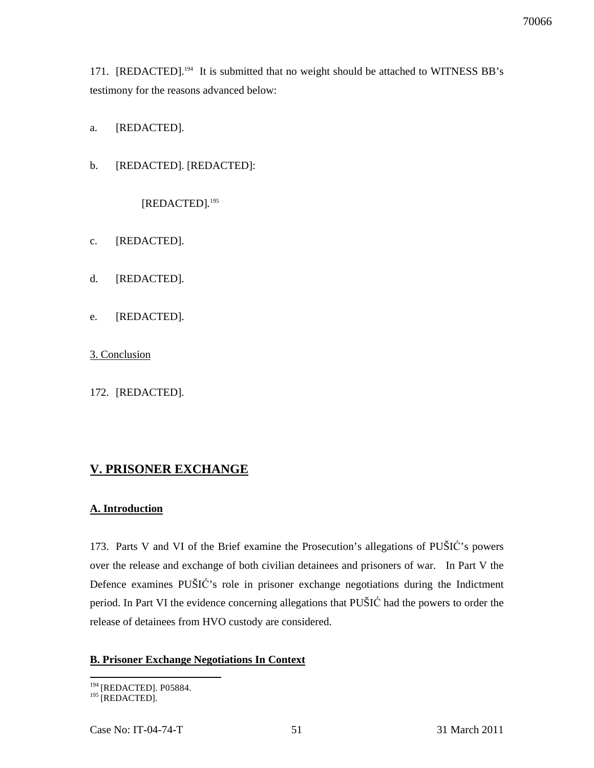171. [REDACTED].<sup>194</sup> It is submitted that no weight should be attached to WITNESS BB's testimony for the reasons advanced below:

- a. [REDACTED].
- b. [REDACTED]. [REDACTED]:

[REDACTED]*.* 195

- c. [REDACTED].
- d. [REDACTED].
- e. [REDACTED].

3. Conclusion

172. [REDACTED].

## **V. PRISONER EXCHANGE**

#### **A. Introduction**

173. Parts V and VI of the Brief examine the Prosecution's allegations of PUŠIĆ's powers over the release and exchange of both civilian detainees and prisoners of war. In Part V the Defence examines PUŠIĆ's role in prisoner exchange negotiations during the Indictment period. In Part VI the evidence concerning allegations that PUŠIĆ had the powers to order the release of detainees from HVO custody are considered.

#### **B. Prisoner Exchange Negotiations In Context**

 $\overline{a}$ <sup>194</sup> [REDACTED]. P05884.

<sup>&</sup>lt;sup>195</sup> [REDACTED].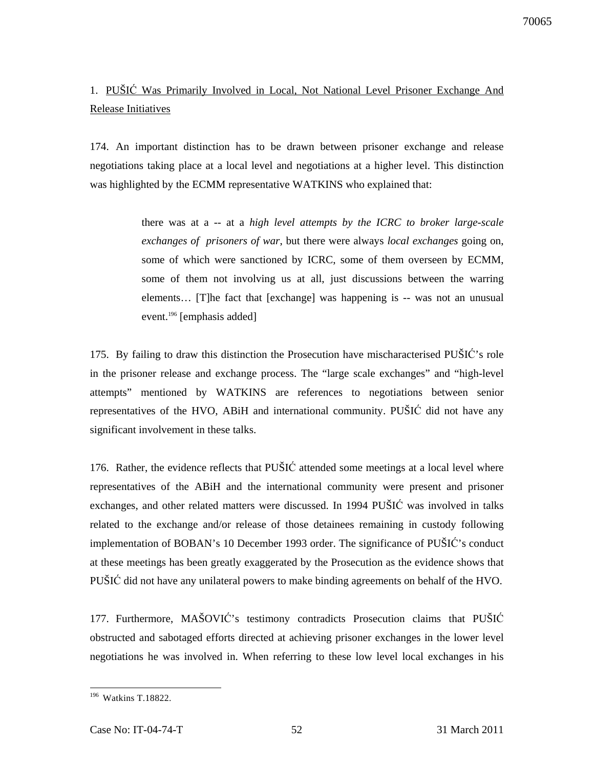# 1. PUŠIĆ Was Primarily Involved in Local, Not National Level Prisoner Exchange And Release Initiatives

174. An important distinction has to be drawn between prisoner exchange and release negotiations taking place at a local level and negotiations at a higher level. This distinction was highlighted by the ECMM representative WATKINS who explained that:

> there was at a -- at a *high level attempts by the ICRC to broker large-scale exchanges of prisoners of war*, but there were always *local exchanges* going on, some of which were sanctioned by ICRC, some of them overseen by ECMM, some of them not involving us at all, just discussions between the warring elements… [T]he fact that [exchange] was happening is -- was not an unusual event.<sup>196</sup> [emphasis added]

175. By failing to draw this distinction the Prosecution have mischaracterised PUŠIĆ's role in the prisoner release and exchange process. The "large scale exchanges" and "high-level attempts" mentioned by WATKINS are references to negotiations between senior representatives of the HVO, ABiH and international community. PUŠIĆ did not have any significant involvement in these talks.

176. Rather, the evidence reflects that PUŠIĆ attended some meetings at a local level where representatives of the ABiH and the international community were present and prisoner exchanges, and other related matters were discussed. In 1994 PUŠIĆ was involved in talks related to the exchange and/or release of those detainees remaining in custody following implementation of BOBAN's 10 December 1993 order. The significance of PUŠIĆ's conduct at these meetings has been greatly exaggerated by the Prosecution as the evidence shows that PUŠIĆ did not have any unilateral powers to make binding agreements on behalf of the HVO.

177. Furthermore, MAŠOVIĆ's testimony contradicts Prosecution claims that PUŠIĆ obstructed and sabotaged efforts directed at achieving prisoner exchanges in the lower level negotiations he was involved in. When referring to these low level local exchanges in his

 $\overline{a}$  $196$  Watkins T.18822.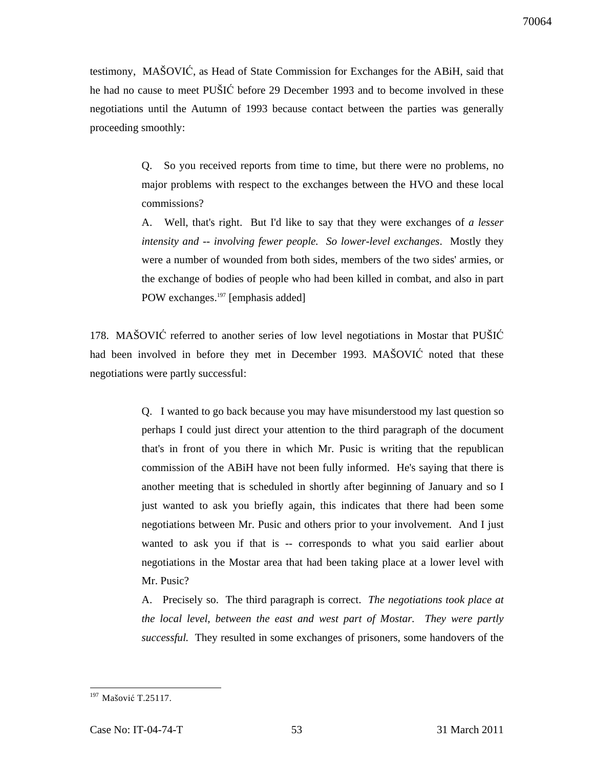testimony, MAŠOVIĆ, as Head of State Commission for Exchanges for the ABiH, said that he had no cause to meet PUŠIĆ before 29 December 1993 and to become involved in these negotiations until the Autumn of 1993 because contact between the parties was generally proceeding smoothly:

> Q. So you received reports from time to time, but there were no problems, no major problems with respect to the exchanges between the HVO and these local commissions?

> A. Well, that's right. But I'd like to say that they were exchanges of *a lesser intensity and -- involving fewer people. So lower-level exchanges*. Mostly they were a number of wounded from both sides, members of the two sides' armies, or the exchange of bodies of people who had been killed in combat, and also in part POW exchanges.<sup>197</sup> [emphasis added]

178. MAŠOVIĆ referred to another series of low level negotiations in Mostar that PUŠIĆ had been involved in before they met in December 1993. MAŠOVIĆ noted that these negotiations were partly successful:

> Q. I wanted to go back because you may have misunderstood my last question so perhaps I could just direct your attention to the third paragraph of the document that's in front of you there in which Mr. Pusic is writing that the republican commission of the ABiH have not been fully informed. He's saying that there is another meeting that is scheduled in shortly after beginning of January and so I just wanted to ask you briefly again, this indicates that there had been some negotiations between Mr. Pusic and others prior to your involvement. And I just wanted to ask you if that is -- corresponds to what you said earlier about negotiations in the Mostar area that had been taking place at a lower level with Mr. Pusic?

> A. Precisely so. The third paragraph is correct. *The negotiations took place at the local level, between the east and west part of Mostar. They were partly successful.* They resulted in some exchanges of prisoners, some handovers of the

<sup>&</sup>lt;sup>197</sup> Mašović T.25117.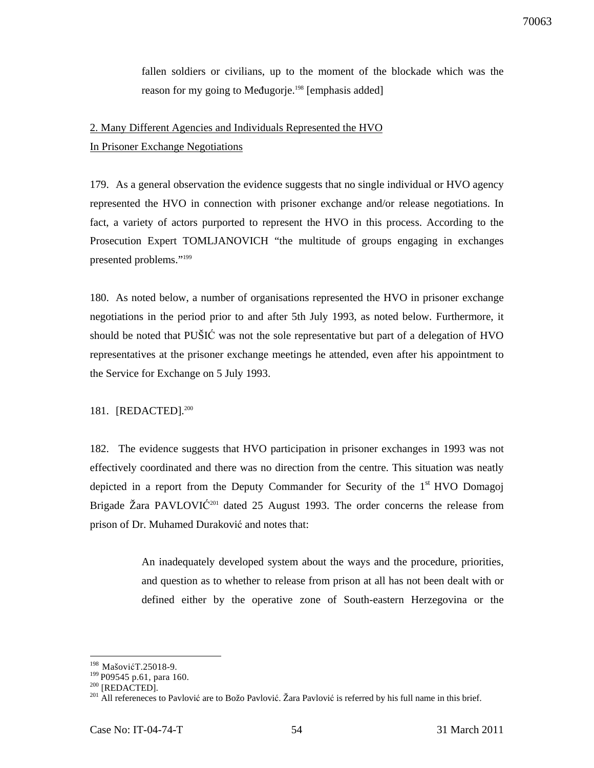fallen soldiers or civilians, up to the moment of the blockade which was the reason for my going to Međugorje.<sup>198</sup> [emphasis added]

# 2. Many Different Agencies and Individuals Represented the HVO

In Prisoner Exchange Negotiations

179. As a general observation the evidence suggests that no single individual or HVO agency represented the HVO in connection with prisoner exchange and/or release negotiations. In fact, a variety of actors purported to represent the HVO in this process. According to the Prosecution Expert TOMLJANOVICH "the multitude of groups engaging in exchanges presented problems."<sup>199</sup>

180. As noted below, a number of organisations represented the HVO in prisoner exchange negotiations in the period prior to and after 5th July 1993, as noted below. Furthermore, it should be noted that PUŠIĆ was not the sole representative but part of a delegation of HVO representatives at the prisoner exchange meetings he attended, even after his appointment to the Service for Exchange on 5 July 1993.

## 181. [REDACTED].<sup>200</sup>

182. The evidence suggests that HVO participation in prisoner exchanges in 1993 was not effectively coordinated and there was no direction from the centre. This situation was neatly depicted in a report from the Deputy Commander for Security of the  $1<sup>st</sup> HVO$  Domagoj Brigade Žara PAVLOVIĆ<sup>201</sup> dated 25 August 1993. The order concerns the release from prison of Dr. Muhamed Duraković and notes that:

> An inadequately developed system about the ways and the procedure, priorities, and question as to whether to release from prison at all has not been dealt with or defined either by the operative zone of South-eastern Herzegovina or the

 $\overline{a}$ <sup>198</sup> MašovićT.25018-9.

<sup>&</sup>lt;sup>199</sup> P09545 p.61, para 160.

 $200$  [REDACTED].

<sup>&</sup>lt;sup>201</sup> All refereneces to Pavlović are to Božo Pavlović. Žara Pavlović is referred by his full name in this brief.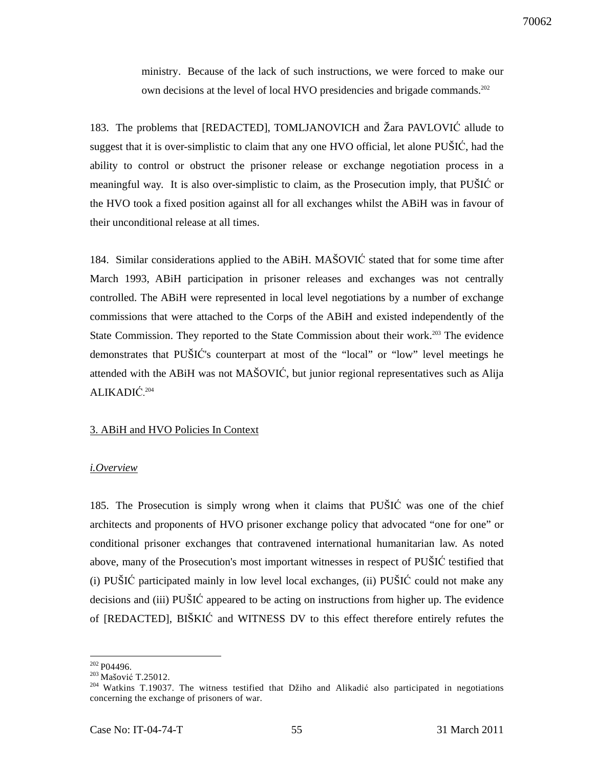ministry. Because of the lack of such instructions, we were forced to make our own decisions at the level of local HVO presidencies and brigade commands.<sup>202</sup>

183. The problems that [REDACTED], TOMLJANOVICH and Žara PAVLOVIĆ allude to suggest that it is over-simplistic to claim that any one HVO official, let alone PUŠIĆ, had the ability to control or obstruct the prisoner release or exchange negotiation process in a meaningful way. It is also over-simplistic to claim, as the Prosecution imply, that PUŠIĆ or the HVO took a fixed position against all for all exchanges whilst the ABiH was in favour of their unconditional release at all times.

184. Similar considerations applied to the ABiH. MAŠOVIĆ stated that for some time after March 1993, ABiH participation in prisoner releases and exchanges was not centrally controlled. The ABiH were represented in local level negotiations by a number of exchange commissions that were attached to the Corps of the ABiH and existed independently of the State Commission. They reported to the State Commission about their work.<sup>203</sup> The evidence demonstrates that PUŠIĆ's counterpart at most of the "local" or "low" level meetings he attended with the ABiH was not MAŠOVIĆ, but junior regional representatives such as Alija ALIKADIĆ. 204

#### 3. ABiH and HVO Policies In Context

#### *i.Overview*

185. The Prosecution is simply wrong when it claims that PUŠIĆ was one of the chief architects and proponents of HVO prisoner exchange policy that advocated "one for one" or conditional prisoner exchanges that contravened international humanitarian law. As noted above, many of the Prosecution's most important witnesses in respect of PUŠIĆ testified that (i) PUŠIĆ participated mainly in low level local exchanges, (ii) PUŠIĆ could not make any decisions and (iii) PUŠIĆ appeared to be acting on instructions from higher up. The evidence of [REDACTED], BIŠKIĆ and WITNESS DV to this effect therefore entirely refutes the

 $202$  P04496.

<sup>&</sup>lt;sup>203</sup> Mašović T.25012.

<sup>&</sup>lt;sup>204</sup> Watkins T.19037. The witness testified that Džiho and Alikadić also participated in negotiations concerning the exchange of prisoners of war.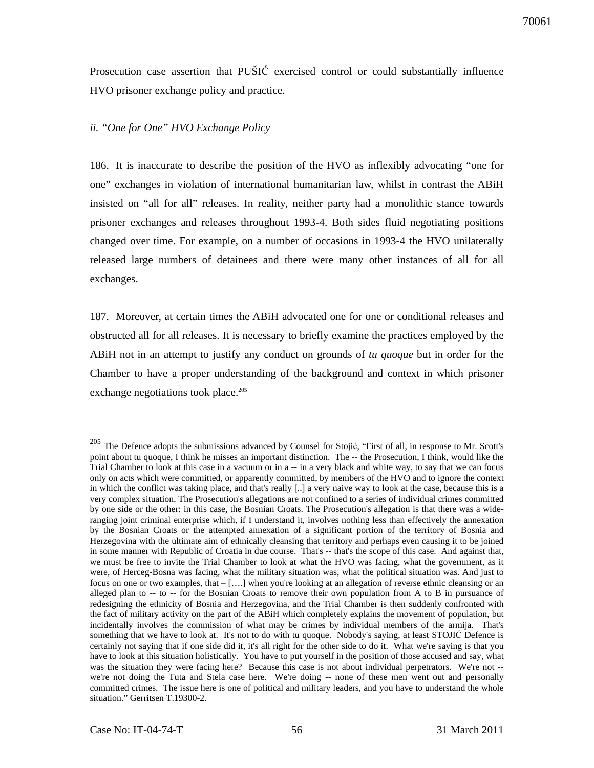Prosecution case assertion that PUŠIĆ exercised control or could substantially influence HVO prisoner exchange policy and practice.

## *ii. "One for One" HVO Exchange Policy*

186. It is inaccurate to describe the position of the HVO as inflexibly advocating "one for one" exchanges in violation of international humanitarian law, whilst in contrast the ABiH insisted on "all for all" releases. In reality, neither party had a monolithic stance towards prisoner exchanges and releases throughout 1993-4. Both sides fluid negotiating positions changed over time. For example, on a number of occasions in 1993-4 the HVO unilaterally released large numbers of detainees and there were many other instances of all for all exchanges.

187. Moreover, at certain times the ABiH advocated one for one or conditional releases and obstructed all for all releases. It is necessary to briefly examine the practices employed by the ABiH not in an attempt to justify any conduct on grounds of *tu quoque* but in order for the Chamber to have a proper understanding of the background and context in which prisoner exchange negotiations took place.<sup>205</sup>

<sup>&</sup>lt;sup>205</sup> The Defence adopts the submissions advanced by Counsel for Stojić, "First of all, in response to Mr. Scott's point about tu quoque, I think he misses an important distinction. The -- the Prosecution, I think, would like the Trial Chamber to look at this case in a vacuum or in a -- in a very black and white way, to say that we can focus only on acts which were committed, or apparently committed, by members of the HVO and to ignore the context in which the conflict was taking place, and that's really [..] a very naive way to look at the case, because this is a very complex situation. The Prosecution's allegations are not confined to a series of individual crimes committed by one side or the other: in this case, the Bosnian Croats. The Prosecution's allegation is that there was a wideranging joint criminal enterprise which, if I understand it, involves nothing less than effectively the annexation by the Bosnian Croats or the attempted annexation of a significant portion of the territory of Bosnia and Herzegovina with the ultimate aim of ethnically cleansing that territory and perhaps even causing it to be joined in some manner with Republic of Croatia in due course. That's -- that's the scope of this case. And against that, we must be free to invite the Trial Chamber to look at what the HVO was facing, what the government, as it were, of Herceg-Bosna was facing, what the military situation was, what the political situation was. And just to focus on one or two examples, that  $-[...]$  when you're looking at an allegation of reverse ethnic cleansing or an alleged plan to -- to -- for the Bosnian Croats to remove their own population from A to B in pursuance of redesigning the ethnicity of Bosnia and Herzegovina, and the Trial Chamber is then suddenly confronted with the fact of military activity on the part of the ABiH which completely explains the movement of population, but incidentally involves the commission of what may be crimes by individual members of the armija. That's something that we have to look at. It's not to do with tu quoque. Nobody's saying, at least STOJIĆ Defence is certainly not saying that if one side did it, it's all right for the other side to do it. What we're saying is that you have to look at this situation holistically. You have to put yourself in the position of those accused and say, what was the situation they were facing here? Because this case is not about individual perpetrators. We're not - we're not doing the Tuta and Stela case here. We're doing -- none of these men went out and personally committed crimes. The issue here is one of political and military leaders, and you have to understand the whole situation." Gerritsen T.19300-2.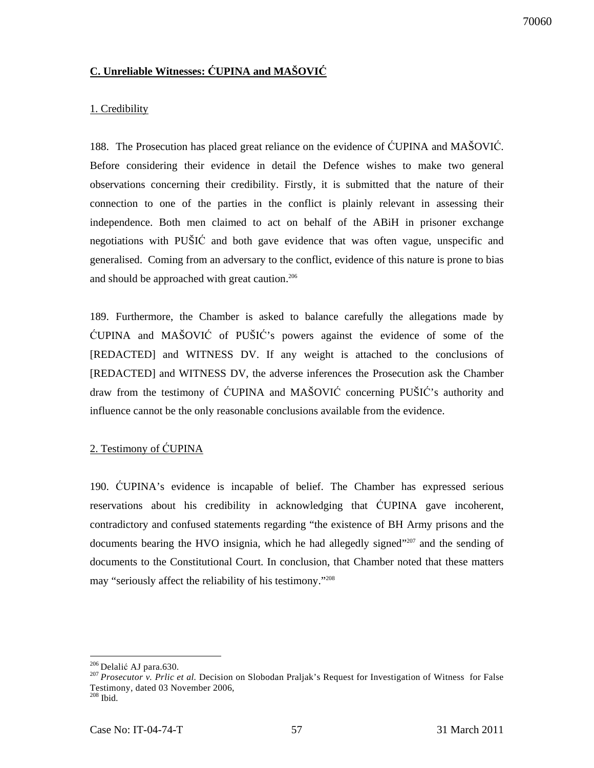## **C. Unreliable Witnesses:** Ć**UPINA and MAŠOVI**Ć

#### 1. Credibility

188. The Prosecution has placed great reliance on the evidence of ĆUPINA and MAŠOVIĆ. Before considering their evidence in detail the Defence wishes to make two general observations concerning their credibility. Firstly, it is submitted that the nature of their connection to one of the parties in the conflict is plainly relevant in assessing their independence. Both men claimed to act on behalf of the ABiH in prisoner exchange negotiations with PUŠIĆ and both gave evidence that was often vague, unspecific and generalised. Coming from an adversary to the conflict, evidence of this nature is prone to bias and should be approached with great caution.<sup>206</sup>

189. Furthermore, the Chamber is asked to balance carefully the allegations made by ĆUPINA and MAŠOVIĆ of PUŠIĆ's powers against the evidence of some of the [REDACTED] and WITNESS DV. If any weight is attached to the conclusions of [REDACTED] and WITNESS DV, the adverse inferences the Prosecution ask the Chamber draw from the testimony of ĆUPINA and MAŠOVIĆ concerning PUŠIĆ's authority and influence cannot be the only reasonable conclusions available from the evidence.

## 2. Testimony of ĆUPINA

190. ĆUPINA's evidence is incapable of belief. The Chamber has expressed serious reservations about his credibility in acknowledging that ĆUPINA gave incoherent, contradictory and confused statements regarding "the existence of BH Army prisons and the documents bearing the HVO insignia, which he had allegedly signed"<sup>207</sup> and the sending of documents to the Constitutional Court. In conclusion, that Chamber noted that these matters may "seriously affect the reliability of his testimony."<sup>208</sup>

 $\overline{a}$ <sup>206</sup> Delalić AJ para.630.

<sup>&</sup>lt;sup>207</sup> Prosecutor v. Prlic et al. Decision on Slobodan Praljak's Request for Investigation of Witness for False Testimony, dated 03 November 2006,

 $208$  Ibid.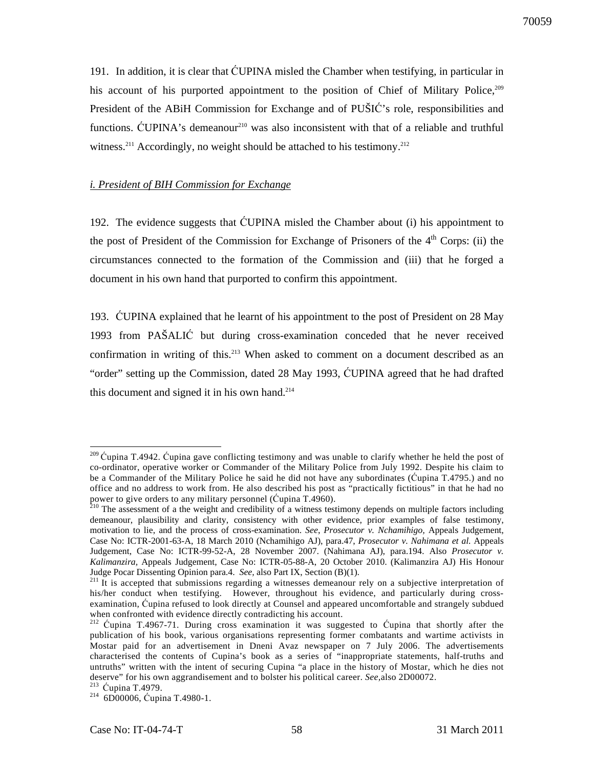191. In addition, it is clear that ĆUPINA misled the Chamber when testifying, in particular in his account of his purported appointment to the position of Chief of Military Police, 209 President of the ABiH Commission for Exchange and of PUŠIĆ's role, responsibilities and functions. ĆUPINA's demeanour<sup>210</sup> was also inconsistent with that of a reliable and truthful witness.<sup>211</sup> Accordingly, no weight should be attached to his testimony.<sup>212</sup>

#### *i. President of BIH Commission for Exchange*

192. The evidence suggests that ĆUPINA misled the Chamber about (i) his appointment to the post of President of the Commission for Exchange of Prisoners of the  $4<sup>th</sup>$  Corps: (ii) the circumstances connected to the formation of the Commission and (iii) that he forged a document in his own hand that purported to confirm this appointment.

193. ĆUPINA explained that he learnt of his appointment to the post of President on 28 May 1993 from PAŠALIĆ but during cross-examination conceded that he never received confirmation in writing of this.<sup>213</sup> When asked to comment on a document described as an "order" setting up the Commission, dated 28 May 1993, ĆUPINA agreed that he had drafted this document and signed it in his own hand.<sup>214</sup>

 $^{209}$  Cupina T.4942. Cupina gave conflicting testimony and was unable to clarify whether he held the post of co-ordinator, operative worker or Commander of the Military Police from July 1992. Despite his claim to be a Commander of the Military Police he said he did not have any subordinates (Ćupina T.4795.) and no office and no address to work from. He also described his post as "practically fictitious" in that he had no power to give orders to any military personnel (Ćupina T.4960).

 $^{210}$  The assessment of a the weight and credibility of a witness testimony depends on multiple factors including demeanour, plausibility and clarity, consistency with other evidence, prior examples of false testimony, motivation to lie, and the process of cross-examination. *See*, *Prosecutor v. Nchamihigo,* Appeals Judgement, Case No: ICTR-2001-63-A, 18 March 2010 (Nchamihigo AJ), para.47, *Prosecutor v. Nahimana et al.* Appeals Judgement, Case No: ICTR-99-52-A, 28 November 2007. (Nahimana AJ), para.194. Also *Prosecutor v. Kalimanzira,* Appeals Judgement, Case No: ICTR-05-88-A, 20 October 2010. (Kalimanzira AJ) His Honour Judge Pocar Dissenting Opinion para.4. *See,* also Part IX, Section (B)(1).

<sup>&</sup>lt;sup>211</sup>It is accepted that submissions regarding a witnesses demeanour rely on a subjective interpretation of his/her conduct when testifying. However, throughout his evidence, and particularly during crossexamination, Ćupina refused to look directly at Counsel and appeared uncomfortable and strangely subdued when confronted with evidence directly contradicting his account.

<sup>&</sup>lt;sup>212</sup> Ćupina T.4967-71. During cross examination it was suggested to Ćupina that shortly after the publication of his book, various organisations representing former combatants and wartime activists in Mostar paid for an advertisement in Dneni Avaz newspaper on 7 July 2006. The advertisements characterised the contents of Cupina's book as a series of "inappropriate statements, half-truths and untruths" written with the intent of securing Cupina "a place in the history of Mostar, which he dies not deserve" for his own aggrandisement and to bolster his political career. *See,*also 2D00072.

<sup>213</sup> Ćupina T.4979.

<sup>214</sup> 6D00006, Ćupina T.4980-1.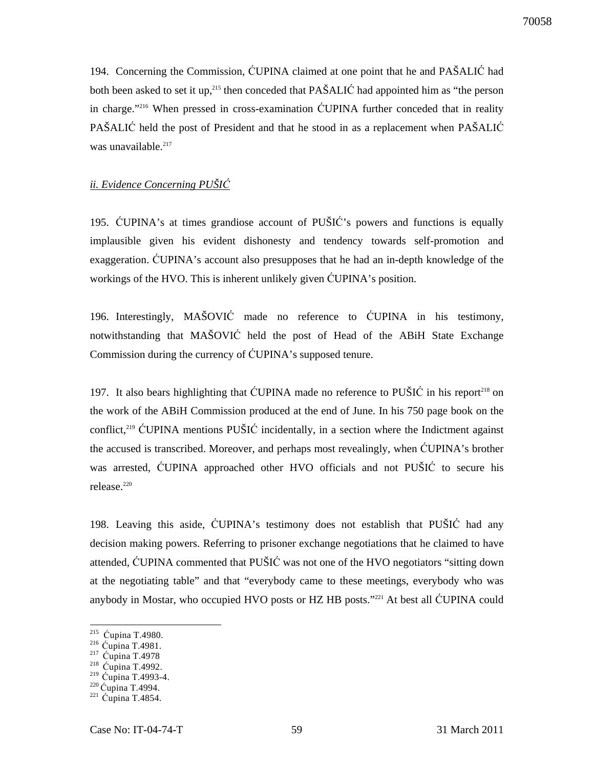194. Concerning the Commission, ĆUPINA claimed at one point that he and PAŠALIĆ had both been asked to set it up,<sup>215</sup> then conceded that PAŠALIĆ had appointed him as "the person" in charge."<sup>216</sup> When pressed in cross-examination ĆUPINA further conceded that in reality PAŠALIĆ held the post of President and that he stood in as a replacement when PAŠALIĆ was unavailable.<sup>217</sup>

#### *ii. Evidence Concerning PUŠI*Ć

195. ĆUPINA's at times grandiose account of PUŠIĆ's powers and functions is equally implausible given his evident dishonesty and tendency towards self-promotion and exaggeration. ĆUPINA's account also presupposes that he had an in-depth knowledge of the workings of the HVO. This is inherent unlikely given ĆUPINA's position.

196. Interestingly, MAŠOVIĆ made no reference to ĆUPINA in his testimony, notwithstanding that MAŠOVIĆ held the post of Head of the ABiH State Exchange Commission during the currency of ĆUPINA's supposed tenure.

197. It also bears highlighting that CUPINA made no reference to PUSIC in his report<sup>218</sup> on the work of the ABiH Commission produced at the end of June. In his 750 page book on the conflict,<sup>219</sup> CUPINA mentions PUŠIĆ incidentally, in a section where the Indictment against the accused is transcribed. Moreover, and perhaps most revealingly, when ĆUPINA's brother was arrested, ĆUPINA approached other HVO officials and not PUŠIĆ to secure his release.<sup>220</sup>

198. Leaving this aside, ĆUPINA's testimony does not establish that PUŠIĆ had any decision making powers. Referring to prisoner exchange negotiations that he claimed to have attended, ĆUPINA commented that PUŠIĆ was not one of the HVO negotiators "sitting down at the negotiating table" and that "everybody came to these meetings, everybody who was anybody in Mostar, who occupied HVO posts or HZ HB posts."<sup>221</sup> At best all ĆUPINA could

<sup>220</sup> Ćupina T.4994.

 215 Ćupina T.4980.

<sup>216</sup> Ćupina T.4981.

<sup>&</sup>lt;sup>217</sup> Ćupina T.4978

<sup>218</sup> Ćupina T.4992.

<sup>219</sup> Ćupina T.4993-4.

 $221$  Ćupina T.4854.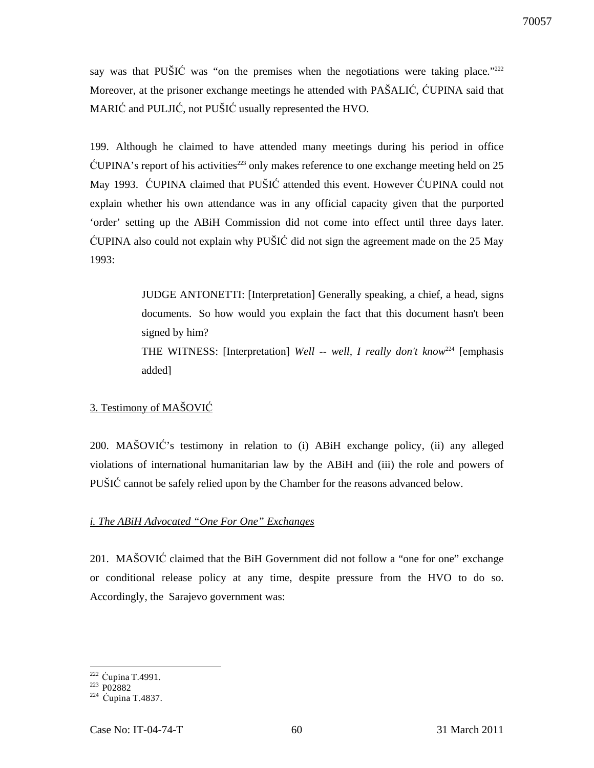say was that PUŠIĆ was "on the premises when the negotiations were taking place." $222$ Moreover, at the prisoner exchange meetings he attended with PAŠALIĆ, ĆUPINA said that MARIĆ and PULJIĆ, not PUŠIĆ usually represented the HVO.

199. Although he claimed to have attended many meetings during his period in office  $\text{CUPINA's report of his activities}^{223}$  only makes reference to one exchange meeting held on 25 May 1993. ĆUPINA claimed that PUŠIĆ attended this event. However ĆUPINA could not explain whether his own attendance was in any official capacity given that the purported 'order' setting up the ABiH Commission did not come into effect until three days later. ĆUPINA also could not explain why PUŠIĆ did not sign the agreement made on the 25 May 1993:

> JUDGE ANTONETTI: [Interpretation] Generally speaking, a chief, a head, signs documents. So how would you explain the fact that this document hasn't been signed by him?

> THE WITNESS: [Interpretation] *Well -- well, I really don't know*<sup>224</sup> [emphasis added]

## 3. Testimony of MAŠOVIĆ

200. MAŠOVIĆ's testimony in relation to (i) ABiH exchange policy, (ii) any alleged violations of international humanitarian law by the ABiH and (iii) the role and powers of PUŠIĆ cannot be safely relied upon by the Chamber for the reasons advanced below.

## *i. The ABiH Advocated "One For One" Exchanges*

201. MAŠOVIĆ claimed that the BiH Government did not follow a "one for one" exchange or conditional release policy at any time, despite pressure from the HVO to do so. Accordingly, the Sarajevo government was:

 $\overline{a}$ <sup>222</sup> Ćupina T.4991.

 $223 P02882$ 

<sup>224</sup> Ćupina T.4837.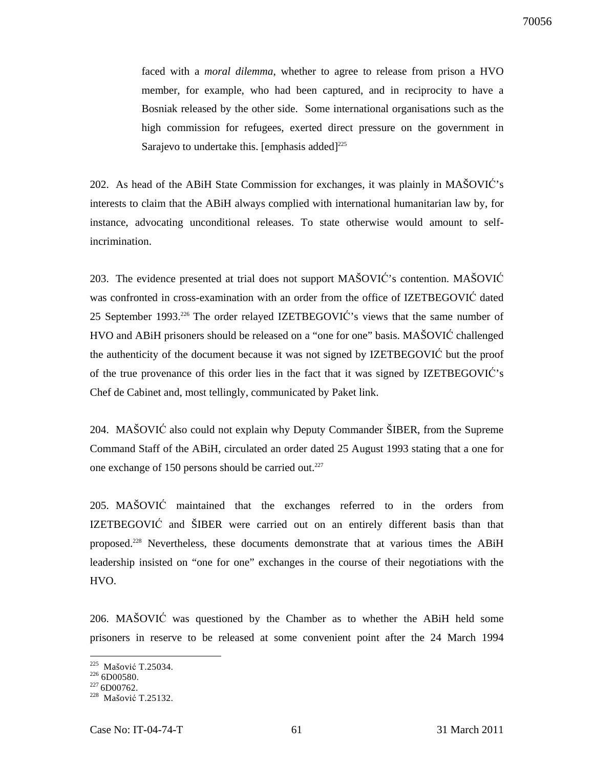faced with a *moral dilemma*, whether to agree to release from prison a HVO member, for example, who had been captured, and in reciprocity to have a Bosniak released by the other side. Some international organisations such as the high commission for refugees, exerted direct pressure on the government in Sarajevo to undertake this. [emphasis added] $^{225}$ 

202. As head of the ABiH State Commission for exchanges, it was plainly in MAŠOVIĆ's interests to claim that the ABiH always complied with international humanitarian law by, for instance, advocating unconditional releases. To state otherwise would amount to selfincrimination.

203. The evidence presented at trial does not support MAŠOVIĆ's contention. MAŠOVIĆ was confronted in cross-examination with an order from the office of IZETBEGOVIĆ dated 25 September 1993.<sup>226</sup> The order relayed IZETBEGOVIĆ's views that the same number of HVO and ABiH prisoners should be released on a "one for one" basis. MAŠOVIĆ challenged the authenticity of the document because it was not signed by IZETBEGOVIĆ but the proof of the true provenance of this order lies in the fact that it was signed by IZETBEGOVIĆ's Chef de Cabinet and, most tellingly, communicated by Paket link.

204. MAŠOVIĆ also could not explain why Deputy Commander ŠIBER, from the Supreme Command Staff of the ABiH, circulated an order dated 25 August 1993 stating that a one for one exchange of 150 persons should be carried out.<sup>227</sup>

205. MAŠOVIĆ maintained that the exchanges referred to in the orders from IZETBEGOVIĆ and ŠIBER were carried out on an entirely different basis than that proposed.<sup>228</sup> Nevertheless, these documents demonstrate that at various times the ABiH leadership insisted on "one for one" exchanges in the course of their negotiations with the HVO.

206. MAŠOVIĆ was questioned by the Chamber as to whether the ABiH held some prisoners in reserve to be released at some convenient point after the 24 March 1994

 $226$  6D00580.

<sup>225</sup> Mašović T.25034.

 $227\,6\rm{D}00762.$ 

<sup>228</sup> Mašović T.25132.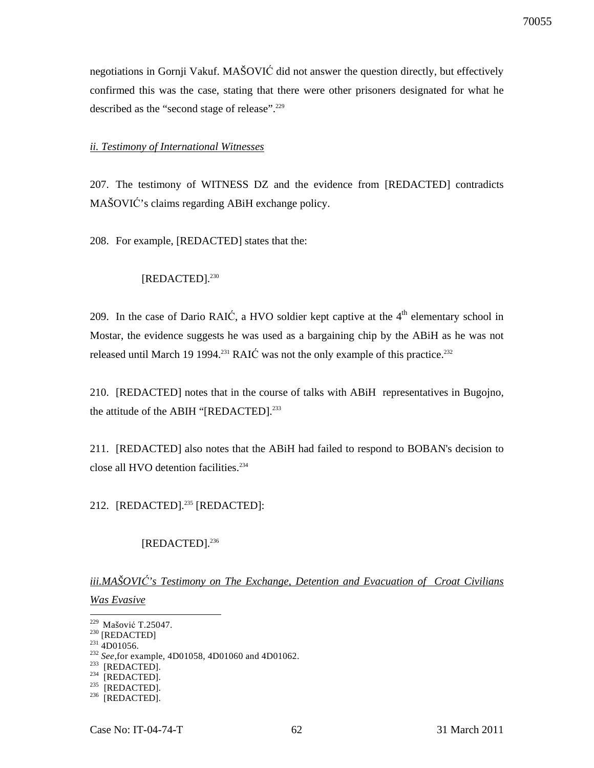negotiations in Gornji Vakuf. MAŠOVIĆ did not answer the question directly, but effectively confirmed this was the case, stating that there were other prisoners designated for what he described as the "second stage of release".<sup>229</sup>

## *ii. Testimony of International Witnesses*

207. The testimony of WITNESS DZ and the evidence from [REDACTED] contradicts MAŠOVIĆ's claims regarding ABiH exchange policy.

208. For example, [REDACTED] states that the:

## [REDACTED].<sup>230</sup>

209. In the case of Dario RAIC, a HVO soldier kept captive at the  $4<sup>th</sup>$  elementary school in Mostar, the evidence suggests he was used as a bargaining chip by the ABiH as he was not released until March 19 1994.<sup>231</sup> RAIC was not the only example of this practice.<sup>232</sup>

210. [REDACTED] notes that in the course of talks with ABiH representatives in Bugojno, the attitude of the ABIH "[REDACTED].<sup>233</sup>

211. [REDACTED] also notes that the ABiH had failed to respond to BOBAN's decision to close all HVO detention facilities.<sup>234</sup>

212. [REDACTED].<sup>235</sup> [REDACTED]:

## [REDACTED].<sup>236</sup>

*iii.MAŠOVI*Ć*'s Testimony on The Exchange, Detention and Evacuation of Croat Civilians Was Evasive*

 $\overline{a}$ <sup>229</sup> Mašović T.25047.

 $^{230}$  [REDACTED]

 $231$  4D01056.

<sup>232</sup> *See*,for example, 4D01058, 4D01060 and 4D01062.

 $233$  [REDACTED].

 $234$  [REDACTED].

 $^{235}$  [REDACTED].

 $236$  [REDACTED].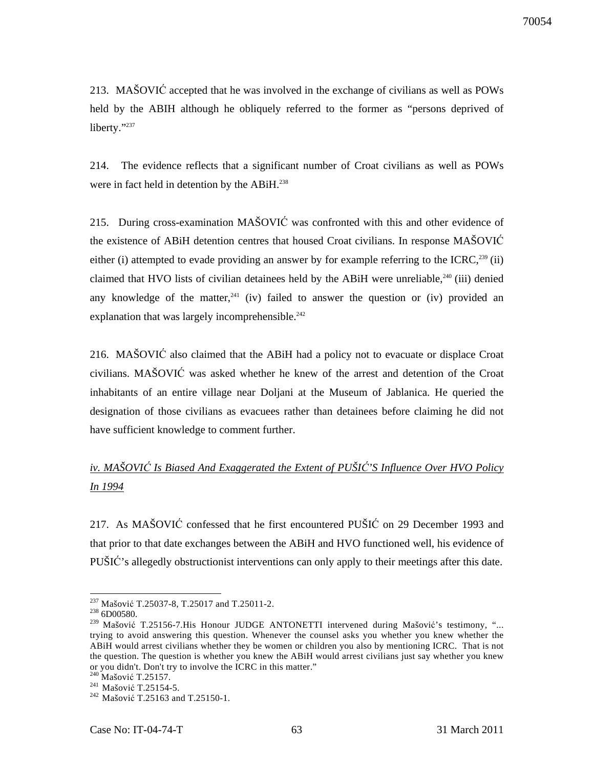213. MAŠOVIĆ accepted that he was involved in the exchange of civilians as well as POWs held by the ABIH although he obliquely referred to the former as "persons deprived of liberty."237

214. The evidence reflects that a significant number of Croat civilians as well as POWs were in fact held in detention by the ABiH.<sup>238</sup>

215. During cross-examination MAŠOVIĆ was confronted with this and other evidence of the existence of ABiH detention centres that housed Croat civilians. In response MAŠOVIĆ either (i) attempted to evade providing an answer by for example referring to the ICRC,<sup>239</sup> (ii) claimed that HVO lists of civilian detainees held by the ABiH were unreliable, $240$  (iii) denied any knowledge of the matter,<sup>241</sup> (iv) failed to answer the question or (iv) provided an explanation that was largely incomprehensible. $242$ 

216. MAŠOVIĆ also claimed that the ABiH had a policy not to evacuate or displace Croat civilians. MAŠOVIĆ was asked whether he knew of the arrest and detention of the Croat inhabitants of an entire village near Doljani at the Museum of Jablanica. He queried the designation of those civilians as evacuees rather than detainees before claiming he did not have sufficient knowledge to comment further.

# *iv. MAŠOVI*Ć *Is Biased And Exaggerated the Extent of PUŠI*Ć*'S Influence Over HVO Policy In 1994*

217. As MAŠOVIĆ confessed that he first encountered PUŠIĆ on 29 December 1993 and that prior to that date exchanges between the ABiH and HVO functioned well, his evidence of PUŠIĆ's allegedly obstructionist interventions can only apply to their meetings after this date.

<sup>&</sup>lt;sup>237</sup> Mašović T.25037-8, T.25017 and T.25011-2.

 $^{238}$  6D00580.

<sup>&</sup>lt;sup>239</sup> Mašović T.25156-7. His Honour JUDGE ANTONETTI intervened during Mašović's testimony, "... trying to avoid answering this question. Whenever the counsel asks you whether you knew whether the ABiH would arrest civilians whether they be women or children you also by mentioning ICRC. That is not the question. The question is whether you knew the ABiH would arrest civilians just say whether you knew or you didn't. Don't try to involve the ICRC in this matter."

<sup>&</sup>lt;sup>240</sup> Mašović T.25157.

<sup>&</sup>lt;sup>241</sup> Mašović T.25154-5.

<sup>&</sup>lt;sup>242</sup> Mašović T.25163 and T.25150-1.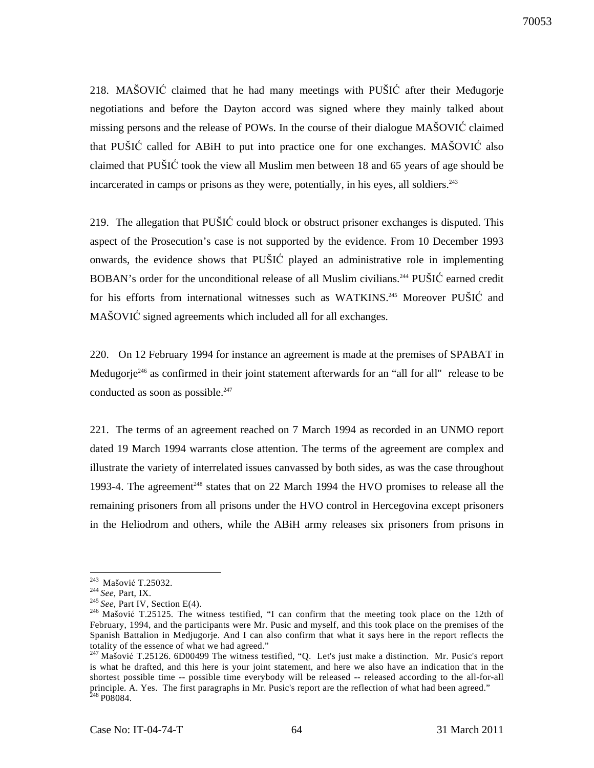218. MAŠOVIĆ claimed that he had many meetings with PUŠIĆ after their Međugorje negotiations and before the Dayton accord was signed where they mainly talked about missing persons and the release of POWs. In the course of their dialogue MAŠOVIĆ claimed that PUŠIĆ called for ABiH to put into practice one for one exchanges. MAŠOVIĆ also claimed that PUŠIĆ took the view all Muslim men between 18 and 65 years of age should be incarcerated in camps or prisons as they were, potentially, in his eyes, all soldiers.<sup>243</sup>

219. The allegation that PUŠIĆ could block or obstruct prisoner exchanges is disputed. This aspect of the Prosecution's case is not supported by the evidence. From 10 December 1993 onwards, the evidence shows that PUŠIĆ played an administrative role in implementing BOBAN's order for the unconditional release of all Muslim civilians.<sup>244</sup> PUŠIĆ earned credit for his efforts from international witnesses such as WATKINS.<sup>245</sup> Moreover PUSIC and MAŠOVIĆ signed agreements which included all for all exchanges.

220. On 12 February 1994 for instance an agreement is made at the premises of SPABAT in Međugorje<sup>246</sup> as confirmed in their joint statement afterwards for an "all for all" release to be conducted as soon as possible. $247$ 

221. The terms of an agreement reached on 7 March 1994 as recorded in an UNMO report dated 19 March 1994 warrants close attention. The terms of the agreement are complex and illustrate the variety of interrelated issues canvassed by both sides, as was the case throughout 1993-4. The agreement<sup>248</sup> states that on 22 March 1994 the HVO promises to release all the remaining prisoners from all prisons under the HVO control in Hercegovina except prisoners in the Heliodrom and others, while the ABiH army releases six prisoners from prisons in

<sup>&</sup>lt;sup>243</sup> Mašović T.25032.

<sup>244</sup> *See,* Part, IX.

<sup>&</sup>lt;sup>245</sup> See, Part IV, Section E(4).

<sup>&</sup>lt;sup>246</sup> Mašović T.25125. The witness testified, "I can confirm that the meeting took place on the 12th of February, 1994, and the participants were Mr. Pusic and myself, and this took place on the premises of the Spanish Battalion in Medjugorje. And I can also confirm that what it says here in the report reflects the totality of the essence of what we had agreed."

<sup>&</sup>lt;sup>247</sup>Mašović T.25126. 6D00499 The witness testified, "Q. Let's just make a distinction. Mr. Pusic's report is what he drafted, and this here is your joint statement, and here we also have an indication that in the shortest possible time -- possible time everybody will be released -- released according to the all-for-all principle. A. Yes. The first paragraphs in Mr. Pusic's report are the reflection of what had been agreed."  $248P08084.$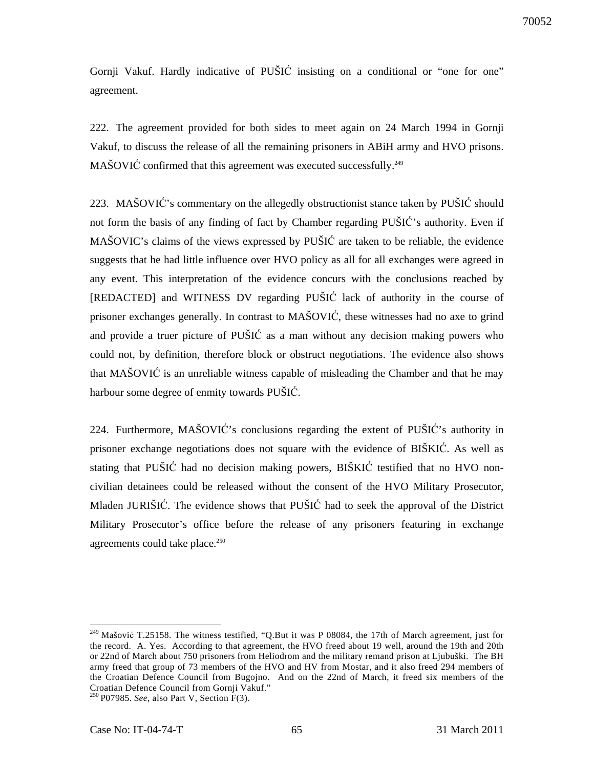Gornji Vakuf. Hardly indicative of PUŠIĆ insisting on a conditional or "one for one" agreement.

222. The agreement provided for both sides to meet again on 24 March 1994 in Gornji Vakuf, to discuss the release of all the remaining prisoners in ABiH army and HVO prisons. MAŠOVIĆ confirmed that this agreement was executed successfully.<sup>249</sup>

223. MAŠOVIĆ's commentary on the allegedly obstructionist stance taken by PUŠIĆ should not form the basis of any finding of fact by Chamber regarding PUŠIĆ's authority. Even if MAŠOVIC's claims of the views expressed by PUŠIĆ are taken to be reliable, the evidence suggests that he had little influence over HVO policy as all for all exchanges were agreed in any event. This interpretation of the evidence concurs with the conclusions reached by [REDACTED] and WITNESS DV regarding PUŠIĆ lack of authority in the course of prisoner exchanges generally. In contrast to MAŠOVIĆ, these witnesses had no axe to grind and provide a truer picture of PUŠIĆ as a man without any decision making powers who could not, by definition, therefore block or obstruct negotiations. The evidence also shows that MAŠOVIĆ is an unreliable witness capable of misleading the Chamber and that he may harbour some degree of enmity towards PUŠIĆ.

224. Furthermore, MAŠOVIĆ's conclusions regarding the extent of PUŠIĆ's authority in prisoner exchange negotiations does not square with the evidence of BIŠKIĆ. As well as stating that PUŠIĆ had no decision making powers, BIŠKIĆ testified that no HVO noncivilian detainees could be released without the consent of the HVO Military Prosecutor, Mladen JURIŠIĆ. The evidence shows that PUŠIĆ had to seek the approval of the District Military Prosecutor's office before the release of any prisoners featuring in exchange agreements could take place.<sup>250</sup>

<sup>&</sup>lt;sup>249</sup> Mašović T.25158. The witness testified, "Q.But it was P 08084, the 17th of March agreement, just for the record. A. Yes. According to that agreement, the HVO freed about 19 well, around the 19th and 20th or 22nd of March about 750 prisoners from Heliodrom and the military remand prison at Ljubuški. The BH army freed that group of 73 members of the HVO and HV from Mostar, and it also freed 294 members of the Croatian Defence Council from Bugojno. And on the 22nd of March, it freed six members of the Croatian Defence Council from Gornji Vakuf." <sup>250</sup>P07985. *See*, also Part V, Section F(3).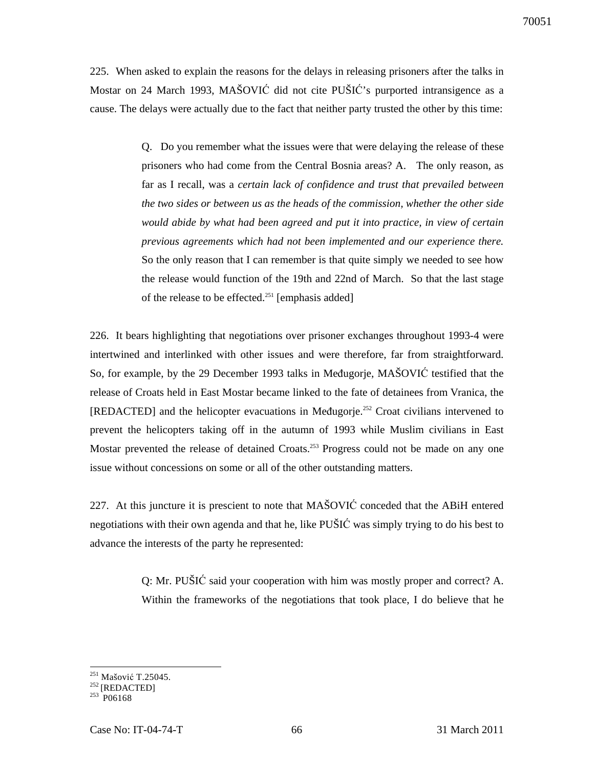225. When asked to explain the reasons for the delays in releasing prisoners after the talks in Mostar on 24 March 1993, MAŠOVIĆ did not cite PUŠIĆ's purported intransigence as a cause. The delays were actually due to the fact that neither party trusted the other by this time:

> Q. Do you remember what the issues were that were delaying the release of these prisoners who had come from the Central Bosnia areas? A. The only reason, as far as I recall, was a *certain lack of confidence and trust that prevailed between the two sides or between us as the heads of the commission, whether the other side would abide by what had been agreed and put it into practice, in view of certain previous agreements which had not been implemented and our experience there.*  So the only reason that I can remember is that quite simply we needed to see how the release would function of the 19th and 22nd of March. So that the last stage of the release to be effected.<sup>251</sup> [emphasis added]

226. It bears highlighting that negotiations over prisoner exchanges throughout 1993-4 were intertwined and interlinked with other issues and were therefore, far from straightforward. So, for example, by the 29 December 1993 talks in Međugorje, MAŠOVIĆ testified that the release of Croats held in East Mostar became linked to the fate of detainees from Vranica, the [REDACTED] and the helicopter evacuations in Međugorje.<sup>252</sup> Croat civilians intervened to prevent the helicopters taking off in the autumn of 1993 while Muslim civilians in East Mostar prevented the release of detained Croats.<sup>253</sup> Progress could not be made on any one issue without concessions on some or all of the other outstanding matters.

227. At this juncture it is prescient to note that MAŠOVIĆ conceded that the ABiH entered negotiations with their own agenda and that he, like PUŠIĆ was simply trying to do his best to advance the interests of the party he represented:

> Q: Mr. PUŠIĆ said your cooperation with him was mostly proper and correct? A. Within the frameworks of the negotiations that took place, I do believe that he

 $\overline{a}$ <sup>251</sup> Mašović T.25045.

 $252$ [REDACTED]

 $253$  P06168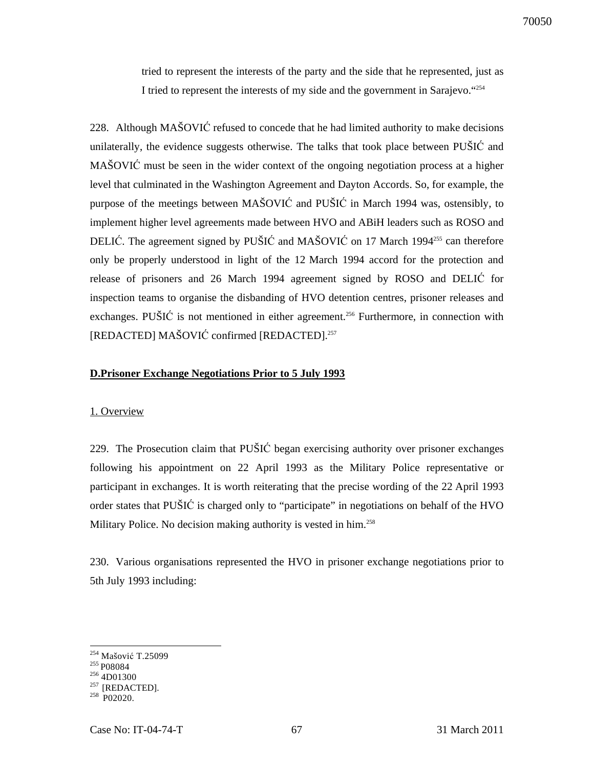tried to represent the interests of the party and the side that he represented, just as I tried to represent the interests of my side and the government in Sarajevo."<sup>254</sup>

228. Although MAŠOVIĆ refused to concede that he had limited authority to make decisions unilaterally, the evidence suggests otherwise. The talks that took place between PUŠIĆ and MAŠOVIĆ must be seen in the wider context of the ongoing negotiation process at a higher level that culminated in the Washington Agreement and Dayton Accords. So, for example, the purpose of the meetings between MAŠOVIĆ and PUŠIĆ in March 1994 was, ostensibly, to implement higher level agreements made between HVO and ABiH leaders such as ROSO and DELIĆ. The agreement signed by PUŠIĆ and MAŠOVIĆ on 17 March 1994<sup>255</sup> can therefore only be properly understood in light of the 12 March 1994 accord for the protection and release of prisoners and 26 March 1994 agreement signed by ROSO and DELIĆ for inspection teams to organise the disbanding of HVO detention centres, prisoner releases and exchanges. PUŠIĆ is not mentioned in either agreement.<sup>256</sup> Furthermore, in connection with [REDACTED] MAŠOVIĆ confirmed [REDACTED].<sup>257</sup>

#### **D.Prisoner Exchange Negotiations Prior to 5 July 1993**

#### 1. Overview

229. The Prosecution claim that PUŠIĆ began exercising authority over prisoner exchanges following his appointment on 22 April 1993 as the Military Police representative or participant in exchanges. It is worth reiterating that the precise wording of the 22 April 1993 order states that PUŠIĆ is charged only to "participate" in negotiations on behalf of the HVO Military Police. No decision making authority is vested in him.<sup>258</sup>

230. Various organisations represented the HVO in prisoner exchange negotiations prior to 5th July 1993 including:

<sup>&</sup>lt;sup>254</sup> Mašović T.25099

 $255$  P08084

<sup>256</sup> 4D01300

 $^{257}$  [REDACTED].

 $258$  P02020.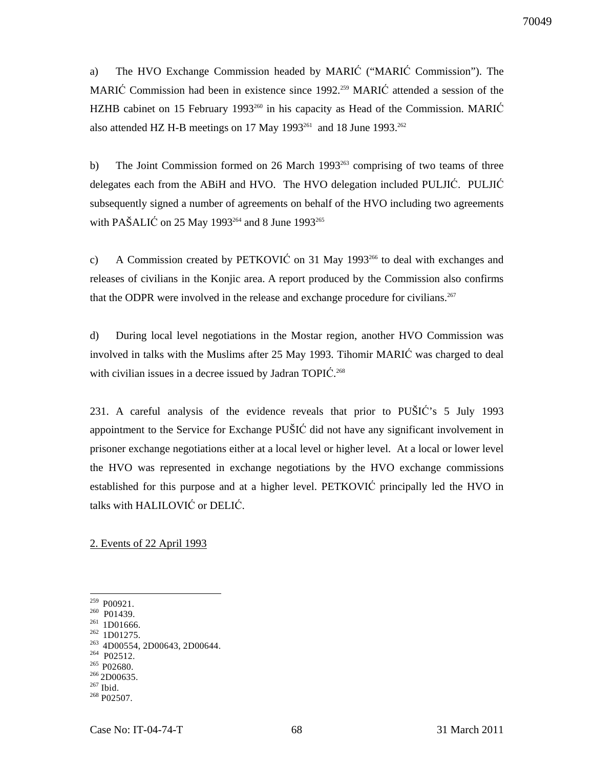a) The HVO Exchange Commission headed by MARIĆ ("MARIĆ Commission"). The MARIĆ Commission had been in existence since 1992.<sup>259</sup> MARIĆ attended a session of the HZHB cabinet on 15 February 1993<sup>260</sup> in his capacity as Head of the Commission. MARIĆ also attended HZ H-B meetings on 17 May 1993<sup>261</sup> and 18 June 1993.<sup>262</sup>

b) The Joint Commission formed on 26 March 1993<sup>263</sup> comprising of two teams of three delegates each from the ABiH and HVO. The HVO delegation included PULJIĆ. PULJIĆ subsequently signed a number of agreements on behalf of the HVO including two agreements with PAŠALIĆ on 25 May 1993 $^{264}$  and 8 June 1993 $^{265}$ 

c) A Commission created by PETKOVIĆ on 31 May 1993<sup>266</sup> to deal with exchanges and releases of civilians in the Konjic area. A report produced by the Commission also confirms that the ODPR were involved in the release and exchange procedure for civilians.<sup>267</sup>

d) During local level negotiations in the Mostar region, another HVO Commission was involved in talks with the Muslims after 25 May 1993. Tihomir MARIĆ was charged to deal with civilian issues in a decree issued by Jadran TOPIC.<sup>268</sup>

231. A careful analysis of the evidence reveals that prior to PUŠIĆ's 5 July 1993 appointment to the Service for Exchange PUŠIĆ did not have any significant involvement in prisoner exchange negotiations either at a local level or higher level. At a local or lower level the HVO was represented in exchange negotiations by the HVO exchange commissions established for this purpose and at a higher level. PETKOVIĆ principally led the HVO in talks with HALILOVIĆ or DELIĆ.

2. Events of 22 April 1993

 $\overline{a}$ 

- $262$  1D01275. <sup>263</sup> 4D00554, 2D00643, 2D00644.
- <sup>264</sup> P02512.
- <sup>265</sup> P02680.

<sup>267</sup> Ibid.

 $259$  P00921.

<sup>&</sup>lt;sup>260</sup> P01439.

 $261$  1D01666.

 $266$  2D00635.

<sup>268</sup> P02507.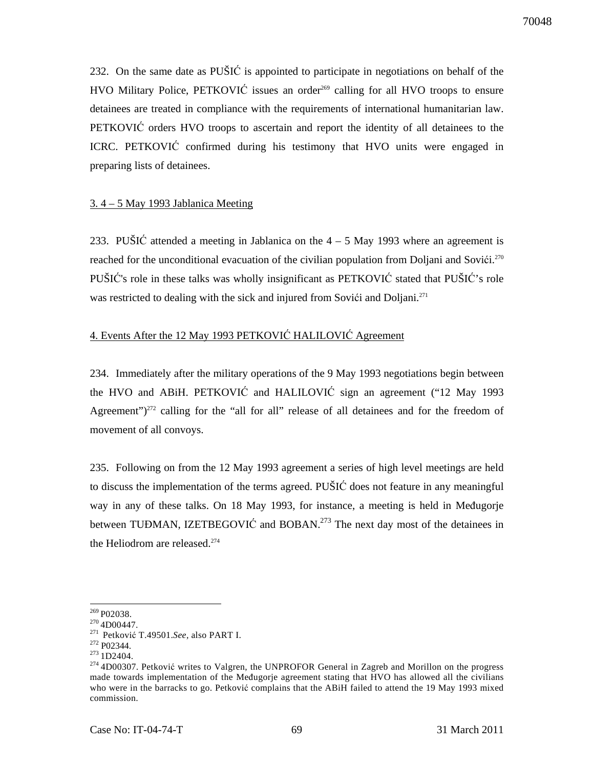232. On the same date as PUŠIĆ is appointed to participate in negotiations on behalf of the HVO Military Police, PETKOVIĆ issues an order<sup>269</sup> calling for all HVO troops to ensure detainees are treated in compliance with the requirements of international humanitarian law. PETKOVIĆ orders HVO troops to ascertain and report the identity of all detainees to the ICRC. PETKOVIĆ confirmed during his testimony that HVO units were engaged in preparing lists of detainees.

#### 3. 4 – 5 May 1993 Jablanica Meeting

233. PUŠIĆ attended a meeting in Jablanica on the  $4 - 5$  May 1993 where an agreement is reached for the unconditional evacuation of the civilian population from Doljani and Sovići.<sup>270</sup> PUŠIĆ's role in these talks was wholly insignificant as PETKOVIĆ stated that PUŠIĆ's role was restricted to dealing with the sick and injured from Sovići and Doljani.<sup>271</sup>

## 4. Events After the 12 May 1993 PETKOVIĆ HALILOVIĆ Agreement

234. Immediately after the military operations of the 9 May 1993 negotiations begin between the HVO and ABiH. PETKOVIĆ and HALILOVIĆ sign an agreement ("12 May 1993 Agreement")<sup>272</sup> calling for the "all for all" release of all detainees and for the freedom of movement of all convoys.

235. Following on from the 12 May 1993 agreement a series of high level meetings are held to discuss the implementation of the terms agreed. PUŠIĆ does not feature in any meaningful way in any of these talks. On 18 May 1993, for instance, a meeting is held in Međugorje between TUĐMAN, IZETBEGOVIĆ and BOBAN.<sup>273</sup> The next day most of the detainees in the Heliodrom are released.<sup>274</sup>

 $^{269}$  P02038.

 $270$  4D00447.

<sup>&</sup>lt;sup>271</sup> Petković T.49501.See, also PART I.

<sup>272</sup> P02344.

<sup>&</sup>lt;sup>273</sup> 1D2404.

<sup>&</sup>lt;sup>274</sup> 4D00307. Petković writes to Valgren, the UNPROFOR General in Zagreb and Morillon on the progress made towards implementation of the Međugorje agreement stating that HVO has allowed all the civilians who were in the barracks to go. Petković complains that the ABiH failed to attend the 19 May 1993 mixed commission.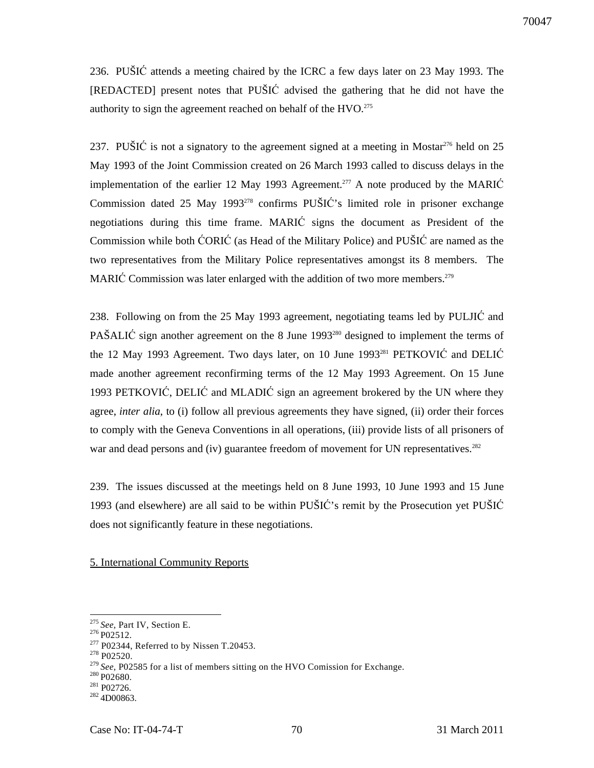236. PUŠIĆ attends a meeting chaired by the ICRC a few days later on 23 May 1993. The [REDACTED] present notes that PUŠIĆ advised the gathering that he did not have the authority to sign the agreement reached on behalf of the  $HVO.<sup>275</sup>$ 

237. PUŠIĆ is not a signatory to the agreement signed at a meeting in Mostar<sup>276</sup> held on 25 May 1993 of the Joint Commission created on 26 March 1993 called to discuss delays in the implementation of the earlier 12 May 1993 Agreement.<sup>277</sup> A note produced by the MARIC Commission dated 25 May 1993<sup>278</sup> confirms PUŠIĆ's limited role in prisoner exchange negotiations during this time frame. MARIĆ signs the document as President of the Commission while both ĆORIĆ (as Head of the Military Police) and PUŠIĆ are named as the two representatives from the Military Police representatives amongst its 8 members. The MARIĆ Commission was later enlarged with the addition of two more members.<sup>279</sup>

238. Following on from the 25 May 1993 agreement, negotiating teams led by PULJIĆ and PAŠALIĆ sign another agreement on the 8 June 1993<sup>280</sup> designed to implement the terms of the 12 May 1993 Agreement. Two days later, on 10 June 1993<sup>281</sup> PETKOVIĆ and DELIĆ made another agreement reconfirming terms of the 12 May 1993 Agreement. On 15 June 1993 PETKOVIĆ, DELIĆ and MLADIĆ sign an agreement brokered by the UN where they agree, *inter alia*, to (i) follow all previous agreements they have signed, (ii) order their forces to comply with the Geneva Conventions in all operations, (iii) provide lists of all prisoners of war and dead persons and (iv) guarantee freedom of movement for UN representatives.<sup>282</sup>

239. The issues discussed at the meetings held on 8 June 1993, 10 June 1993 and 15 June 1993 (and elsewhere) are all said to be within PUŠIĆ's remit by the Prosecution yet PUŠIĆ does not significantly feature in these negotiations.

#### 5. International Community Reports

<sup>275</sup> *See,* Part IV, Section E.

 $276$  P02512.

 $277$  P02344, Referred to by Nissen T.20453.

<sup>278</sup> P02520.

<sup>279</sup>*See,* P02585 for a list of members sitting on the HVO Comission for Exchange.

<sup>280</sup> P02680.

<sup>281</sup> P02726.

 $282$  4D00863.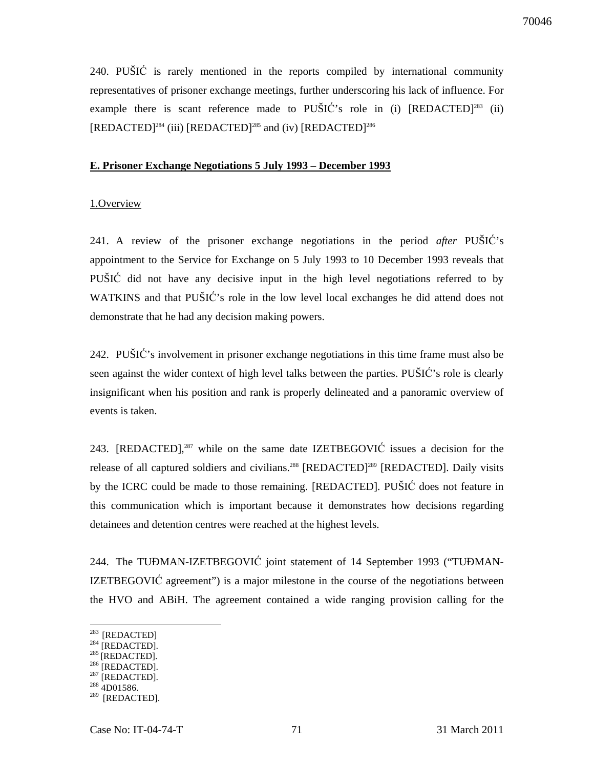240. PUŠIĆ is rarely mentioned in the reports compiled by international community representatives of prisoner exchange meetings, further underscoring his lack of influence. For example there is scant reference made to  $PU\tilde{S}IC$ 's role in (i)  $[REDACTED]^{283}$  (ii)  $[REDACTED]^{284}$  (iii)  $[REDACTED]^{285}$  and (iv)  $[REDACTED]^{286}$ 

#### **E. Prisoner Exchange Negotiations 5 July 1993 – December 1993**

#### 1.Overview

241. A review of the prisoner exchange negotiations in the period *after* PUŠIĆ's appointment to the Service for Exchange on 5 July 1993 to 10 December 1993 reveals that PUŠIĆ did not have any decisive input in the high level negotiations referred to by WATKINS and that PUŠIĆ's role in the low level local exchanges he did attend does not demonstrate that he had any decision making powers.

242. PUŠIĆ's involvement in prisoner exchange negotiations in this time frame must also be seen against the wider context of high level talks between the parties. PUŠIĆ's role is clearly insignificant when his position and rank is properly delineated and a panoramic overview of events is taken.

243.  $[REDACTED]$ <sup>287</sup> while on the same date  $IZETBEGOVIC$  issues a decision for the release of all captured soldiers and civilians.<sup>288</sup> [REDACTED]<sup>289</sup> [REDACTED]. Daily visits by the ICRC could be made to those remaining. [REDACTED]. PUŠIĆ does not feature in this communication which is important because it demonstrates how decisions regarding detainees and detention centres were reached at the highest levels.

244. The TUĐMAN-IZETBEGOVIĆ joint statement of 14 September 1993 ("TUĐMAN-IZETBEGOVIĆ agreement") is a major milestone in the course of the negotiations between the HVO and ABiH. The agreement contained a wide ranging provision calling for the

 $\overline{a}$ 

 $287$  [REDACTED].

<sup>&</sup>lt;sup>283</sup> [REDACTED]

 $284$  [REDACTED].

 $285$  [REDACTED].

 $^{286}$  [REDACTED].

<sup>288</sup> 4D01586.

 $289$  [REDACTED].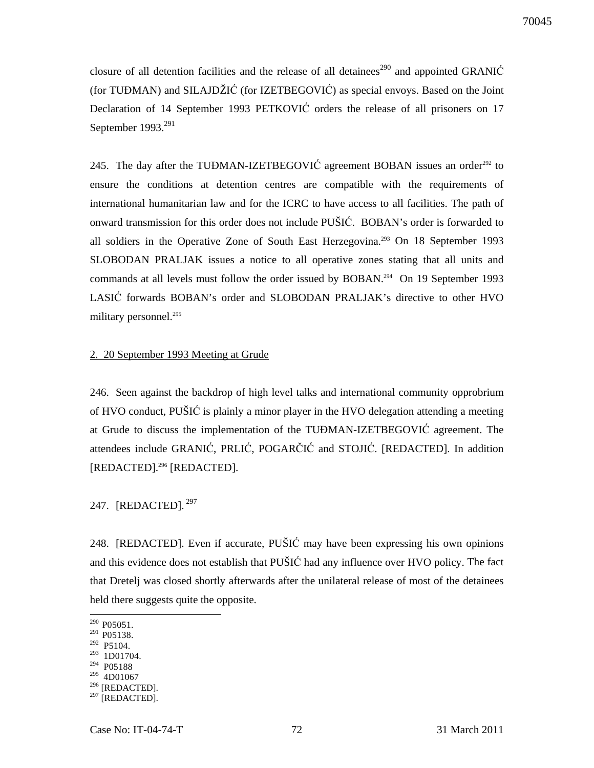closure of all detention facilities and the release of all detainees<sup>290</sup> and appointed GRANI $\acute{C}$ (for TUĐMAN) and SILAJDŽIĆ (for IZETBEGOVIĆ) as special envoys. Based on the Joint Declaration of 14 September 1993 PETKOVIĆ orders the release of all prisoners on 17 September 1993.<sup>291</sup>

245. The day after the TUĐMAN-IZETBEGOVIĆ agreement BOBAN issues an order<sup>292</sup> to ensure the conditions at detention centres are compatible with the requirements of international humanitarian law and for the ICRC to have access to all facilities. The path of onward transmission for this order does not include PUŠIĆ. BOBAN's order is forwarded to all soldiers in the Operative Zone of South East Herzegovina.<sup>293</sup> On 18 September 1993 SLOBODAN PRALJAK issues a notice to all operative zones stating that all units and commands at all levels must follow the order issued by BOBAN.<sup>294</sup> On 19 September 1993 LASIĆ forwards BOBAN's order and SLOBODAN PRALJAK's directive to other HVO military personnel.<sup>295</sup>

#### 2. 20 September 1993 Meeting at Grude

246. Seen against the backdrop of high level talks and international community opprobrium of HVO conduct, PUŠIĆ is plainly a minor player in the HVO delegation attending a meeting at Grude to discuss the implementation of the TUĐMAN-IZETBEGOVIĆ agreement. The attendees include GRANIĆ, PRLIĆ, POGARČIĆ and STOJIĆ. [REDACTED]. In addition [REDACTED].<sup>296</sup> [REDACTED].

247. [REDACTED].<sup>297</sup>

248. [REDACTED]. Even if accurate, PUŠIĆ may have been expressing his own opinions and this evidence does not establish that PUŠIĆ had any influence over HVO policy. The fact that Dretelj was closed shortly afterwards after the unilateral release of most of the detainees held there suggests quite the opposite.

- <sup>292</sup> P5104. <sup>293</sup> 1D01704.
- <sup>294</sup> P05188
- $^{295}$  4D01067
- <sup>296</sup> [REDACTED].

 $290$  P05051.

<sup>&</sup>lt;sup>291</sup> P05138.

 $297$  [REDACTED].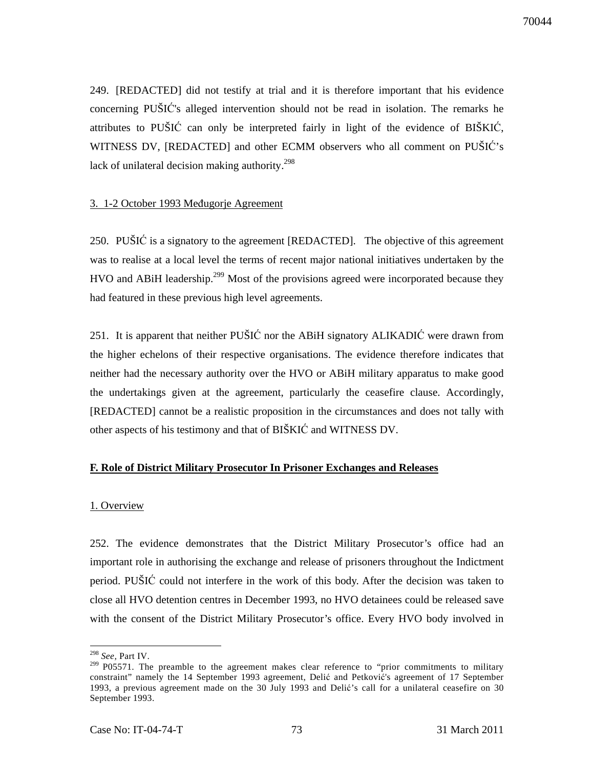249. [REDACTED] did not testify at trial and it is therefore important that his evidence concerning PUŠIĆ's alleged intervention should not be read in isolation. The remarks he attributes to PUŠIĆ can only be interpreted fairly in light of the evidence of BIŠKIĆ, WITNESS DV, [REDACTED] and other ECMM observers who all comment on PUŠIĆ's lack of unilateral decision making authority.<sup>298</sup>

## 3. 1-2 October 1993 Međugorje Agreement

250. PUŠIĆ is a signatory to the agreement [REDACTED]. The objective of this agreement was to realise at a local level the terms of recent major national initiatives undertaken by the HVO and ABiH leadership.<sup>299</sup> Most of the provisions agreed were incorporated because they had featured in these previous high level agreements.

251. It is apparent that neither PUŠIĆ nor the ABiH signatory ALIKADIĆ were drawn from the higher echelons of their respective organisations. The evidence therefore indicates that neither had the necessary authority over the HVO or ABiH military apparatus to make good the undertakings given at the agreement, particularly the ceasefire clause. Accordingly, [REDACTED] cannot be a realistic proposition in the circumstances and does not tally with other aspects of his testimony and that of BIŠKIĆ and WITNESS DV.

# **F. Role of District Military Prosecutor In Prisoner Exchanges and Releases**

#### 1. Overview

252. The evidence demonstrates that the District Military Prosecutor's office had an important role in authorising the exchange and release of prisoners throughout the Indictment period. PUŠIĆ could not interfere in the work of this body. After the decision was taken to close all HVO detention centres in December 1993, no HVO detainees could be released save with the consent of the District Military Prosecutor's office. Every HVO body involved in

<sup>298</sup> *See,* Part IV.

<sup>&</sup>lt;sup>299</sup> P05571. The preamble to the agreement makes clear reference to "prior commitments to military constraint" namely the 14 September 1993 agreement, Delić and Petković's agreement of 17 September 1993, a previous agreement made on the 30 July 1993 and Delić's call for a unilateral ceasefire on 30 September 1993.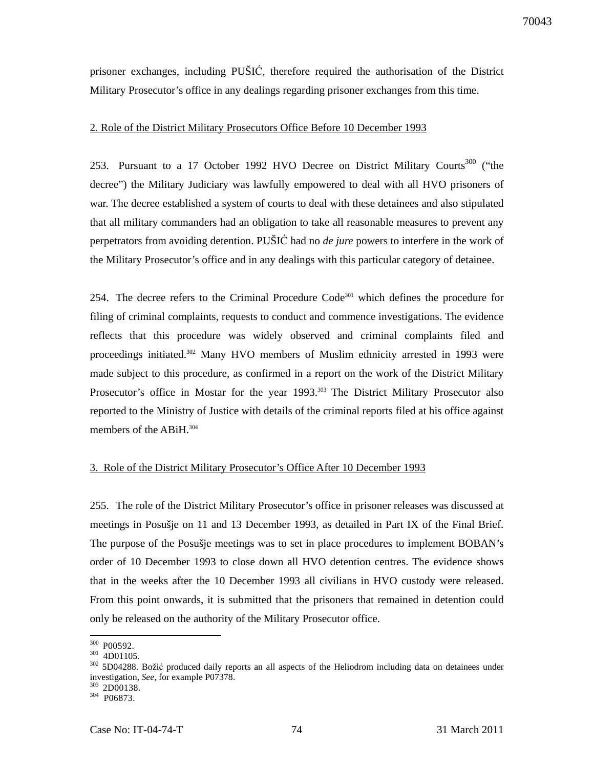prisoner exchanges, including PUŠIĆ, therefore required the authorisation of the District Military Prosecutor's office in any dealings regarding prisoner exchanges from this time.

# 2. Role of the District Military Prosecutors Office Before 10 December 1993

253. Pursuant to a 17 October 1992 HVO Decree on District Military Courts<sup>300</sup> ("the decree") the Military Judiciary was lawfully empowered to deal with all HVO prisoners of war. The decree established a system of courts to deal with these detainees and also stipulated that all military commanders had an obligation to take all reasonable measures to prevent any perpetrators from avoiding detention. PUŠIĆ had no *de jure* powers to interfere in the work of the Military Prosecutor's office and in any dealings with this particular category of detainee.

254. The decree refers to the Criminal Procedure Code<sup>301</sup> which defines the procedure for filing of criminal complaints, requests to conduct and commence investigations. The evidence reflects that this procedure was widely observed and criminal complaints filed and proceedings initiated.<sup>302</sup> Many HVO members of Muslim ethnicity arrested in 1993 were made subject to this procedure, as confirmed in a report on the work of the District Military Prosecutor's office in Mostar for the year 1993.<sup>303</sup> The District Military Prosecutor also reported to the Ministry of Justice with details of the criminal reports filed at his office against members of the ABiH.<sup>304</sup>

#### 3. Role of the District Military Prosecutor's Office After 10 December 1993

255. The role of the District Military Prosecutor's office in prisoner releases was discussed at meetings in Posušje on 11 and 13 December 1993, as detailed in Part IX of the Final Brief. The purpose of the Posušje meetings was to set in place procedures to implement BOBAN's order of 10 December 1993 to close down all HVO detention centres. The evidence shows that in the weeks after the 10 December 1993 all civilians in HVO custody were released. From this point onwards, it is submitted that the prisoners that remained in detention could only be released on the authority of the Military Prosecutor office.

 $300$  P00592.

 $301$  4D01105.

<sup>&</sup>lt;sup>302</sup> 5D04288. Božić produced daily reports an all aspects of the Heliodrom including data on detainees under investigation, *See,* for example P07378.

<sup>&</sup>lt;sup>303</sup> 2D00138.

<sup>304</sup> P06873.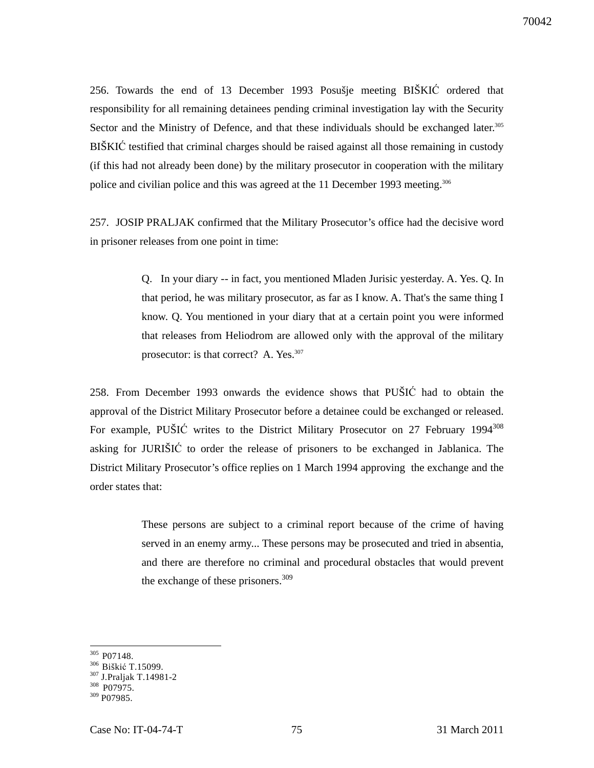256. Towards the end of 13 December 1993 Posušje meeting BIŠKIĆ ordered that responsibility for all remaining detainees pending criminal investigation lay with the Security Sector and the Ministry of Defence, and that these individuals should be exchanged later.<sup>305</sup> BIŠKIĆ testified that criminal charges should be raised against all those remaining in custody (if this had not already been done) by the military prosecutor in cooperation with the military police and civilian police and this was agreed at the 11 December 1993 meeting.<sup>306</sup>

257. JOSIP PRALJAK confirmed that the Military Prosecutor's office had the decisive word in prisoner releases from one point in time:

> Q. In your diary -- in fact, you mentioned Mladen Jurisic yesterday. A. Yes. Q. In that period, he was military prosecutor, as far as I know. A. That's the same thing I know. Q. You mentioned in your diary that at a certain point you were informed that releases from Heliodrom are allowed only with the approval of the military prosecutor: is that correct? A. Yes.<sup>307</sup>

258. From December 1993 onwards the evidence shows that PUŠIĆ had to obtain the approval of the District Military Prosecutor before a detainee could be exchanged or released. For example, PUŠIĆ writes to the District Military Prosecutor on 27 February 1994<sup>308</sup> asking for JURIŠIĆ to order the release of prisoners to be exchanged in Jablanica. The District Military Prosecutor's office replies on 1 March 1994 approving the exchange and the order states that:

> These persons are subject to a criminal report because of the crime of having served in an enemy army... These persons may be prosecuted and tried in absentia, and there are therefore no criminal and procedural obstacles that would prevent the exchange of these prisoners. $309$

 $305$  P07148.

<sup>&</sup>lt;sup>306</sup> Biškić T.15099.

<sup>307</sup> J.Praljak T.14981-2

 $308$  P07975.

 $309$  P $07985$ .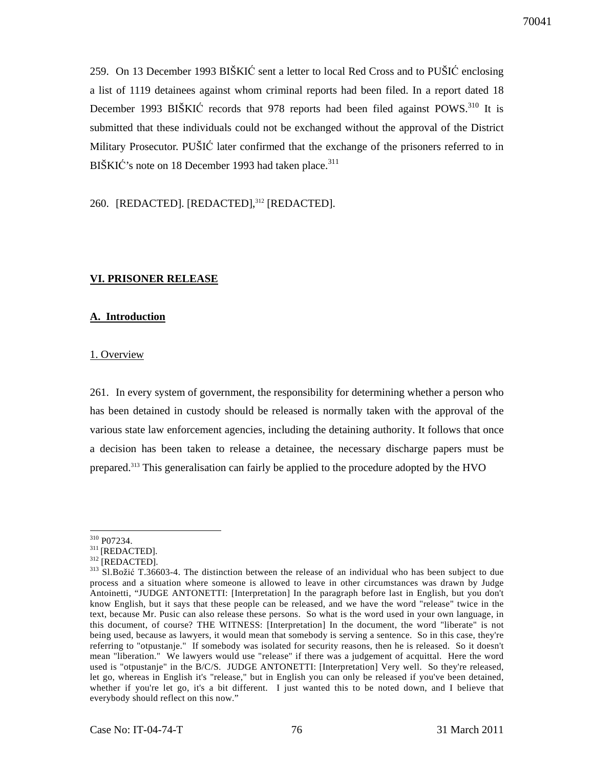259. On 13 December 1993 BIŠKIĆ sent a letter to local Red Cross and to PUŠIĆ enclosing a list of 1119 detainees against whom criminal reports had been filed. In a report dated 18 December 1993 BIŠKIĆ records that 978 reports had been filed against POWS.<sup>310</sup> It is submitted that these individuals could not be exchanged without the approval of the District Military Prosecutor. PUŠIĆ later confirmed that the exchange of the prisoners referred to in BIŠKIĆ's note on 18 December 1993 had taken place.<sup>311</sup>

260. [REDACTED]. [REDACTED],<sup>312</sup> [REDACTED].

# **VI. PRISONER RELEASE**

# **A. Introduction**

# 1. Overview

261. In every system of government, the responsibility for determining whether a person who has been detained in custody should be released is normally taken with the approval of the various state law enforcement agencies, including the detaining authority. It follows that once a decision has been taken to release a detainee, the necessary discharge papers must be prepared.<sup>313</sup> This generalisation can fairly be applied to the procedure adopted by the HVO

 $\overline{a}$ <sup>310</sup> P07234.

 $311$  [REDACTED].

<sup>312</sup> [REDACTED].

<sup>&</sup>lt;sup>313</sup> Sl.Božić T.36603-4. The distinction between the release of an individual who has been subject to due process and a situation where someone is allowed to leave in other circumstances was drawn by Judge Antoinetti, "JUDGE ANTONETTI: [Interpretation] In the paragraph before last in English, but you don't know English, but it says that these people can be released, and we have the word "release" twice in the text, because Mr. Pusic can also release these persons. So what is the word used in your own language, in this document, of course? THE WITNESS: [Interpretation] In the document, the word "liberate" is not being used, because as lawyers, it would mean that somebody is serving a sentence. So in this case, they're referring to "otpustanje." If somebody was isolated for security reasons, then he is released. So it doesn't mean "liberation." We lawyers would use "release" if there was a judgement of acquittal. Here the word used is "otpustanje" in the B/C/S. JUDGE ANTONETTI: [Interpretation] Very well. So they're released, let go, whereas in English it's "release," but in English you can only be released if you've been detained, whether if you're let go, it's a bit different. I just wanted this to be noted down, and I believe that everybody should reflect on this now."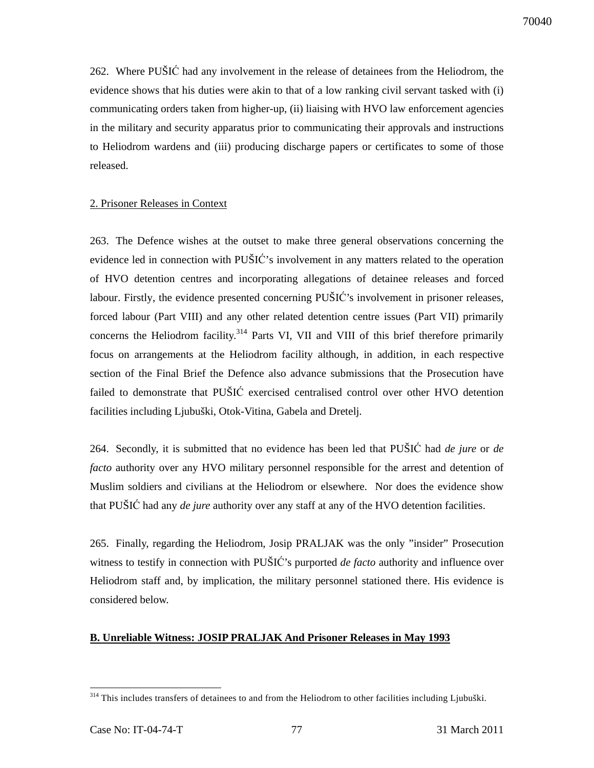262. Where PUŠIĆ had any involvement in the release of detainees from the Heliodrom, the evidence shows that his duties were akin to that of a low ranking civil servant tasked with (i) communicating orders taken from higher-up, (ii) liaising with HVO law enforcement agencies in the military and security apparatus prior to communicating their approvals and instructions to Heliodrom wardens and (iii) producing discharge papers or certificates to some of those released.

## 2. Prisoner Releases in Context

263. The Defence wishes at the outset to make three general observations concerning the evidence led in connection with PUŠIĆ's involvement in any matters related to the operation of HVO detention centres and incorporating allegations of detainee releases and forced labour. Firstly, the evidence presented concerning PUŠIĆ's involvement in prisoner releases, forced labour (Part VIII) and any other related detention centre issues (Part VII) primarily concerns the Heliodrom facility.<sup>314</sup> Parts VI, VII and VIII of this brief therefore primarily focus on arrangements at the Heliodrom facility although, in addition, in each respective section of the Final Brief the Defence also advance submissions that the Prosecution have failed to demonstrate that PUŠIĆ exercised centralised control over other HVO detention facilities including Ljubuški, Otok-Vitina, Gabela and Dretelj.

264. Secondly, it is submitted that no evidence has been led that PUŠIĆ had *de jure* or *de facto* authority over any HVO military personnel responsible for the arrest and detention of Muslim soldiers and civilians at the Heliodrom or elsewhere. Nor does the evidence show that PUŠIĆ had any *de jure* authority over any staff at any of the HVO detention facilities.

265. Finally, regarding the Heliodrom, Josip PRALJAK was the only "insider" Prosecution witness to testify in connection with PUŠIĆ's purported *de facto* authority and influence over Heliodrom staff and, by implication, the military personnel stationed there. His evidence is considered below.

#### **B. Unreliable Witness: JOSIP PRALJAK And Prisoner Releases in May 1993**

 $\overline{a}$ <sup>314</sup> This includes transfers of detainees to and from the Heliodrom to other facilities including Ljubuški.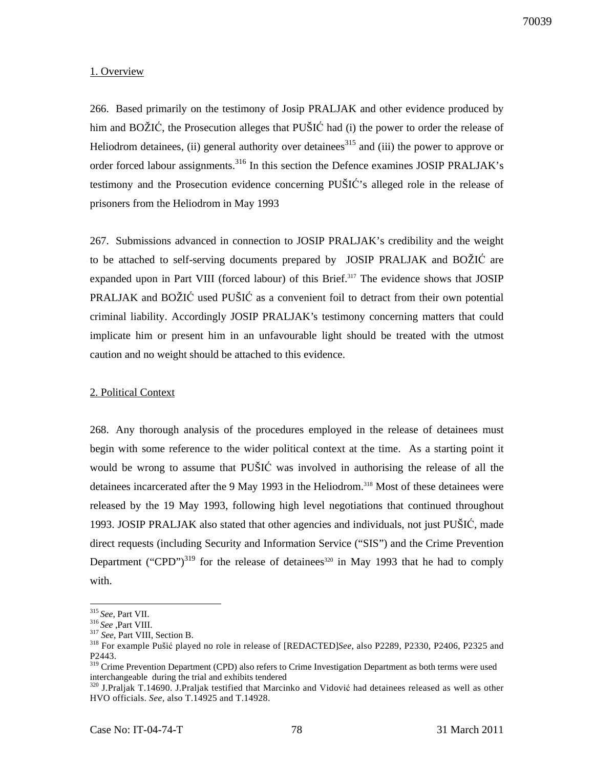# 1. Overview

266. Based primarily on the testimony of Josip PRALJAK and other evidence produced by him and BOŽIĆ, the Prosecution alleges that PUŠIĆ had (i) the power to order the release of Heliodrom detainees, (ii) general authority over detainees<sup>315</sup> and (iii) the power to approve or order forced labour assignments.<sup>316</sup> In this section the Defence examines JOSIP PRALJAK's testimony and the Prosecution evidence concerning PUŠIĆ's alleged role in the release of prisoners from the Heliodrom in May 1993

267. Submissions advanced in connection to JOSIP PRALJAK's credibility and the weight to be attached to self-serving documents prepared by JOSIP PRALJAK and BOŽIĆ are expanded upon in Part VIII (forced labour) of this Brief.<sup>317</sup> The evidence shows that JOSIP PRALJAK and BOŽIĆ used PUŠIĆ as a convenient foil to detract from their own potential criminal liability. Accordingly JOSIP PRALJAK's testimony concerning matters that could implicate him or present him in an unfavourable light should be treated with the utmost caution and no weight should be attached to this evidence.

# 2. Political Context

268. Any thorough analysis of the procedures employed in the release of detainees must begin with some reference to the wider political context at the time. As a starting point it would be wrong to assume that PUŠIĆ was involved in authorising the release of all the detainees incarcerated after the 9 May 1993 in the Heliodrom.<sup>318</sup> Most of these detainees were released by the 19 May 1993, following high level negotiations that continued throughout 1993. JOSIP PRALJAK also stated that other agencies and individuals, not just PUŠIĆ, made direct requests (including Security and Information Service ("SIS") and the Crime Prevention Department ("CPD") $319$  for the release of detainees<sup>320</sup> in May 1993 that he had to comply with.

<sup>315</sup>*See*, Part VII.

<sup>316</sup>*See* ,Part VIII.

<sup>&</sup>lt;sup>317</sup> See, Part VIII, Section B.

<sup>318</sup> For example Pušić played no role in release of [REDACTED]*See*, also P2289, P2330, P2406, P2325 and P2443.

<sup>&</sup>lt;sup>319</sup> Crime Prevention Department (CPD) also refers to Crime Investigation Department as both terms were used interchangeable during the trial and exhibits tendered

<sup>&</sup>lt;sup>320</sup> J.Praljak T.14690. J.Praljak testified that Marcinko and Vidović had detainees released as well as other HVO officials. *See,* also T.14925 and T.14928.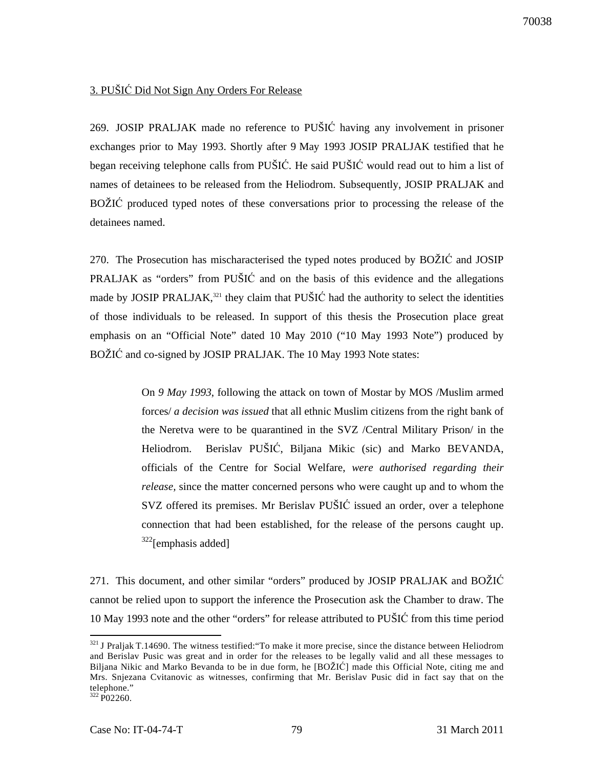# 3. PUŠIĆ Did Not Sign Any Orders For Release

269. JOSIP PRALJAK made no reference to PUŠIĆ having any involvement in prisoner exchanges prior to May 1993. Shortly after 9 May 1993 JOSIP PRALJAK testified that he began receiving telephone calls from PUŠIĆ. He said PUŠIĆ would read out to him a list of names of detainees to be released from the Heliodrom. Subsequently, JOSIP PRALJAK and BOŽIĆ produced typed notes of these conversations prior to processing the release of the detainees named.

270. The Prosecution has mischaracterised the typed notes produced by BOŽIĆ and JOSIP PRALJAK as "orders" from PUŠIĆ and on the basis of this evidence and the allegations made by JOSIP PRALJAK, $321$  they claim that PUSIC had the authority to select the identities of those individuals to be released. In support of this thesis the Prosecution place great emphasis on an "Official Note" dated 10 May 2010 ("10 May 1993 Note") produced by BOŽIĆ and co-signed by JOSIP PRALJAK. The 10 May 1993 Note states:

> On *9 May 1993*, following the attack on town of Mostar by MOS /Muslim armed forces/ *a decision was issued* that all ethnic Muslim citizens from the right bank of the Neretva were to be quarantined in the SVZ /Central Military Prison/ in the Heliodrom. Berislav PUŠIĆ, Biljana Mikic (sic) and Marko BEVANDA, officials of the Centre for Social Welfare, *were authorised regarding their release,* since the matter concerned persons who were caught up and to whom the SVZ offered its premises. Mr Berislav PUŠIĆ issued an order, over a telephone connection that had been established, for the release of the persons caught up.  $322$ [emphasis added]

271. This document, and other similar "orders" produced by JOSIP PRALJAK and BOŽIĆ cannot be relied upon to support the inference the Prosecution ask the Chamber to draw. The 10 May 1993 note and the other "orders" for release attributed to PUŠIĆ from this time period

 $321$  J Praljak T.14690. The witness testified: "To make it more precise, since the distance between Heliodrom and Berislav Pusic was great and in order for the releases to be legally valid and all these messages to Biljana Nikic and Marko Bevanda to be in due form, he [BOŽIĆ] made this Official Note, citing me and Mrs. Snjezana Cvitanovic as witnesses, confirming that Mr. Berislav Pusic did in fact say that on the telephone."

 $322$  P02260.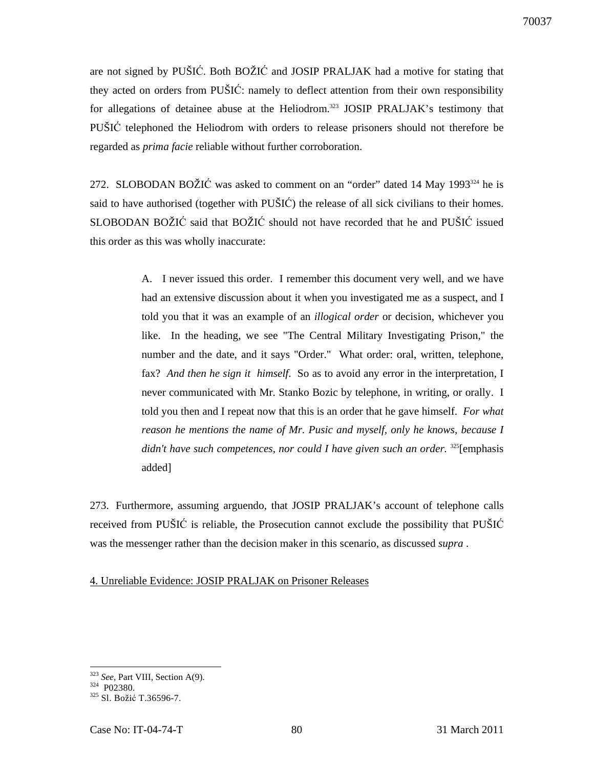are not signed by PUŠIĆ. Both BOŽIĆ and JOSIP PRALJAK had a motive for stating that they acted on orders from PUŠIĆ: namely to deflect attention from their own responsibility for allegations of detainee abuse at the Heliodrom.<sup>323</sup> JOSIP PRALJAK's testimony that PUŠIĆ telephoned the Heliodrom with orders to release prisoners should not therefore be regarded as *prima facie* reliable without further corroboration.

272. SLOBODAN BOŽIĆ was asked to comment on an "order" dated 14 May 1993<sup>324</sup> he is said to have authorised (together with PUŠIĆ) the release of all sick civilians to their homes. SLOBODAN BOŽIĆ said that BOŽIĆ should not have recorded that he and PUŠIĆ issued this order as this was wholly inaccurate:

> A. I never issued this order. I remember this document very well, and we have had an extensive discussion about it when you investigated me as a suspect, and I told you that it was an example of an *illogical order* or decision, whichever you like. In the heading, we see "The Central Military Investigating Prison," the number and the date, and it says "Order." What order: oral, written, telephone, fax? *And then he sign it himself*. So as to avoid any error in the interpretation, I never communicated with Mr. Stanko Bozic by telephone, in writing, or orally. I told you then and I repeat now that this is an order that he gave himself. *For what reason he mentions the name of Mr. Pusic and myself, only he knows, because I*  didn't have such competences, nor could I have given such an order. <sup>325</sup>[emphasis added]

273. Furthermore, assuming arguendo, that JOSIP PRALJAK's account of telephone calls received from PUŠIĆ is reliable, the Prosecution cannot exclude the possibility that PUŠIĆ was the messenger rather than the decision maker in this scenario, as discussed *supra* .

4. Unreliable Evidence: JOSIP PRALJAK on Prisoner Releases

 $\overline{a}$ <sup>323</sup> *See*, Part VIII, Section A(9).

 $324$  P02380.

<sup>&</sup>lt;sup>325</sup> Sl. Božić T.36596-7.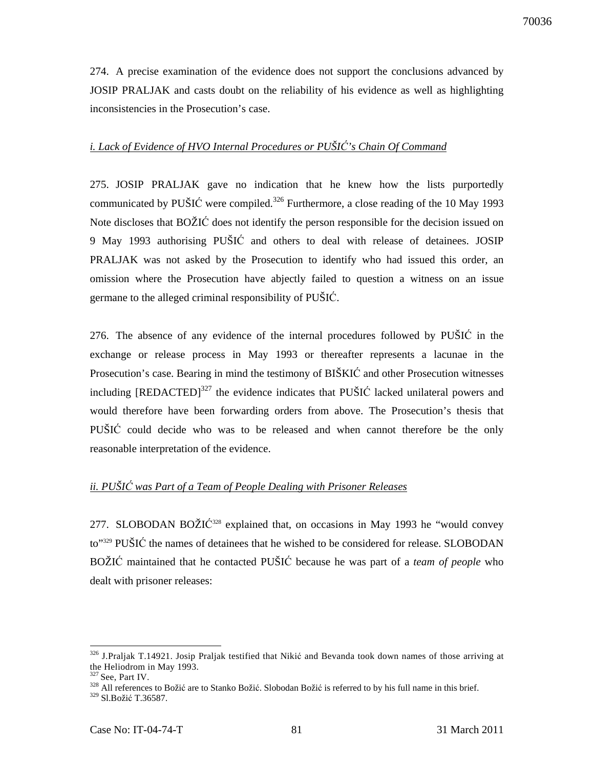274. A precise examination of the evidence does not support the conclusions advanced by JOSIP PRALJAK and casts doubt on the reliability of his evidence as well as highlighting inconsistencies in the Prosecution's case.

# *i. Lack of Evidence of HVO Internal Procedures or PUŠI*Ć*'s Chain Of Command*

275. JOSIP PRALJAK gave no indication that he knew how the lists purportedly communicated by PUŠIĆ were compiled.<sup>326</sup> Furthermore, a close reading of the 10 May 1993 Note discloses that BOŽIĆ does not identify the person responsible for the decision issued on 9 May 1993 authorising PUŠIĆ and others to deal with release of detainees. JOSIP PRALJAK was not asked by the Prosecution to identify who had issued this order, an omission where the Prosecution have abjectly failed to question a witness on an issue germane to the alleged criminal responsibility of PUŠIĆ.

276. The absence of any evidence of the internal procedures followed by PUŠIĆ in the exchange or release process in May 1993 or thereafter represents a lacunae in the Prosecution's case. Bearing in mind the testimony of BIŠKIĆ and other Prosecution witnesses including  $[REDACTED]^{327}$  the evidence indicates that PUŠIĆ lacked unilateral powers and would therefore have been forwarding orders from above. The Prosecution's thesis that PUŠIĆ could decide who was to be released and when cannot therefore be the only reasonable interpretation of the evidence.

# *ii. PUŠI*Ć *was Part of a Team of People Dealing with Prisoner Releases*

277. SLOBODAN BOŽIĆ<sup>328</sup> explained that, on occasions in May 1993 he "would convey to"<sup>329</sup> PUŠIĆ the names of detainees that he wished to be considered for release. SLOBODAN BOŽIĆ maintained that he contacted PUŠIĆ because he was part of a *team of people* who dealt with prisoner releases:

<sup>&</sup>lt;sup>326</sup> J.Praljak T.14921. Josip Praljak testified that Nikić and Bevanda took down names of those arriving at the Heliodrom in May 1993.

 $327$  See, Part IV.

<sup>&</sup>lt;sup>328</sup> All references to Božić are to Stanko Božić. Slobodan Božić is referred to by his full name in this brief.

<sup>329</sup> Sl.Božić T.36587.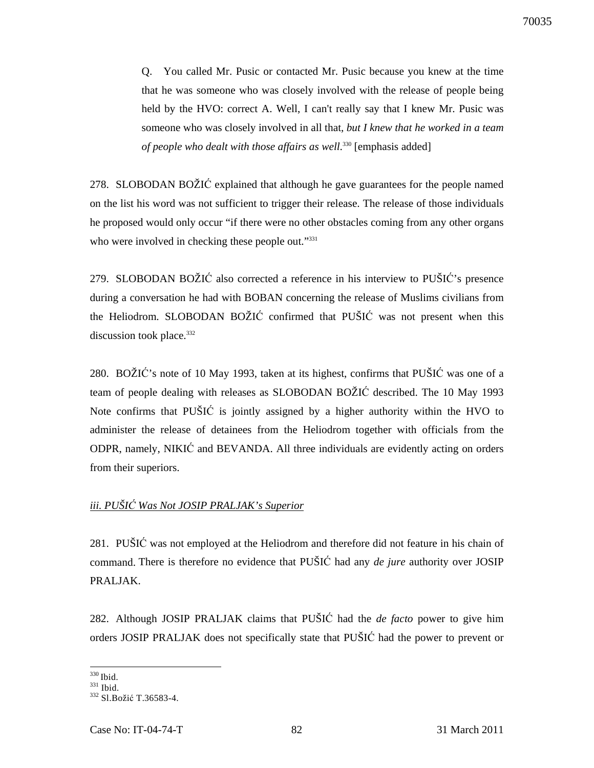Q. You called Mr. Pusic or contacted Mr. Pusic because you knew at the time that he was someone who was closely involved with the release of people being held by the HVO: correct A. Well, I can't really say that I knew Mr. Pusic was someone who was closely involved in all that*, but I knew that he worked in a team of people who dealt with those affairs as well*. <sup>330</sup> [emphasis added]

278. SLOBODAN BOŽIĆ explained that although he gave guarantees for the people named on the list his word was not sufficient to trigger their release. The release of those individuals he proposed would only occur "if there were no other obstacles coming from any other organs who were involved in checking these people out."<sup>331</sup>

279. SLOBODAN BOŽIĆ also corrected a reference in his interview to PUŠIĆ's presence during a conversation he had with BOBAN concerning the release of Muslims civilians from the Heliodrom. SLOBODAN BOŽIĆ confirmed that PUŠIĆ was not present when this discussion took place.<sup>332</sup>

280. BOŽIĆ's note of 10 May 1993, taken at its highest, confirms that PUŠIĆ was one of a team of people dealing with releases as SLOBODAN BOŽIĆ described. The 10 May 1993 Note confirms that PUŠIĆ is jointly assigned by a higher authority within the HVO to administer the release of detainees from the Heliodrom together with officials from the ODPR, namely, NIKIĆ and BEVANDA. All three individuals are evidently acting on orders from their superiors.

# *iii. PUŠI*Ć *Was Not JOSIP PRALJAK's Superior*

281. PUŠIĆ was not employed at the Heliodrom and therefore did not feature in his chain of command. There is therefore no evidence that PUŠIĆ had any *de jure* authority over JOSIP PRALJAK.

282. Although JOSIP PRALJAK claims that PUŠIĆ had the *de facto* power to give him orders JOSIP PRALJAK does not specifically state that PUŠIĆ had the power to prevent or

 $\overline{a}$  $330$  Ibid.

<sup>331</sup> Ibid.

<sup>332</sup> Sl.Božić T.36583-4.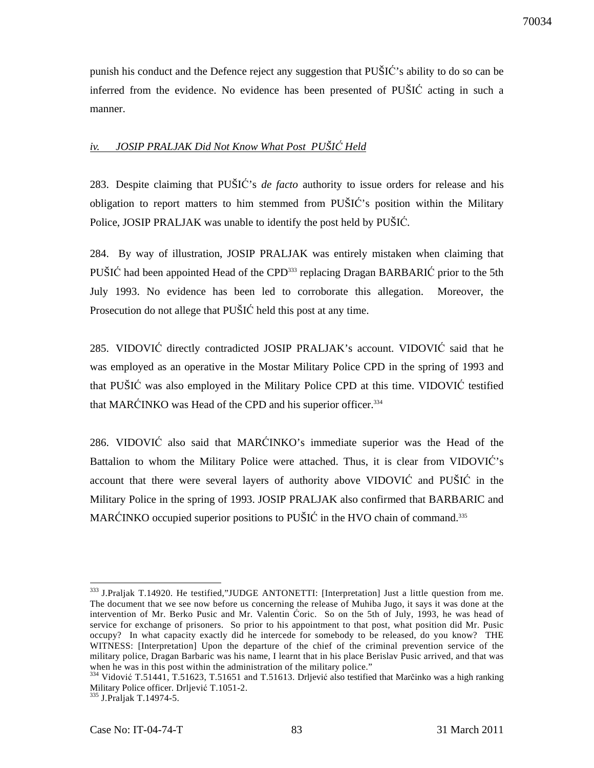punish his conduct and the Defence reject any suggestion that PUŠIĆ's ability to do so can be inferred from the evidence. No evidence has been presented of PUŠIĆ acting in such a manner.

# *iv. JOSIP PRALJAK Did Not Know What Post PUŠI*Ć *Held*

283. Despite claiming that PUŠIĆ's *de facto* authority to issue orders for release and his obligation to report matters to him stemmed from PUŠIĆ's position within the Military Police, JOSIP PRALJAK was unable to identify the post held by PUŠIĆ*.*

284. By way of illustration, JOSIP PRALJAK was entirely mistaken when claiming that PUŠIĆ had been appointed Head of the CPD<sup>333</sup> replacing Dragan BARBARIĆ prior to the 5th July 1993. No evidence has been led to corroborate this allegation. Moreover, the Prosecution do not allege that PUŠIĆ held this post at any time.

285. VIDOVIĆ directly contradicted JOSIP PRALJAK's account. VIDOVIĆ said that he was employed as an operative in the Mostar Military Police CPD in the spring of 1993 and that PUŠIĆ was also employed in the Military Police CPD at this time. VIDOVIĆ testified that MARĆINKO was Head of the CPD and his superior officer.<sup>334</sup>

286. VIDOVIĆ also said that MARĆINKO's immediate superior was the Head of the Battalion to whom the Military Police were attached. Thus, it is clear from VIDOVIĆ's account that there were several layers of authority above VIDOVIĆ and PUŠIĆ in the Military Police in the spring of 1993. JOSIP PRALJAK also confirmed that BARBARIC and MARĆINKO occupied superior positions to PUŠIĆ in the HVO chain of command.<sup>335</sup>

 $\overline{a}$ <sup>333</sup> J.Praljak T.14920. He testified,"JUDGE ANTONETTI: [Interpretation] Just a little question from me. The document that we see now before us concerning the release of Muhiba Jugo, it says it was done at the intervention of Mr. Berko Pusic and Mr. Valentin Ćoric. So on the 5th of July, 1993, he was head of service for exchange of prisoners. So prior to his appointment to that post, what position did Mr. Pusic occupy? In what capacity exactly did he intercede for somebody to be released, do you know? THE WITNESS: [Interpretation] Upon the departure of the chief of the criminal prevention service of the military police, Dragan Barbaric was his name, I learnt that in his place Berislav Pusic arrived, and that was when he was in this post within the administration of the military police."

<sup>&</sup>lt;sup>334</sup> Vidović T.51441, T.51623, T.51651 and T.51613. Drljević also testified that Marčinko was a high ranking Military Police officer. Drljević T.1051-2.

<sup>335</sup> J.Praljak T.14974-5.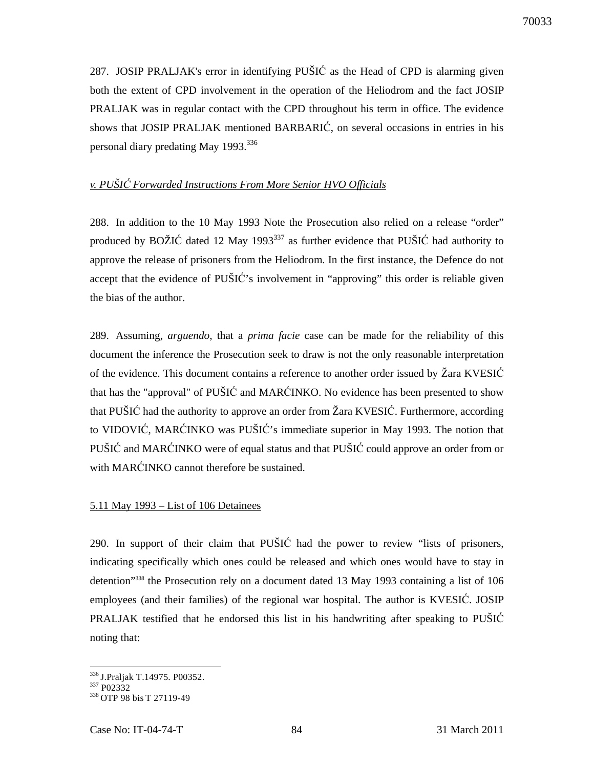287. JOSIP PRALJAK's error in identifying PUŠIĆ as the Head of CPD is alarming given both the extent of CPD involvement in the operation of the Heliodrom and the fact JOSIP PRALJAK was in regular contact with the CPD throughout his term in office. The evidence shows that JOSIP PRALJAK mentioned BARBARIĆ, on several occasions in entries in his personal diary predating May 1993.<sup>336</sup>

# *v. PUŠI*Ć *Forwarded Instructions From More Senior HVO Officials*

288. In addition to the 10 May 1993 Note the Prosecution also relied on a release "order" produced by BOŽIĆ dated 12 May 1993<sup>337</sup> as further evidence that PUŠIĆ had authority to approve the release of prisoners from the Heliodrom. In the first instance, the Defence do not accept that the evidence of PUŠIĆ's involvement in "approving" this order is reliable given the bias of the author.

289. Assuming, *arguendo*, that a *prima facie* case can be made for the reliability of this document the inference the Prosecution seek to draw is not the only reasonable interpretation of the evidence. This document contains a reference to another order issued by Žara KVESIĆ that has the "approval" of PUŠIĆ and MARĆINKO. No evidence has been presented to show that PUŠIĆ had the authority to approve an order from Žara KVESIĆ. Furthermore, according to VIDOVIĆ, MARĆINKO was PUŠIĆ's immediate superior in May 1993. The notion that PUŠIĆ and MARĆINKO were of equal status and that PUŠIĆ could approve an order from or with MARĆINKO cannot therefore be sustained.

# 5.11 May 1993 – List of 106 Detainees

290. In support of their claim that PUŠIĆ had the power to review "lists of prisoners, indicating specifically which ones could be released and which ones would have to stay in detention"<sup>338</sup> the Prosecution rely on a document dated 13 May 1993 containing a list of 106 employees (and their families) of the regional war hospital. The author is KVESIĆ. JOSIP PRALJAK testified that he endorsed this list in his handwriting after speaking to PUŠIĆ noting that:

 $\overline{a}$ <sup>336</sup>J.Praljak T.14975. P00352.

<sup>337</sup> P02332

<sup>338</sup> OTP 98 bis T 27119-49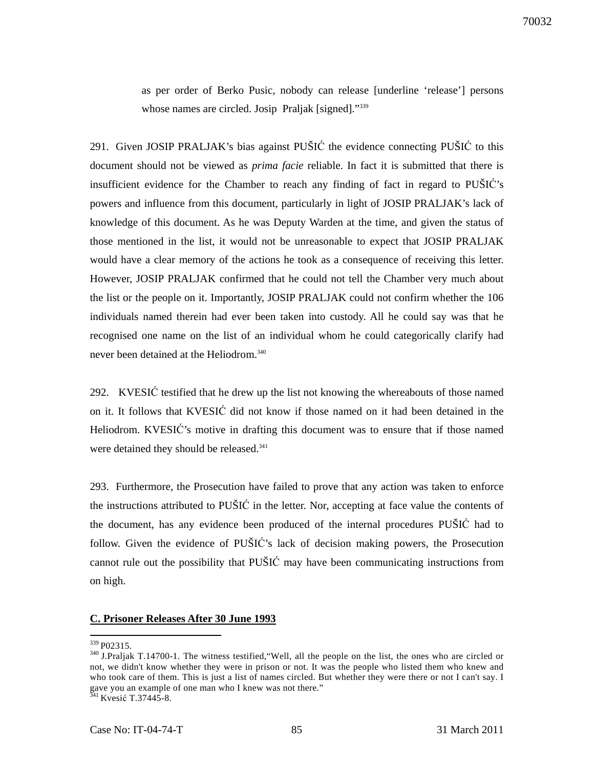as per order of Berko Pusic, nobody can release [underline 'release'] persons whose names are circled. Josip Praljak [signed]."339

291. Given JOSIP PRALJAK's bias against PUŠIĆ the evidence connecting PUŠIĆ to this document should not be viewed as *prima facie* reliable. In fact it is submitted that there is insufficient evidence for the Chamber to reach any finding of fact in regard to PUŠIĆ's powers and influence from this document, particularly in light of JOSIP PRALJAK's lack of knowledge of this document. As he was Deputy Warden at the time, and given the status of those mentioned in the list, it would not be unreasonable to expect that JOSIP PRALJAK would have a clear memory of the actions he took as a consequence of receiving this letter. However, JOSIP PRALJAK confirmed that he could not tell the Chamber very much about the list or the people on it. Importantly, JOSIP PRALJAK could not confirm whether the 106 individuals named therein had ever been taken into custody. All he could say was that he recognised one name on the list of an individual whom he could categorically clarify had never been detained at the Heliodrom.<sup>340</sup>

292. KVESIĆ testified that he drew up the list not knowing the whereabouts of those named on it. It follows that KVESIĆ did not know if those named on it had been detained in the Heliodrom. KVESIĆ's motive in drafting this document was to ensure that if those named were detained they should be released.<sup>341</sup>

293. Furthermore, the Prosecution have failed to prove that any action was taken to enforce the instructions attributed to PUŠIĆ in the letter. Nor, accepting at face value the contents of the document, has any evidence been produced of the internal procedures PUŠIĆ had to follow. Given the evidence of PUŠIĆ's lack of decision making powers, the Prosecution cannot rule out the possibility that PUŠIĆ may have been communicating instructions from on high.

## **C. Prisoner Releases After 30 June 1993**

<sup>&</sup>lt;sup>339</sup> P02315.

<sup>&</sup>lt;sup>340</sup> J.Praljak T.14700-1. The witness testified, "Well, all the people on the list, the ones who are circled or not, we didn't know whether they were in prison or not. It was the people who listed them who knew and who took care of them. This is just a list of names circled. But whether they were there or not I can't say. I gave you an example of one man who I knew was not there."

 $341$  Kvesić T.37445-8.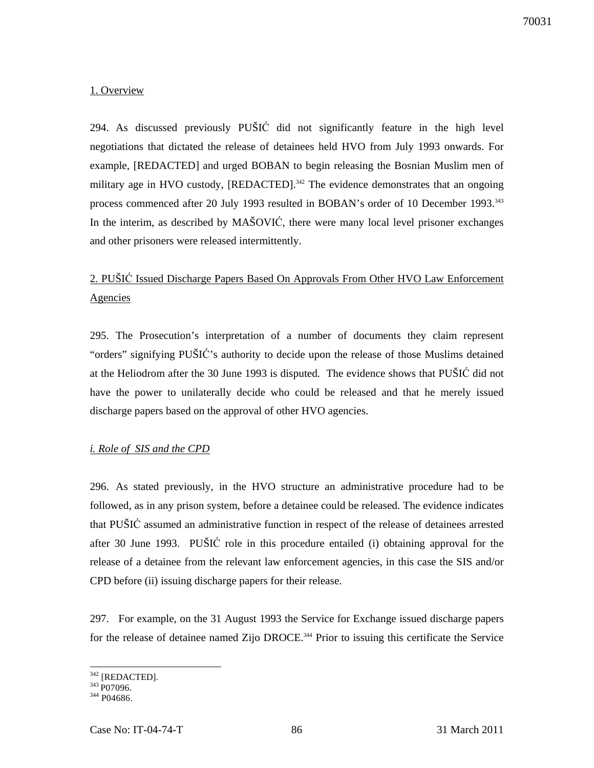# 1. Overview

294. As discussed previously PUŠIĆ did not significantly feature in the high level negotiations that dictated the release of detainees held HVO from July 1993 onwards. For example, [REDACTED] and urged BOBAN to begin releasing the Bosnian Muslim men of military age in HVO custody, [REDACTED].<sup>342</sup> The evidence demonstrates that an ongoing process commenced after 20 July 1993 resulted in BOBAN's order of 10 December 1993.<sup>343</sup> In the interim, as described by MAŠOVIĆ, there were many local level prisoner exchanges and other prisoners were released intermittently.

# 2. PUŠIĆ Issued Discharge Papers Based On Approvals From Other HVO Law Enforcement Agencies

295. The Prosecution's interpretation of a number of documents they claim represent "orders" signifying PUŠIĆ's authority to decide upon the release of those Muslims detained at the Heliodrom after the 30 June 1993 is disputed. The evidence shows that PUŠIĆ did not have the power to unilaterally decide who could be released and that he merely issued discharge papers based on the approval of other HVO agencies.

# *i. Role of SIS and the CPD*

296. As stated previously, in the HVO structure an administrative procedure had to be followed, as in any prison system, before a detainee could be released. The evidence indicates that PUŠIĆ assumed an administrative function in respect of the release of detainees arrested after 30 June 1993. PUŠIĆ role in this procedure entailed (i) obtaining approval for the release of a detainee from the relevant law enforcement agencies, in this case the SIS and/or CPD before (ii) issuing discharge papers for their release.

297. For example, on the 31 August 1993 the Service for Exchange issued discharge papers for the release of detainee named Zijo DROCE.<sup>344</sup> Prior to issuing this certificate the Service

 $\overline{a}$  $342$  [REDACTED].

<sup>&</sup>lt;sup>343</sup> P07096.

<sup>344</sup> P04686.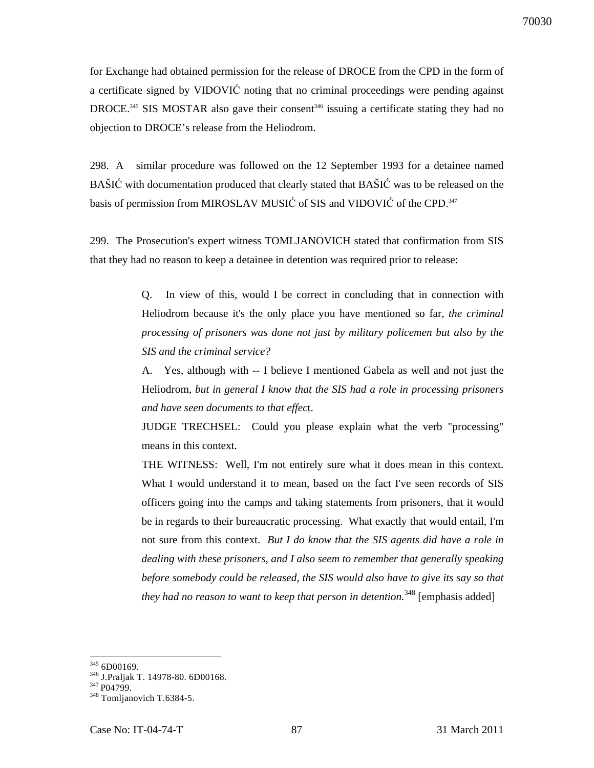for Exchange had obtained permission for the release of DROCE from the CPD in the form of a certificate signed by VIDOVIĆ noting that no criminal proceedings were pending against DROCE.<sup>345</sup> SIS MOSTAR also gave their consent<sup>346</sup> issuing a certificate stating they had no objection to DROCE's release from the Heliodrom.

298. A similar procedure was followed on the 12 September 1993 for a detainee named BAŠIĆ with documentation produced that clearly stated that BAŠIĆ was to be released on the basis of permission from MIROSLAV MUSIC of SIS and VIDOVIC of the CPD.<sup>347</sup>

299. The Prosecution's expert witness TOMLJANOVICH stated that confirmation from SIS that they had no reason to keep a detainee in detention was required prior to release:

> Q. In view of this, would I be correct in concluding that in connection with Heliodrom because it's the only place you have mentioned so far, *the criminal processing of prisoners was done not just by military policemen but also by the SIS and the criminal service?*

> A. Yes, although with -- I believe I mentioned Gabela as well and not just the Heliodrom, *but in general I know that the SIS had a role in processing prisoners and have seen documents to that effec*t.

> JUDGE TRECHSEL: Could you please explain what the verb "processing" means in this context.

> THE WITNESS: Well, I'm not entirely sure what it does mean in this context. What I would understand it to mean, based on the fact I've seen records of SIS officers going into the camps and taking statements from prisoners, that it would be in regards to their bureaucratic processing. What exactly that would entail, I'm not sure from this context. *But I do know that the SIS agents did have a role in dealing with these prisoners, and I also seem to remember that generally speaking before somebody could be released, the SIS would also have to give its say so that they had no reason to want to keep that person in detention.*<sup>348</sup> [emphasis added]

 $345$  6D00169.

<sup>346</sup> J.Praljak T. 14978-80. 6D00168.

<sup>347</sup> P04799.

<sup>&</sup>lt;sup>348</sup> Tomljanovich T.6384-5.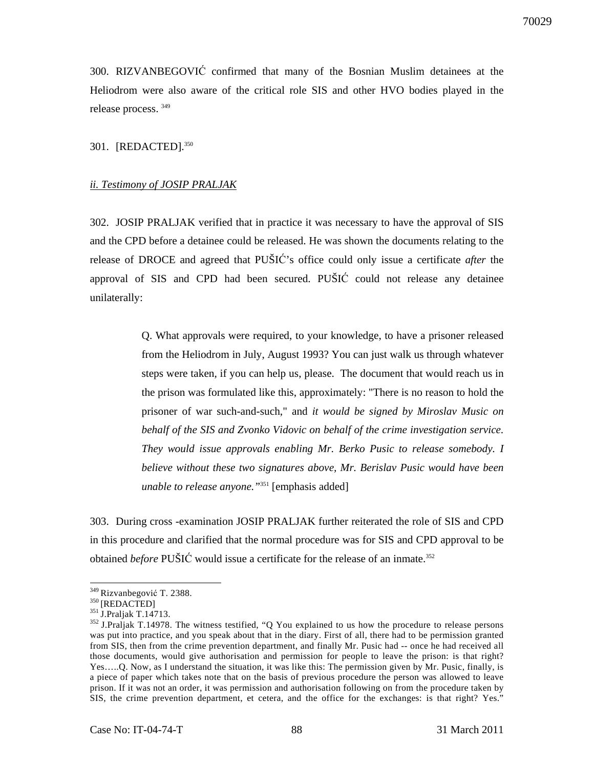300. RIZVANBEGOVIĆ confirmed that many of the Bosnian Muslim detainees at the Heliodrom were also aware of the critical role SIS and other HVO bodies played in the release process. <sup>349</sup>

301. [REDACTED].<sup>350</sup>

#### *ii. Testimony of JOSIP PRALJAK*

302. JOSIP PRALJAK verified that in practice it was necessary to have the approval of SIS and the CPD before a detainee could be released. He was shown the documents relating to the release of DROCE and agreed that PUŠIĆ's office could only issue a certificate *after* the approval of SIS and CPD had been secured. PUŠIĆ could not release any detainee unilaterally:

> Q. What approvals were required, to your knowledge, to have a prisoner released from the Heliodrom in July, August 1993? You can just walk us through whatever steps were taken, if you can help us, please. The document that would reach us in the prison was formulated like this, approximately: "There is no reason to hold the prisoner of war such-and-such," and *it would be signed by Miroslav Music on behalf of the SIS and Zvonko Vidovic on behalf of the crime investigation service. They would issue approvals enabling Mr. Berko Pusic to release somebody. I believe without these two signatures above, Mr. Berislav Pusic would have been unable to release anyone."*<sup>351</sup> [emphasis added]

303. During cross -examination JOSIP PRALJAK further reiterated the role of SIS and CPD in this procedure and clarified that the normal procedure was for SIS and CPD approval to be obtained *before* PUŠIĆ would issue a certificate for the release of an inmate.<sup>352</sup>

<sup>&</sup>lt;sup>349</sup> Rizvanbegović T. 2388.

<sup>&</sup>lt;sup>350</sup>[REDACTED]

<sup>351</sup> J.Praljak T.14713.

<sup>&</sup>lt;sup>352</sup> J.Praljak T.14978. The witness testified, "Q You explained to us how the procedure to release persons was put into practice, and you speak about that in the diary. First of all, there had to be permission granted from SIS, then from the crime prevention department, and finally Mr. Pusic had -- once he had received all those documents, would give authorisation and permission for people to leave the prison: is that right? Yes…..Q. Now, as I understand the situation, it was like this: The permission given by Mr. Pusic, finally, is a piece of paper which takes note that on the basis of previous procedure the person was allowed to leave prison. If it was not an order, it was permission and authorisation following on from the procedure taken by SIS, the crime prevention department, et cetera, and the office for the exchanges: is that right? Yes."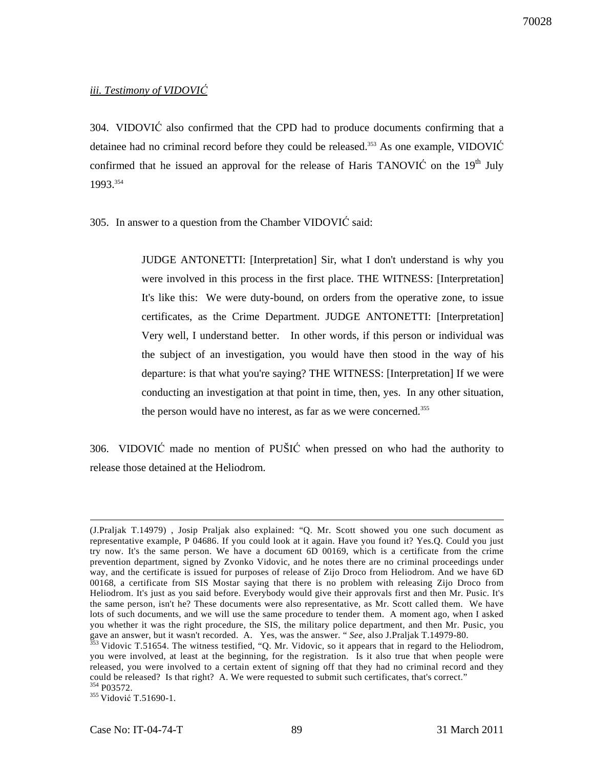# *iii. Testimony of VIDOVI*Ć

304. VIDOVIĆ also confirmed that the CPD had to produce documents confirming that a detainee had no criminal record before they could be released.<sup>353</sup> As one example, VIDOVIĆ confirmed that he issued an approval for the release of Haris TANOVIĆ on the  $19<sup>th</sup>$  July 1993.<sup>354</sup>

305. In answer to a question from the Chamber VIDOVIĆ said:

JUDGE ANTONETTI: [Interpretation] Sir, what I don't understand is why you were involved in this process in the first place. THE WITNESS: [Interpretation] It's like this: We were duty-bound, on orders from the operative zone, to issue certificates, as the Crime Department. JUDGE ANTONETTI: [Interpretation] Very well, I understand better. In other words, if this person or individual was the subject of an investigation, you would have then stood in the way of his departure: is that what you're saying? THE WITNESS: [Interpretation] If we were conducting an investigation at that point in time, then, yes. In any other situation, the person would have no interest, as far as we were concerned.<sup>355</sup>

306. VIDOVIĆ made no mention of PUŠIĆ when pressed on who had the authority to release those detained at the Heliodrom.

<sup>(</sup>J.Praljak T.14979) , Josip Praljak also explained: "Q. Mr. Scott showed you one such document as representative example, P 04686. If you could look at it again. Have you found it? Yes.Q. Could you just try now. It's the same person. We have a document 6D 00169, which is a certificate from the crime prevention department, signed by Zvonko Vidovic, and he notes there are no criminal proceedings under way, and the certificate is issued for purposes of release of Zijo Droco from Heliodrom. And we have 6D 00168, a certificate from SIS Mostar saying that there is no problem with releasing Zijo Droco from Heliodrom. It's just as you said before. Everybody would give their approvals first and then Mr. Pusic. It's the same person, isn't he? These documents were also representative, as Mr. Scott called them. We have lots of such documents, and we will use the same procedure to tender them. A moment ago, when I asked you whether it was the right procedure, the SIS, the military police department, and then Mr. Pusic, you gave an answer, but it wasn't recorded. A. Yes, was the answer. " *See*, also J.Praljak T.14979-80.

 $353$  Vidovic T.51654. The witness testified, "Q. Mr. Vidovic, so it appears that in regard to the Heliodrom, you were involved, at least at the beginning, for the registration. Is it also true that when people were released, you were involved to a certain extent of signing off that they had no criminal record and they could be released? Is that right? A. We were requested to submit such certificates, that's correct." <sup>354</sup> P03572.

<sup>&</sup>lt;sup>355</sup> Vidović T.51690-1.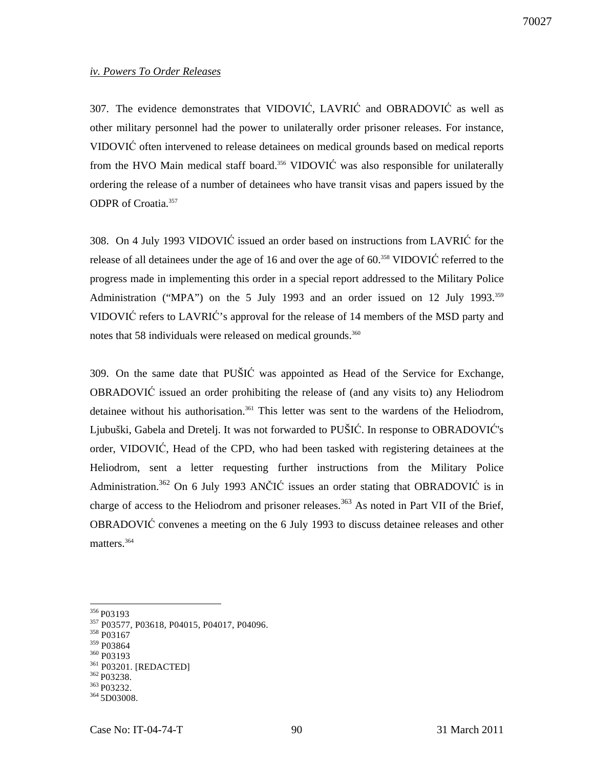#### *iv. Powers To Order Releases*

307. The evidence demonstrates that VIDOVIĆ, LAVRIĆ and OBRADOVIĆ as well as other military personnel had the power to unilaterally order prisoner releases. For instance, VIDOVIĆ often intervened to release detainees on medical grounds based on medical reports from the HVO Main medical staff board.<sup>356</sup> VIDOVI $\acute{C}$  was also responsible for unilaterally ordering the release of a number of detainees who have transit visas and papers issued by the ODPR of Croatia.<sup>357</sup>

308. On 4 July 1993 VIDOVIĆ issued an order based on instructions from LAVRIĆ for the release of all detainees under the age of 16 and over the age of 60.<sup>358</sup> VIDOVIĆ referred to the progress made in implementing this order in a special report addressed to the Military Police Administration ("MPA") on the 5 July 1993 and an order issued on 12 July 1993.<sup>359</sup> VIDOVIĆ refers to LAVRIĆ's approval for the release of 14 members of the MSD party and notes that 58 individuals were released on medical grounds.<sup>360</sup>

309. On the same date that PUŠIĆ was appointed as Head of the Service for Exchange, OBRADOVIĆ issued an order prohibiting the release of (and any visits to) any Heliodrom detainee without his authorisation.<sup>361</sup> This letter was sent to the wardens of the Heliodrom, Ljubuški, Gabela and Dretelj. It was not forwarded to PUŠIĆ. In response to OBRADOVIĆ's order, VIDOVIĆ, Head of the CPD, who had been tasked with registering detainees at the Heliodrom, sent a letter requesting further instructions from the Military Police Administration.<sup>362</sup> On 6 July 1993 ANČIĆ issues an order stating that OBRADOVIĆ is in charge of access to the Heliodrom and prisoner releases.<sup>363</sup> As noted in Part VII of the Brief, OBRADOVIĆ convenes a meeting on the 6 July 1993 to discuss detainee releases and other matters.<sup>364</sup>

<sup>360</sup> P03193

362 P03238.

 $\overline{a}$ <sup>356</sup> P03193

<sup>357</sup> P03577, P03618, P04015, P04017, P04096.

<sup>358</sup> P03167

<sup>359</sup> P03864

<sup>361</sup> P03201. [REDACTED]

<sup>363</sup> P03232.

<sup>364 5</sup>D03008.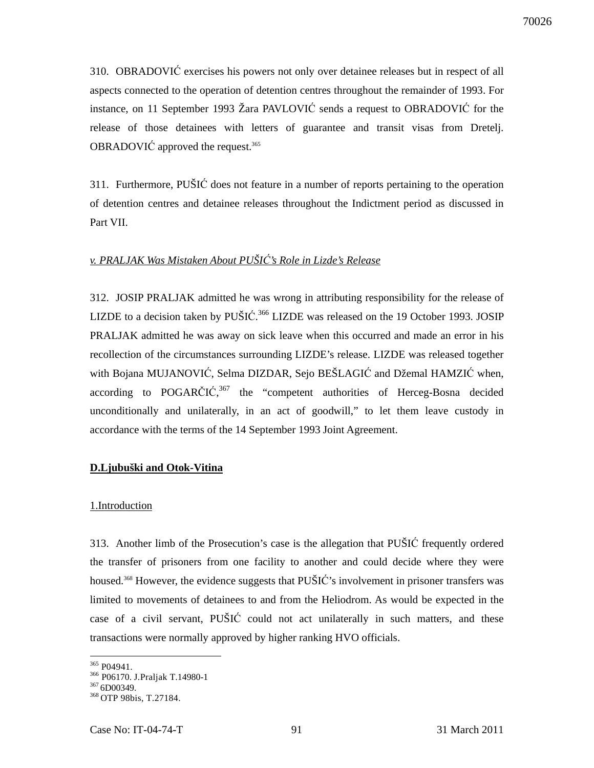310. OBRADOVIĆ exercises his powers not only over detainee releases but in respect of all aspects connected to the operation of detention centres throughout the remainder of 1993. For instance, on 11 September 1993 Žara PAVLOVIĆ sends a request to OBRADOVIĆ for the release of those detainees with letters of guarantee and transit visas from Dretelj. OBRADOVIĆ approved the request.<sup>365</sup>

311. Furthermore, PUŠIĆ does not feature in a number of reports pertaining to the operation of detention centres and detainee releases throughout the Indictment period as discussed in Part VII.

# *v. PRALJAK Was Mistaken About PUŠI*Ć*'s Role in Lizde's Release*

312. JOSIP PRALJAK admitted he was wrong in attributing responsibility for the release of LIZDE to a decision taken by PUŠIĆ.<sup>366</sup> LIZDE was released on the 19 October 1993. JOSIP PRALJAK admitted he was away on sick leave when this occurred and made an error in his recollection of the circumstances surrounding LIZDE's release. LIZDE was released together with Bojana MUJANOVIĆ, Selma DIZDAR, Sejo BEŠLAGIĆ and Džemal HAMZIĆ when, according to POGARČIĆ,<sup>367</sup> the "competent authorities of Herceg-Bosna decided unconditionally and unilaterally, in an act of goodwill," to let them leave custody in accordance with the terms of the 14 September 1993 Joint Agreement.

#### **D.Ljubuški and Otok-Vitina**

#### 1.Introduction

313. Another limb of the Prosecution's case is the allegation that PUŠIĆ frequently ordered the transfer of prisoners from one facility to another and could decide where they were housed.<sup>368</sup> However, the evidence suggests that PUŠIĆ's involvement in prisoner transfers was limited to movements of detainees to and from the Heliodrom. As would be expected in the case of a civil servant, PUŠIĆ could not act unilaterally in such matters, and these transactions were normally approved by higher ranking HVO officials.

 $\overline{a}$ <sup>365</sup> P04941.

<sup>366</sup> P06170. J.Praljak T.14980-1

 $3676$ D00349.

<sup>&</sup>lt;sup>368</sup> OTP 98bis, T.27184.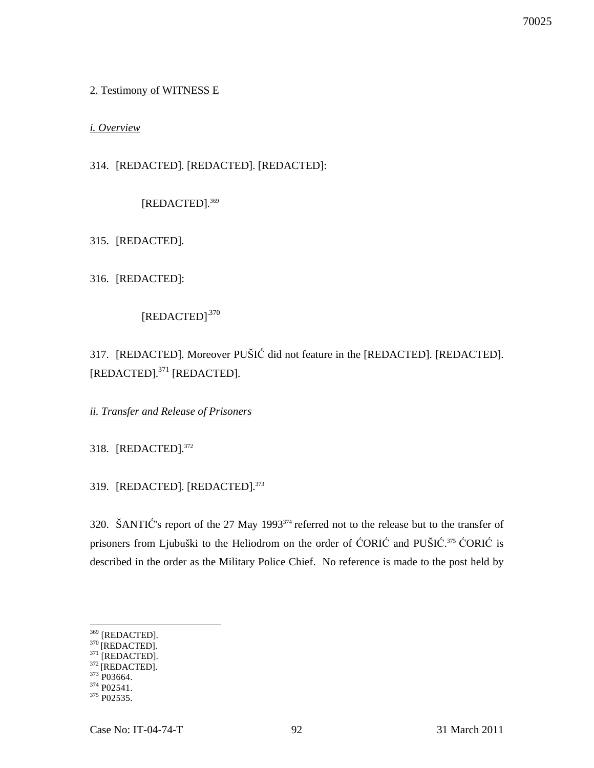# 2. Testimony of WITNESS E

# *i. Overview*

314. [REDACTED]. [REDACTED]. [REDACTED]:

[REDACTED].<sup>369</sup>

315. [REDACTED].

316. [REDACTED]:

[REDACTED].370

317. [REDACTED]. Moreover PUŠIĆ did not feature in the [REDACTED]. [REDACTED]. [REDACTED].<sup>371</sup> [REDACTED].

*ii. Transfer and Release of Prisoners*

318. [REDACTED].<sup>372</sup>

319. [REDACTED]. [REDACTED].<sup>373</sup>

320. ŠANTIĆ's report of the 27 May 1993<sup>374</sup> referred not to the release but to the transfer of prisoners from Ljubuški to the Heliodrom on the order of ĆORIĆ and PUŠIĆ. <sup>375</sup> ĆORIĆ is described in the order as the Military Police Chief. No reference is made to the post held by

<sup>369</sup> [REDACTED].

 $^{1122112}$ <br>[REDACTED].

 $371$  [REDACTED]. <sup>372</sup> [REDACTED].

 $373$  P03664.

<sup>&</sup>lt;sup>374</sup> P02541.

<sup>&</sup>lt;sup>375</sup> P02535.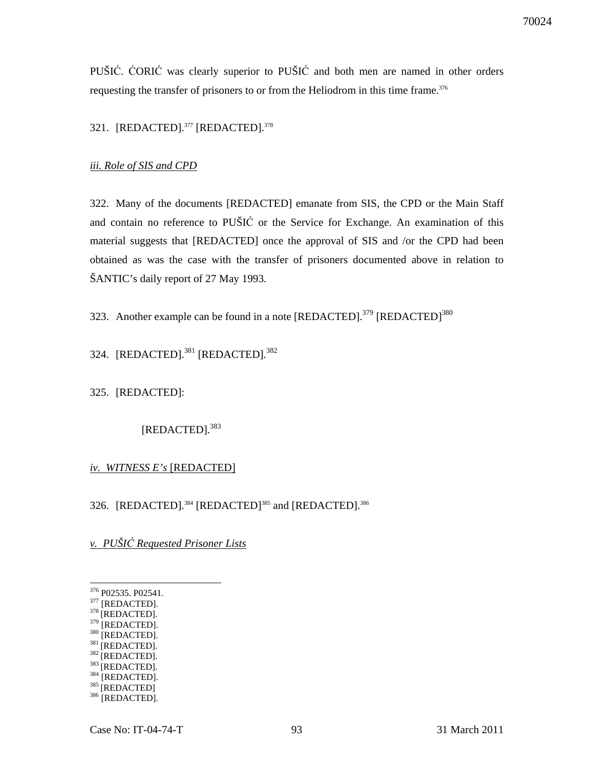PUŠIĆ. ĆORIĆ was clearly superior to PUŠIĆ and both men are named in other orders requesting the transfer of prisoners to or from the Heliodrom in this time frame.<sup>376</sup>

# 321. [REDACTED].<sup>377</sup> [REDACTED].<sup>378</sup>

#### *iii. Role of SIS and CPD*

322. Many of the documents [REDACTED] emanate from SIS, the CPD or the Main Staff and contain no reference to PUŠIĆ or the Service for Exchange. An examination of this material suggests that [REDACTED] once the approval of SIS and /or the CPD had been obtained as was the case with the transfer of prisoners documented above in relation to ŠANTIC's daily report of 27 May 1993.

323. Another example can be found in a note  $[REDACTED]$ .<sup>379</sup>  $[REDACTED]$ <sup>380</sup>

324. [REDACTED].<sup>381</sup> [REDACTED].<sup>382</sup>

325. [REDACTED]:

[REDACTED].<sup>383</sup>

#### *iv. WITNESS E's* [REDACTED]

326. [REDACTED].<sup>384</sup> [REDACTED]<sup>385</sup> and [REDACTED].<sup>386</sup>

*v. PUŠI*Ć *Requested Prisoner Lists*

- <sup>380</sup> [REDACTED].
- $381$  [REDACTED].
- $382$ <sup>E</sup>REDACTED].
- $383$  [REDACTED].
- 384 [REDACTED].

<sup>376</sup> P02535. P02541.

 $^{377}$  [REDACTED].

<sup>&</sup>lt;sup>378</sup> [REDACTED].  $379$  [REDACTED].

<sup>385 [</sup>REDACTED] 386 [REDACTED].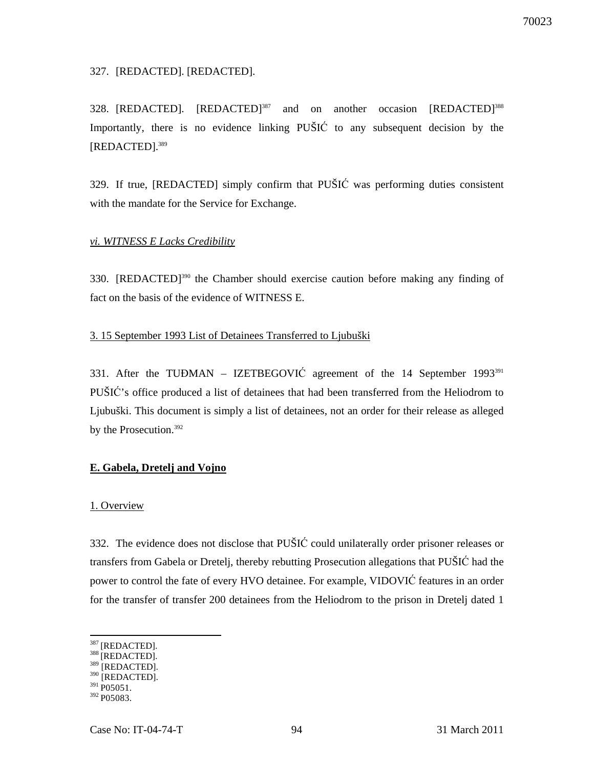## 327. [REDACTED]. [REDACTED].

328. [REDACTED]. [REDACTED]<sup>387</sup> and on another occasion [REDACTED]<sup>388</sup> Importantly, there is no evidence linking PUŠIĆ to any subsequent decision by the [REDACTED].<sup>389</sup>

329. If true, [REDACTED] simply confirm that PUŠIĆ was performing duties consistent with the mandate for the Service for Exchange.

## *vi. WITNESS E Lacks Credibility*

330. [REDACTED]<sup>390</sup> the Chamber should exercise caution before making any finding of fact on the basis of the evidence of WITNESS E.

# 3. 15 September 1993 List of Detainees Transferred to Ljubuški

331. After the TUĐMAN – IZETBEGOVIĆ agreement of the 14 September 1993<sup>391</sup> PUŠIĆ's office produced a list of detainees that had been transferred from the Heliodrom to Ljubuški. This document is simply a list of detainees, not an order for their release as alleged by the Prosecution.<sup>392</sup>

# **E. Gabela, Dretelj and Vojno**

#### 1. Overview

332. The evidence does not disclose that PUŠIĆ could unilaterally order prisoner releases or transfers from Gabela or Dretelj, thereby rebutting Prosecution allegations that PUŠIĆ had the power to control the fate of every HVO detainee. For example, VIDOVIĆ features in an order for the transfer of transfer 200 detainees from the Heliodrom to the prison in Dretelj dated 1

<sup>&</sup>lt;sup>387</sup> [REDACTED].

<sup>388 [</sup>REDACTED].  $389$  [REDACTED].

 $390$  [REDACTED].

 $391$  P05051.

 $392 P05083$ .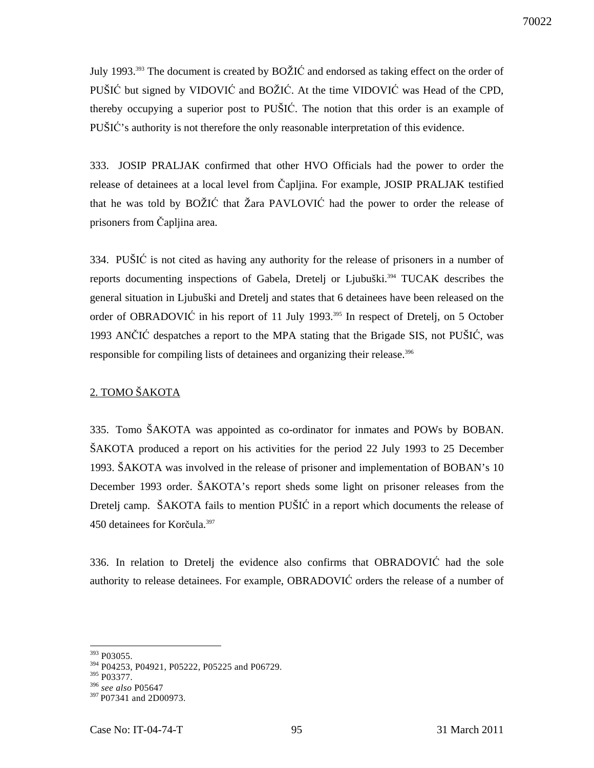July 1993.<sup>393</sup> The document is created by BOŽIĆ and endorsed as taking effect on the order of PUŠIĆ but signed by VIDOVIĆ and BOŽIĆ. At the time VIDOVIĆ was Head of the CPD, thereby occupying a superior post to PUŠIĆ. The notion that this order is an example of PUŠIĆ's authority is not therefore the only reasonable interpretation of this evidence.

333. JOSIP PRALJAK confirmed that other HVO Officials had the power to order the release of detainees at a local level from Čapljina. For example, JOSIP PRALJAK testified that he was told by BOŽIĆ that Žara PAVLOVIĆ had the power to order the release of prisoners from Čapljina area.

334. PUŠIĆ is not cited as having any authority for the release of prisoners in a number of reports documenting inspections of Gabela, Dretelj or Ljubuški.<sup>394</sup> TUCAK describes the general situation in Ljubuški and Dretelj and states that 6 detainees have been released on the order of OBRADOVIĆ in his report of 11 July 1993.<sup>395</sup> In respect of Dretelj, on 5 October 1993 ANČIĆ despatches a report to the MPA stating that the Brigade SIS, not PUŠIĆ, was responsible for compiling lists of detainees and organizing their release.<sup>396</sup>

# 2. TOMO ŠAKOTA

335. Tomo ŠAKOTA was appointed as co-ordinator for inmates and POWs by BOBAN. ŠAKOTA produced a report on his activities for the period 22 July 1993 to 25 December 1993. ŠAKOTA was involved in the release of prisoner and implementation of BOBAN's 10 December 1993 order. ŠAKOTA's report sheds some light on prisoner releases from the Dretelj camp. ŠAKOTA fails to mention PUŠIĆ in a report which documents the release of 450 detainees for Korčula.<sup>397</sup>

336. In relation to Dretelj the evidence also confirms that OBRADOVIĆ had the sole authority to release detainees. For example, OBRADOVIĆ orders the release of a number of

<sup>&</sup>lt;sup>393</sup> P03055.

<sup>394</sup> P04253, P04921, P05222, P05225 and P06729.

<sup>395</sup> P03377.

<sup>396</sup> *see also* P05647

<sup>&</sup>lt;sup>397</sup> P07341 and 2D00973.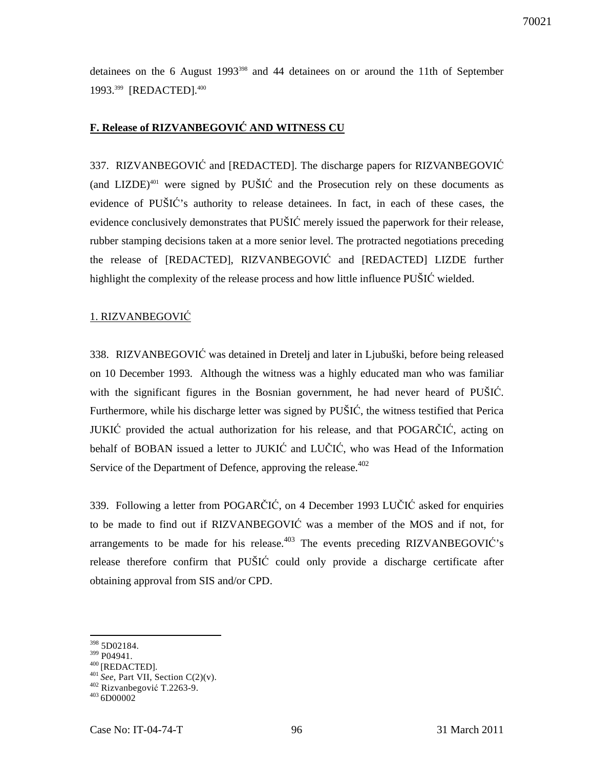detainees on the 6 August 1993<sup>398</sup> and 44 detainees on or around the 11th of September 1993.<sup>399</sup> [REDACTED].<sup>400</sup>

# **F. Release of RIZVANBEGOVI**Ć **AND WITNESS CU**

337. RIZVANBEGOVIĆ and [REDACTED]. The discharge papers for RIZVANBEGOVIĆ (and LIZDE)<sup>401</sup> were signed by PUSIC and the Prosecution rely on these documents as evidence of PUŠIĆ's authority to release detainees. In fact, in each of these cases, the evidence conclusively demonstrates that PUŠIĆ merely issued the paperwork for their release, rubber stamping decisions taken at a more senior level. The protracted negotiations preceding the release of [REDACTED], RIZVANBEGOVIĆ and [REDACTED] LIZDE further highlight the complexity of the release process and how little influence PUŠIĆ wielded.

# 1. RIZVANBEGOVIĆ

338. RIZVANBEGOVIĆ was detained in Dretelj and later in Ljubuški, before being released on 10 December 1993. Although the witness was a highly educated man who was familiar with the significant figures in the Bosnian government, he had never heard of PUŠIĆ. Furthermore, while his discharge letter was signed by PUŠIĆ, the witness testified that Perica JUKIĆ provided the actual authorization for his release, and that POGARČIĆ, acting on behalf of BOBAN issued a letter to JUKIĆ and LUČIĆ, who was Head of the Information Service of the Department of Defence, approving the release. $402$ 

339. Following a letter from POGARČIĆ, on 4 December 1993 LUČIĆ asked for enquiries to be made to find out if RIZVANBEGOVIĆ was a member of the MOS and if not, for arrangements to be made for his release.<sup>403</sup> The events preceding RIZVANBEGOVI $\acute{C}$ 's release therefore confirm that PUŠIĆ could only provide a discharge certificate after obtaining approval from SIS and/or CPD.

<sup>398</sup> 5D02184.

<sup>&</sup>lt;sup>399</sup> P04941.

 $^{400}\,$  [REDACTED].

<sup>401</sup>*See*, Part VII, Section C(2)(v).

<sup>402</sup> Rizvanbegović T.2263-9.

<sup>&</sup>lt;sup>403</sup> 6D00002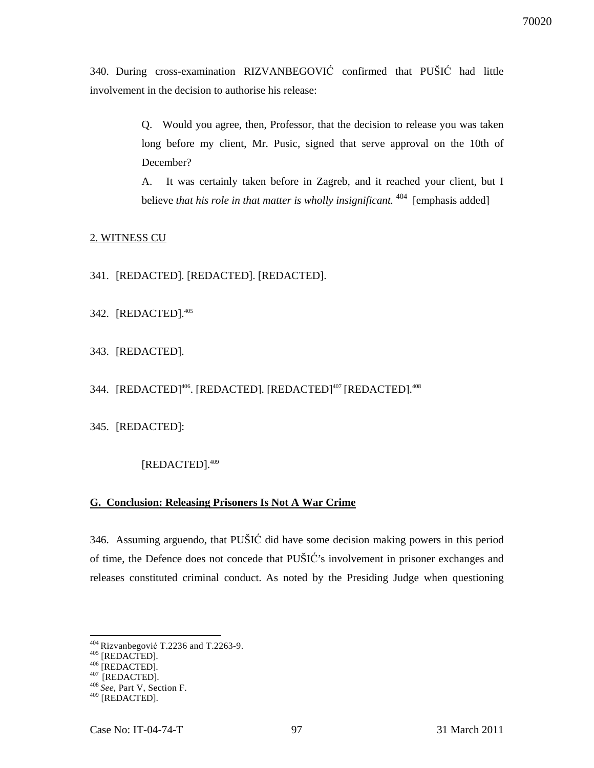340. During cross-examination RIZVANBEGOVIĆ confirmed that PUŠIĆ had little involvement in the decision to authorise his release:

> Q. Would you agree, then, Professor, that the decision to release you was taken long before my client, Mr. Pusic, signed that serve approval on the 10th of December?

> A. It was certainly taken before in Zagreb, and it reached your client, but I believe *that his role in that matter is wholly insignificant*. <sup>404</sup> [emphasis added]

#### 2. WITNESS CU

- 341. [REDACTED]. [REDACTED]. [REDACTED].
- 342. [REDACTED].<sup>405</sup>
- 343. [REDACTED].

344. [REDACTED]<sup>406</sup>. [REDACTED]. [REDACTED]<sup>407</sup> [REDACTED].<sup>408</sup>

345. [REDACTED]:

#### [REDACTED].<sup>409</sup>

## **G. Conclusion: Releasing Prisoners Is Not A War Crime**

346. Assuming arguendo, that PUŠIĆ did have some decision making powers in this period of time, the Defence does not concede that PUŠIĆ's involvement in prisoner exchanges and releases constituted criminal conduct. As noted by the Presiding Judge when questioning

<sup>&</sup>lt;sup>404</sup> Rizvanbegović T.2236 and T.2263-9.

 $^{405}$  [REDACTED].

 $^{406}$  [REDACTED].

 $^{407}$  [REDACTED].

<sup>408</sup>*See,* Part V, Section F.

<sup>409</sup> [REDACTED].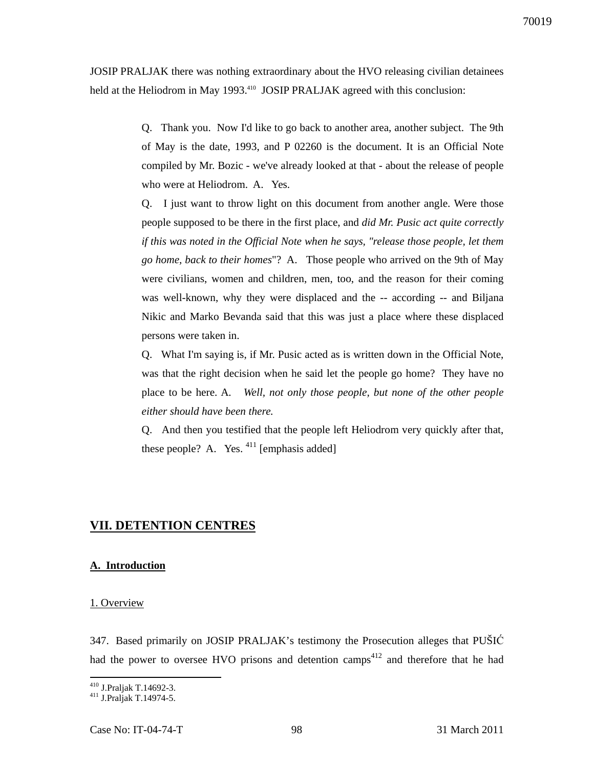JOSIP PRALJAK there was nothing extraordinary about the HVO releasing civilian detainees held at the Heliodrom in May 1993.<sup>410</sup> JOSIP PRALJAK agreed with this conclusion:

> Q. Thank you. Now I'd like to go back to another area, another subject. The 9th of May is the date, 1993, and P 02260 is the document. It is an Official Note compiled by Mr. Bozic - we've already looked at that - about the release of people who were at Heliodrom. A. Yes.

> Q. I just want to throw light on this document from another angle. Were those people supposed to be there in the first place, and *did Mr. Pusic act quite correctly if this was noted in the Official Note when he says, "release those people, let them go home, back to their homes*"? A. Those people who arrived on the 9th of May were civilians, women and children, men, too, and the reason for their coming was well-known, why they were displaced and the -- according -- and Biljana Nikic and Marko Bevanda said that this was just a place where these displaced persons were taken in.

> Q. What I'm saying is, if Mr. Pusic acted as is written down in the Official Note, was that the right decision when he said let the people go home? They have no place to be here. A*. Well, not only those people, but none of the other people either should have been there.*

> Q. And then you testified that the people left Heliodrom very quickly after that, these people? A. Yes.  $411$  [emphasis added]

# **VII. DETENTION CENTRES**

#### **A. Introduction**

#### 1. Overview

347. Based primarily on JOSIP PRALJAK's testimony the Prosecution alleges that PUŠIĆ had the power to oversee HVO prisons and detention camps<sup>412</sup> and therefore that he had

 $\overline{a}$ <sup>410</sup> J.Praljak T.14692-3.

<sup>411</sup> J.Praljak T.14974-5.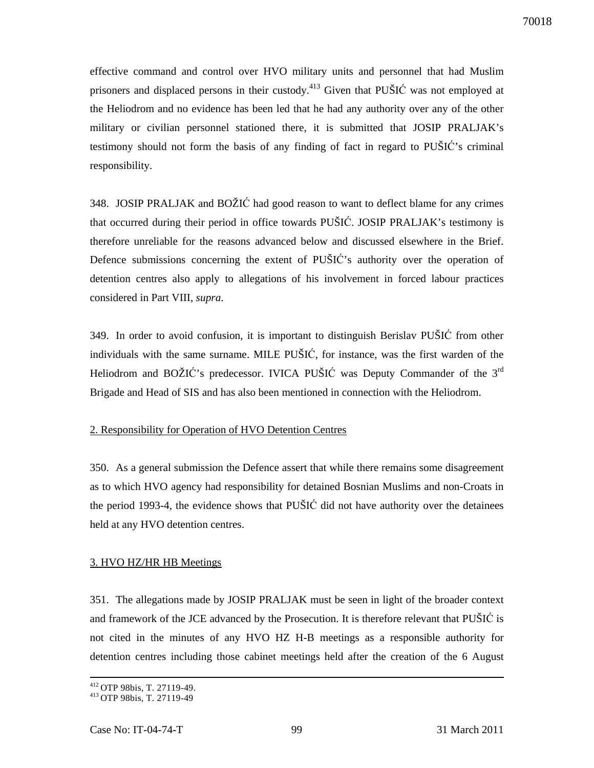effective command and control over HVO military units and personnel that had Muslim prisoners and displaced persons in their custody.<sup>413</sup> Given that PUŠIĆ was not employed at the Heliodrom and no evidence has been led that he had any authority over any of the other military or civilian personnel stationed there, it is submitted that JOSIP PRALJAK's testimony should not form the basis of any finding of fact in regard to PUŠIĆ's criminal responsibility.

348. JOSIP PRALJAK and BOŽIĆ had good reason to want to deflect blame for any crimes that occurred during their period in office towards PUŠIĆ. JOSIP PRALJAK's testimony is therefore unreliable for the reasons advanced below and discussed elsewhere in the Brief. Defence submissions concerning the extent of PUŠIĆ's authority over the operation of detention centres also apply to allegations of his involvement in forced labour practices considered in Part VIII, *supra*.

349. In order to avoid confusion, it is important to distinguish Berislav PUŠIĆ from other individuals with the same surname. MILE PUŠIĆ, for instance, was the first warden of the Heliodrom and BOŽIĆ's predecessor. IVICA PUŠIĆ was Deputy Commander of the 3<sup>rd</sup> Brigade and Head of SIS and has also been mentioned in connection with the Heliodrom.

# 2. Responsibility for Operation of HVO Detention Centres

350. As a general submission the Defence assert that while there remains some disagreement as to which HVO agency had responsibility for detained Bosnian Muslims and non-Croats in the period 1993-4, the evidence shows that PUŠIĆ did not have authority over the detainees held at any HVO detention centres.

# 3. HVO HZ/HR HB Meetings

351. The allegations made by JOSIP PRALJAK must be seen in light of the broader context and framework of the JCE advanced by the Prosecution. It is therefore relevant that PUŠIĆ is not cited in the minutes of any HVO HZ H-B meetings as a responsible authority for detention centres including those cabinet meetings held after the creation of the 6 August

<sup>&</sup>lt;sup>412</sup> OTP 98bis, T. 27119-49.

<sup>413</sup>OTP 98bis, T. 27119-49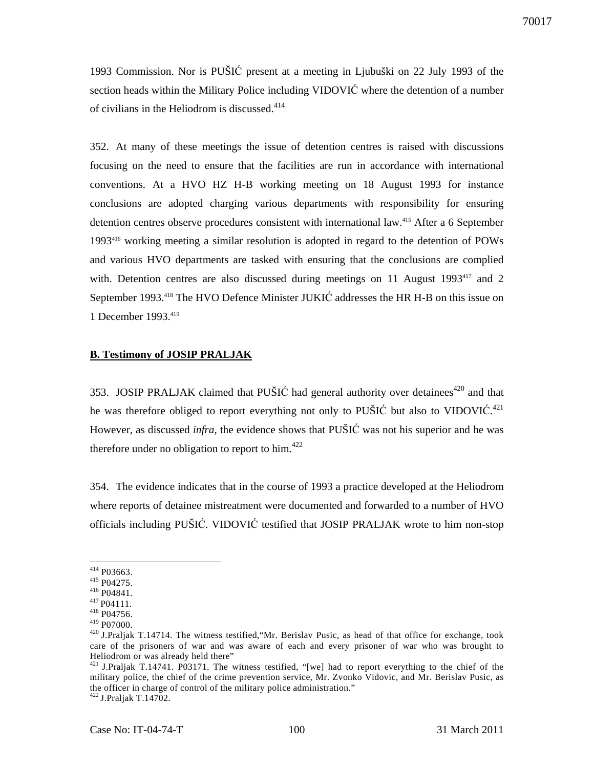1993 Commission. Nor is PUŠIĆ present at a meeting in Ljubuški on 22 July 1993 of the section heads within the Military Police including VIDOVIĆ where the detention of a number of civilians in the Heliodrom is discussed. $414$ 

352. At many of these meetings the issue of detention centres is raised with discussions focusing on the need to ensure that the facilities are run in accordance with international conventions. At a HVO HZ H-B working meeting on 18 August 1993 for instance conclusions are adopted charging various departments with responsibility for ensuring detention centres observe procedures consistent with international law.<sup>415</sup> After a 6 September 1993<sup>416</sup> working meeting a similar resolution is adopted in regard to the detention of POWs and various HVO departments are tasked with ensuring that the conclusions are complied with. Detention centres are also discussed during meetings on 11 August 1993<sup>417</sup> and 2 September 1993.<sup>418</sup> The HVO Defence Minister JUKIĆ addresses the HR H-B on this issue on 1 December 1993.<sup>419</sup>

## **B. Testimony of JOSIP PRALJAK**

353. JOSIP PRALJAK claimed that PUŠIĆ had general authority over detainees<sup>420</sup> and that he was therefore obliged to report everything not only to PUŠIĆ but also to VIDOVIĆ.<sup>421</sup> However, as discussed *infra*, the evidence shows that PUŠIĆ was not his superior and he was therefore under no obligation to report to him. $422$ 

354. The evidence indicates that in the course of 1993 a practice developed at the Heliodrom where reports of detainee mistreatment were documented and forwarded to a number of HVO officials including PUŠIĆ. VIDOVIĆ testified that JOSIP PRALJAK wrote to him non-stop

 $414$  P03663.

<sup>415</sup> P04275.

<sup>416</sup> P04841.

<sup>&</sup>lt;sup>417</sup> P04111.

<sup>418</sup> P04756. <sup>419</sup> P07000.

<sup>&</sup>lt;sup>420</sup> J.Praljak T.14714. The witness testified, "Mr. Berislav Pusic, as head of that office for exchange, took care of the prisoners of war and was aware of each and every prisoner of war who was brought to Heliodrom or was already held there"

<sup>&</sup>lt;sup>421</sup> J.Praljak T.14741. P03171. The witness testified, "[we] had to report everything to the chief of the military police, the chief of the crime prevention service, Mr. Zvonko Vidovic, and Mr. Berislav Pusic, as the officer in charge of control of the military police administration."  $422$  J.Praljak T.14702.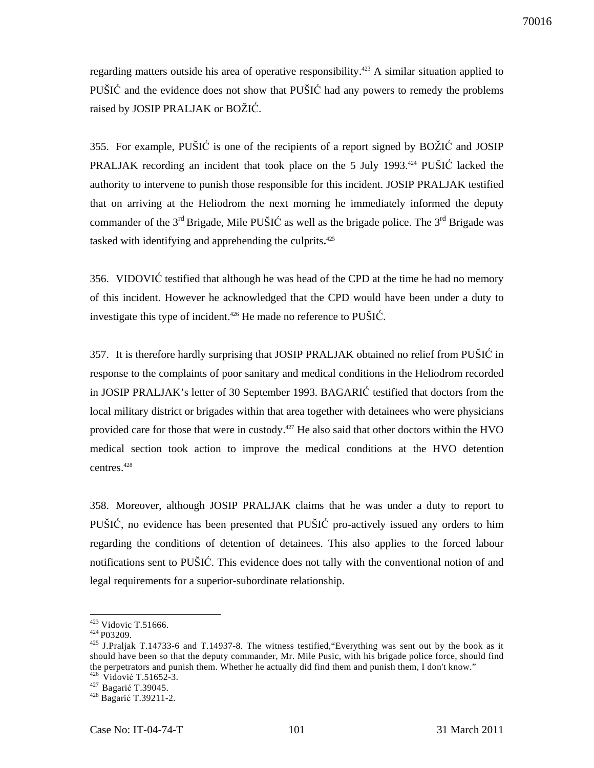regarding matters outside his area of operative responsibility.<sup>423</sup> A similar situation applied to PUŠIĆ and the evidence does not show that PUŠIĆ had any powers to remedy the problems raised by JOSIP PRALJAK or BOŽIĆ.

355. For example, PUŠIĆ is one of the recipients of a report signed by BOŽIĆ and JOSIP PRALJAK recording an incident that took place on the 5 July 1993.<sup>424</sup> PUŠIĆ lacked the authority to intervene to punish those responsible for this incident. JOSIP PRALJAK testified that on arriving at the Heliodrom the next morning he immediately informed the deputy commander of the  $3<sup>rd</sup>$  Brigade, Mile PUŠIĆ as well as the brigade police. The  $3<sup>rd</sup>$  Brigade was tasked with identifying and apprehending the culprits**.** 425

356. VIDOVIĆ testified that although he was head of the CPD at the time he had no memory of this incident. However he acknowledged that the CPD would have been under a duty to investigate this type of incident.<sup> $426$ </sup> He made no reference to PU $\check{S}$ IĆ.

357. It is therefore hardly surprising that JOSIP PRALJAK obtained no relief from PUŠIĆ in response to the complaints of poor sanitary and medical conditions in the Heliodrom recorded in JOSIP PRALJAK's letter of 30 September 1993. BAGARIĆ testified that doctors from the local military district or brigades within that area together with detainees who were physicians provided care for those that were in custody.<sup>427</sup> He also said that other doctors within the HVO medical section took action to improve the medical conditions at the HVO detention centres.<sup>428</sup>

358. Moreover, although JOSIP PRALJAK claims that he was under a duty to report to PUŠIĆ, no evidence has been presented that PUŠIĆ pro-actively issued any orders to him regarding the conditions of detention of detainees. This also applies to the forced labour notifications sent to PUŠIĆ. This evidence does not tally with the conventional notion of and legal requirements for a superior-subordinate relationship.

 $423$  Vidovic T.51666.

<sup>&</sup>lt;sup>424</sup> P03209.

<sup>425</sup> J.Praljak T.14733-6 and T.14937-8. The witness testified,"Everything was sent out by the book as it should have been so that the deputy commander, Mr. Mile Pusic, with his brigade police force, should find the perpetrators and punish them. Whether he actually did find them and punish them, I don't know."  $426$  Vidović T.51652-3.

<sup>&</sup>lt;sup>427</sup> Bagarić T.39045.

<sup>428</sup> Bagarić T.39211-2.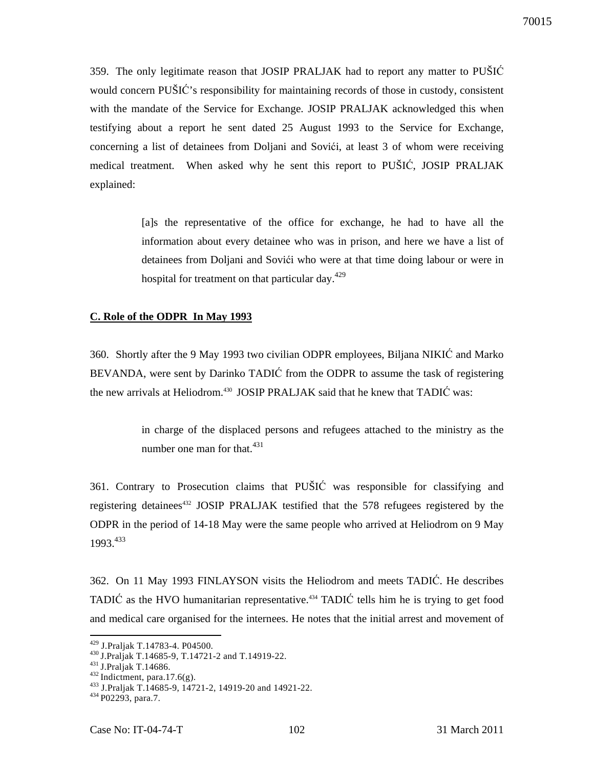359. The only legitimate reason that JOSIP PRALJAK had to report any matter to PUŠIĆ would concern PUŠIĆ's responsibility for maintaining records of those in custody, consistent with the mandate of the Service for Exchange. JOSIP PRALJAK acknowledged this when testifying about a report he sent dated 25 August 1993 to the Service for Exchange, concerning a list of detainees from Doljani and Sovići, at least 3 of whom were receiving medical treatment. When asked why he sent this report to PUŠIĆ, JOSIP PRALJAK explained:

> [a]s the representative of the office for exchange, he had to have all the information about every detainee who was in prison, and here we have a list of detainees from Doljani and Sovići who were at that time doing labour or were in hospital for treatment on that particular day.<sup>429</sup>

# **C. Role of the ODPR In May 1993**

360. Shortly after the 9 May 1993 two civilian ODPR employees, Biljana NIKIĆ and Marko BEVANDA, were sent by Darinko TADIĆ from the ODPR to assume the task of registering the new arrivals at Heliodrom.<sup>430</sup> JOSIP PRALJAK said that he knew that TADIC was:

> in charge of the displaced persons and refugees attached to the ministry as the number one man for that.<sup>431</sup>

361. Contrary to Prosecution claims that PUŠIĆ was responsible for classifying and registering detainees<sup>432</sup> JOSIP PRALJAK testified that the 578 refugees registered by the ODPR in the period of 14-18 May were the same people who arrived at Heliodrom on 9 May 1993.<sup>433</sup>

362. On 11 May 1993 FINLAYSON visits the Heliodrom and meets TADIĆ. He describes TADIĆ as the HVO humanitarian representative.<sup> $434$ </sup> TADIĆ tells him he is trying to get food and medical care organised for the internees. He notes that the initial arrest and movement of

<sup>429</sup> J.Praljak T.14783-4. P04500.

<sup>430</sup>J.Praljak T.14685-9, T.14721-2 and T.14919-22.

 $431$  J.Praljak T.14686.

 $432$  Indictment, para.17.6(g).

<sup>433</sup> J.Praljak T.14685-9, 14721-2, 14919-20 and 14921-22.

 $434 P02293$ , para.7.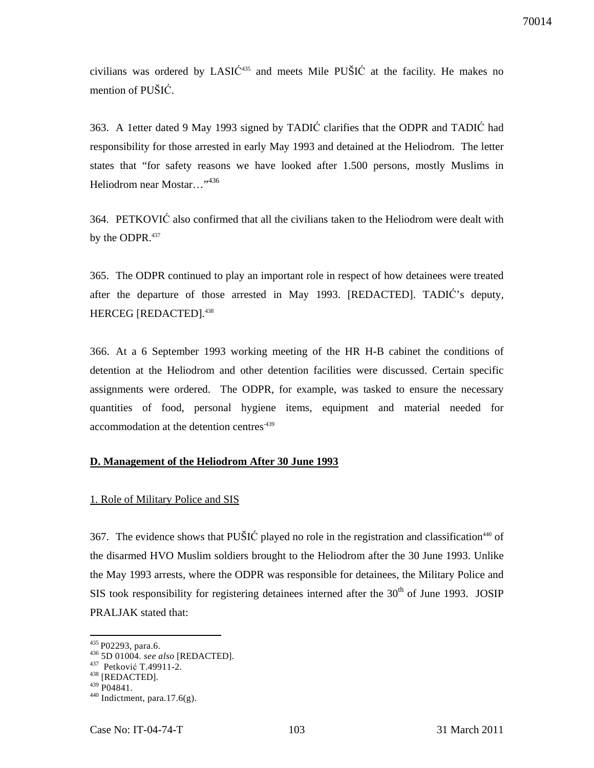civilians was ordered by LASIĆ <sup>435</sup> and meets Mile PUŠIĆ at the facility. He makes no mention of PUŠIĆ.

363. A 1etter dated 9 May 1993 signed by TADIĆ clarifies that the ODPR and TADIĆ had responsibility for those arrested in early May 1993 and detained at the Heliodrom. The letter states that "for safety reasons we have looked after 1.500 persons, mostly Muslims in Heliodrom near Mostar..."<sup>436</sup>

364. PETKOVIĆ also confirmed that all the civilians taken to the Heliodrom were dealt with by the ODPR.<sup>437</sup>

365. The ODPR continued to play an important role in respect of how detainees were treated after the departure of those arrested in May 1993. [REDACTED]. TADIĆ's deputy, HERCEG [REDACTED].<sup>438</sup>

366. At a 6 September 1993 working meeting of the HR H-B cabinet the conditions of detention at the Heliodrom and other detention facilities were discussed. Certain specific assignments were ordered. The ODPR, for example, was tasked to ensure the necessary quantities of food, personal hygiene items, equipment and material needed for accommodation at the detention centres<sup>439</sup>

#### **D. Management of the Heliodrom After 30 June 1993**

#### 1. Role of Military Police and SIS

367. The evidence shows that PUŠIĆ played no role in the registration and classification<sup>440</sup> of the disarmed HVO Muslim soldiers brought to the Heliodrom after the 30 June 1993. Unlike the May 1993 arrests, where the ODPR was responsible for detainees, the Military Police and SIS took responsibility for registering detainees interned after the  $30<sup>th</sup>$  of June 1993. JOSIP PRALJAK stated that:

<sup>&</sup>lt;sup>435</sup> P02293, para.6.

<sup>436</sup> 5D 01004. *see also* [REDACTED].

<sup>437</sup> Petković T.49911-2.

<sup>438</sup> [REDACTED].  $439$  P04841.

 $440$  Indictment, para.17.6(g).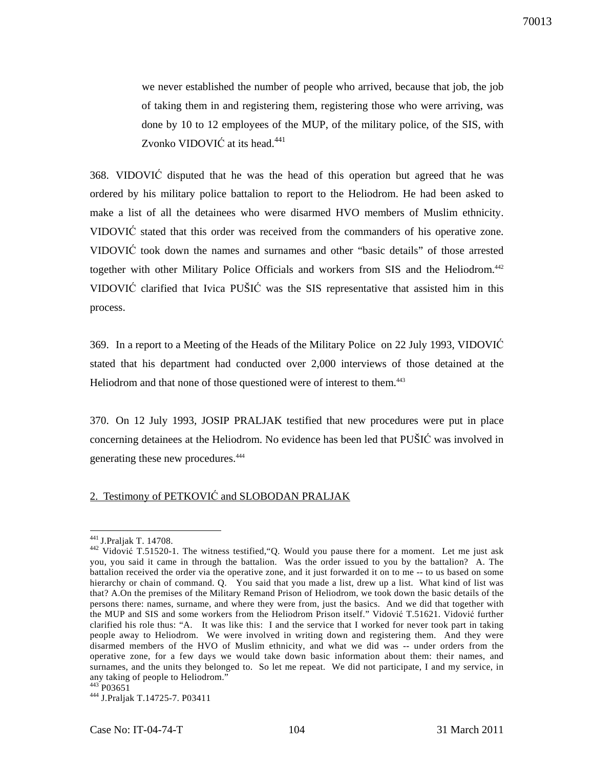we never established the number of people who arrived, because that job, the job of taking them in and registering them, registering those who were arriving, was done by 10 to 12 employees of the MUP, of the military police, of the SIS, with Zvonko VIDOVIĆ at its head.<sup>441</sup>

368. VIDOVIĆ disputed that he was the head of this operation but agreed that he was ordered by his military police battalion to report to the Heliodrom. He had been asked to make a list of all the detainees who were disarmed HVO members of Muslim ethnicity. VIDOVIĆ stated that this order was received from the commanders of his operative zone. VIDOVIĆ took down the names and surnames and other "basic details" of those arrested together with other Military Police Officials and workers from SIS and the Heliodrom.<sup>442</sup> VIDOVIĆ clarified that Ivica PUŠIĆ was the SIS representative that assisted him in this process.

369. In a report to a Meeting of the Heads of the Military Police on 22 July 1993, VIDOVIĆ stated that his department had conducted over 2,000 interviews of those detained at the Heliodrom and that none of those questioned were of interest to them.<sup>443</sup>

370. On 12 July 1993, JOSIP PRALJAK testified that new procedures were put in place concerning detainees at the Heliodrom. No evidence has been led that PUŠIĆ was involved in generating these new procedures.<sup>444</sup>

# 2. Testimony of PETKOVIĆ and SLOBODAN PRALJAK

 $\overline{a}$ <sup>441</sup> J.Praljak T. 14708.

<sup>&</sup>lt;sup>442</sup> Vidović T.51520-1. The witness testified, "Q. Would you pause there for a moment. Let me just ask you, you said it came in through the battalion. Was the order issued to you by the battalion? A. The battalion received the order via the operative zone, and it just forwarded it on to me -- to us based on some hierarchy or chain of command. Q. You said that you made a list, drew up a list. What kind of list was that? A.On the premises of the Military Remand Prison of Heliodrom, we took down the basic details of the persons there: names, surname, and where they were from, just the basics. And we did that together with the MUP and SIS and some workers from the Heliodrom Prison itself." Vidović T.51621. Vidović further clarified his role thus: "A. It was like this: I and the service that I worked for never took part in taking people away to Heliodrom. We were involved in writing down and registering them. And they were disarmed members of the HVO of Muslim ethnicity, and what we did was -- under orders from the operative zone, for a few days we would take down basic information about them: their names, and surnames, and the units they belonged to. So let me repeat. We did not participate, I and my service, in any taking of people to Heliodrom." 443 P03651

<sup>444</sup> J.Praljak T.14725-7. P03411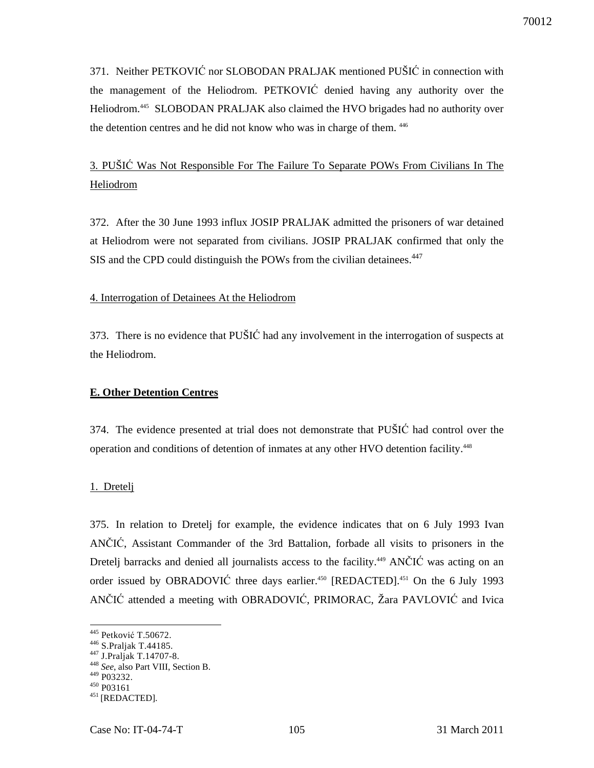371. Neither PETKOVIĆ nor SLOBODAN PRALJAK mentioned PUŠIĆ in connection with the management of the Heliodrom. PETKOVIĆ denied having any authority over the Heliodrom.<sup>445</sup> SLOBODAN PRALJAK also claimed the HVO brigades had no authority over the detention centres and he did not know who was in charge of them. <sup>446</sup>

# 3. PUŠIĆ Was Not Responsible For The Failure To Separate POWs From Civilians In The Heliodrom

372. After the 30 June 1993 influx JOSIP PRALJAK admitted the prisoners of war detained at Heliodrom were not separated from civilians. JOSIP PRALJAK confirmed that only the SIS and the CPD could distinguish the POWs from the civilian detainees.<sup>447</sup>

## 4. Interrogation of Detainees At the Heliodrom

373. There is no evidence that PUŠIĆ had any involvement in the interrogation of suspects at the Heliodrom.

# **E. Other Detention Centres**

374. The evidence presented at trial does not demonstrate that PUŠIĆ had control over the operation and conditions of detention of inmates at any other HVO detention facility.<sup>448</sup>

# 1. Dretelj

375. In relation to Dretelj for example, the evidence indicates that on 6 July 1993 Ivan ANČIĆ, Assistant Commander of the 3rd Battalion, forbade all visits to prisoners in the Dretelj barracks and denied all journalists access to the facility.<sup>449</sup> ANČIĆ was acting on an order issued by OBRADOVIĆ three days earlier.<sup>450</sup> [REDACTED].<sup>451</sup> On the 6 July 1993 ANČIĆ attended a meeting with OBRADOVIĆ, PRIMORAC, Žara PAVLOVIĆ and Ivica

<sup>445</sup> Petković T.50672.

<sup>446</sup> S.Praljak T.44185.

<sup>447</sup> J.Praljak T.14707-8.

<sup>448</sup> *See*, also Part VIII, Section B.

<sup>449</sup> P03232.

<sup>450</sup> P03161

<sup>&</sup>lt;sup>451</sup> [REDACTED].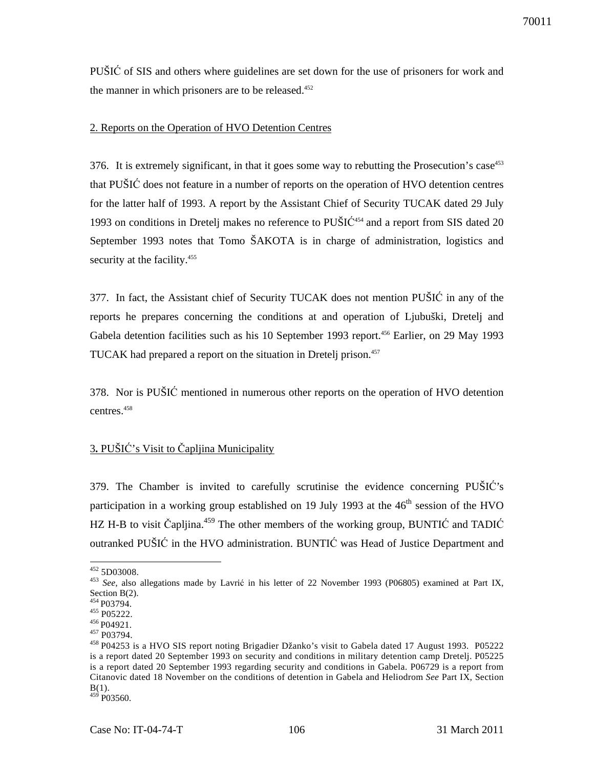PUŠIĆ of SIS and others where guidelines are set down for the use of prisoners for work and the manner in which prisoners are to be released. $452$ 

## 2. Reports on the Operation of HVO Detention Centres

376. It is extremely significant, in that it goes some way to rebutting the Prosecution's case<sup>453</sup> that PUŠIĆ does not feature in a number of reports on the operation of HVO detention centres for the latter half of 1993. A report by the Assistant Chief of Security TUCAK dated 29 July 1993 on conditions in Dretelj makes no reference to  $PU\check{S}IC^{454}$  and a report from SIS dated 20 September 1993 notes that Tomo ŠAKOTA is in charge of administration, logistics and security at the facility.<sup>455</sup>

377. In fact, the Assistant chief of Security TUCAK does not mention PUŠIĆ in any of the reports he prepares concerning the conditions at and operation of Ljubuški, Dretelj and Gabela detention facilities such as his 10 September 1993 report.<sup>456</sup> Earlier, on 29 May 1993 TUCAK had prepared a report on the situation in Dretelj prison.<sup>457</sup>

378. Nor is PUŠIĆ mentioned in numerous other reports on the operation of HVO detention centres.<sup>458</sup>

# 3**.** PUŠIĆ's Visit to Čapljina Municipality

379. The Chamber is invited to carefully scrutinise the evidence concerning PUŠIĆ's participation in a working group established on 19 July 1993 at the  $46<sup>th</sup>$  session of the HVO HZ H-B to visit Čapljina.<sup>459</sup> The other members of the working group, BUNTIC and TADIC outranked PUŠIĆ in the HVO administration. BUNTIĆ was Head of Justice Department and

 $\overline{a}$  $452$  5D03008.

<sup>453</sup> *See*, also allegations made by Lavrić in his letter of 22 November 1993 (P06805) examined at Part IX, Section B(2).

<sup>454</sup> P03794.

<sup>455</sup> P05222.

<sup>&</sup>lt;sup>456</sup> P04921.

<sup>457</sup> P03794.

<sup>458</sup>P04253 is a HVO SIS report noting Brigadier Džanko's visit to Gabela dated 17 August 1993. P05222 is a report dated 20 September 1993 on security and conditions in military detention camp Dretelj. P05225 is a report dated 20 September 1993 regarding security and conditions in Gabela. P06729 is a report from Citanovic dated 18 November on the conditions of detention in Gabela and Heliodrom *See* Part IX, Section  $B(1)$ .  $459$  P03560.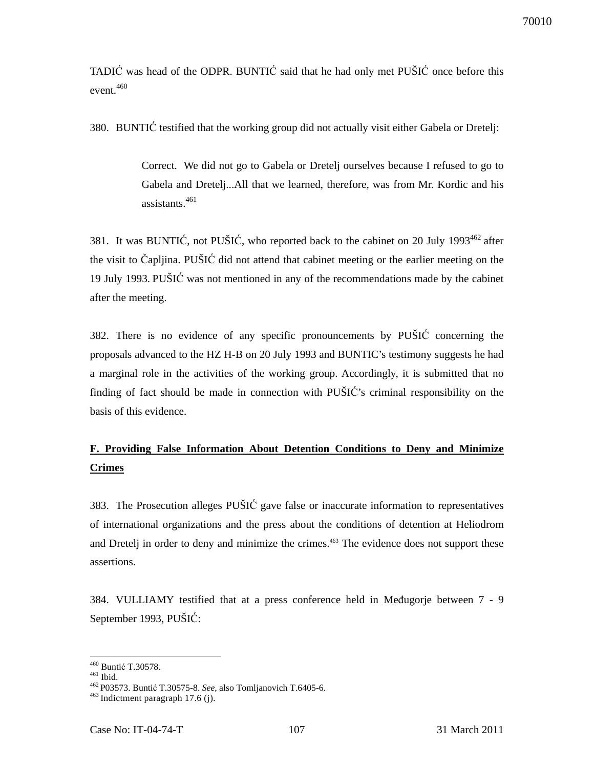TADIĆ was head of the ODPR. BUNTIĆ said that he had only met PUŠIĆ once before this event.<sup>460</sup>

380. BUNTIĆ testified that the working group did not actually visit either Gabela or Dretelj:

Correct. We did not go to Gabela or Dretelj ourselves because I refused to go to Gabela and Dretelj...All that we learned, therefore, was from Mr. Kordic and his assistants.<sup>461</sup>

381. It was BUNTIĆ, not PUŠIĆ, who reported back to the cabinet on 20 July 1993 $^{462}$  after the visit to Čapljina. PUŠIĆ did not attend that cabinet meeting or the earlier meeting on the 19 July 1993. PUŠIĆ was not mentioned in any of the recommendations made by the cabinet after the meeting.

382. There is no evidence of any specific pronouncements by PUŠIĆ concerning the proposals advanced to the HZ H-B on 20 July 1993 and BUNTIC's testimony suggests he had a marginal role in the activities of the working group. Accordingly, it is submitted that no finding of fact should be made in connection with PUŠIĆ's criminal responsibility on the basis of this evidence.

# **F. Providing False Information About Detention Conditions to Deny and Minimize Crimes**

383. The Prosecution alleges PUŠIĆ gave false or inaccurate information to representatives of international organizations and the press about the conditions of detention at Heliodrom and Dretelj in order to deny and minimize the crimes.<sup>463</sup> The evidence does not support these assertions.

384. VULLIAMY testified that at a press conference held in Međugorje between 7 - 9 September 1993, PUŠIĆ:

<sup>460</sup> Buntić T.30578.

<sup>461</sup> Ibid.

<sup>462</sup>P03573. Buntić T.30575-8. *See,* also Tomljanovich T.6405-6.

 $463$  Indictment paragraph 17.6 (j).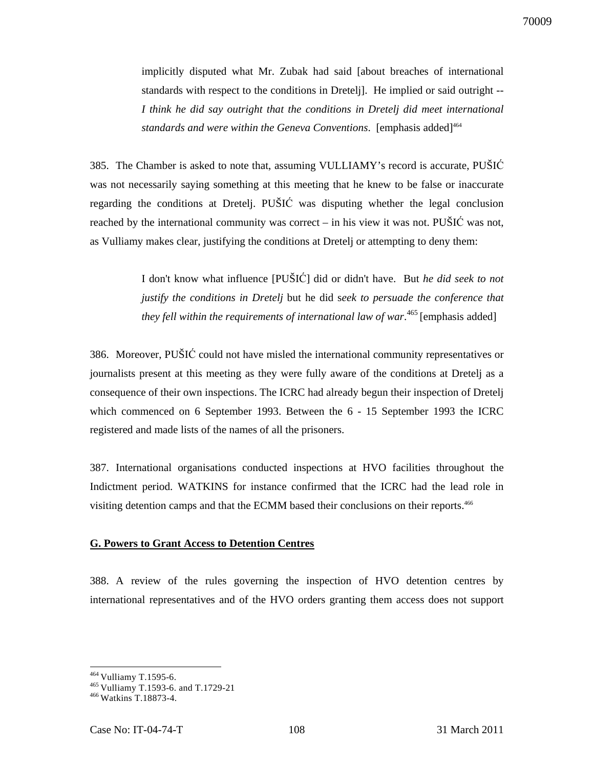70009

implicitly disputed what Mr. Zubak had said [about breaches of international standards with respect to the conditions in Dretelj]. He implied or said outright -- *I think he did say outright that the conditions in Dretelj did meet international*  standards and were within the Geneva Conventions. [emphasis added]<sup>464</sup>

385. The Chamber is asked to note that, assuming VULLIAMY's record is accurate, PUŠIĆ was not necessarily saying something at this meeting that he knew to be false or inaccurate regarding the conditions at Dretelj. PUŠIĆ was disputing whether the legal conclusion reached by the international community was correct – in his view it was not. PUSIC was not, as Vulliamy makes clear, justifying the conditions at Dretelj or attempting to deny them:

> I don't know what influence [PUŠIĆ] did or didn't have. But *he did seek to not justify the conditions in Dretelj* but he did s*eek to persuade the conference that*  they fell within the requirements of international law of war.<sup>465</sup> [emphasis added]

386. Moreover, PUŠIĆ could not have misled the international community representatives or journalists present at this meeting as they were fully aware of the conditions at Dretelj as a consequence of their own inspections. The ICRC had already begun their inspection of Dretelj which commenced on 6 September 1993. Between the 6 - 15 September 1993 the ICRC registered and made lists of the names of all the prisoners.

387. International organisations conducted inspections at HVO facilities throughout the Indictment period. WATKINS for instance confirmed that the ICRC had the lead role in visiting detention camps and that the ECMM based their conclusions on their reports.<sup>466</sup>

### **G. Powers to Grant Access to Detention Centres**

388. A review of the rules governing the inspection of HVO detention centres by international representatives and of the HVO orders granting them access does not support

<sup>&</sup>lt;sup>464</sup> Vulliamy T.1595-6.

<sup>465</sup>Vulliamy T.1593-6. and T.1729-21

<sup>466</sup>Watkins T.18873-4.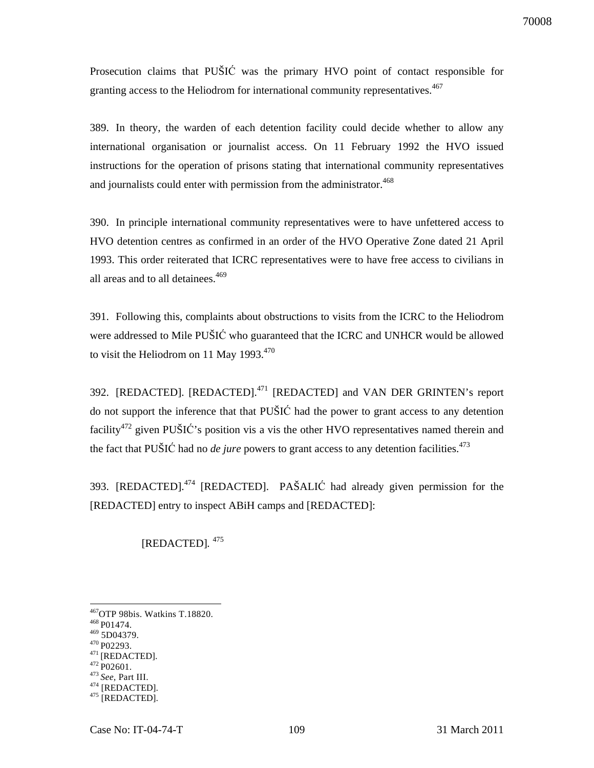Prosecution claims that PUŠIĆ was the primary HVO point of contact responsible for granting access to the Heliodrom for international community representatives.<sup>467</sup>

389. In theory, the warden of each detention facility could decide whether to allow any international organisation or journalist access. On 11 February 1992 the HVO issued instructions for the operation of prisons stating that international community representatives and journalists could enter with permission from the administrator.<sup>468</sup>

390. In principle international community representatives were to have unfettered access to HVO detention centres as confirmed in an order of the HVO Operative Zone dated 21 April 1993. This order reiterated that ICRC representatives were to have free access to civilians in all areas and to all detainees.<sup>469</sup>

391. Following this, complaints about obstructions to visits from the ICRC to the Heliodrom were addressed to Mile PUŠIĆ who guaranteed that the ICRC and UNHCR would be allowed to visit the Heliodrom on 11 May  $1993^{470}$ 

392. [REDACTED]. [REDACTED].<sup>471</sup> [REDACTED] and VAN DER GRINTEN's report do not support the inference that that PUŠIĆ had the power to grant access to any detention facility<sup>472</sup> given PUŠIĆ's position vis a vis the other HVO representatives named therein and the fact that PUŠIĆ had no *de jure* powers to grant access to any detention facilities. 473

393. [REDACTED].<sup>474</sup> [REDACTED]. PAŠALIĆ had already given permission for the [REDACTED] entry to inspect ABiH camps and [REDACTED]:

[REDACTED]*.* 475

 $\overline{a}$ 

<sup>473</sup>*See,* Part III.

<sup>467</sup>OTP 98bis. Watkins T.18820.

<sup>&</sup>lt;sup>468</sup> P01474.

<sup>469</sup> 5D04379. <sup>470</sup> P02293.

 $^{471}\!$  [REDACTED].

 $472$  P02601.

<sup>&</sup>lt;sup>474</sup> [REDACTED].

<sup>475</sup> [REDACTED].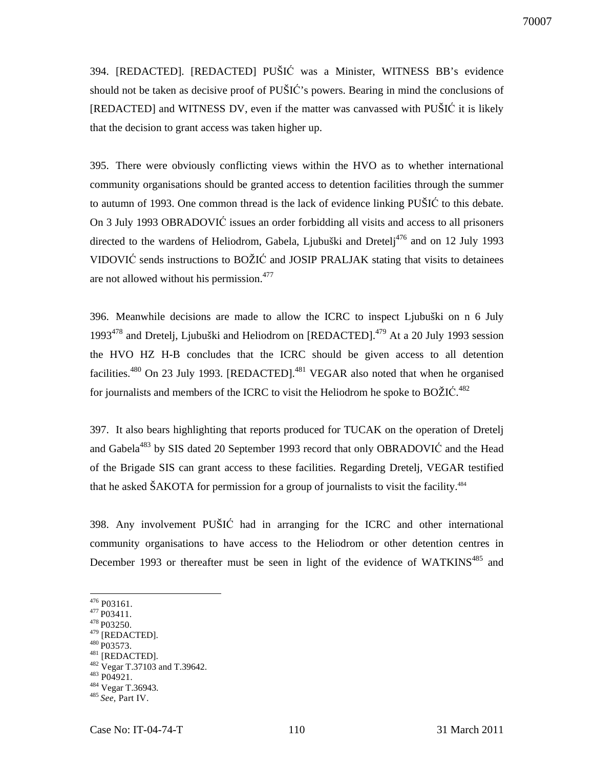394. [REDACTED]. [REDACTED] PUŠIĆ was a Minister, WITNESS BB's evidence should not be taken as decisive proof of PUŠIĆ's powers. Bearing in mind the conclusions of [REDACTED] and WITNESS DV, even if the matter was canvassed with PUŠIĆ it is likely that the decision to grant access was taken higher up.

395. There were obviously conflicting views within the HVO as to whether international community organisations should be granted access to detention facilities through the summer to autumn of 1993. One common thread is the lack of evidence linking PUŠIĆ to this debate. On 3 July 1993 OBRADOVIĆ issues an order forbidding all visits and access to all prisoners directed to the wardens of Heliodrom, Gabela, Ljubuški and Dretelj<sup>476</sup> and on 12 July 1993 VIDOVIĆ sends instructions to BOŽIĆ and JOSIP PRALJAK stating that visits to detainees are not allowed without his permission.<sup>477</sup>

396. Meanwhile decisions are made to allow the ICRC to inspect Ljubuški on n 6 July 1993<sup>478</sup> and Dretelj, Ljubuški and Heliodrom on [REDACTED].<sup>479</sup> At a 20 July 1993 session the HVO HZ H-B concludes that the ICRC should be given access to all detention facilities.<sup>480</sup> On 23 July 1993. [REDACTED].<sup>481</sup> VEGAR also noted that when he organised for journalists and members of the ICRC to visit the Heliodrom he spoke to BOŽIĆ.<sup>482</sup>

397. It also bears highlighting that reports produced for TUCAK on the operation of Dretelj and Gabela<sup>483</sup> by SIS dated 20 September 1993 record that only OBRADOVIC and the Head of the Brigade SIS can grant access to these facilities. Regarding Dretelj, VEGAR testified that he asked ŠAKOTA for permission for a group of journalists to visit the facility.<sup>484</sup>

398. Any involvement PUŠIĆ had in arranging for the ICRC and other international community organisations to have access to the Heliodrom or other detention centres in December 1993 or thereafter must be seen in light of the evidence of WATKINS<sup>485</sup> and

- <sup>478</sup> P03250.
- $^{479}$  [REDACTED]. <sup>480</sup> P03573.
- $^{481}$  [REDACTED].
- 482 Vegar T.37103 and T.39642.
- <sup>483</sup> P04921.
- <sup>484</sup> Vegar T.36943.

 $476$  P03161.

<sup>&</sup>lt;sup>477</sup> P03411.

<sup>485</sup>*See,* Part IV.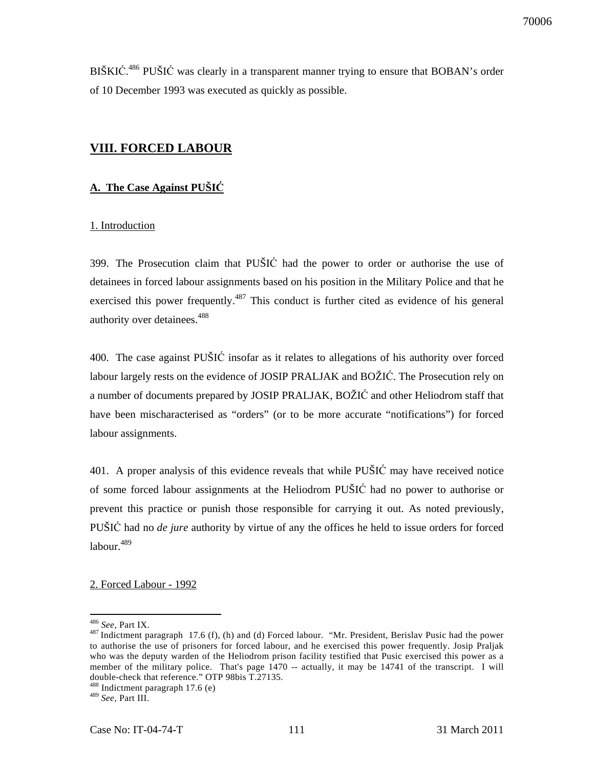BIŠKIĆ.<sup>486</sup> PUŠIĆ was clearly in a transparent manner trying to ensure that BOBAN's order of 10 December 1993 was executed as quickly as possible.

# **VIII. FORCED LABOUR**

# **A. The Case Against PUŠI**Ć

## 1. Introduction

399. The Prosecution claim that PUŠIĆ had the power to order or authorise the use of detainees in forced labour assignments based on his position in the Military Police and that he exercised this power frequently.<sup>487</sup> This conduct is further cited as evidence of his general authority over detainees.<sup>488</sup>

400. The case against PUŠIĆ insofar as it relates to allegations of his authority over forced labour largely rests on the evidence of JOSIP PRALJAK and BOŽIĆ. The Prosecution rely on a number of documents prepared by JOSIP PRALJAK, BOŽIĆ and other Heliodrom staff that have been mischaracterised as "orders" (or to be more accurate "notifications") for forced labour assignments.

401. A proper analysis of this evidence reveals that while PUŠIĆ may have received notice of some forced labour assignments at the Heliodrom PUŠIĆ had no power to authorise or prevent this practice or punish those responsible for carrying it out. As noted previously, PUŠIĆ had no *de jure* authority by virtue of any the offices he held to issue orders for forced labour.<sup>489</sup>

2. Forced Labour - 1992

<sup>486</sup> *See,* Part IX.

<sup>&</sup>lt;sup>487</sup> Indictment paragraph 17.6 (f), (h) and (d) Forced labour. "Mr. President, Berislav Pusic had the power to authorise the use of prisoners for forced labour, and he exercised this power frequently. Josip Praljak who was the deputy warden of the Heliodrom prison facility testified that Pusic exercised this power as a member of the military police. That's page 1470 -- actually, it may be 14741 of the transcript. I will double-check that reference." OTP 98bis T.27135.

<sup>488</sup> Indictment paragraph 17.6 (e)

<sup>489</sup> *See*, Part III.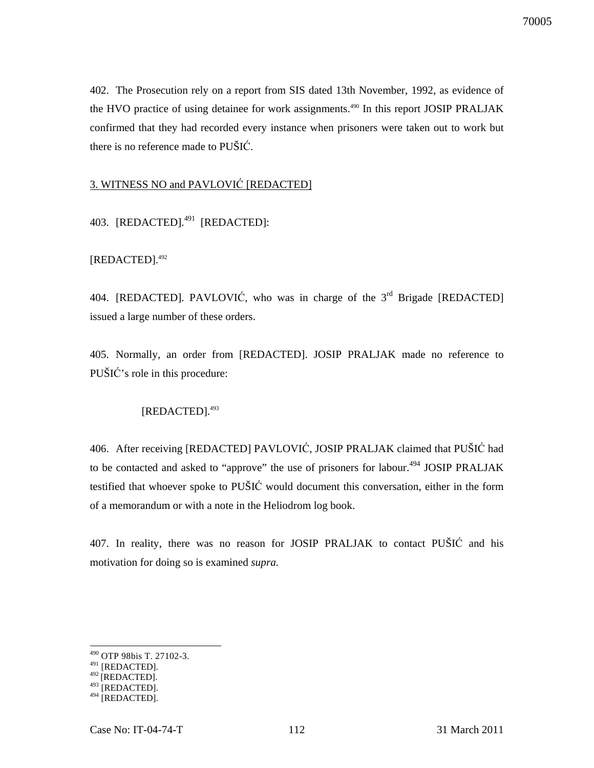402. The Prosecution rely on a report from SIS dated 13th November, 1992, as evidence of the HVO practice of using detainee for work assignments.<sup>490</sup> In this report JOSIP PRALJAK confirmed that they had recorded every instance when prisoners were taken out to work but there is no reference made to PUŠIĆ.

# 3. WITNESS NO and PAVLOVIĆ [REDACTED]

403. [REDACTED].<sup>491</sup> [REDACTED]:

[REDACTED].<sup>492</sup>

404. [REDACTED]. PAVLOVIĆ, who was in charge of the  $3<sup>rd</sup>$  Brigade [REDACTED] issued a large number of these orders.

405. Normally, an order from [REDACTED]. JOSIP PRALJAK made no reference to PUŠIĆ's role in this procedure:

# [REDACTED].<sup>493</sup>

406. After receiving [REDACTED] PAVLOVIĆ, JOSIP PRALJAK claimed that PUŠIĆ had to be contacted and asked to "approve" the use of prisoners for labour.<sup>494</sup> JOSIP PRALJAK testified that whoever spoke to PUŠIĆ would document this conversation, either in the form of a memorandum or with a note in the Heliodrom log book.

407. In reality, there was no reason for JOSIP PRALJAK to contact PUŠIĆ and his motivation for doing so is examined *supra.*

<sup>490</sup> OTP 98bis T. 27102-3.

 $491$  [REDACTED].

 $^{492}$ [REDACTED].

 $493$  [REDACTED].

<sup>494</sup> [REDACTED].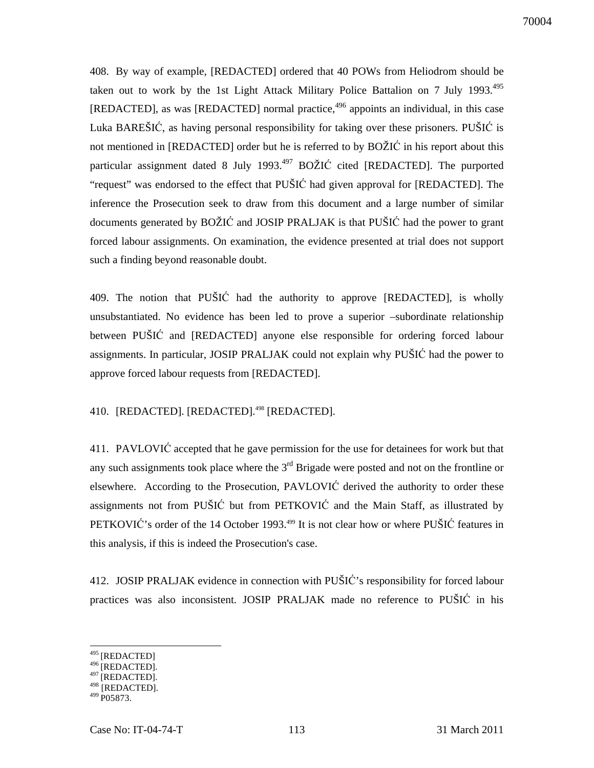70004

408. By way of example, [REDACTED] ordered that 40 POWs from Heliodrom should be taken out to work by the 1st Light Attack Military Police Battalion on 7 July 1993. $^{495}$ [REDACTED], as was [REDACTED] normal practice,<sup>496</sup> appoints an individual, in this case Luka BAREŠIĆ, as having personal responsibility for taking over these prisoners. PUŠIĆ is not mentioned in [REDACTED] order but he is referred to by BOŽIĆ in his report about this particular assignment dated 8 July 1993. $497$  BOŽIĆ cited [REDACTED]. The purported "request" was endorsed to the effect that PUŠIĆ had given approval for [REDACTED]. The inference the Prosecution seek to draw from this document and a large number of similar documents generated by BOŽIĆ and JOSIP PRALJAK is that PUŠIĆ had the power to grant forced labour assignments. On examination, the evidence presented at trial does not support such a finding beyond reasonable doubt.

409. The notion that PUŠIĆ had the authority to approve [REDACTED], is wholly unsubstantiated. No evidence has been led to prove a superior –subordinate relationship between PUŠIĆ and [REDACTED] anyone else responsible for ordering forced labour assignments. In particular, JOSIP PRALJAK could not explain why PUŠIĆ had the power to approve forced labour requests from [REDACTED].

# 410. [REDACTED]. [REDACTED].<sup>498</sup> [REDACTED].

411. PAVLOVIĆ accepted that he gave permission for the use for detainees for work but that any such assignments took place where the  $3<sup>rd</sup>$  Brigade were posted and not on the frontline or elsewhere. According to the Prosecution, PAVLOVIĆ derived the authority to order these assignments not from PUŠIĆ but from PETKOVIĆ and the Main Staff, as illustrated by PETKOVIĆ's order of the 14 October 1993.<sup>499</sup> It is not clear how or where PUŠIĆ features in this analysis, if this is indeed the Prosecution's case.

412. JOSIP PRALJAK evidence in connection with PUŠIĆ's responsibility for forced labour practices was also inconsistent. JOSIP PRALJAK made no reference to PUŠIĆ in his

<sup>&</sup>lt;sup>495</sup> [REDACTED]

 $^{496}$ [REDACTED].

 $497$ [REDACTED].

<sup>498 [</sup>REDACTED].  $499$  P05873.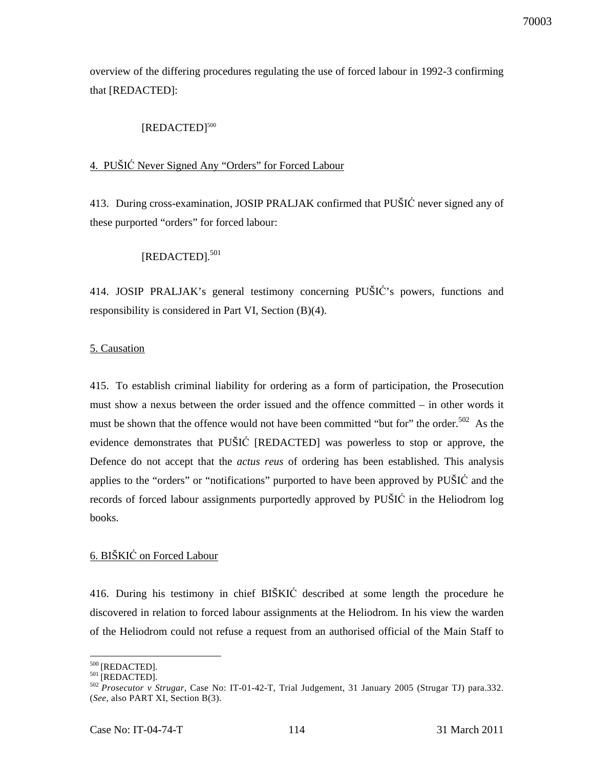overview of the differing procedures regulating the use of forced labour in 1992-3 confirming that [REDACTED]:

# [REDACTED]<sup>500</sup>

# 4. PUŠIĆ Never Signed Any "Orders" for Forced Labour

413. During cross-examination, JOSIP PRALJAK confirmed that PUŠIĆ never signed any of these purported "orders" for forced labour:

# [REDACTED].<sup>501</sup>

414. JOSIP PRALJAK's general testimony concerning PUŠIĆ's powers, functions and responsibility is considered in Part VI, Section (B)(4).

## 5. Causation

415. To establish criminal liability for ordering as a form of participation, the Prosecution must show a nexus between the order issued and the offence committed – in other words it must be shown that the offence would not have been committed "but for" the order.<sup>502</sup> As the evidence demonstrates that PUŠIĆ [REDACTED] was powerless to stop or approve, the Defence do not accept that the *actus reus* of ordering has been established. This analysis applies to the "orders" or "notifications" purported to have been approved by PUŠIĆ and the records of forced labour assignments purportedly approved by PUŠIĆ in the Heliodrom log books.

# 6. BIŠKIĆ on Forced Labour

416. During his testimony in chief BIŠKIĆ described at some length the procedure he discovered in relation to forced labour assignments at the Heliodrom. In his view the warden of the Heliodrom could not refuse a request from an authorised official of the Main Staff to

 $\overline{a}$ 

70003

<sup>&</sup>lt;sup>500</sup> [REDACTED].

 $501$  [REDACTED].

<sup>502</sup>*Prosecutor v Strugar*, Case No: IT-01-42-T, Trial Judgement, 31 January 2005 (Strugar TJ) para.332. (*See,* also PART XI, Section B(3).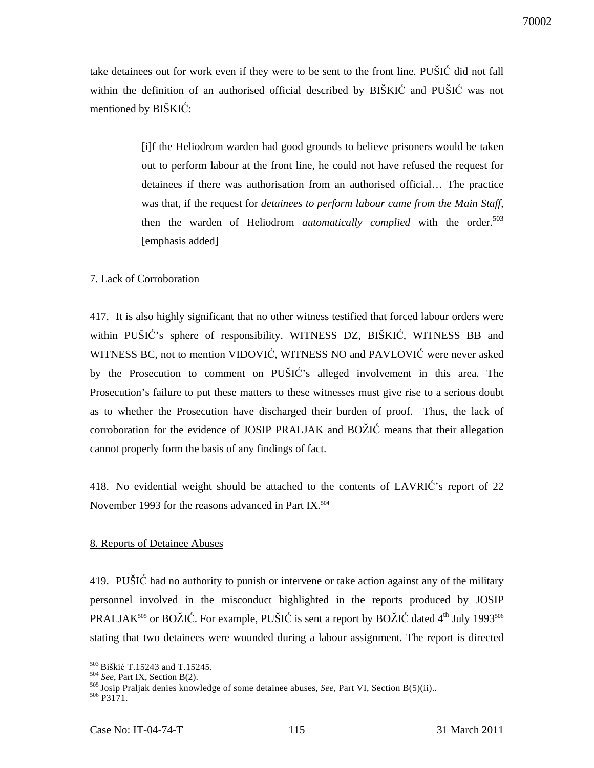take detainees out for work even if they were to be sent to the front line. PUŠIĆ did not fall within the definition of an authorised official described by BIŠKIĆ and PUŠIĆ was not mentioned by BIŠKIĆ:

> [i]f the Heliodrom warden had good grounds to believe prisoners would be taken out to perform labour at the front line, he could not have refused the request for detainees if there was authorisation from an authorised official… The practice was that, if the request for *detainees to perform labour came from the Main Staff*, then the warden of Heliodrom *automatically complied* with the order.<sup>503</sup> [emphasis added]

### 7. Lack of Corroboration

417. It is also highly significant that no other witness testified that forced labour orders were within PUŠIĆ's sphere of responsibility. WITNESS DZ, BIŠKIĆ, WITNESS BB and WITNESS BC, not to mention VIDOVIĆ, WITNESS NO and PAVLOVIĆ were never asked by the Prosecution to comment on PUŠIĆ's alleged involvement in this area. The Prosecution's failure to put these matters to these witnesses must give rise to a serious doubt as to whether the Prosecution have discharged their burden of proof. Thus, the lack of corroboration for the evidence of JOSIP PRALJAK and BOŽIĆ means that their allegation cannot properly form the basis of any findings of fact.

418. No evidential weight should be attached to the contents of LAVRIĆ's report of 22 November 1993 for the reasons advanced in Part IX.<sup>504</sup>

### 8. Reports of Detainee Abuses

419. PUŠIĆ had no authority to punish or intervene or take action against any of the military personnel involved in the misconduct highlighted in the reports produced by JOSIP PRALJAK<sup>505</sup> or BOŽIĆ. For example, PUŠIĆ is sent a report by BOŽIĆ dated  $4<sup>th</sup>$  July 1993<sup>506</sup> stating that two detainees were wounded during a labour assignment. The report is directed

<sup>&</sup>lt;sup>503</sup> Biškić T.15243 and T.15245.

<sup>504</sup> *See*, Part IX, Section B(2).

<sup>&</sup>lt;sup>505</sup> Josip Praljak denies knowledge of some detainee abuses, *See*, Part VI, Section B(5)(ii)..

 $506$  P3171.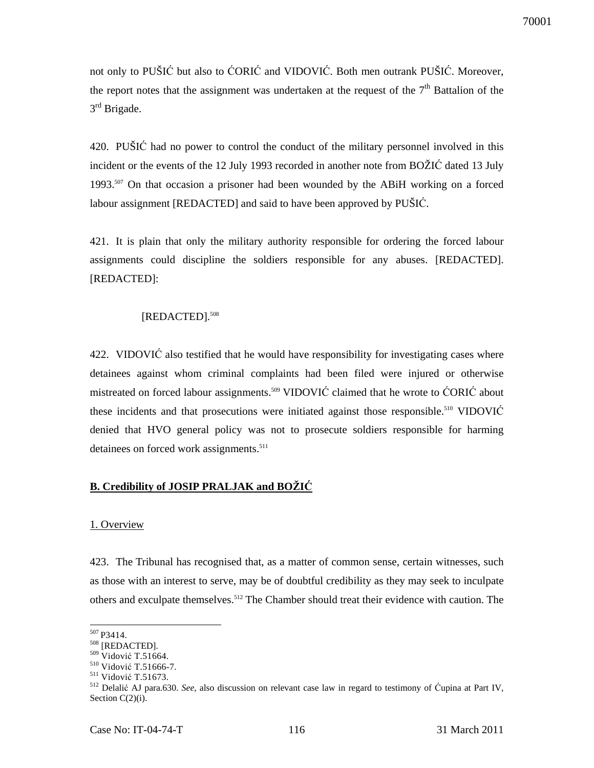not only to PUŠIĆ but also to ĆORIĆ and VIDOVIĆ. Both men outrank PUŠIĆ. Moreover, the report notes that the assignment was undertaken at the request of the  $7<sup>th</sup>$  Battalion of the 3<sup>rd</sup> Brigade.

420. PUŠIĆ had no power to control the conduct of the military personnel involved in this incident or the events of the 12 July 1993 recorded in another note from BOŽIĆ dated 13 July 1993.<sup>507</sup> On that occasion a prisoner had been wounded by the ABiH working on a forced labour assignment [REDACTED] and said to have been approved by PUŠIĆ.

421. It is plain that only the military authority responsible for ordering the forced labour assignments could discipline the soldiers responsible for any abuses. [REDACTED]. [REDACTED]:

## [REDACTED].<sup>508</sup>

422. VIDOVIĆ also testified that he would have responsibility for investigating cases where detainees against whom criminal complaints had been filed were injured or otherwise mistreated on forced labour assignments.<sup>509</sup> VIDOVIĆ claimed that he wrote to ĆORIĆ about these incidents and that prosecutions were initiated against those responsible.<sup>510</sup> VIDOVIĆ denied that HVO general policy was not to prosecute soldiers responsible for harming detainees on forced work assignments.<sup>511</sup>

### **B. Credibility of JOSIP PRALJAK and BOŽI**Ć

### 1. Overview

423. The Tribunal has recognised that, as a matter of common sense, certain witnesses, such as those with an interest to serve, may be of doubtful credibility as they may seek to inculpate others and exculpate themselves.<sup>512</sup> The Chamber should treat their evidence with caution. The

 $\ddot{\phantom{a}}$ 

<sup>&</sup>lt;sup>507</sup> P3414.

<sup>508</sup> [REDACTED].

<sup>509</sup> Vidović T.51664.

<sup>510</sup> Vidović T.51666-7.

<sup>511</sup> Vidović T.51673.

<sup>512</sup> Delalić AJ para.630. *See,* also discussion on relevant case law in regard to testimony of Ćupina at Part IV, Section  $C(2)(i)$ .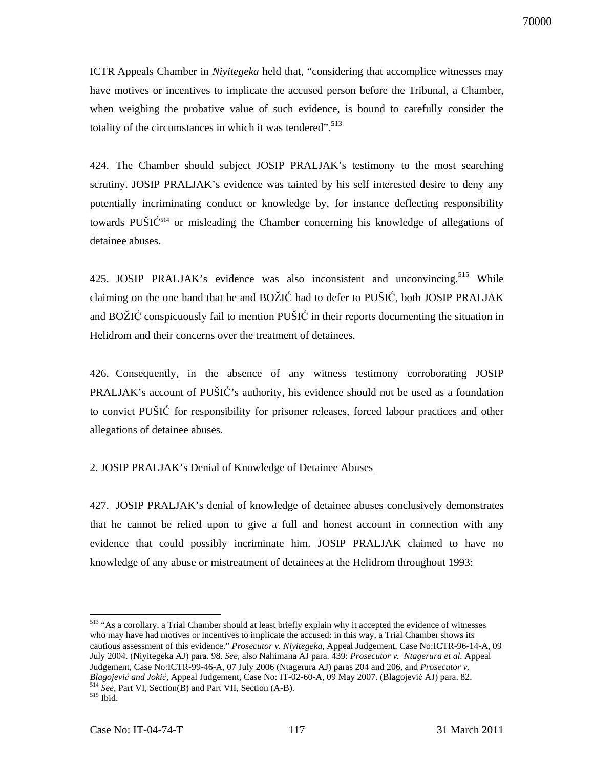ICTR Appeals Chamber in *Niyitegeka* held that, "considering that accomplice witnesses may have motives or incentives to implicate the accused person before the Tribunal, a Chamber, when weighing the probative value of such evidence, is bound to carefully consider the totality of the circumstances in which it was tendered". $513$ 

424. The Chamber should subject JOSIP PRALJAK's testimony to the most searching scrutiny. JOSIP PRALJAK's evidence was tainted by his self interested desire to deny any potentially incriminating conduct or knowledge by, for instance deflecting responsibility towards PUŠIĆ <sup>514</sup> or misleading the Chamber concerning his knowledge of allegations of detainee abuses.

425. JOSIP PRALJAK's evidence was also inconsistent and unconvincing.<sup>515</sup> While claiming on the one hand that he and BOŽIĆ had to defer to PUŠIĆ, both JOSIP PRALJAK and BOŽIĆ conspicuously fail to mention PUŠIĆ in their reports documenting the situation in Helidrom and their concerns over the treatment of detainees.

426. Consequently, in the absence of any witness testimony corroborating JOSIP PRALJAK's account of PUŠIĆ's authority, his evidence should not be used as a foundation to convict PUŠIĆ for responsibility for prisoner releases, forced labour practices and other allegations of detainee abuses.

### 2. JOSIP PRALJAK's Denial of Knowledge of Detainee Abuses

427. JOSIP PRALJAK's denial of knowledge of detainee abuses conclusively demonstrates that he cannot be relied upon to give a full and honest account in connection with any evidence that could possibly incriminate him. JOSIP PRALJAK claimed to have no knowledge of any abuse or mistreatment of detainees at the Helidrom throughout 1993:

 $\overline{a}$ <sup>513</sup> "As a corollary, a Trial Chamber should at least briefly explain why it accepted the evidence of witnesses who may have had motives or incentives to implicate the accused: in this way, a Trial Chamber shows its cautious assessment of this evidence." *Prosecutor v. Niyitegeka,* Appeal Judgement, Case No:ICTR-96-14-A, 09 July 2004. (Niyitegeka AJ) para. 98. *See,* also Nahimana AJ para. 439: *Prosecutor v. Ntagerura et al.* Appeal Judgement, Case No:ICTR-99-46-A, 07 July 2006 (Ntagerura AJ) paras 204 and 206, and *Prosecutor v. Blagojevi*ć *and Joki*ć*,* Appeal Judgement, Case No: IT-02-60-A, 09 May 2007. (Blagojević AJ) para. 82. <sup>514</sup> *See*, Part VI, Section(B) and Part VII, Section (A-B).

 $515$  Ibid.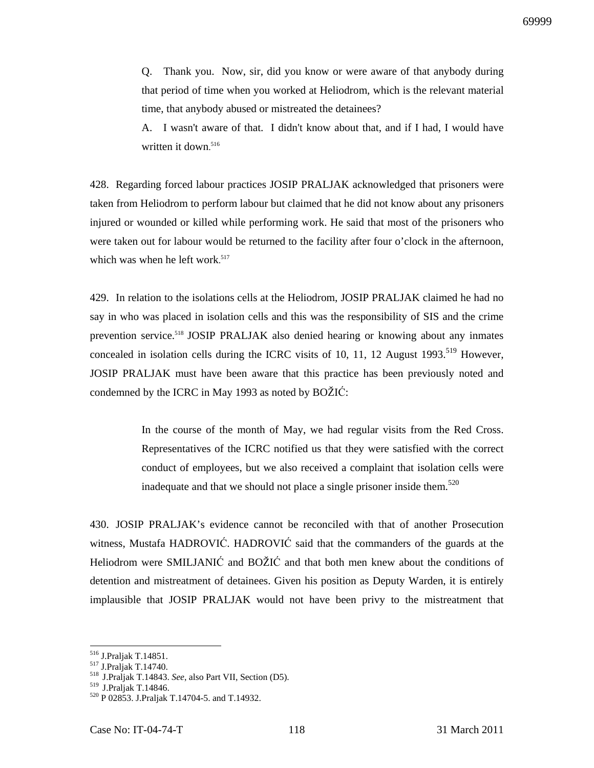Q. Thank you. Now, sir, did you know or were aware of that anybody during that period of time when you worked at Heliodrom, which is the relevant material time, that anybody abused or mistreated the detainees?

A. I wasn't aware of that. I didn't know about that, and if I had, I would have written it down. 516

428. Regarding forced labour practices JOSIP PRALJAK acknowledged that prisoners were taken from Heliodrom to perform labour but claimed that he did not know about any prisoners injured or wounded or killed while performing work. He said that most of the prisoners who were taken out for labour would be returned to the facility after four o'clock in the afternoon, which was when he left work. 517

429. In relation to the isolations cells at the Heliodrom, JOSIP PRALJAK claimed he had no say in who was placed in isolation cells and this was the responsibility of SIS and the crime prevention service.<sup>518</sup> JOSIP PRALJAK also denied hearing or knowing about any inmates concealed in isolation cells during the ICRC visits of 10, 11, 12 August 1993.<sup>519</sup> However, JOSIP PRALJAK must have been aware that this practice has been previously noted and condemned by the ICRC in May 1993 as noted by BOŽIĆ:

> In the course of the month of May, we had regular visits from the Red Cross. Representatives of the ICRC notified us that they were satisfied with the correct conduct of employees, but we also received a complaint that isolation cells were inadequate and that we should not place a single prisoner inside them.<sup>520</sup>

430. JOSIP PRALJAK's evidence cannot be reconciled with that of another Prosecution witness, Mustafa HADROVIĆ. HADROVIĆ said that the commanders of the guards at the Heliodrom were SMILJANIĆ and BOŽIĆ and that both men knew about the conditions of detention and mistreatment of detainees. Given his position as Deputy Warden, it is entirely implausible that JOSIP PRALJAK would not have been privy to the mistreatment that

<sup>516</sup> J.Praljak T.14851.

<sup>517</sup> J.Praljak T.14740.

<sup>&</sup>lt;sup>518</sup> J.Praljak T.14843. *See*, also Part VII, Section (D5).

<sup>&</sup>lt;sup>519</sup> J.Praljak T.14846.

<sup>520</sup> P 02853. J.Praljak T.14704-5. and T.14932.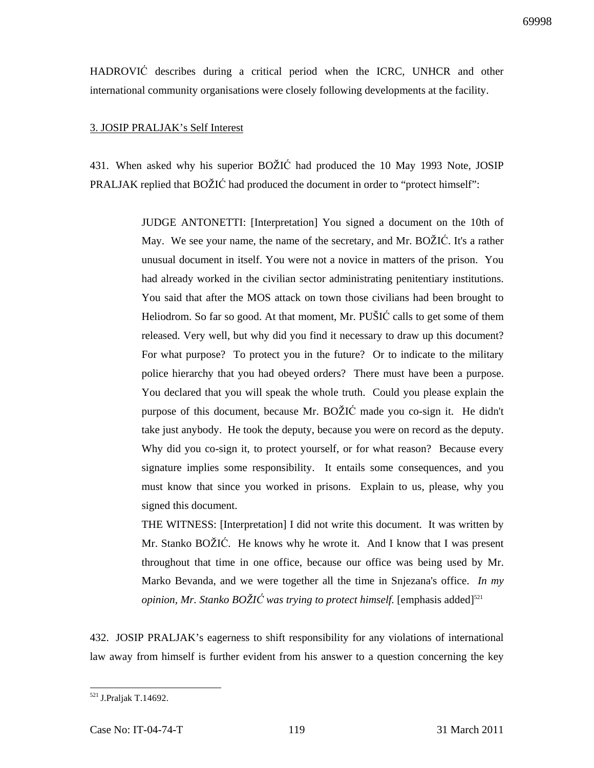HADROVIĆ describes during a critical period when the ICRC, UNHCR and other international community organisations were closely following developments at the facility.

### 3. JOSIP PRALJAK's Self Interest

431. When asked why his superior BOŽIĆ had produced the 10 May 1993 Note, JOSIP PRALJAK replied that BOŽIĆ had produced the document in order to "protect himself":

> JUDGE ANTONETTI: [Interpretation] You signed a document on the 10th of May. We see your name, the name of the secretary, and Mr. BOŽIĆ. It's a rather unusual document in itself. You were not a novice in matters of the prison. You had already worked in the civilian sector administrating penitentiary institutions. You said that after the MOS attack on town those civilians had been brought to Heliodrom. So far so good. At that moment, Mr. PUŠIĆ calls to get some of them released. Very well, but why did you find it necessary to draw up this document? For what purpose? To protect you in the future? Or to indicate to the military police hierarchy that you had obeyed orders? There must have been a purpose. You declared that you will speak the whole truth. Could you please explain the purpose of this document, because Mr. BOŽIĆ made you co-sign it. He didn't take just anybody. He took the deputy, because you were on record as the deputy. Why did you co-sign it, to protect yourself, or for what reason? Because every signature implies some responsibility. It entails some consequences, and you must know that since you worked in prisons. Explain to us, please, why you signed this document.

> THE WITNESS: [Interpretation] I did not write this document. It was written by Mr. Stanko BOŽIĆ. He knows why he wrote it. And I know that I was present throughout that time in one office, because our office was being used by Mr. Marko Bevanda, and we were together all the time in Snjezana's office. *In my opinion, Mr. Stanko BOŽIĆ* was trying to protect himself. [emphasis added]<sup>521</sup>

432. JOSIP PRALJAK's eagerness to shift responsibility for any violations of international law away from himself is further evident from his answer to a question concerning the key

 $\overline{a}$ <sup>521</sup> J.Praljak T.14692.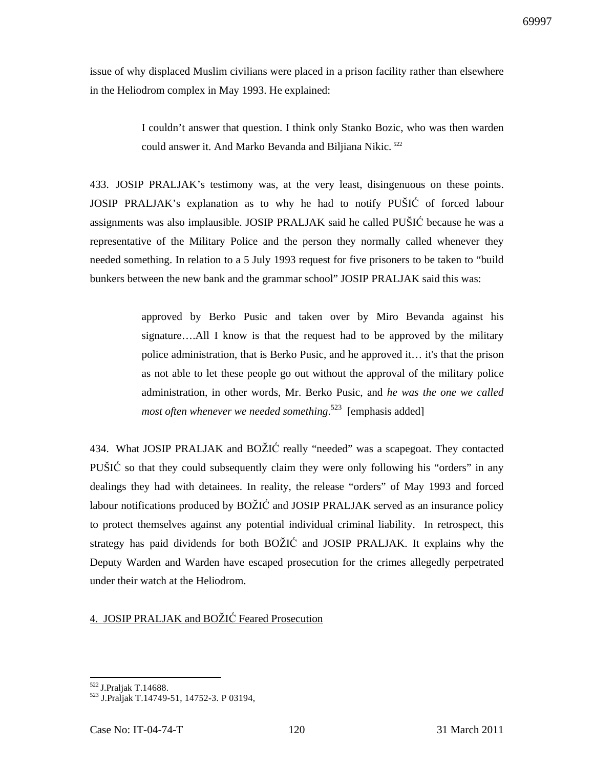issue of why displaced Muslim civilians were placed in a prison facility rather than elsewhere in the Heliodrom complex in May 1993. He explained:

> I couldn't answer that question. I think only Stanko Bozic, who was then warden could answer it. And Marko Bevanda and Biljiana Nikic.<sup>522</sup>

433. JOSIP PRALJAK's testimony was, at the very least, disingenuous on these points. JOSIP PRALJAK's explanation as to why he had to notify PUŠIĆ of forced labour assignments was also implausible. JOSIP PRALJAK said he called PUŠIĆ because he was a representative of the Military Police and the person they normally called whenever they needed something. In relation to a 5 July 1993 request for five prisoners to be taken to "build bunkers between the new bank and the grammar school" JOSIP PRALJAK said this was:

> approved by Berko Pusic and taken over by Miro Bevanda against his signature….All I know is that the request had to be approved by the military police administration, that is Berko Pusic, and he approved it… it's that the prison as not able to let these people go out without the approval of the military police administration, in other words, Mr. Berko Pusic, and *he was the one we called most often whenever we needed something*. <sup>523</sup> [emphasis added]

434. What JOSIP PRALJAK and BOŽIĆ really "needed" was a scapegoat. They contacted PUŠIĆ so that they could subsequently claim they were only following his "orders" in any dealings they had with detainees. In reality, the release "orders" of May 1993 and forced labour notifications produced by BOŽIĆ and JOSIP PRALJAK served as an insurance policy to protect themselves against any potential individual criminal liability. In retrospect, this strategy has paid dividends for both BOŽIĆ and JOSIP PRALJAK. It explains why the Deputy Warden and Warden have escaped prosecution for the crimes allegedly perpetrated under their watch at the Heliodrom.

## 4. JOSIP PRALJAK and BOŽIĆ Feared Prosecution

<sup>522</sup> J.Praljak T.14688.

<sup>523</sup> J.Praljak T.14749-51, 14752-3. P 03194,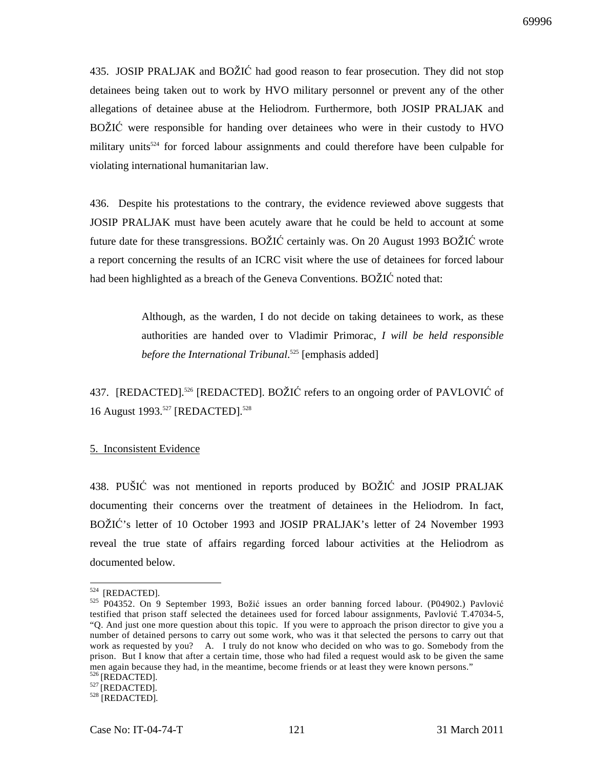435. JOSIP PRALJAK and BOŽIĆ had good reason to fear prosecution. They did not stop detainees being taken out to work by HVO military personnel or prevent any of the other allegations of detainee abuse at the Heliodrom. Furthermore, both JOSIP PRALJAK and BOŽIĆ were responsible for handing over detainees who were in their custody to HVO military units<sup>524</sup> for forced labour assignments and could therefore have been culpable for violating international humanitarian law.

436. Despite his protestations to the contrary, the evidence reviewed above suggests that JOSIP PRALJAK must have been acutely aware that he could be held to account at some future date for these transgressions. BOŽIĆ certainly was. On 20 August 1993 BOŽIĆ wrote a report concerning the results of an ICRC visit where the use of detainees for forced labour had been highlighted as a breach of the Geneva Conventions. BOŽIĆ noted that:

> Although, as the warden, I do not decide on taking detainees to work, as these authorities are handed over to Vladimir Primorac, *I will be held responsible before the International Tribunal*. <sup>525</sup> [emphasis added]

437. [REDACTED].<sup>526</sup> [REDACTED]. BOŽIĆ refers to an ongoing order of PAVLOVIĆ of 16 August 1993.<sup>527</sup> [REDACTED].<sup>528</sup>

#### 5. Inconsistent Evidence

438. PUŠIĆ was not mentioned in reports produced by BOŽIĆ and JOSIP PRALJAK documenting their concerns over the treatment of detainees in the Heliodrom. In fact, BOŽIĆ's letter of 10 October 1993 and JOSIP PRALJAK's letter of 24 November 1993 reveal the true state of affairs regarding forced labour activities at the Heliodrom as documented below*.*

 $524$  [REDACTED].

<sup>525</sup> P04352. On 9 September 1993, Božić issues an order banning forced labour. (P04902.) Pavlović testified that prison staff selected the detainees used for forced labour assignments, Pavlović T.47034-5, "Q. And just one more question about this topic. If you were to approach the prison director to give you a number of detained persons to carry out some work, who was it that selected the persons to carry out that work as requested by you? A. I truly do not know who decided on who was to go. Somebody from the prison. But I know that after a certain time, those who had filed a request would ask to be given the same men again because they had, in the meantime, become friends or at least they were known persons." <sup>526</sup>[REDACTED].

<sup>&</sup>lt;sup>527</sup> [REDACTED].

<sup>528</sup> [REDACTED].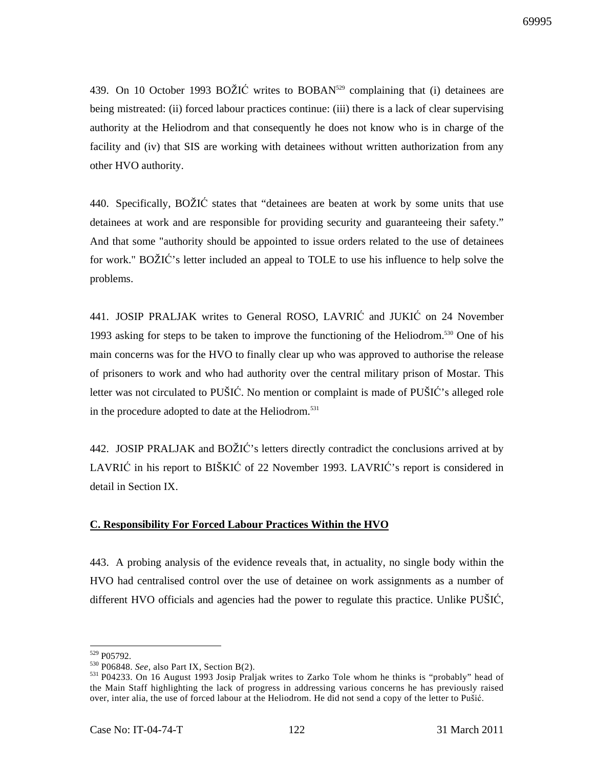439. On 10 October 1993 BOŽIĆ writes to BOBAN<sup>529</sup> complaining that (i) detainees are being mistreated: (ii) forced labour practices continue: (iii) there is a lack of clear supervising authority at the Heliodrom and that consequently he does not know who is in charge of the facility and (iv) that SIS are working with detainees without written authorization from any other HVO authority.

440. Specifically, BOŽIĆ states that "detainees are beaten at work by some units that use detainees at work and are responsible for providing security and guaranteeing their safety." And that some "authority should be appointed to issue orders related to the use of detainees for work." BOŽIĆ's letter included an appeal to TOLE to use his influence to help solve the problems.

441. JOSIP PRALJAK writes to General ROSO, LAVRIĆ and JUKIĆ on 24 November 1993 asking for steps to be taken to improve the functioning of the Heliodrom.<sup>530</sup> One of his main concerns was for the HVO to finally clear up who was approved to authorise the release of prisoners to work and who had authority over the central military prison of Mostar. This letter was not circulated to PUŠIĆ. No mention or complaint is made of PUŠIĆ's alleged role in the procedure adopted to date at the Heliodrom.<sup>531</sup>

442. JOSIP PRALJAK and BOŽIĆ's letters directly contradict the conclusions arrived at by LAVRIĆ in his report to BIŠKIĆ of 22 November 1993. LAVRIĆ's report is considered in detail in Section IX.

## **C. Responsibility For Forced Labour Practices Within the HVO**

443. A probing analysis of the evidence reveals that, in actuality, no single body within the HVO had centralised control over the use of detainee on work assignments as a number of different HVO officials and agencies had the power to regulate this practice. Unlike PUŠIĆ,

<sup>529</sup> P05792.

<sup>530</sup> P06848. *See,* also Part IX, Section B(2).

<sup>531</sup>P04233. On 16 August 1993 Josip Praljak writes to Zarko Tole whom he thinks is "probably" head of the Main Staff highlighting the lack of progress in addressing various concerns he has previously raised over, inter alia, the use of forced labour at the Heliodrom. He did not send a copy of the letter to Pušić.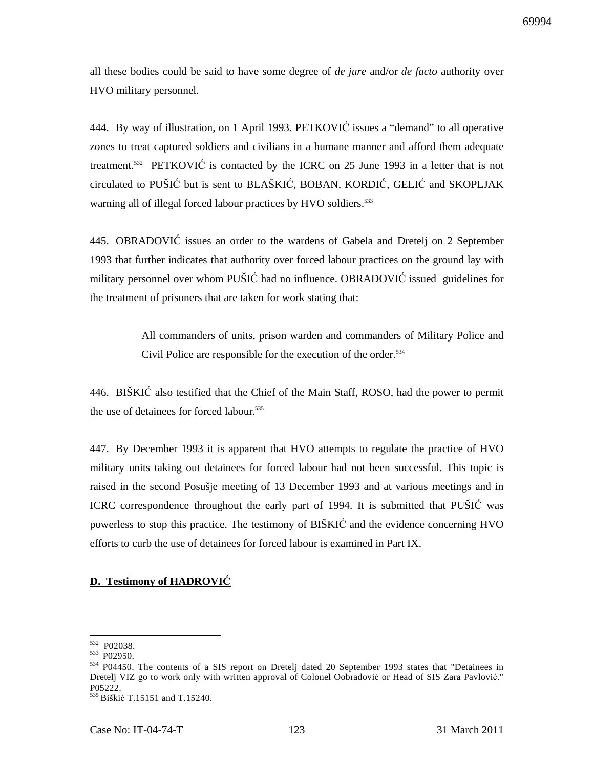all these bodies could be said to have some degree of *de jure* and/or *de facto* authority over HVO military personnel.

444. By way of illustration, on 1 April 1993. PETKOVIĆ issues a "demand" to all operative zones to treat captured soldiers and civilians in a humane manner and afford them adequate treatment.<sup>532</sup> PETKOVIĆ is contacted by the ICRC on 25 June 1993 in a letter that is not circulated to PUŠIĆ but is sent to BLAŠKIĆ, BOBAN, KORDIĆ, GELIĆ and SKOPLJAK warning all of illegal forced labour practices by HVO soldiers.<sup>533</sup>

445. OBRADOVIĆ issues an order to the wardens of Gabela and Dretelj on 2 September 1993 that further indicates that authority over forced labour practices on the ground lay with military personnel over whom PUŠIĆ had no influence. OBRADOVIĆ issued guidelines for the treatment of prisoners that are taken for work stating that:

> All commanders of units, prison warden and commanders of Military Police and Civil Police are responsible for the execution of the order.<sup>534</sup>

446. BIŠKIĆ also testified that the Chief of the Main Staff, ROSO, had the power to permit the use of detainees for forced labour.<sup>535</sup>

447. By December 1993 it is apparent that HVO attempts to regulate the practice of HVO military units taking out detainees for forced labour had not been successful. This topic is raised in the second Posušje meeting of 13 December 1993 and at various meetings and in ICRC correspondence throughout the early part of 1994. It is submitted that PUŠIĆ was powerless to stop this practice. The testimony of BIŠKIĆ and the evidence concerning HVO efforts to curb the use of detainees for forced labour is examined in Part IX.

## **D. Testimony of HADROVI**Ć

<sup>532</sup> P02038.

<sup>533</sup> P02950.

<sup>534</sup> P04450. The contents of a SIS report on Dretelj dated 20 September 1993 states that "Detainees in Dretelj VIZ go to work only with written approval of Colonel Oobradović or Head of SIS Zara Pavlović." P05222.

<sup>535</sup>Biškić T.15151 and T.15240.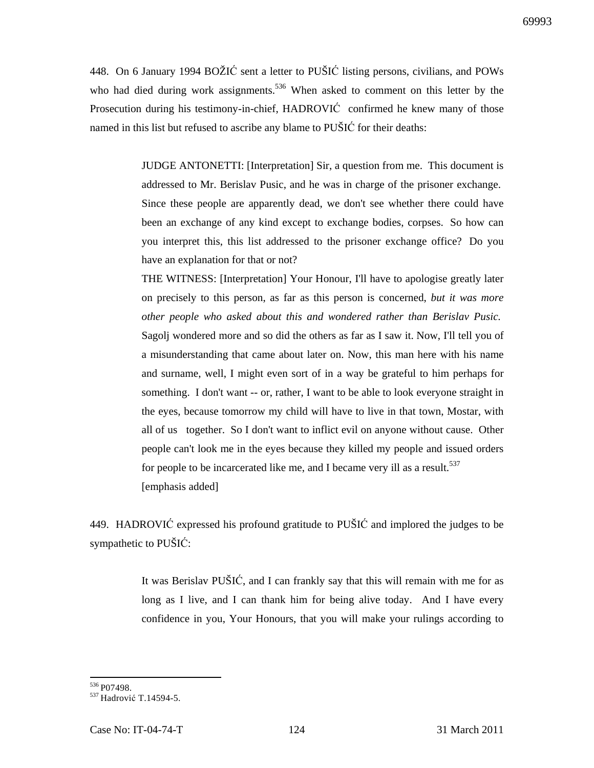448. On 6 January 1994 BOŽIĆ sent a letter to PUŠIĆ listing persons, civilians, and POWs who had died during work assignments.<sup>536</sup> When asked to comment on this letter by the Prosecution during his testimony-in-chief, HADROVIĆ confirmed he knew many of those named in this list but refused to ascribe any blame to PUŠIĆ for their deaths:

> JUDGE ANTONETTI: [Interpretation] Sir, a question from me. This document is addressed to Mr. Berislav Pusic, and he was in charge of the prisoner exchange. Since these people are apparently dead, we don't see whether there could have been an exchange of any kind except to exchange bodies, corpses. So how can you interpret this, this list addressed to the prisoner exchange office? Do you have an explanation for that or not?

> THE WITNESS: [Interpretation] Your Honour, I'll have to apologise greatly later on precisely to this person, as far as this person is concerned, *but it was more other people who asked about this and wondered rather than Berislav Pusic.* Sagolj wondered more and so did the others as far as I saw it. Now, I'll tell you of a misunderstanding that came about later on. Now, this man here with his name and surname, well, I might even sort of in a way be grateful to him perhaps for something. I don't want -- or, rather, I want to be able to look everyone straight in the eyes, because tomorrow my child will have to live in that town, Mostar, with all of us together. So I don't want to inflict evil on anyone without cause. Other people can't look me in the eyes because they killed my people and issued orders for people to be incarcerated like me, and I became very ill as a result.<sup>537</sup> [emphasis added]

449. HADROVIĆ expressed his profound gratitude to PUŠIĆ and implored the judges to be sympathetic to PUŠIĆ:

> It was Berislav PUŠIĆ, and I can frankly say that this will remain with me for as long as I live, and I can thank him for being alive today. And I have every confidence in you, Your Honours, that you will make your rulings according to

 $\overline{a}$ <sup>536</sup> P07498.

<sup>&</sup>lt;sup>537</sup> Hadrović T.14594-5.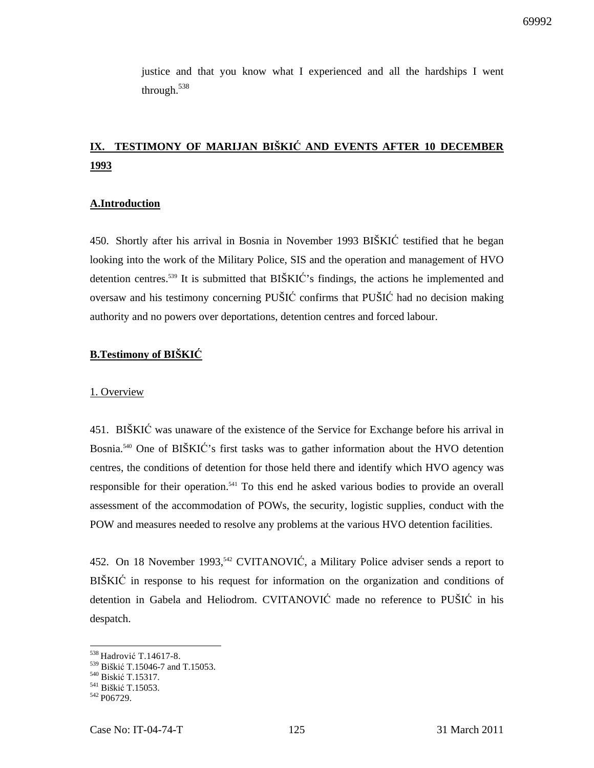justice and that you know what I experienced and all the hardships I went through.<sup>538</sup>

# **IX. TESTIMONY OF MARIJAN BIŠKI**Ć **AND EVENTS AFTER 10 DECEMBER 1993**

#### **A.Introduction**

450. Shortly after his arrival in Bosnia in November 1993 BIŠKIĆ testified that he began looking into the work of the Military Police, SIS and the operation and management of HVO detention centres.<sup>539</sup> It is submitted that BIŠKIĆ's findings, the actions he implemented and oversaw and his testimony concerning PUŠIĆ confirms that PUŠIĆ had no decision making authority and no powers over deportations, detention centres and forced labour.

# **B.Testimony of BIŠKI**Ć

#### 1. Overview

451. BIŠKIĆ was unaware of the existence of the Service for Exchange before his arrival in Bosnia.<sup>540</sup> One of BIŠKIĆ's first tasks was to gather information about the HVO detention centres, the conditions of detention for those held there and identify which HVO agency was responsible for their operation.<sup>541</sup> To this end he asked various bodies to provide an overall assessment of the accommodation of POWs, the security, logistic supplies, conduct with the POW and measures needed to resolve any problems at the various HVO detention facilities.

452. On 18 November 1993,<sup>542</sup> CVITANOVIĆ, a Military Police adviser sends a report to BIŠKIĆ in response to his request for information on the organization and conditions of detention in Gabela and Heliodrom. CVITANOVIĆ made no reference to PUŠIĆ in his despatch.

<sup>538</sup> Hadrović T.14617-8.

<sup>539</sup> Biškić T.15046-7 and T.15053.

<sup>540</sup> Biskić T.15317.

<sup>541</sup> Biškić T.15053.

<sup>542</sup> P<sub>06729</sub>.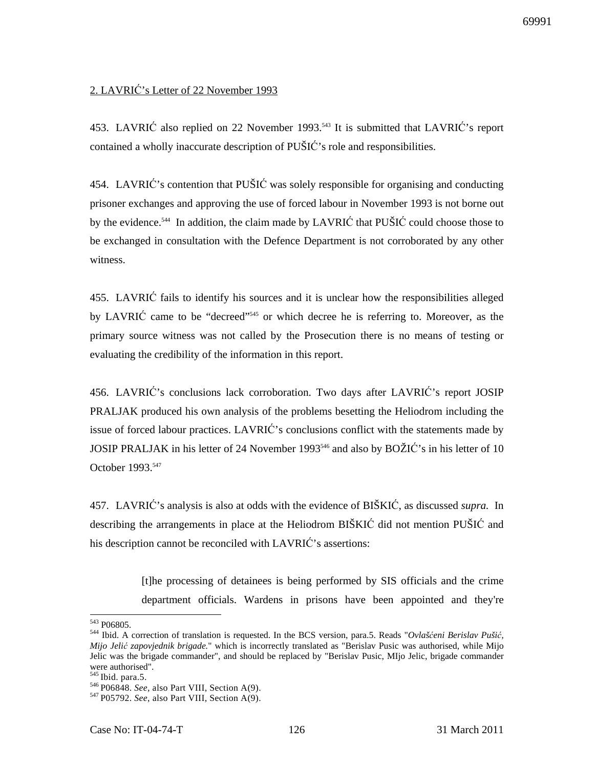# 2. LAVRIĆ's Letter of 22 November 1993

453. LAVRIĆ also replied on 22 November 1993.<sup>543</sup> It is submitted that LAVRIĆ's report contained a wholly inaccurate description of PUŠIĆ's role and responsibilities.

454. LAVRIĆ's contention that PUŠIĆ was solely responsible for organising and conducting prisoner exchanges and approving the use of forced labour in November 1993 is not borne out by the evidence.<sup>544</sup> In addition, the claim made by LAVRIĆ that PUŠIĆ could choose those to be exchanged in consultation with the Defence Department is not corroborated by any other witness.

455. LAVRIĆ fails to identify his sources and it is unclear how the responsibilities alleged by LAVRIC came to be "decreed"<sup>545</sup> or which decree he is referring to. Moreover, as the primary source witness was not called by the Prosecution there is no means of testing or evaluating the credibility of the information in this report.

456. LAVRIĆ's conclusions lack corroboration. Two days after LAVRIĆ's report JOSIP PRALJAK produced his own analysis of the problems besetting the Heliodrom including the issue of forced labour practices. LAVRIĆ's conclusions conflict with the statements made by JOSIP PRALJAK in his letter of 24 November 1993<sup>546</sup> and also by BOŽIĆ's in his letter of 10 October 1993.<sup>547</sup>

457. LAVRIĆ's analysis is also at odds with the evidence of BIŠKIĆ, as discussed *supra.* In describing the arrangements in place at the Heliodrom BIŠKIĆ did not mention PUŠIĆ and his description cannot be reconciled with LAVRIĆ's assertions:

> [t]he processing of detainees is being performed by SIS officials and the crime department officials. Wardens in prisons have been appointed and they're

<sup>543</sup> P06805.

<sup>544</sup> Ibid. A correction of translation is requested. In the BCS version, para.5. Reads "*Ovlaš*ć*eni Berislav Puši*ć*, Mijo Jeli*ć *zapovjednik brigade.*" which is incorrectly translated as "Berislav Pusic was authorised, while Mijo Jelic was the brigade commander", and should be replaced by "Berislav Pusic, MIjo Jelic, brigade commander were authorised".

 $545$  Ibid. para.5.

<sup>&</sup>lt;sup>546</sup> P06848. *See*, also Part VIII, Section A(9).

<sup>547</sup>P05792. *See*, also Part VIII, Section A(9).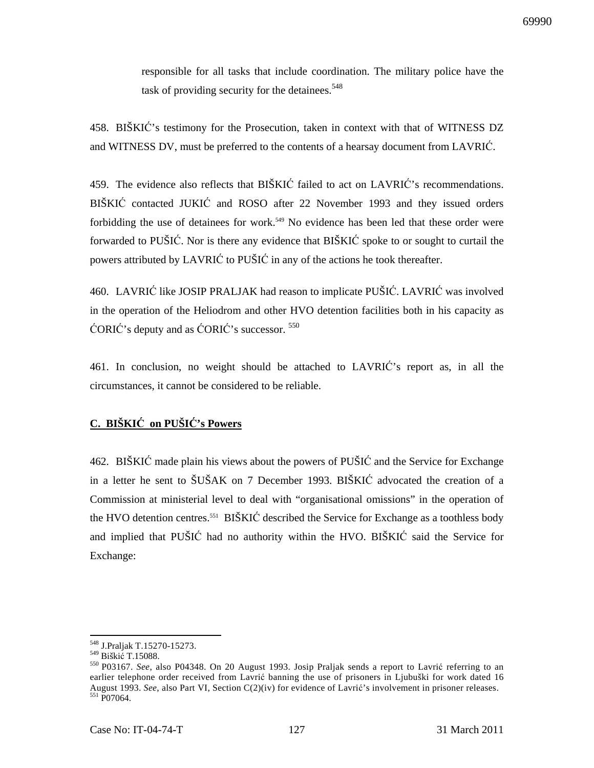responsible for all tasks that include coordination. The military police have the task of providing security for the detainees.<sup>548</sup>

458. BIŠKIĆ's testimony for the Prosecution, taken in context with that of WITNESS DZ and WITNESS DV, must be preferred to the contents of a hearsay document from LAVRIĆ.

459. The evidence also reflects that BIŠKIĆ failed to act on LAVRIĆ's recommendations. BIŠKIĆ contacted JUKIĆ and ROSO after 22 November 1993 and they issued orders forbidding the use of detainees for work.<sup>549</sup> No evidence has been led that these order were forwarded to PUŠIĆ. Nor is there any evidence that BIŠKIĆ spoke to or sought to curtail the powers attributed by LAVRIĆ to PUŠIĆ in any of the actions he took thereafter.

460. LAVRIĆ like JOSIP PRALJAK had reason to implicate PUŠIĆ. LAVRIĆ was involved in the operation of the Heliodrom and other HVO detention facilities both in his capacity as ĆORIĆ's deputy and as ĆORIĆ's successor. <sup>550</sup>

461. In conclusion, no weight should be attached to LAVRIĆ's report as, in all the circumstances, it cannot be considered to be reliable.

# **C. BIŠKI**Ć **on PUŠI**Ć**'s Powers**

462. BIŠKIĆ made plain his views about the powers of PUŠIĆ and the Service for Exchange in a letter he sent to ŠUŠAK on 7 December 1993. BIŠKIĆ advocated the creation of a Commission at ministerial level to deal with "organisational omissions" in the operation of the HVO detention centres.<sup>551</sup> BIŠKIĆ described the Service for Exchange as a toothless body and implied that PUŠIĆ had no authority within the HVO. BIŠKIĆ said the Service for Exchange:

<sup>548</sup> J.Praljak T.15270-15273.

<sup>549</sup> Biškić T.15088.

<sup>550</sup>P03167. *See*, also P04348. On 20 August 1993. Josip Praljak sends a report to Lavrić referring to an earlier telephone order received from Lavrić banning the use of prisoners in Ljubuški for work dated 16 August 1993. *See*, also Part VI, Section C(2)(iv) for evidence of Lavrić's involvement in prisoner releases.  $551$  P<sub>07064</sub>.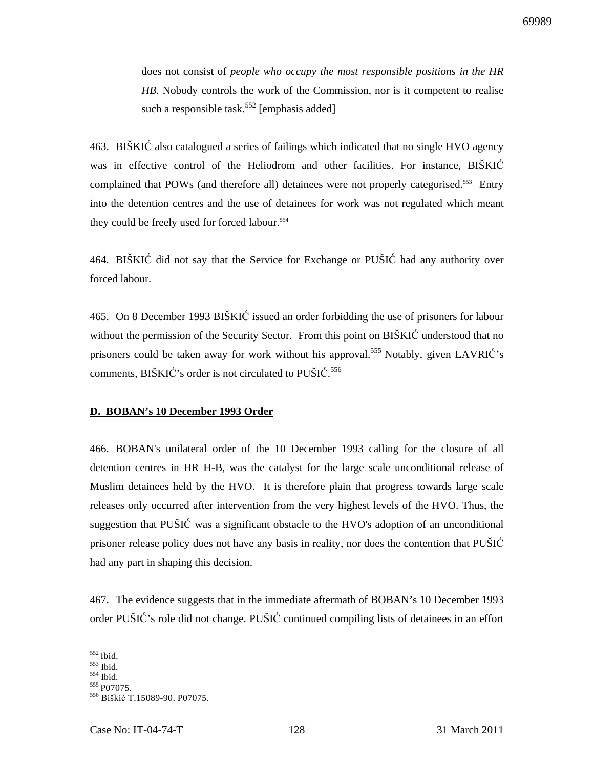does not consist of *people who occupy the most responsible positions in the HR HB*. Nobody controls the work of the Commission, nor is it competent to realise such a responsible task.<sup>552</sup> [emphasis added]

463. BIŠKIĆ also catalogued a series of failings which indicated that no single HVO agency was in effective control of the Heliodrom and other facilities. For instance, BIŠKIĆ complained that POWs (and therefore all) detainees were not properly categorised.<sup>553</sup> Entry into the detention centres and the use of detainees for work was not regulated which meant they could be freely used for forced labour.<sup>554</sup>

464. BIŠKIĆ did not say that the Service for Exchange or PUŠIĆ had any authority over forced labour.

465. On 8 December 1993 BIŠKIĆ issued an order forbidding the use of prisoners for labour without the permission of the Security Sector. From this point on BIŠKIĆ understood that no prisoners could be taken away for work without his approval.<sup>555</sup> Notably, given LAVRI $\acute{C}$ 's comments, BIŠKIĆ's order is not circulated to PUŠIĆ. 556

### **D. BOBAN's 10 December 1993 Order**

466. BOBAN's unilateral order of the 10 December 1993 calling for the closure of all detention centres in HR H-B, was the catalyst for the large scale unconditional release of Muslim detainees held by the HVO. It is therefore plain that progress towards large scale releases only occurred after intervention from the very highest levels of the HVO. Thus, the suggestion that PUŠIĆ was a significant obstacle to the HVO's adoption of an unconditional prisoner release policy does not have any basis in reality, nor does the contention that PUŠIĆ had any part in shaping this decision.

467. The evidence suggests that in the immediate aftermath of BOBAN's 10 December 1993 order PUŠIĆ's role did not change. PUŠIĆ continued compiling lists of detainees in an effort

 $552$  Ibid.

 $553$  Ibid.

<sup>554</sup> Ibid.

<sup>555</sup> P07075.

<sup>556</sup> Biškić T.15089-90. P07075.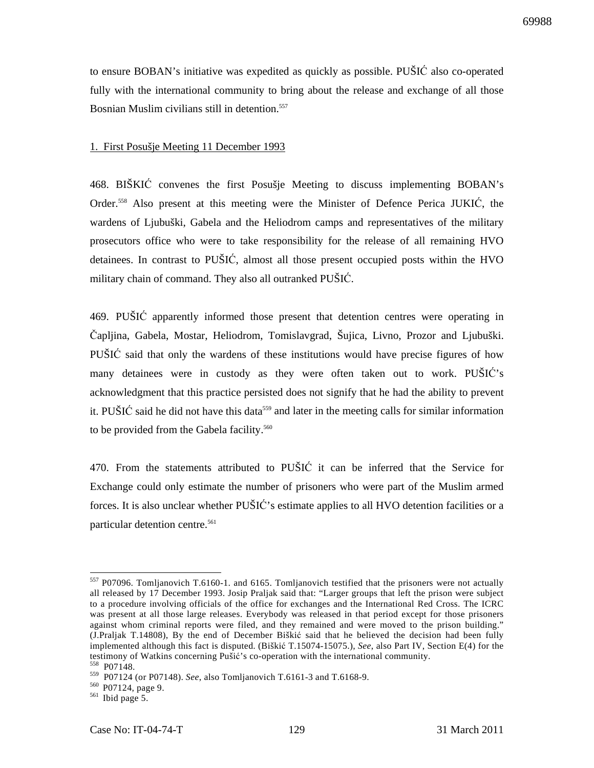to ensure BOBAN's initiative was expedited as quickly as possible. PUŠIĆ also co-operated fully with the international community to bring about the release and exchange of all those Bosnian Muslim civilians still in detention.<sup>557</sup>

#### 1. First Posušje Meeting 11 December 1993

468. BIŠKIĆ convenes the first Posušje Meeting to discuss implementing BOBAN's Order.<sup>558</sup> Also present at this meeting were the Minister of Defence Perica JUKIĆ, the wardens of Ljubuški, Gabela and the Heliodrom camps and representatives of the military prosecutors office who were to take responsibility for the release of all remaining HVO detainees. In contrast to PUŠIĆ, almost all those present occupied posts within the HVO military chain of command. They also all outranked PUŠIĆ.

469. PUŠIĆ apparently informed those present that detention centres were operating in Čapljina, Gabela, Mostar, Heliodrom, Tomislavgrad, Šujica, Livno, Prozor and Ljubuški. PUŠIĆ said that only the wardens of these institutions would have precise figures of how many detainees were in custody as they were often taken out to work. PUŠIĆ's acknowledgment that this practice persisted does not signify that he had the ability to prevent it. PUŠIĆ said he did not have this data<sup>559</sup> and later in the meeting calls for similar information to be provided from the Gabela facility.<sup>560</sup>

470. From the statements attributed to PUŠIĆ it can be inferred that the Service for Exchange could only estimate the number of prisoners who were part of the Muslim armed forces. It is also unclear whether PUŠIĆ's estimate applies to all HVO detention facilities or a particular detention centre.<sup>561</sup>

 $557$  P07096. Tomljanovich T.6160-1. and 6165. Tomljanovich testified that the prisoners were not actually all released by 17 December 1993. Josip Praljak said that: "Larger groups that left the prison were subject to a procedure involving officials of the office for exchanges and the International Red Cross. The ICRC was present at all those large releases. Everybody was released in that period except for those prisoners against whom criminal reports were filed, and they remained and were moved to the prison building." (J.Praljak T.14808), By the end of December Biškić said that he believed the decision had been fully implemented although this fact is disputed. (Biškić T.15074-15075.), *See*, also Part IV, Section E(4) for the testimony of Watkins concerning Pušić's co-operation with the international community.<br> $558\ \text{PO}71.48$ 

 $P07148.$ 

<sup>559</sup> P07124 (or P07148). *See*, also Tomljanovich T.6161-3 and T.6168-9.

<sup>&</sup>lt;sup>560</sup> P07124, page 9.

 $561$  Ibid page 5.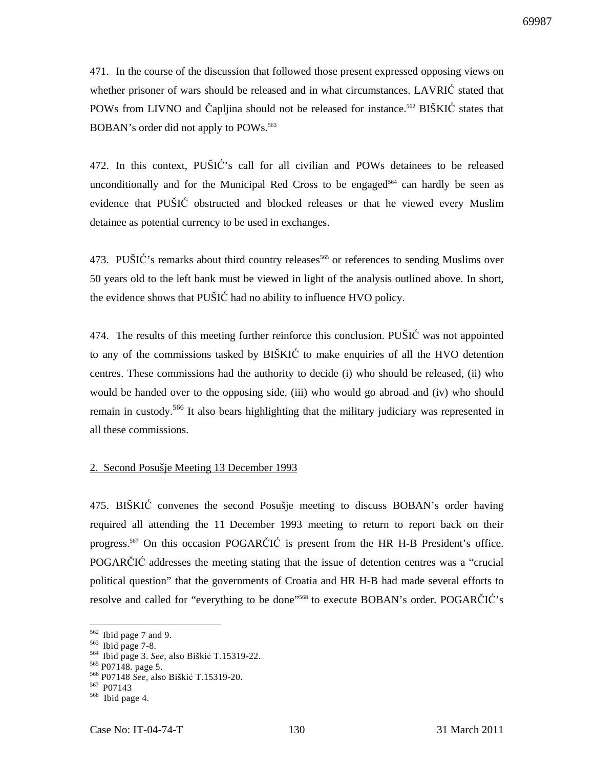471. In the course of the discussion that followed those present expressed opposing views on whether prisoner of wars should be released and in what circumstances. LAVRIĆ stated that POWs from LIVNO and Čapljina should not be released for instance.<sup>562</sup> BIŠKIĆ states that BOBAN's order did not apply to POWs.<sup>563</sup>

472. In this context, PUŠIĆ's call for all civilian and POWs detainees to be released unconditionally and for the Municipal Red Cross to be engaged<sup>564</sup> can hardly be seen as evidence that PUŠIĆ obstructed and blocked releases or that he viewed every Muslim detainee as potential currency to be used in exchanges.

473. PUŠIĆ's remarks about third country releases<sup>565</sup> or references to sending Muslims over 50 years old to the left bank must be viewed in light of the analysis outlined above. In short, the evidence shows that PUŠIĆ had no ability to influence HVO policy.

474. The results of this meeting further reinforce this conclusion. PUŠIĆ was not appointed to any of the commissions tasked by BIŠKIĆ to make enquiries of all the HVO detention centres. These commissions had the authority to decide (i) who should be released, (ii) who would be handed over to the opposing side, (iii) who would go abroad and (iv) who should remain in custody.<sup>566</sup> It also bears highlighting that the military judiciary was represented in all these commissions.

#### 2. Second Posušje Meeting 13 December 1993

475. BIŠKIĆ convenes the second Posušje meeting to discuss BOBAN's order having required all attending the 11 December 1993 meeting to return to report back on their progress.<sup>567</sup> On this occasion POGARČIĆ is present from the HR H-B President's office. POGARČIĆ addresses the meeting stating that the issue of detention centres was a "crucial political question" that the governments of Croatia and HR H-B had made several efforts to resolve and called for "everything to be done"<sup>568</sup> to execute BOBAN's order. POGARČIĆ's

 $562$  Ibid page 7 and 9.

 $563$  Ibid page 7-8.

<sup>564</sup>Ibid page 3. *See*, also Biškić T.15319-22.

 $565$  P07148. page 5.

<sup>566</sup> P07148 *See*, also Biškić T.15319-20.

<sup>567</sup> P07143

<sup>568</sup> Ibid page 4.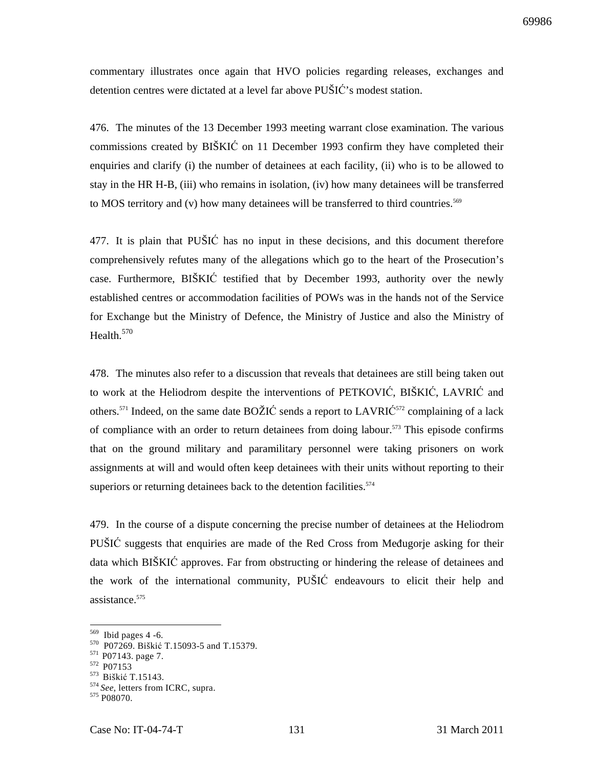commentary illustrates once again that HVO policies regarding releases, exchanges and detention centres were dictated at a level far above PUŠIĆ's modest station.

476. The minutes of the 13 December 1993 meeting warrant close examination. The various commissions created by BIŠKIĆ on 11 December 1993 confirm they have completed their enquiries and clarify (i) the number of detainees at each facility, (ii) who is to be allowed to stay in the HR H-B, (iii) who remains in isolation, (iv) how many detainees will be transferred to MOS territory and  $(v)$  how many detainees will be transferred to third countries.<sup>569</sup>

477. It is plain that PUŠIĆ has no input in these decisions, and this document therefore comprehensively refutes many of the allegations which go to the heart of the Prosecution's case. Furthermore, BIŠKIĆ testified that by December 1993, authority over the newly established centres or accommodation facilities of POWs was in the hands not of the Service for Exchange but the Ministry of Defence, the Ministry of Justice and also the Ministry of Health.<sup>570</sup>

478. The minutes also refer to a discussion that reveals that detainees are still being taken out to work at the Heliodrom despite the interventions of PETKOVIĆ, BIŠKIĆ, LAVRIĆ and others.<sup>571</sup> Indeed, on the same date  $BOZIC$  sends a report to  $LAVRIC<sup>572</sup>$  complaining of a lack of compliance with an order to return detainees from doing labour.<sup>573</sup> This episode confirms that on the ground military and paramilitary personnel were taking prisoners on work assignments at will and would often keep detainees with their units without reporting to their superiors or returning detainees back to the detention facilities.<sup>574</sup>

479. In the course of a dispute concerning the precise number of detainees at the Heliodrom PUŠIĆ suggests that enquiries are made of the Red Cross from Međugorje asking for their data which BIŠKIĆ approves. Far from obstructing or hindering the release of detainees and the work of the international community, PUŠIĆ endeavours to elicit their help and assistance.<sup>575</sup>

 $569$  Ibid pages 4 -6.

<sup>570</sup> P07269. Biškić T.15093-5 and T.15379.

<sup>&</sup>lt;sup>571</sup> P07143. page 7.

<sup>572</sup> P07153

<sup>&</sup>lt;sup>573</sup> Biškić T.15143.

<sup>574</sup>*See,* letters from ICRC, supra.

<sup>575</sup> P08070.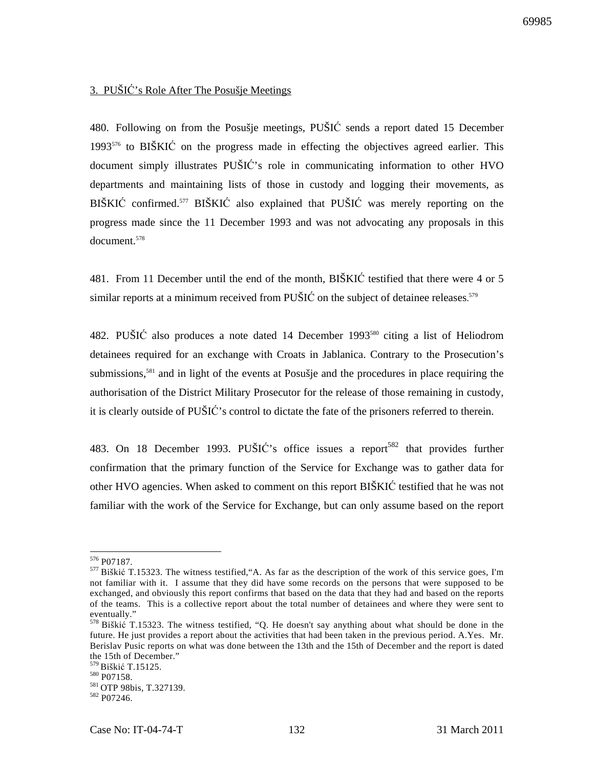# 3. PUŠIĆ's Role After The Posušje Meetings

480. Following on from the Posušje meetings, PUŠIĆ sends a report dated 15 December  $1993^{576}$  to BIŠKIĆ on the progress made in effecting the objectives agreed earlier. This document simply illustrates PUŠIĆ's role in communicating information to other HVO departments and maintaining lists of those in custody and logging their movements, as BIŠKIĆ confirmed.<sup>577</sup> BIŠKIĆ also explained that PUŠIĆ was merely reporting on the progress made since the 11 December 1993 and was not advocating any proposals in this document<sup>578</sup>

481. From 11 December until the end of the month, BIŠKIĆ testified that there were 4 or 5 similar reports at a minimum received from PUŠIĆ on the subject of detainee releases.<sup>579</sup>

482. PUŠIĆ also produces a note dated 14 December 1993<sup>580</sup> citing a list of Heliodrom detainees required for an exchange with Croats in Jablanica. Contrary to the Prosecution's submissions,<sup>581</sup> and in light of the events at Posušje and the procedures in place requiring the authorisation of the District Military Prosecutor for the release of those remaining in custody, it is clearly outside of PUŠIĆ's control to dictate the fate of the prisoners referred to therein.

483. On 18 December 1993. PUŠIĆ's office issues a report<sup>582</sup> that provides further confirmation that the primary function of the Service for Exchange was to gather data for other HVO agencies. When asked to comment on this report BIŠKIĆ testified that he was not familiar with the work of the Service for Exchange, but can only assume based on the report

 $\overline{a}$ <sup>576</sup> P07187.

<sup>577</sup>Biškić T.15323. The witness testified,"A. As far as the description of the work of this service goes, I'm not familiar with it. I assume that they did have some records on the persons that were supposed to be exchanged, and obviously this report confirms that based on the data that they had and based on the reports of the teams. This is a collective report about the total number of detainees and where they were sent to eventually."

<sup>578</sup> Biškić T.15323. The witness testified, "Q. He doesn't say anything about what should be done in the future. He just provides a report about the activities that had been taken in the previous period. A.Yes. Mr. Berislav Pusic reports on what was done between the 13th and the 15th of December and the report is dated the 15th of December."

<sup>&</sup>lt;sup>579</sup> Biškić T.15125.

<sup>580</sup> P07158.

<sup>581</sup> OTP 98bis, T.327139.

<sup>582</sup> P07246.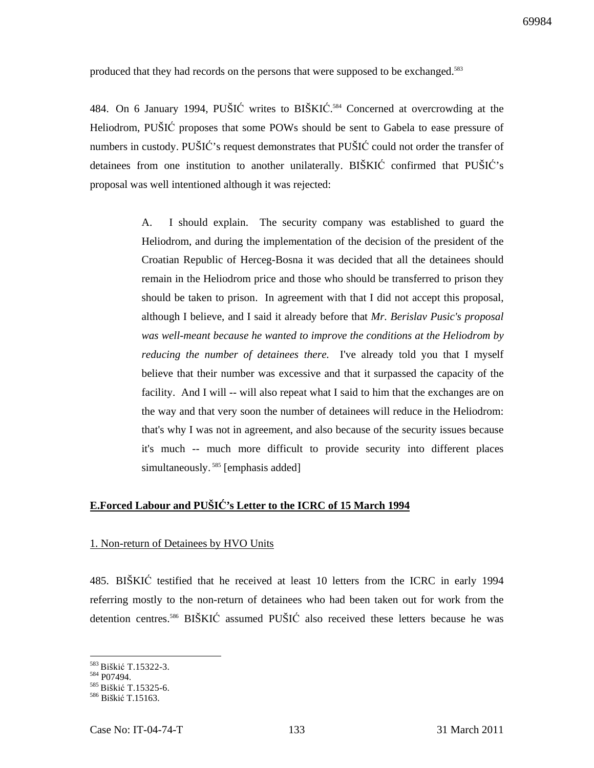produced that they had records on the persons that were supposed to be exchanged.<sup>583</sup>

484. On 6 January 1994, PUŠIĆ writes to BIŠKIĆ. <sup>584</sup> Concerned at overcrowding at the Heliodrom, PUŠIĆ proposes that some POWs should be sent to Gabela to ease pressure of numbers in custody. PUŠIĆ's request demonstrates that PUŠIĆ could not order the transfer of detainees from one institution to another unilaterally. BIŠKIĆ confirmed that PUŠIĆ's proposal was well intentioned although it was rejected:

> A. I should explain. The security company was established to guard the Heliodrom, and during the implementation of the decision of the president of the Croatian Republic of Herceg-Bosna it was decided that all the detainees should remain in the Heliodrom price and those who should be transferred to prison they should be taken to prison. In agreement with that I did not accept this proposal, although I believe, and I said it already before that *Mr. Berislav Pusic's proposal was well-meant because he wanted to improve the conditions at the Heliodrom by reducing the number of detainees there.* I've already told you that I myself believe that their number was excessive and that it surpassed the capacity of the facility. And I will -- will also repeat what I said to him that the exchanges are on the way and that very soon the number of detainees will reduce in the Heliodrom: that's why I was not in agreement, and also because of the security issues because it's much -- much more difficult to provide security into different places simultaneously.<sup>585</sup> [emphasis added]

# **E.Forced Labour and PUŠI**Ć**'s Letter to the ICRC of 15 March 1994**

### 1. Non-return of Detainees by HVO Units

485. BIŠKIĆ testified that he received at least 10 letters from the ICRC in early 1994 referring mostly to the non-return of detainees who had been taken out for work from the detention centres.<sup>586</sup> BIŠKIĆ assumed PUŠIĆ also received these letters because he was

<sup>&</sup>lt;sup>583</sup> Biškić T.15322-3.

<sup>584</sup> P07494.

<sup>&</sup>lt;sup>585</sup> Biškić T.15325-6.

<sup>&</sup>lt;sup>586</sup> Biškić T.15163.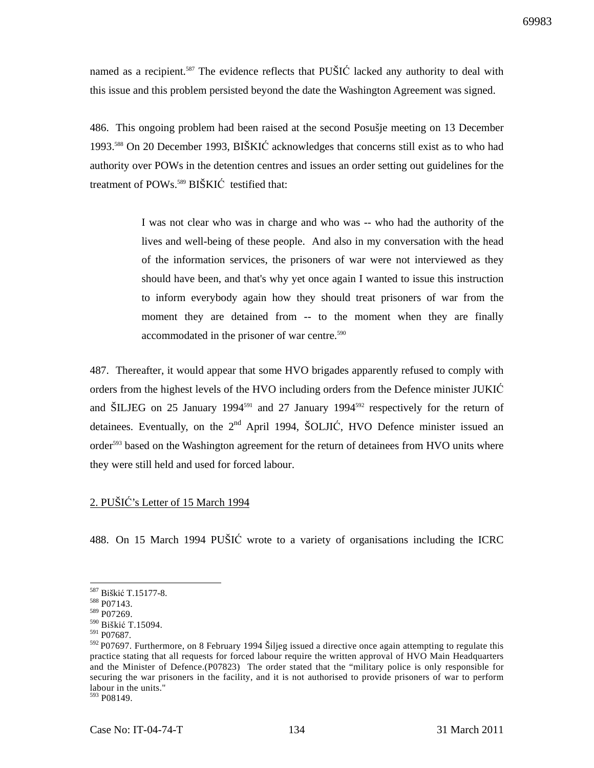named as a recipient.<sup>587</sup> The evidence reflects that PUŠIĆ lacked any authority to deal with this issue and this problem persisted beyond the date the Washington Agreement was signed.

486. This ongoing problem had been raised at the second Posušje meeting on 13 December 1993.<sup>588</sup> On 20 December 1993, BIŠKIĆ acknowledges that concerns still exist as to who had authority over POWs in the detention centres and issues an order setting out guidelines for the treatment of POWs.<sup>589</sup> BIŠKIĆ testified that:

> I was not clear who was in charge and who was -- who had the authority of the lives and well-being of these people. And also in my conversation with the head of the information services, the prisoners of war were not interviewed as they should have been, and that's why yet once again I wanted to issue this instruction to inform everybody again how they should treat prisoners of war from the moment they are detained from -- to the moment when they are finally accommodated in the prisoner of war centre.<sup>590</sup>

487. Thereafter, it would appear that some HVO brigades apparently refused to comply with orders from the highest levels of the HVO including orders from the Defence minister JUKIĆ and ŠILJEG on 25 January 1994<sup>591</sup> and 27 January 1994<sup>592</sup> respectively for the return of detainees. Eventually, on the  $2<sup>nd</sup>$  April 1994, ŠOLJIĆ, HVO Defence minister issued an order<sup>593</sup> based on the Washington agreement for the return of detainees from HVO units where they were still held and used for forced labour.

# 2. PUŠIĆ's Letter of 15 March 1994

488. On 15 March 1994 PUŠIĆ wrote to a variety of organisations including the ICRC

 $\overline{a}$ 

<sup>593</sup> P08149.

<sup>587</sup> Biškić T.15177-8.

<sup>588</sup> P07143.

<sup>589</sup> P07269.

<sup>590</sup> Biškić T.15094.

<sup>591</sup> P07687.

<sup>592</sup>P07697. Furthermore, on 8 February 1994 Šiljeg issued a directive once again attempting to regulate this practice stating that all requests for forced labour require the written approval of HVO Main Headquarters and the Minister of Defence.(P07823) The order stated that the "military police is only responsible for securing the war prisoners in the facility, and it is not authorised to provide prisoners of war to perform labour in the units."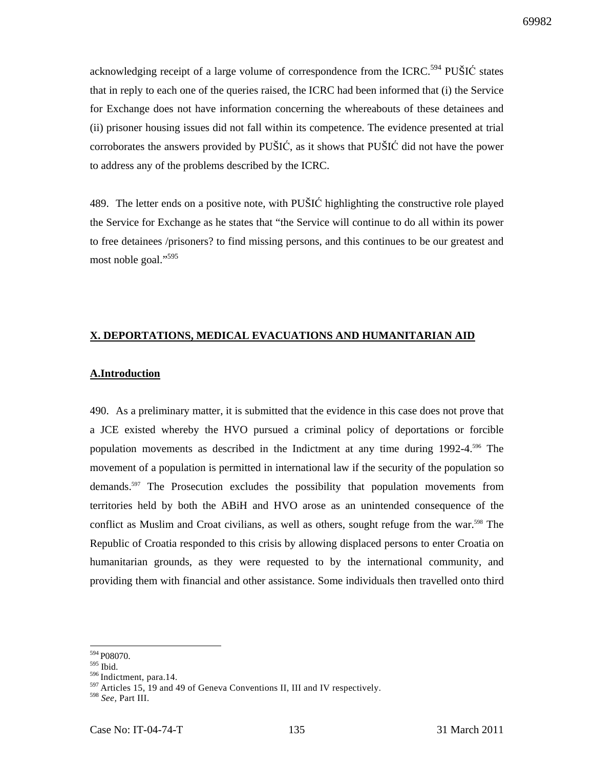acknowledging receipt of a large volume of correspondence from the ICRC.<sup>594</sup> PUŠIĆ states that in reply to each one of the queries raised, the ICRC had been informed that (i) the Service for Exchange does not have information concerning the whereabouts of these detainees and (ii) prisoner housing issues did not fall within its competence. The evidence presented at trial corroborates the answers provided by PUŠIĆ, as it shows that PUŠIĆ did not have the power to address any of the problems described by the ICRC.

489. The letter ends on a positive note, with PUŠIĆ highlighting the constructive role played the Service for Exchange as he states that "the Service will continue to do all within its power to free detainees /prisoners? to find missing persons, and this continues to be our greatest and most noble goal."<sup>595</sup>

# **X. DEPORTATIONS, MEDICAL EVACUATIONS AND HUMANITARIAN AID**

### **A.Introduction**

490. As a preliminary matter, it is submitted that the evidence in this case does not prove that a JCE existed whereby the HVO pursued a criminal policy of deportations or forcible population movements as described in the Indictment at any time during  $1992-4.596$  The movement of a population is permitted in international law if the security of the population so demands.<sup>597</sup> The Prosecution excludes the possibility that population movements from territories held by both the ABiH and HVO arose as an unintended consequence of the conflict as Muslim and Croat civilians, as well as others, sought refuge from the war.<sup>598</sup> The Republic of Croatia responded to this crisis by allowing displaced persons to enter Croatia on humanitarian grounds, as they were requested to by the international community, and providing them with financial and other assistance. Some individuals then travelled onto third

 $\overline{a}$ <sup>594</sup> P08070.

 $^{595}$ Ibid.

<sup>596</sup> Indictment, para.14.

<sup>&</sup>lt;sup>597</sup> Articles 15, 19 and 49 of Geneva Conventions II, III and IV respectively.

<sup>598</sup> *See,* Part III.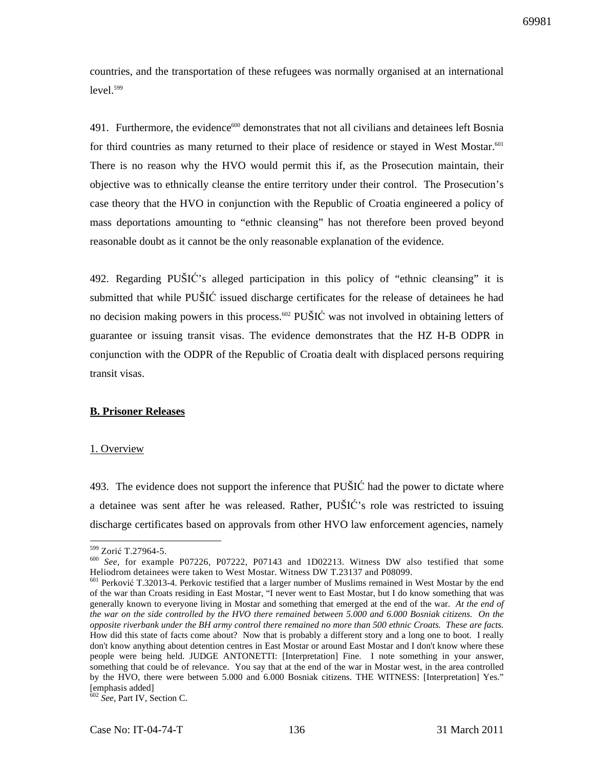countries, and the transportation of these refugees was normally organised at an international  $level.<sup>599</sup>$ 

491. Furthermore, the evidence<sup>600</sup> demonstrates that not all civilians and detainees left Bosnia for third countries as many returned to their place of residence or stayed in West Mostar.<sup>601</sup> There is no reason why the HVO would permit this if, as the Prosecution maintain, their objective was to ethnically cleanse the entire territory under their control. The Prosecution's case theory that the HVO in conjunction with the Republic of Croatia engineered a policy of mass deportations amounting to "ethnic cleansing" has not therefore been proved beyond reasonable doubt as it cannot be the only reasonable explanation of the evidence.

492. Regarding PUŠIĆ's alleged participation in this policy of "ethnic cleansing" it is submitted that while PUŠIĆ issued discharge certificates for the release of detainees he had no decision making powers in this process.<sup>602</sup> PUŠIĆ was not involved in obtaining letters of guarantee or issuing transit visas. The evidence demonstrates that the HZ H-B ODPR in conjunction with the ODPR of the Republic of Croatia dealt with displaced persons requiring transit visas.

### **B. Prisoner Releases**

#### 1. Overview

493. The evidence does not support the inference that PUŠIĆ had the power to dictate where a detainee was sent after he was released. Rather, PUŠIĆ's role was restricted to issuing discharge certificates based on approvals from other HVO law enforcement agencies, namely

 $\overline{a}$ <sup>599</sup> Zorić T.27964-5.

<sup>600</sup> *See,* for example P07226, P07222, P07143 and 1D02213. Witness DW also testified that some Heliodrom detainees were taken to West Mostar. Witness DW T.23137 and P08099.

<sup>601</sup> Perković T.32013-4. Perkovic testified that a larger number of Muslims remained in West Mostar by the end of the war than Croats residing in East Mostar, "I never went to East Mostar, but I do know something that was generally known to everyone living in Mostar and something that emerged at the end of the war. *At the end of the war on the side controlled by the HVO there remained between 5.000 and 6.000 Bosniak citizens. On the opposite riverbank under the BH army control there remained no more than 500 ethnic Croats. These are facts.* How did this state of facts come about? Now that is probably a different story and a long one to boot. I really don't know anything about detention centres in East Mostar or around East Mostar and I don't know where these people were being held. JUDGE ANTONETTI: [Interpretation] Fine. I note something in your answer, something that could be of relevance. You say that at the end of the war in Mostar west, in the area controlled by the HVO, there were between 5.000 and 6.000 Bosniak citizens. THE WITNESS: [Interpretation] Yes." [emphasis added]

<sup>602</sup> *See*, Part IV, Section C.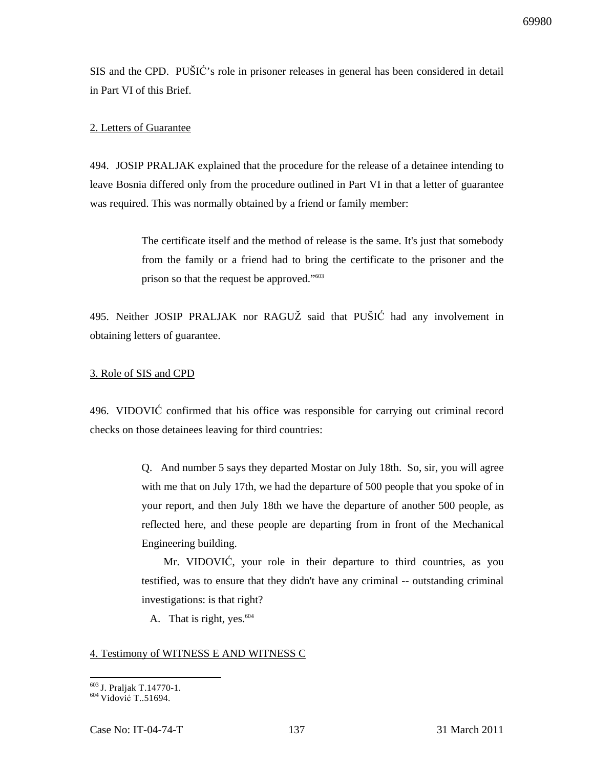SIS and the CPD. PUŠIĆ's role in prisoner releases in general has been considered in detail in Part VI of this Brief.

#### 2. Letters of Guarantee

494. JOSIP PRALJAK explained that the procedure for the release of a detainee intending to leave Bosnia differed only from the procedure outlined in Part VI in that a letter of guarantee was required. This was normally obtained by a friend or family member:

> The certificate itself and the method of release is the same. It's just that somebody from the family or a friend had to bring the certificate to the prisoner and the prison so that the request be approved."<sup>603</sup>

495. Neither JOSIP PRALJAK nor RAGUŽ said that PUŠIĆ had any involvement in obtaining letters of guarantee.

#### 3. Role of SIS and CPD

496. VIDOVIĆ confirmed that his office was responsible for carrying out criminal record checks on those detainees leaving for third countries:

> Q. And number 5 says they departed Mostar on July 18th. So, sir, you will agree with me that on July 17th, we had the departure of 500 people that you spoke of in your report, and then July 18th we have the departure of another 500 people, as reflected here, and these people are departing from in front of the Mechanical Engineering building.

> Mr. VIDOVIĆ, your role in their departure to third countries, as you testified, was to ensure that they didn't have any criminal -- outstanding criminal investigations: is that right?

A. That is right, yes. $604$ 

#### 4. Testimony of WITNESS E AND WITNESS C

 $\overline{a}$ <sup>603</sup> J. Praljak T.14770-1.

 $604$  Vidović T..51694.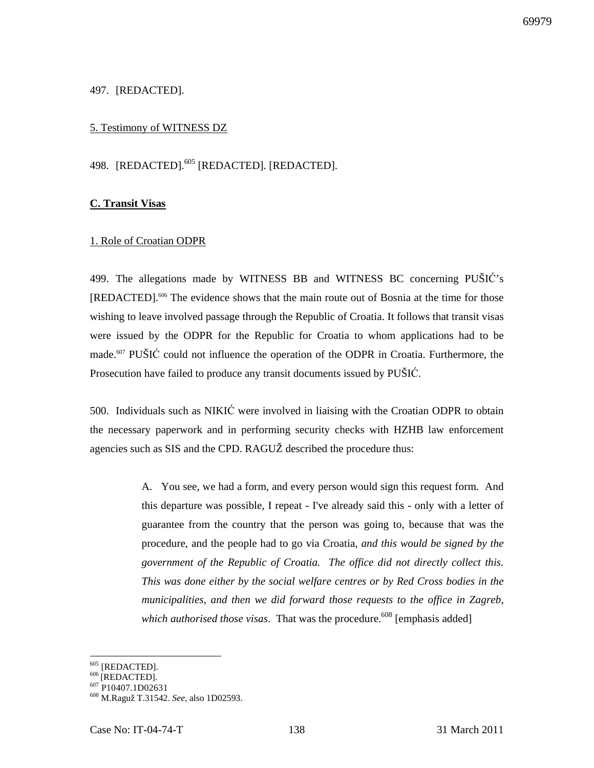### 497. [REDACTED].

### 5. Testimony of WITNESS DZ

# 498. [REDACTED].<sup>605</sup> [REDACTED]. [REDACTED].

#### **C. Transit Visas**

#### 1. Role of Croatian ODPR

499. The allegations made by WITNESS BB and WITNESS BC concerning PUŠIĆ's [REDACTED].<sup>606</sup> The evidence shows that the main route out of Bosnia at the time for those wishing to leave involved passage through the Republic of Croatia. It follows that transit visas were issued by the ODPR for the Republic for Croatia to whom applications had to be made.<sup>607</sup> PUŠIĆ could not influence the operation of the ODPR in Croatia. Furthermore, the Prosecution have failed to produce any transit documents issued by PUŠIĆ.

500. Individuals such as NIKIĆ were involved in liaising with the Croatian ODPR to obtain the necessary paperwork and in performing security checks with HZHB law enforcement agencies such as SIS and the CPD. RAGUŽ described the procedure thus:

> A. You see, we had a form, and every person would sign this request form. And this departure was possible, I repeat - I've already said this - only with a letter of guarantee from the country that the person was going to, because that was the procedure, and the people had to go via Croatia, *and this would be signed by the government of the Republic of Croatia. The office did not directly collect this. This was done either by the social welfare centres or by Red Cross bodies in the municipalities, and then we did forward those requests to the office in Zagreb, which authorised those visas.* That was the procedure.<sup>608</sup> [emphasis added]

 $605$  [REDACTED].

 $606$ <sup>[REDACTED]</sup>.

<sup>&</sup>lt;sup>607</sup> P10407.1D02631

<sup>608</sup> M.Raguž T.31542. *See,* also 1D02593.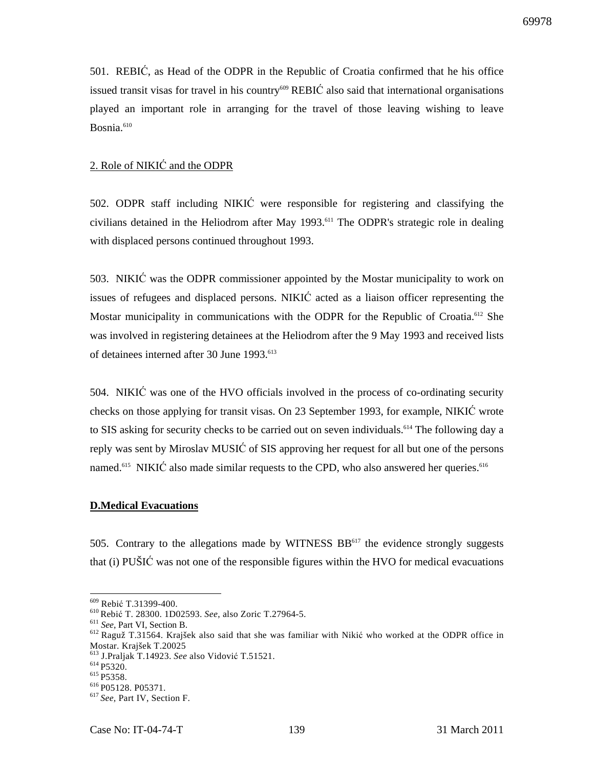501. REBIĆ, as Head of the ODPR in the Republic of Croatia confirmed that he his office issued transit visas for travel in his country<sup>609</sup> REBIC also said that international organisations played an important role in arranging for the travel of those leaving wishing to leave Bosnia.<sup>610</sup>

## 2. Role of NIKIĆ and the ODPR

502. ODPR staff including NIKIĆ were responsible for registering and classifying the civilians detained in the Heliodrom after May 1993.<sup>611</sup> The ODPR's strategic role in dealing with displaced persons continued throughout 1993.

503. NIKIĆ was the ODPR commissioner appointed by the Mostar municipality to work on issues of refugees and displaced persons. NIKIĆ acted as a liaison officer representing the Mostar municipality in communications with the ODPR for the Republic of Croatia.<sup>612</sup> She was involved in registering detainees at the Heliodrom after the 9 May 1993 and received lists of detainees interned after 30 June 1993.<sup>613</sup>

504. NIKIĆ was one of the HVO officials involved in the process of co-ordinating security checks on those applying for transit visas. On 23 September 1993, for example, NIKIĆ wrote to SIS asking for security checks to be carried out on seven individuals.<sup>614</sup> The following day a reply was sent by Miroslav MUSIĆ of SIS approving her request for all but one of the persons named.<sup>615</sup> NIKIC also made similar requests to the CPD, who also answered her queries.<sup>616</sup>

#### **D.Medical Evacuations**

505. Contrary to the allegations made by WITNESS BB<sup>617</sup> the evidence strongly suggests that (i) PUŠIĆ was not one of the responsible figures within the HVO for medical evacuations

<sup>609</sup> Rebić T.31399-400.

<sup>610</sup>Rebić T. 28300. 1D02593. *See*, also Zoric T.27964-5.

<sup>611</sup> *See*, Part VI, Section B.

<sup>&</sup>lt;sup>612</sup> Raguž T.31564. Krajšek also said that she was familiar with Nikić who worked at the ODPR office in Mostar. Krajšek T.20025

<sup>613</sup> J.Praljak T.14923. *See* also Vidović T.51521.

 $614$  P5320.

<sup>&</sup>lt;sup>615</sup> P5358.

<sup>616</sup>P05128. P05371.

<sup>617</sup>*See,* Part IV, Section F.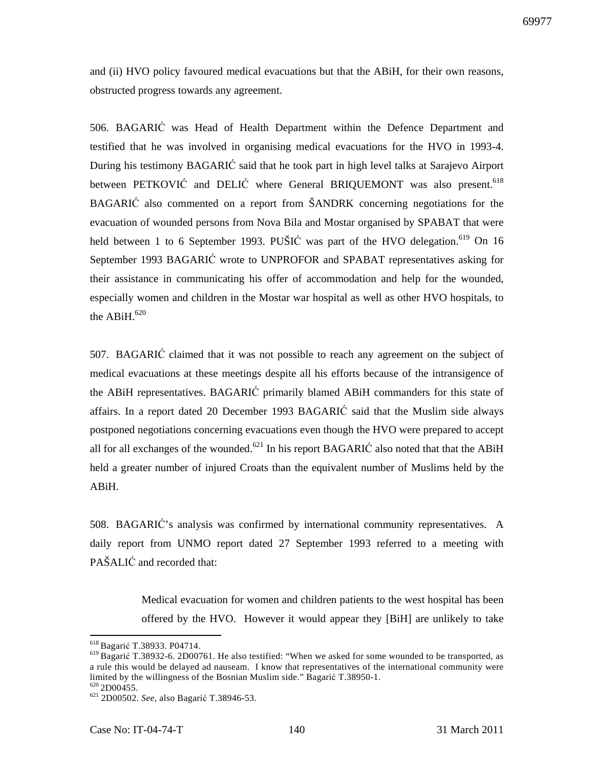and (ii) HVO policy favoured medical evacuations but that the ABiH, for their own reasons, obstructed progress towards any agreement.

506. BAGARIĆ was Head of Health Department within the Defence Department and testified that he was involved in organising medical evacuations for the HVO in 1993-4. During his testimony BAGARIĆ said that he took part in high level talks at Sarajevo Airport between PETKOVIĆ and DELIĆ where General BRIQUEMONT was also present.<sup>618</sup> BAGARIĆ also commented on a report from ŠANDRK concerning negotiations for the evacuation of wounded persons from Nova Bila and Mostar organised by SPABAT that were held between 1 to 6 September 1993. PUŠIĆ was part of the HVO delegation.<sup>619</sup> On 16 September 1993 BAGARIĆ wrote to UNPROFOR and SPABAT representatives asking for their assistance in communicating his offer of accommodation and help for the wounded, especially women and children in the Mostar war hospital as well as other HVO hospitals, to the ABiH. $620$ 

507. BAGARIĆ claimed that it was not possible to reach any agreement on the subject of medical evacuations at these meetings despite all his efforts because of the intransigence of the ABiH representatives. BAGARIĆ primarily blamed ABiH commanders for this state of affairs. In a report dated 20 December 1993 BAGARIĆ said that the Muslim side always postponed negotiations concerning evacuations even though the HVO were prepared to accept all for all exchanges of the wounded.<sup>621</sup> In his report BAGARIC also noted that that the ABiH held a greater number of injured Croats than the equivalent number of Muslims held by the ABiH.

508. BAGARIĆ's analysis was confirmed by international community representatives. A daily report from UNMO report dated 27 September 1993 referred to a meeting with PAŠALIĆ and recorded that:

> Medical evacuation for women and children patients to the west hospital has been offered by the HVO. However it would appear they [BiH] are unlikely to take

<sup>618</sup>Bagarić T.38933. P04714.

<sup>619</sup>Bagarić T.38932-6. 2D00761. He also testified: "When we asked for some wounded to be transported, as a rule this would be delayed ad nauseam. I know that representatives of the international community were limited by the willingness of the Bosnian Muslim side." Bagarić T.38950-1.  $620$  2D00455.

<sup>621</sup> 2D00502. *See,* also Bagarić T.38946-53.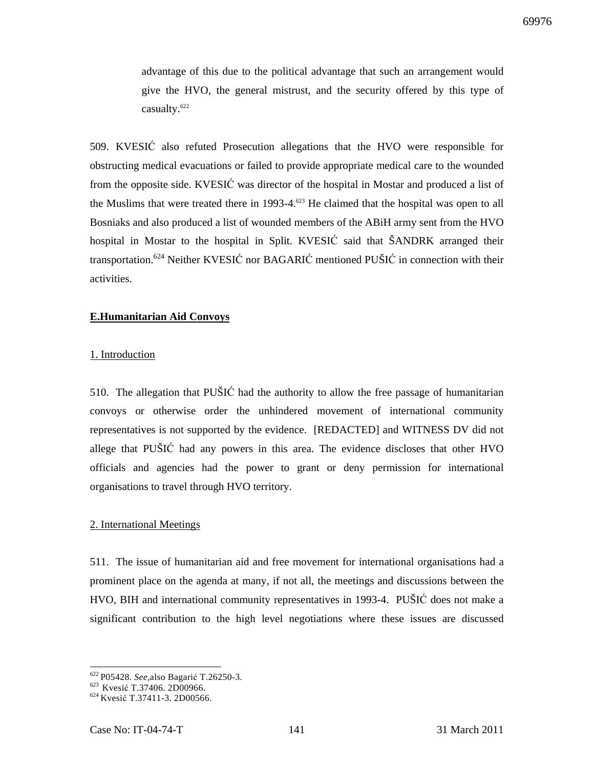advantage of this due to the political advantage that such an arrangement would give the HVO, the general mistrust, and the security offered by this type of casualty.<sup>622</sup>

509. KVESIĆ also refuted Prosecution allegations that the HVO were responsible for obstructing medical evacuations or failed to provide appropriate medical care to the wounded from the opposite side. KVESIĆ was director of the hospital in Mostar and produced a list of the Muslims that were treated there in 1993-4.<sup>623</sup> He claimed that the hospital was open to all Bosniaks and also produced a list of wounded members of the ABiH army sent from the HVO hospital in Mostar to the hospital in Split. KVESIĆ said that ŠANDRK arranged their transportation.<sup>624</sup> Neither KVESIĆ nor BAGARIĆ mentioned PUŠIĆ in connection with their activities.

### **E.Humanitarian Aid Convoys**

#### 1. Introduction

510. The allegation that PUŠIĆ had the authority to allow the free passage of humanitarian convoys or otherwise order the unhindered movement of international community representatives is not supported by the evidence. [REDACTED] and WITNESS DV did not allege that PUŠIĆ had any powers in this area. The evidence discloses that other HVO officials and agencies had the power to grant or deny permission for international organisations to travel through HVO territory.

#### 2. International Meetings

511. The issue of humanitarian aid and free movement for international organisations had a prominent place on the agenda at many, if not all, the meetings and discussions between the HVO, BIH and international community representatives in 1993-4. PUŠIĆ does not make a significant contribution to the high level negotiations where these issues are discussed

<sup>622</sup>P05428. *See,*also Bagarić T.26250-3.

<sup>&</sup>lt;sup>623</sup> Kvesić T.37406. 2D00966.

<sup>624</sup>Kvesić T.37411-3. 2D00566.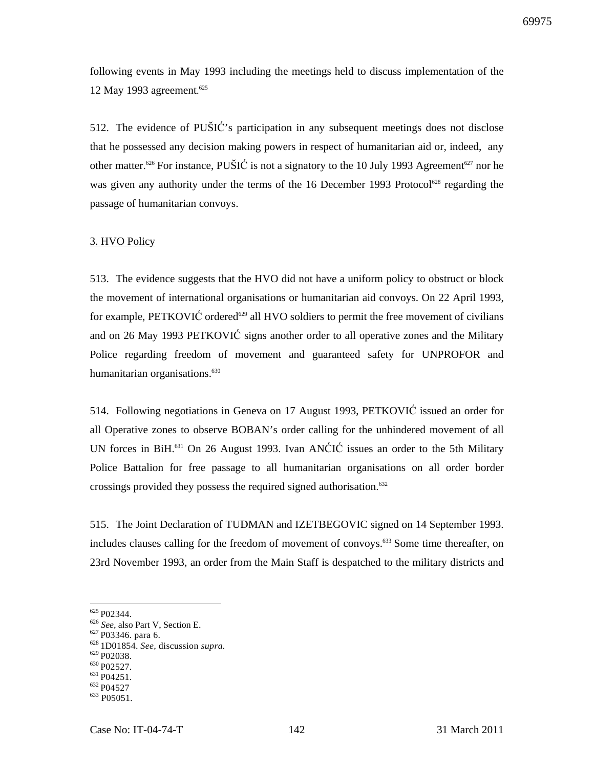following events in May 1993 including the meetings held to discuss implementation of the 12 May 1993 agreement. 625

512. The evidence of PUŠIĆ's participation in any subsequent meetings does not disclose that he possessed any decision making powers in respect of humanitarian aid or, indeed, any other matter.<sup>626</sup> For instance, PUŠIĆ is not a signatory to the 10 July 1993 Agreement<sup>627</sup> nor he was given any authority under the terms of the 16 December 1993 Protocol<sup>628</sup> regarding the passage of humanitarian convoys.

### 3. HVO Policy

513. The evidence suggests that the HVO did not have a uniform policy to obstruct or block the movement of international organisations or humanitarian aid convoys. On 22 April 1993, for example, PETKOVI $\acute{C}$  ordered<sup>629</sup> all HVO soldiers to permit the free movement of civilians and on 26 May 1993 PETKOVIĆ signs another order to all operative zones and the Military Police regarding freedom of movement and guaranteed safety for UNPROFOR and humanitarian organisations.<sup>630</sup>

514. Following negotiations in Geneva on 17 August 1993, PETKOVIĆ issued an order for all Operative zones to observe BOBAN's order calling for the unhindered movement of all UN forces in BiH.<sup>631</sup> On 26 August 1993. Ivan ANĆIĆ issues an order to the 5th Military Police Battalion for free passage to all humanitarian organisations on all order border crossings provided they possess the required signed authorisation.<sup>632</sup>

515. The Joint Declaration of TUĐMAN and IZETBEGOVIC signed on 14 September 1993. includes clauses calling for the freedom of movement of convoys.<sup>633</sup> Some time thereafter, on 23rd November 1993, an order from the Main Staff is despatched to the military districts and

 $\overline{a}$ 

 $629$  P02038.

 $625$  P02344.

<sup>626</sup> *See,* also Part V, Section E.

<sup>&</sup>lt;sup>627</sup> P03346. para 6.

<sup>628</sup>1D01854. *See,* discussion *supra.*

<sup>&</sup>lt;sup>630</sup> P02527.

 $631 P04251$ .

<sup>&</sup>lt;sup>632</sup> P04527

 $633$  P05051.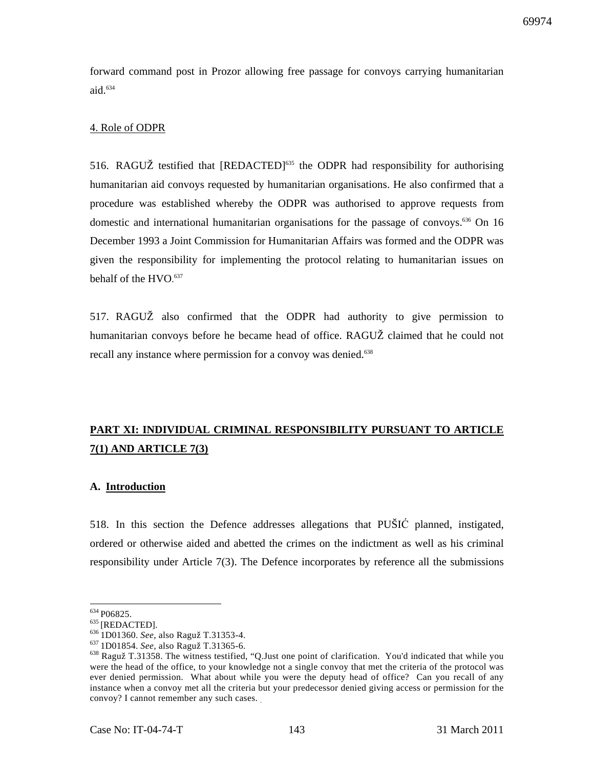forward command post in Prozor allowing free passage for convoys carrying humanitarian aid. $634$ 

### 4. Role of ODPR

516. RAGUŽ testified that [REDACTED]<sup>635</sup> the ODPR had responsibility for authorising humanitarian aid convoys requested by humanitarian organisations. He also confirmed that a procedure was established whereby the ODPR was authorised to approve requests from domestic and international humanitarian organisations for the passage of convoys.<sup>636</sup> On 16 December 1993 a Joint Commission for Humanitarian Affairs was formed and the ODPR was given the responsibility for implementing the protocol relating to humanitarian issues on behalf of the HVO. 637

517. RAGUŽ also confirmed that the ODPR had authority to give permission to humanitarian convoys before he became head of office. RAGUŽ claimed that he could not recall any instance where permission for a convoy was denied.<sup>638</sup>

# **PART XI: INDIVIDUAL CRIMINAL RESPONSIBILITY PURSUANT TO ARTICLE 7(1) AND ARTICLE 7(3)**

### **A. Introduction**

518. In this section the Defence addresses allegations that PUŠIĆ planned, instigated, ordered or otherwise aided and abetted the crimes on the indictment as well as his criminal responsibility under Article 7(3). The Defence incorporates by reference all the submissions

 $634 P06825.$ 

 $^{635}$  [REDACTED].

<sup>636</sup>1D01360. *See,* also Raguž T.31353-4.

<sup>637</sup>1D01854. *See,* also Raguž T.31365-6.

<sup>638</sup> Raguž T.31358. The witness testified, "Q.Just one point of clarification. You'd indicated that while you were the head of the office, to your knowledge not a single convoy that met the criteria of the protocol was ever denied permission. What about while you were the deputy head of office? Can you recall of any instance when a convoy met all the criteria but your predecessor denied giving access or permission for the convoy? I cannot remember any such cases. .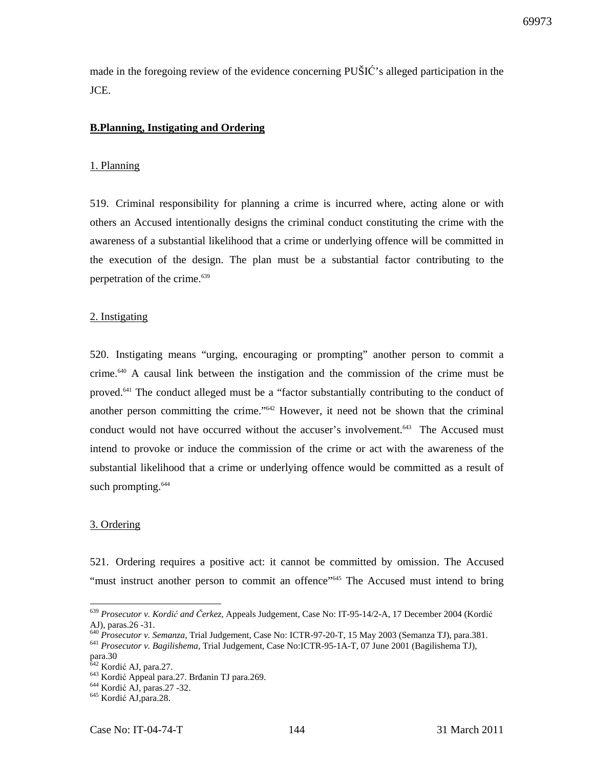made in the foregoing review of the evidence concerning PUŠIĆ's alleged participation in the JCE.

# **B.Planning, Instigating and Ordering**

#### 1. Planning

519. Criminal responsibility for planning a crime is incurred where, acting alone or with others an Accused intentionally designs the criminal conduct constituting the crime with the awareness of a substantial likelihood that a crime or underlying offence will be committed in the execution of the design. The plan must be a substantial factor contributing to the perpetration of the crime.<sup>639</sup>

#### 2. Instigating

520. Instigating means "urging, encouraging or prompting" another person to commit a crime.<sup>640</sup> A causal link between the instigation and the commission of the crime must be proved.<sup>641</sup> The conduct alleged must be a "factor substantially contributing to the conduct of another person committing the crime."<sup>642</sup> However, it need not be shown that the criminal conduct would not have occurred without the accuser's involvement.<sup>643</sup> The Accused must intend to provoke or induce the commission of the crime or act with the awareness of the substantial likelihood that a crime or underlying offence would be committed as a result of such prompting.<sup>644</sup>

#### 3. Ordering

 $\overline{a}$ 

521. Ordering requires a positive act: it cannot be committed by omission. The Accused "must instruct another person to commit an offence"<sup>645</sup> The Accused must intend to bring

<sup>639</sup> *Prosecutor v. Kordi*ć *and* Č*erkez,* Appeals Judgement, Case No: IT-95-14/2-A, 17 December 2004 (Kordić AJ), paras.26 -31.

<sup>640</sup> *Prosecutor v. Semanza,* Trial Judgement, Case No: ICTR-97-20-T, 15 May 2003 (Semanza TJ), para.381. <sup>641</sup> *Prosecutor v. Bagilishema,* Trial Judgement, Case No:ICTR-95-1A-T, 07 June 2001 (Bagilishema TJ),

para.30

 $<sup>2</sup>$  Kordić AJ, para.27.</sup>

<sup>643</sup> Kordić Appeal para.27. Brđanin TJ para.269.

 $644$  Kordić AJ, paras. 27 - 32.

<sup>645</sup> Kordić AJ,para.28.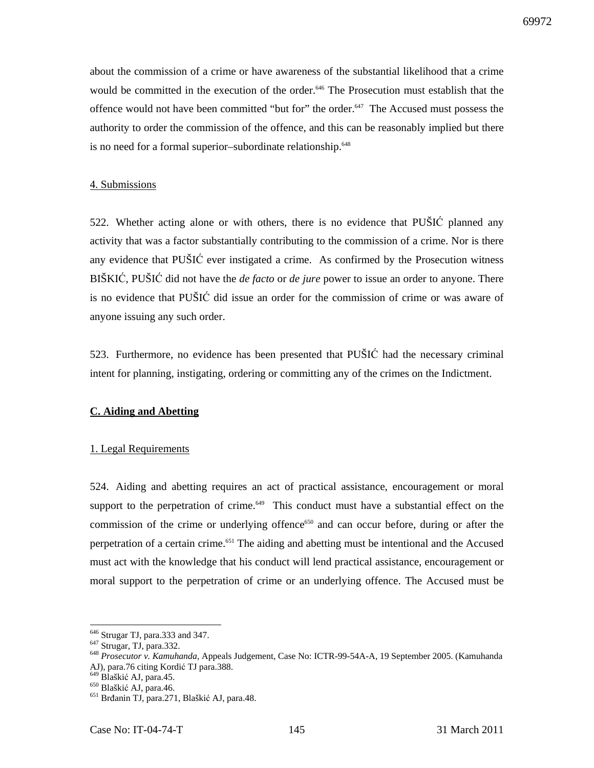about the commission of a crime or have awareness of the substantial likelihood that a crime would be committed in the execution of the order.<sup>646</sup> The Prosecution must establish that the offence would not have been committed "but for" the order.<sup>647</sup> The Accused must possess the authority to order the commission of the offence, and this can be reasonably implied but there is no need for a formal superior–subordinate relationship.<sup>648</sup>

#### 4. Submissions

522. Whether acting alone or with others, there is no evidence that PUŠIĆ planned any activity that was a factor substantially contributing to the commission of a crime. Nor is there any evidence that PUŠIĆ ever instigated a crime. As confirmed by the Prosecution witness BIŠKIĆ, PUŠIĆ did not have the *de facto* or *de jure* power to issue an order to anyone. There is no evidence that PUŠIĆ did issue an order for the commission of crime or was aware of anyone issuing any such order.

523. Furthermore, no evidence has been presented that PUŠIĆ had the necessary criminal intent for planning, instigating, ordering or committing any of the crimes on the Indictment.

# **C. Aiding and Abetting**

#### 1. Legal Requirements

524. Aiding and abetting requires an act of practical assistance, encouragement or moral support to the perpetration of crime.<sup>649</sup> This conduct must have a substantial effect on the commission of the crime or underlying offence<sup>650</sup> and can occur before, during or after the perpetration of a certain crime.<sup>651</sup> The aiding and abetting must be intentional and the Accused must act with the knowledge that his conduct will lend practical assistance, encouragement or moral support to the perpetration of crime or an underlying offence. The Accused must be

 $\overline{a}$ 

<sup>646</sup> Strugar TJ, para.333 and 347.

<sup>&</sup>lt;sup>647</sup> Strugar, TJ, para.332.

<sup>648</sup> *Prosecutor v. Kamuhanda,* Appeals Judgement, Case No: ICTR-99-54A-A, 19 September 2005. (Kamuhanda AJ), para.76 citing Kordić TJ para.388.

<sup>&</sup>lt;sup>649</sup> Blaškić AJ, para.45.

<sup>650</sup> Blaškić AJ, para.46.

<sup>651</sup> Brđanin TJ, para.271, Blaškić AJ, para.48.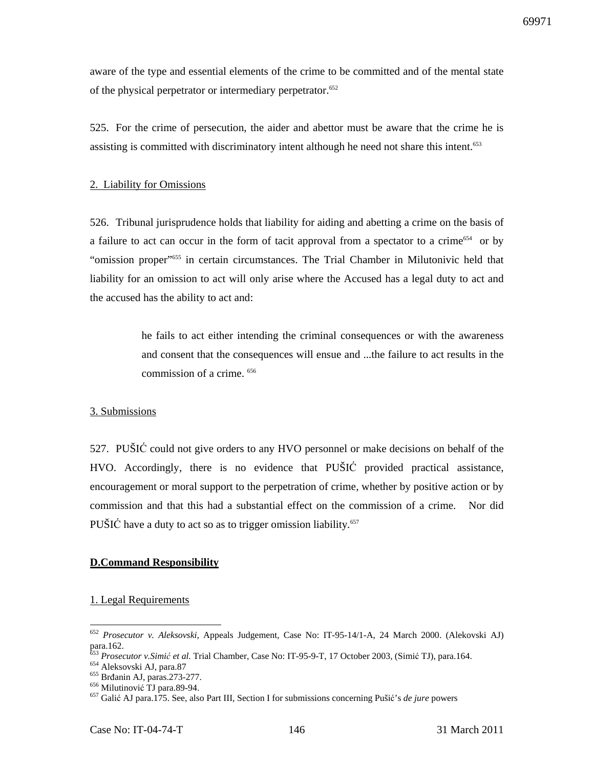aware of the type and essential elements of the crime to be committed and of the mental state of the physical perpetrator or intermediary perpetrator.<sup>652</sup>

525. For the crime of persecution, the aider and abettor must be aware that the crime he is assisting is committed with discriminatory intent although he need not share this intent.<sup>653</sup>

#### 2. Liability for Omissions

526. Tribunal jurisprudence holds that liability for aiding and abetting a crime on the basis of a failure to act can occur in the form of tacit approval from a spectator to a crime<sup>654</sup> or by "omission proper"<sup>655</sup> in certain circumstances. The Trial Chamber in Milutonivic held that liability for an omission to act will only arise where the Accused has a legal duty to act and the accused has the ability to act and:

> he fails to act either intending the criminal consequences or with the awareness and consent that the consequences will ensue and ...the failure to act results in the commission of a crime. <sup>656</sup>

## 3. Submissions

527. PUŠIĆ could not give orders to any HVO personnel or make decisions on behalf of the HVO. Accordingly, there is no evidence that PUŠIĆ provided practical assistance, encouragement or moral support to the perpetration of crime, whether by positive action or by commission and that this had a substantial effect on the commission of a crime. Nor did PUŠIĆ have a duty to act so as to trigger omission liability*.* 657

## **D.Command Responsibility**

## 1. Legal Requirements

<sup>654</sup> Aleksovski AJ, para.87

 $\overline{a}$ 

<sup>652</sup> *Prosecutor v. Aleksovski,* Appeals Judgement, Case No: IT-95-14/1-A, 24 March 2000. (Alekovski AJ) para.162.

<sup>653</sup> *Prosecutor v.Simi*ć *et al.* Trial Chamber, Case No: IT-95-9-T, 17 October 2003, (Simić TJ), para.164.

<sup>655</sup> Brđanin AJ, paras.273-277.

<sup>656</sup> Milutinović TJ para.89-94.

<sup>657</sup> Galić AJ para.175. See, also Part III, Section I for submissions concerning Pušić's *de jure* powers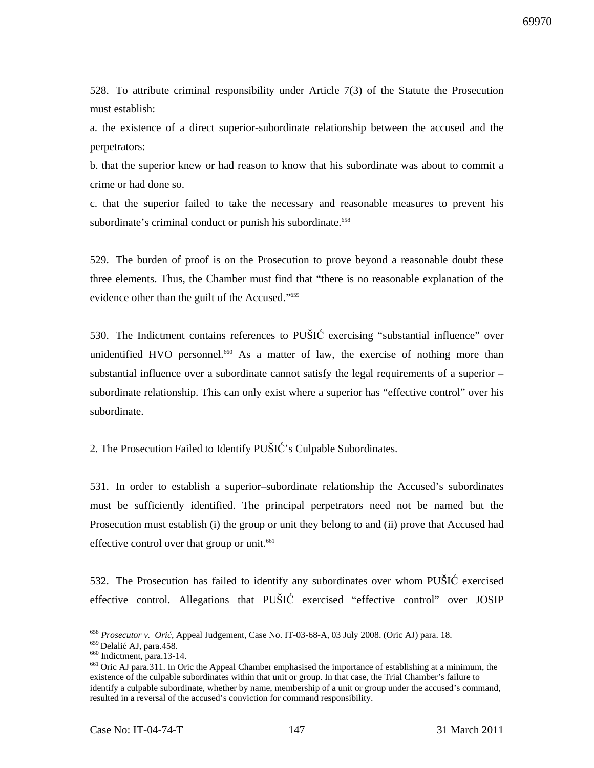528. To attribute criminal responsibility under Article 7(3) of the Statute the Prosecution must establish:

a. the existence of a direct superior-subordinate relationship between the accused and the perpetrators:

b. that the superior knew or had reason to know that his subordinate was about to commit a crime or had done so.

c. that the superior failed to take the necessary and reasonable measures to prevent his subordinate's criminal conduct or punish his subordinate.<sup>658</sup>

529. The burden of proof is on the Prosecution to prove beyond a reasonable doubt these three elements. Thus, the Chamber must find that "there is no reasonable explanation of the evidence other than the guilt of the Accused."<sup>659</sup>

530. The Indictment contains references to PUŠIĆ exercising "substantial influence" over unidentified HVO personnel.<sup>660</sup> As a matter of law, the exercise of nothing more than substantial influence over a subordinate cannot satisfy the legal requirements of a superior – subordinate relationship. This can only exist where a superior has "effective control" over his subordinate.

# 2. The Prosecution Failed to Identify PUŠIĆ's Culpable Subordinates.

531. In order to establish a superior–subordinate relationship the Accused's subordinates must be sufficiently identified. The principal perpetrators need not be named but the Prosecution must establish (i) the group or unit they belong to and (ii) prove that Accused had effective control over that group or unit.<sup>661</sup>

532. The Prosecution has failed to identify any subordinates over whom PUŠIĆ exercised effective control. Allegations that PUŠIĆ exercised "effective control" over JOSIP

 $\overline{a}$ <sup>658</sup> *Prosecutor v. Ori*ć, Appeal Judgement, Case No. IT-03-68-A, 03 July 2008. (Oric AJ) para. 18.

<sup>&</sup>lt;sup>659</sup> Delalić AJ, para.458. <sup>660</sup> Indictment, para.13-14.

<sup>&</sup>lt;sup>661</sup> Oric AJ para.311. In Oric the Appeal Chamber emphasised the importance of establishing at a minimum, the existence of the culpable subordinates within that unit or group. In that case, the Trial Chamber's failure to identify a culpable subordinate, whether by name, membership of a unit or group under the accused's command, resulted in a reversal of the accused's conviction for command responsibility.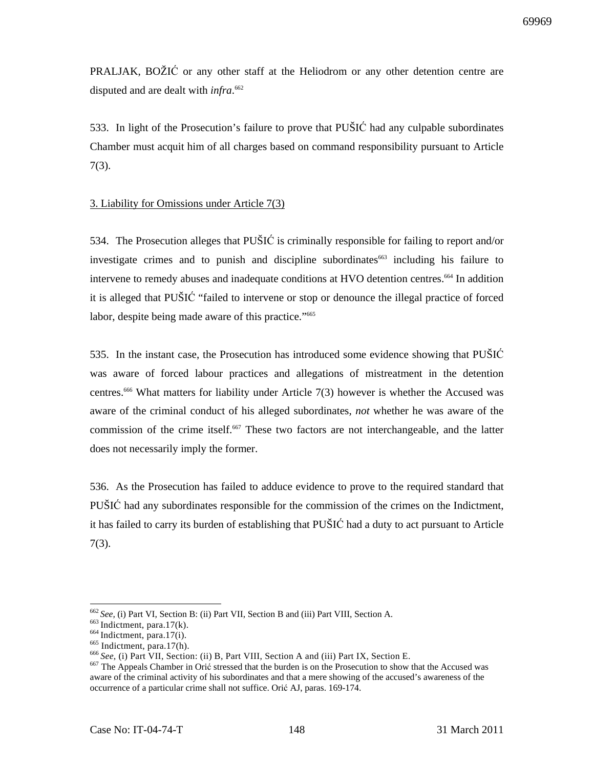PRALJAK, BOŽIĆ or any other staff at the Heliodrom or any other detention centre are disputed and are dealt with *infra*. 662

533. In light of the Prosecution's failure to prove that PUŠIĆ had any culpable subordinates Chamber must acquit him of all charges based on command responsibility pursuant to Article 7(3).

## 3. Liability for Omissions under Article 7(3)

534. The Prosecution alleges that PUŠIĆ is criminally responsible for failing to report and/or investigate crimes and to punish and discipline subordinates<sup>663</sup> including his failure to intervene to remedy abuses and inadequate conditions at HVO detention centres.<sup>664</sup> In addition it is alleged that PUŠIĆ "failed to intervene or stop or denounce the illegal practice of forced labor, despite being made aware of this practice."<sup>665</sup>

535. In the instant case, the Prosecution has introduced some evidence showing that PUŠIĆ was aware of forced labour practices and allegations of mistreatment in the detention centres.<sup>666</sup> What matters for liability under Article 7(3) however is whether the Accused was aware of the criminal conduct of his alleged subordinates, *not* whether he was aware of the commission of the crime itself.<sup>667</sup> These two factors are not interchangeable, and the latter does not necessarily imply the former.

536. As the Prosecution has failed to adduce evidence to prove to the required standard that PUŠIĆ had any subordinates responsible for the commission of the crimes on the Indictment, it has failed to carry its burden of establishing that PUŠIĆ had a duty to act pursuant to Article 7(3).

 $\overline{a}$ 

<sup>662</sup>*See,* (i) Part VI, Section B: (ii) Part VII, Section B and (iii) Part VIII, Section A.

 $663$  Indictment, para.17(k).

 $664$  Indictment, para.17(i).

<sup>&</sup>lt;sup>665</sup> Indictment, para.17(h).

<sup>666</sup>*See*, (i) Part VII, Section: (ii) B, Part VIII, Section A and (iii) Part IX, Section E.

<sup>&</sup>lt;sup>667</sup> The Appeals Chamber in Orić stressed that the burden is on the Prosecution to show that the Accused was aware of the criminal activity of his subordinates and that a mere showing of the accused's awareness of the occurrence of a particular crime shall not suffice. Orić AJ, paras. 169-174.